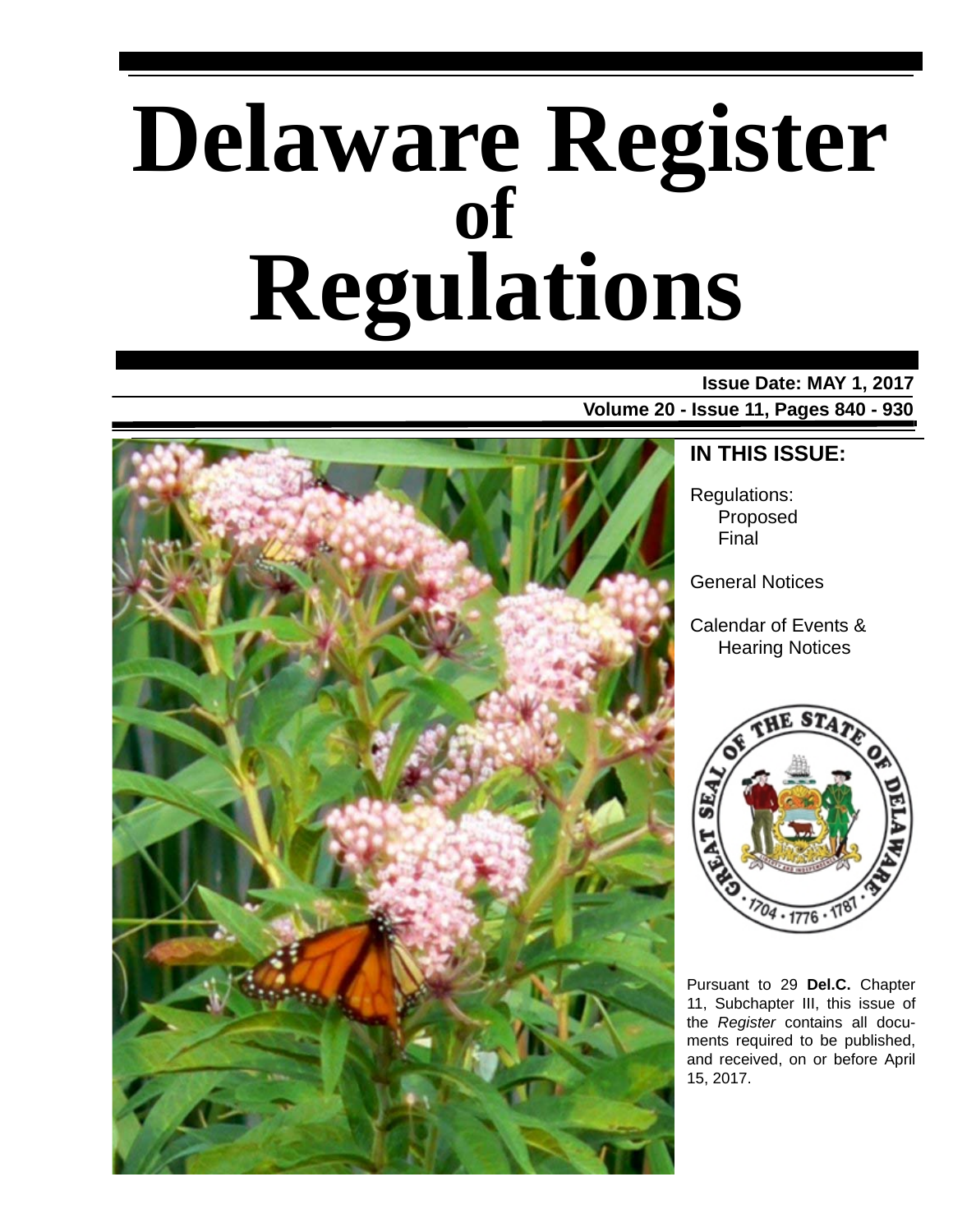# **Delaware Register Regulations of**

### **Issue Date: MAY 1, 2017**

**Volume 20 - Issue 11, Pages 840 - 930**



### **IN THIS ISSUE:**

Regulations: Proposed Final

General Notices

Calendar of Events & Hearing Notices



Pursuant to 29 **Del.C.** Chapter 11, Subchapter III, this issue of the *Register* contains all documents required to be published, and received, on or before April 15, 2017.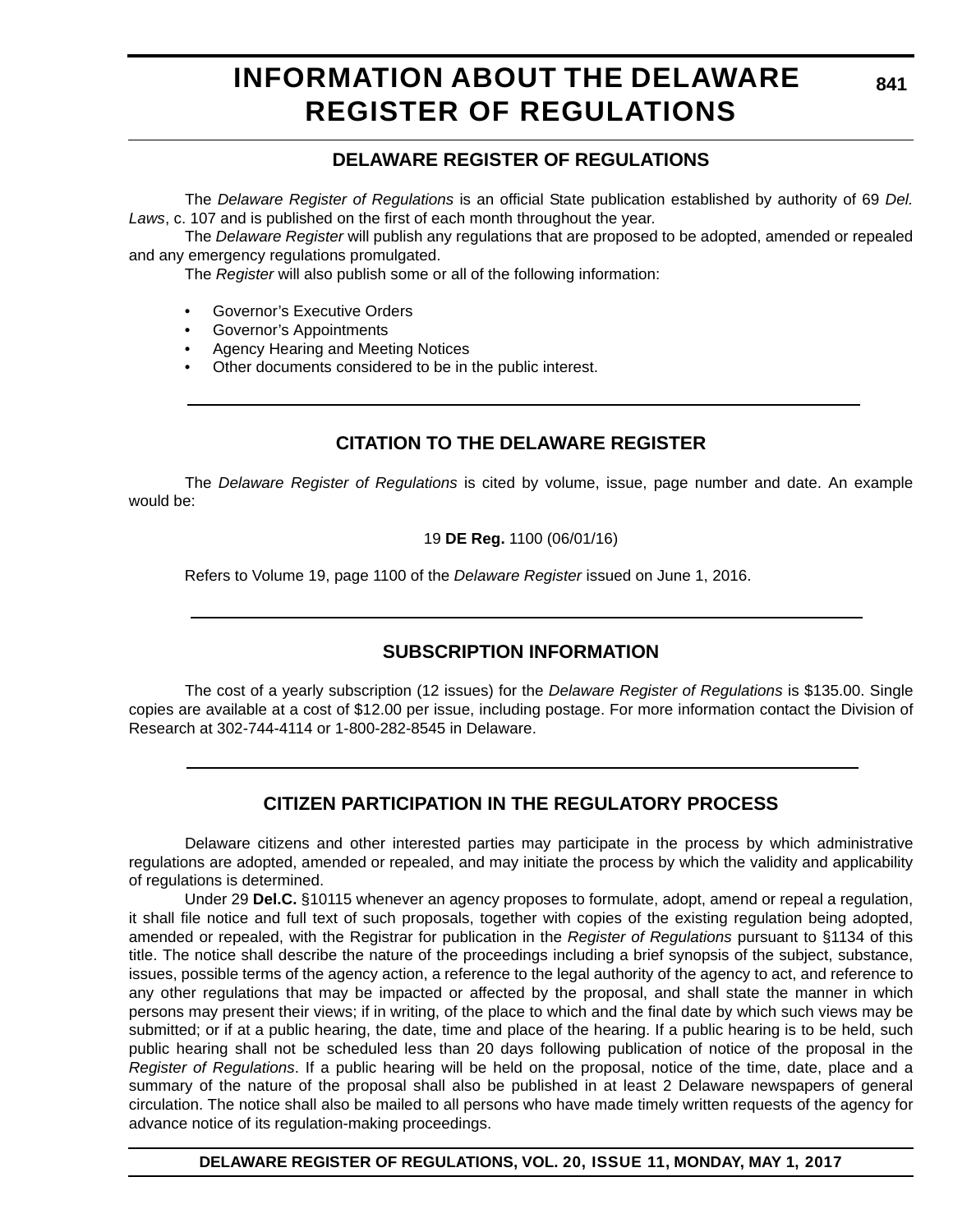### **INFORMATION ABOUT THE DELAWARE REGISTER OF REGULATIONS**

### **DELAWARE REGISTER OF REGULATIONS**

The *Delaware Register of Regulations* is an official State publication established by authority of 69 *Del. Laws*, c. 107 and is published on the first of each month throughout the year.

The *Delaware Register* will publish any regulations that are proposed to be adopted, amended or repealed and any emergency regulations promulgated.

The *Register* will also publish some or all of the following information:

- Governor's Executive Orders
- Governor's Appointments
- Agency Hearing and Meeting Notices
- Other documents considered to be in the public interest.

### **CITATION TO THE DELAWARE REGISTER**

The *Delaware Register of Regulations* is cited by volume, issue, page number and date. An example would be:

19 **DE Reg.** 1100 (06/01/16)

Refers to Volume 19, page 1100 of the *Delaware Register* issued on June 1, 2016.

### **SUBSCRIPTION INFORMATION**

The cost of a yearly subscription (12 issues) for the *Delaware Register of Regulations* is \$135.00. Single copies are available at a cost of \$12.00 per issue, including postage. For more information contact the Division of Research at 302-744-4114 or 1-800-282-8545 in Delaware.

### **CITIZEN PARTICIPATION IN THE REGULATORY PROCESS**

Delaware citizens and other interested parties may participate in the process by which administrative regulations are adopted, amended or repealed, and may initiate the process by which the validity and applicability of regulations is determined.

Under 29 **Del.C.** §10115 whenever an agency proposes to formulate, adopt, amend or repeal a regulation, it shall file notice and full text of such proposals, together with copies of the existing regulation being adopted, amended or repealed, with the Registrar for publication in the *Register of Regulations* pursuant to §1134 of this title. The notice shall describe the nature of the proceedings including a brief synopsis of the subject, substance, issues, possible terms of the agency action, a reference to the legal authority of the agency to act, and reference to any other regulations that may be impacted or affected by the proposal, and shall state the manner in which persons may present their views; if in writing, of the place to which and the final date by which such views may be submitted; or if at a public hearing, the date, time and place of the hearing. If a public hearing is to be held, such public hearing shall not be scheduled less than 20 days following publication of notice of the proposal in the *Register of Regulations*. If a public hearing will be held on the proposal, notice of the time, date, place and a summary of the nature of the proposal shall also be published in at least 2 Delaware newspapers of general circulation. The notice shall also be mailed to all persons who have made timely written requests of the agency for advance notice of its regulation-making proceedings.

**DELAWARE REGISTER OF REGULATIONS, VOL. 20, ISSUE 11, MONDAY, MAY 1, 2017**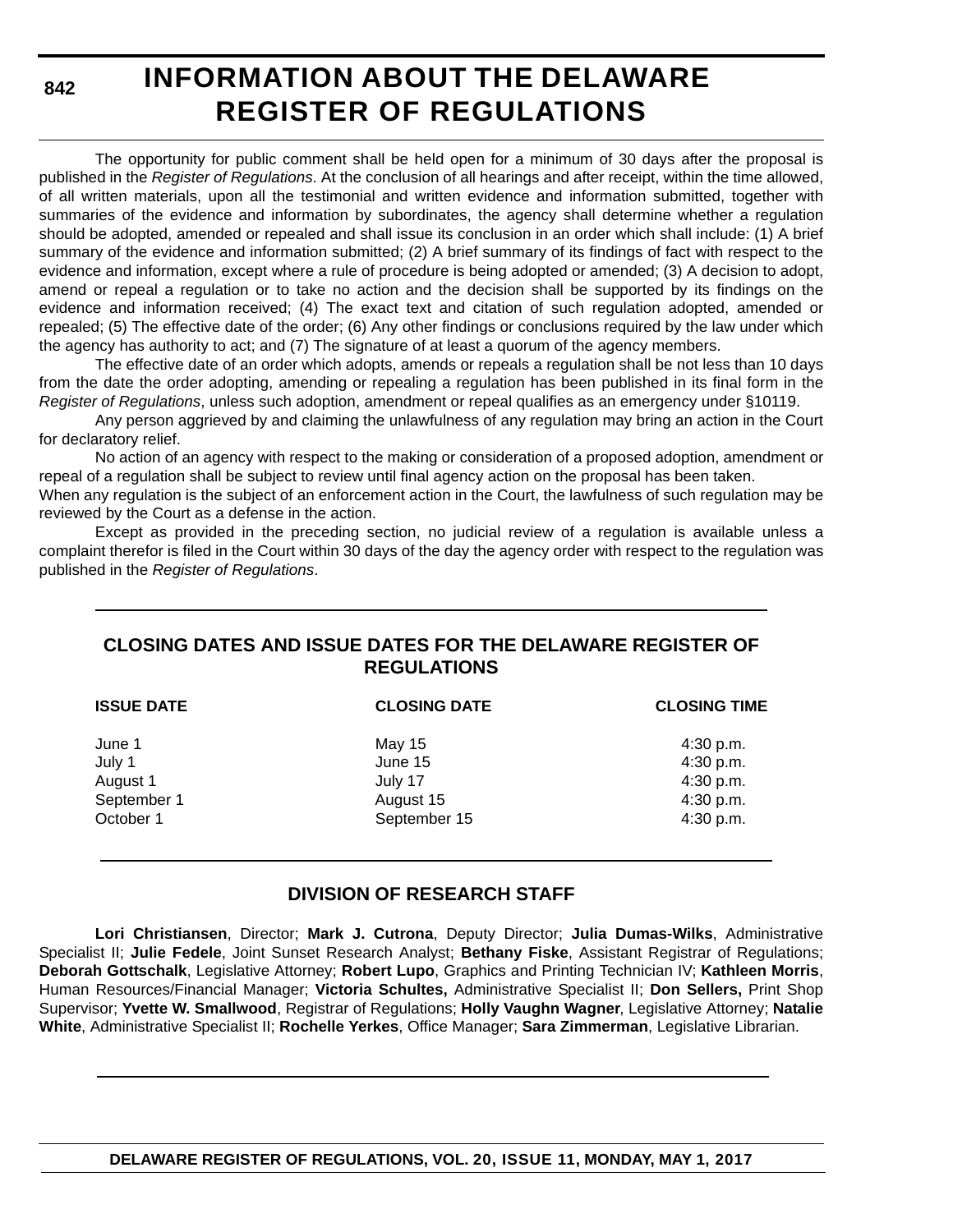**842**

### **INFORMATION ABOUT THE DELAWARE REGISTER OF REGULATIONS**

The opportunity for public comment shall be held open for a minimum of 30 days after the proposal is published in the *Register of Regulations*. At the conclusion of all hearings and after receipt, within the time allowed, of all written materials, upon all the testimonial and written evidence and information submitted, together with summaries of the evidence and information by subordinates, the agency shall determine whether a regulation should be adopted, amended or repealed and shall issue its conclusion in an order which shall include: (1) A brief summary of the evidence and information submitted; (2) A brief summary of its findings of fact with respect to the evidence and information, except where a rule of procedure is being adopted or amended; (3) A decision to adopt, amend or repeal a regulation or to take no action and the decision shall be supported by its findings on the evidence and information received; (4) The exact text and citation of such regulation adopted, amended or repealed; (5) The effective date of the order; (6) Any other findings or conclusions required by the law under which the agency has authority to act; and (7) The signature of at least a quorum of the agency members.

The effective date of an order which adopts, amends or repeals a regulation shall be not less than 10 days from the date the order adopting, amending or repealing a regulation has been published in its final form in the *Register of Regulations*, unless such adoption, amendment or repeal qualifies as an emergency under §10119.

Any person aggrieved by and claiming the unlawfulness of any regulation may bring an action in the Court for declaratory relief.

No action of an agency with respect to the making or consideration of a proposed adoption, amendment or repeal of a regulation shall be subject to review until final agency action on the proposal has been taken.

When any regulation is the subject of an enforcement action in the Court, the lawfulness of such regulation may be reviewed by the Court as a defense in the action.

Except as provided in the preceding section, no judicial review of a regulation is available unless a complaint therefor is filed in the Court within 30 days of the day the agency order with respect to the regulation was published in the *Register of Regulations*.

### **CLOSING DATES AND ISSUE DATES FOR THE DELAWARE REGISTER OF REGULATIONS**

| <b>ISSUE DATE</b> | <b>CLOSING DATE</b> | <b>CLOSING TIME</b> |
|-------------------|---------------------|---------------------|
| June 1            | May 15              | 4:30 p.m.           |
| July 1            | June 15             | 4:30 p.m.           |
| August 1          | July 17             | 4:30 p.m.           |
| September 1       | August 15           | 4:30 p.m.           |
| October 1         | September 15        | 4:30 p.m.           |
|                   |                     |                     |

### **DIVISION OF RESEARCH STAFF**

**Lori Christiansen**, Director; **Mark J. Cutrona**, Deputy Director; **Julia Dumas-Wilks**, Administrative Specialist II; **Julie Fedele**, Joint Sunset Research Analyst; **Bethany Fiske**, Assistant Registrar of Regulations; **Deborah Gottschalk**, Legislative Attorney; **Robert Lupo**, Graphics and Printing Technician IV; **Kathleen Morris**, Human Resources/Financial Manager; **Victoria Schultes,** Administrative Specialist II; **Don Sellers,** Print Shop Supervisor; **Yvette W. Smallwood**, Registrar of Regulations; **Holly Vaughn Wagner**, Legislative Attorney; **Natalie White**, Administrative Specialist II; **Rochelle Yerkes**, Office Manager; **Sara Zimmerman**, Legislative Librarian.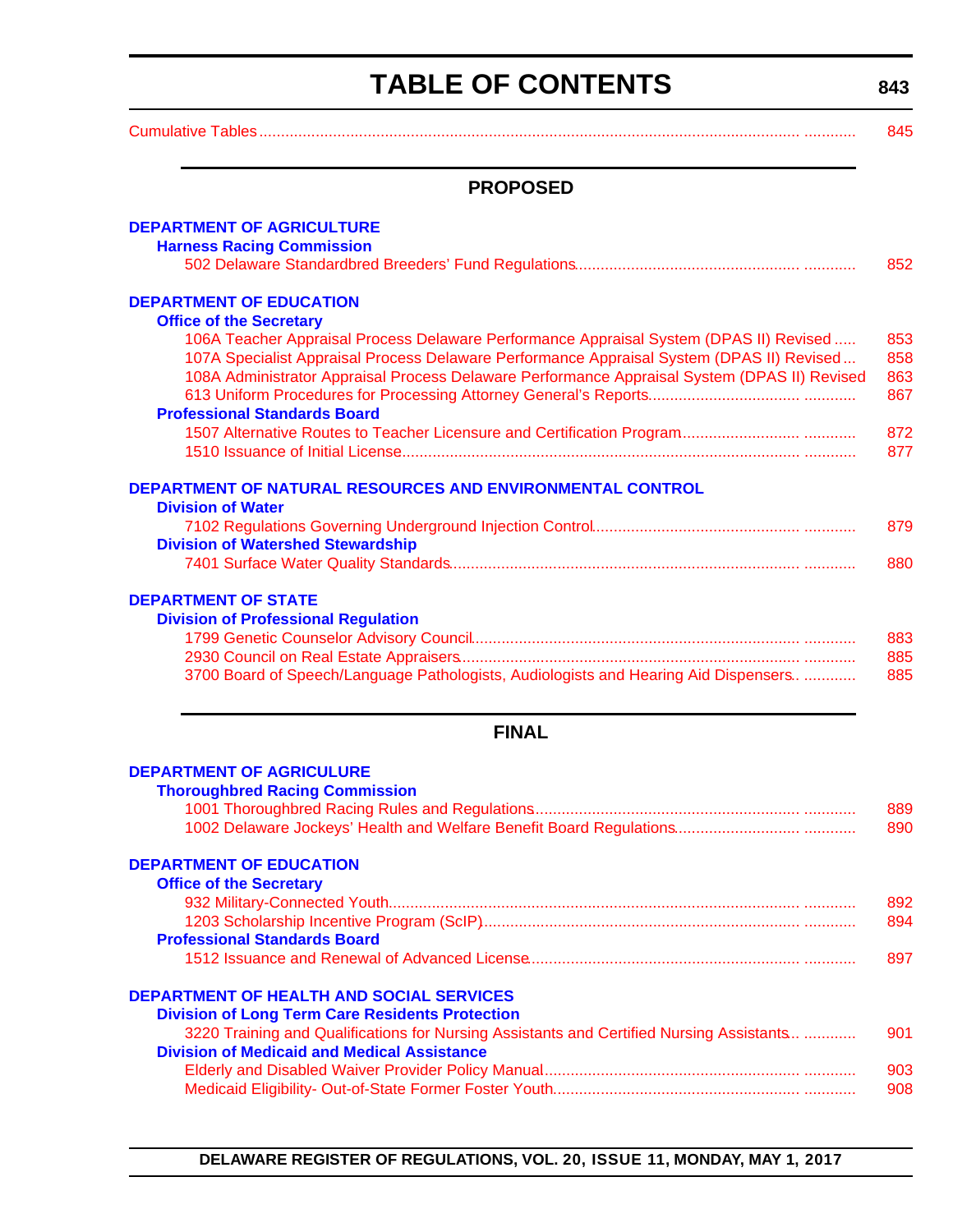## **TABLE OF CONTENTS**

**843**

<span id="page-3-0"></span>

| 845. |
|------|

### **PROPOSED**

| <b>DEPARTMENT OF AGRICULTURE</b>                                                             |     |
|----------------------------------------------------------------------------------------------|-----|
| <b>Harness Racing Commission</b>                                                             |     |
|                                                                                              | 852 |
|                                                                                              |     |
| <b>DEPARTMENT OF EDUCATION</b>                                                               |     |
| <b>Office of the Secretary</b>                                                               |     |
| 106A Teacher Appraisal Process Delaware Performance Appraisal System (DPAS II) Revised       | 853 |
| 107A Specialist Appraisal Process Delaware Performance Appraisal System (DPAS II) Revised    | 858 |
| 108A Administrator Appraisal Process Delaware Performance Appraisal System (DPAS II) Revised | 863 |
|                                                                                              | 867 |
| <b>Professional Standards Board</b>                                                          |     |
|                                                                                              | 872 |
|                                                                                              | 877 |
|                                                                                              |     |
| DEPARTMENT OF NATURAL RESOURCES AND ENVIRONMENTAL CONTROL                                    |     |
| <b>Division of Water</b>                                                                     |     |
|                                                                                              | 879 |
| <b>Division of Watershed Stewardship</b>                                                     |     |
|                                                                                              | 880 |
|                                                                                              |     |
| <b>DEPARTMENT OF STATE</b>                                                                   |     |
| <b>Division of Professional Regulation</b>                                                   |     |
|                                                                                              | 883 |
|                                                                                              | 885 |
| 3700 Board of Speech/Language Pathologists, Audiologists and Hearing Aid Dispensers          | 885 |
|                                                                                              |     |
|                                                                                              |     |
| <b>FINAL</b>                                                                                 |     |
|                                                                                              |     |
| <b>DEPARTMENT OF AGRICULURE</b>                                                              |     |
| <b>Thoroughbred Racing Commission</b>                                                        |     |
|                                                                                              | 889 |
|                                                                                              | 890 |
|                                                                                              |     |
| <b>DEPARTMENT OF EDUCATION</b>                                                               |     |
| <b>Office of the Secretary</b>                                                               |     |
|                                                                                              | 892 |
|                                                                                              | 894 |
| <b>Professional Standards Board</b>                                                          |     |
|                                                                                              | 897 |
|                                                                                              |     |
| <b>DEPARTMENT OF HEALTH AND SOCIAL SERVICES</b>                                              |     |
| <b>Division of Long Term Care Residents Protection</b>                                       |     |
| 3220 Training and Qualifications for Nursing Assistants and Certified Nursing Assistants     | 901 |
| <b>Division of Medicaid and Medical Assistance</b>                                           |     |
|                                                                                              | 903 |
|                                                                                              | 908 |
|                                                                                              |     |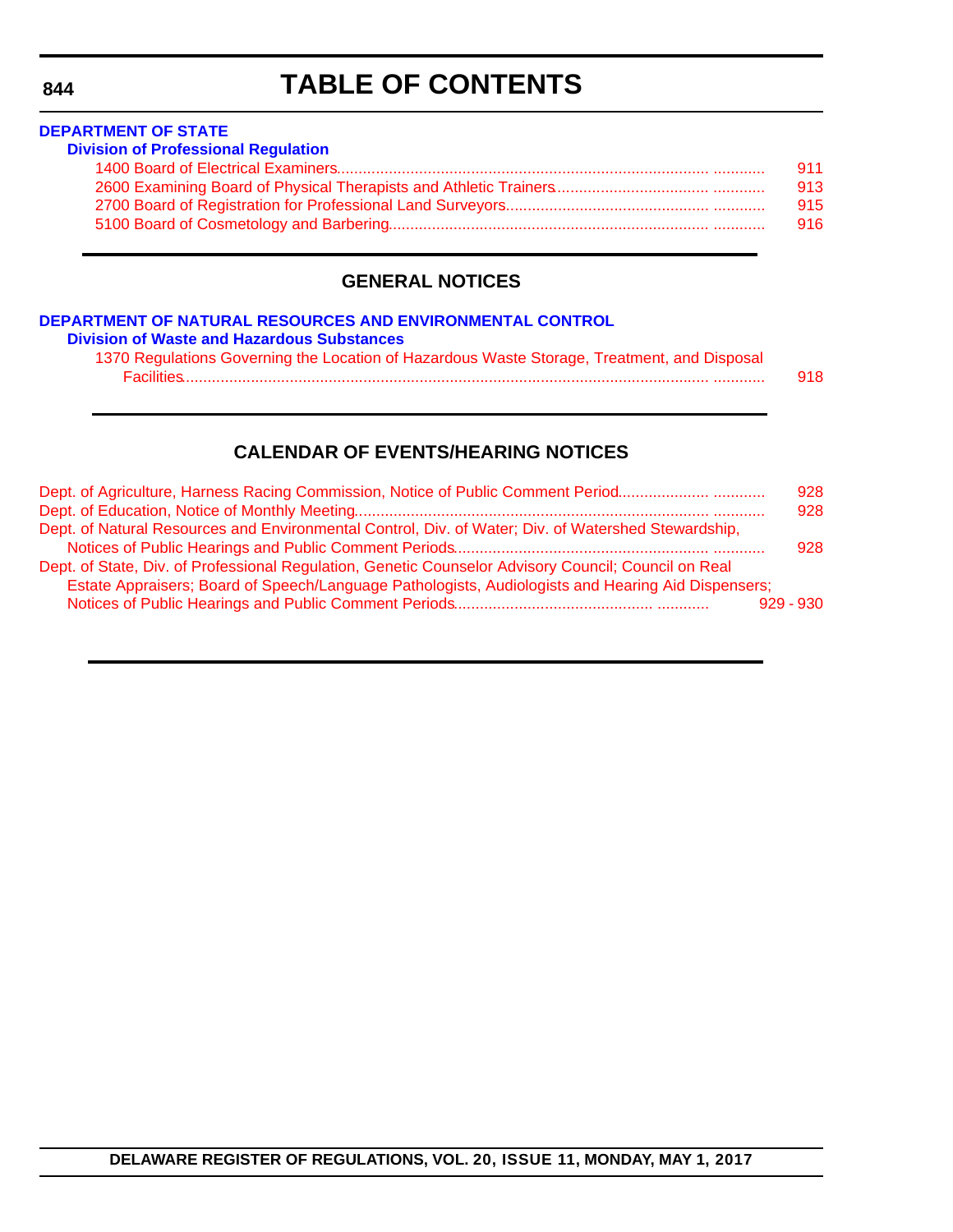### **TABLE OF CONTENTS**

### **DEPARTMENT OF STATE [Division of Professional Regulation](http://dpr.delaware.gov/)** [1400 Board of Electrical Examiners...................................................................................... ............ 911](#page-71-0) [2600 Examining Board of Physical Therapists and Athletic Trainers.................................... ............ 913](#page-73-0) [2700 Board of Registration for Professional Land Surveyors................................................ ............ 915](#page-75-0) [5100 Board of Cosmetology and Barbering.......................................................................... ............ 916](#page-76-0)

### **GENERAL NOTICES**

#### **[DEPARTMENT OF NATURAL RESOURCES AND ENVIRONMENTAL CONTROL](http://www.dnrec.delaware.gov/dwhs/Pages/default.aspx) Division of Waste and Hazardous Substances** 1370 Regulations Governing the Location of Hazardous Waste Storage, Treatment, and Disposal [Facilities.......................................................................................................................... ............ 918](#page-78-0)

### **CALENDAR OF EVENTS/HEARING NOTICES**

| Dept. of Agriculture, Harness Racing Commission, Notice of Public Comment Period                     | 928 |
|------------------------------------------------------------------------------------------------------|-----|
|                                                                                                      | 928 |
| Dept. of Natural Resources and Environmental Control, Div. of Water; Div. of Watershed Stewardship,  |     |
|                                                                                                      | 928 |
| Dept. of State, Div. of Professional Regulation, Genetic Counselor Advisory Council; Council on Real |     |
| Estate Appraisers; Board of Speech/Language Pathologists, Audiologists and Hearing Aid Dispensers;   |     |
| $929 - 930$                                                                                          |     |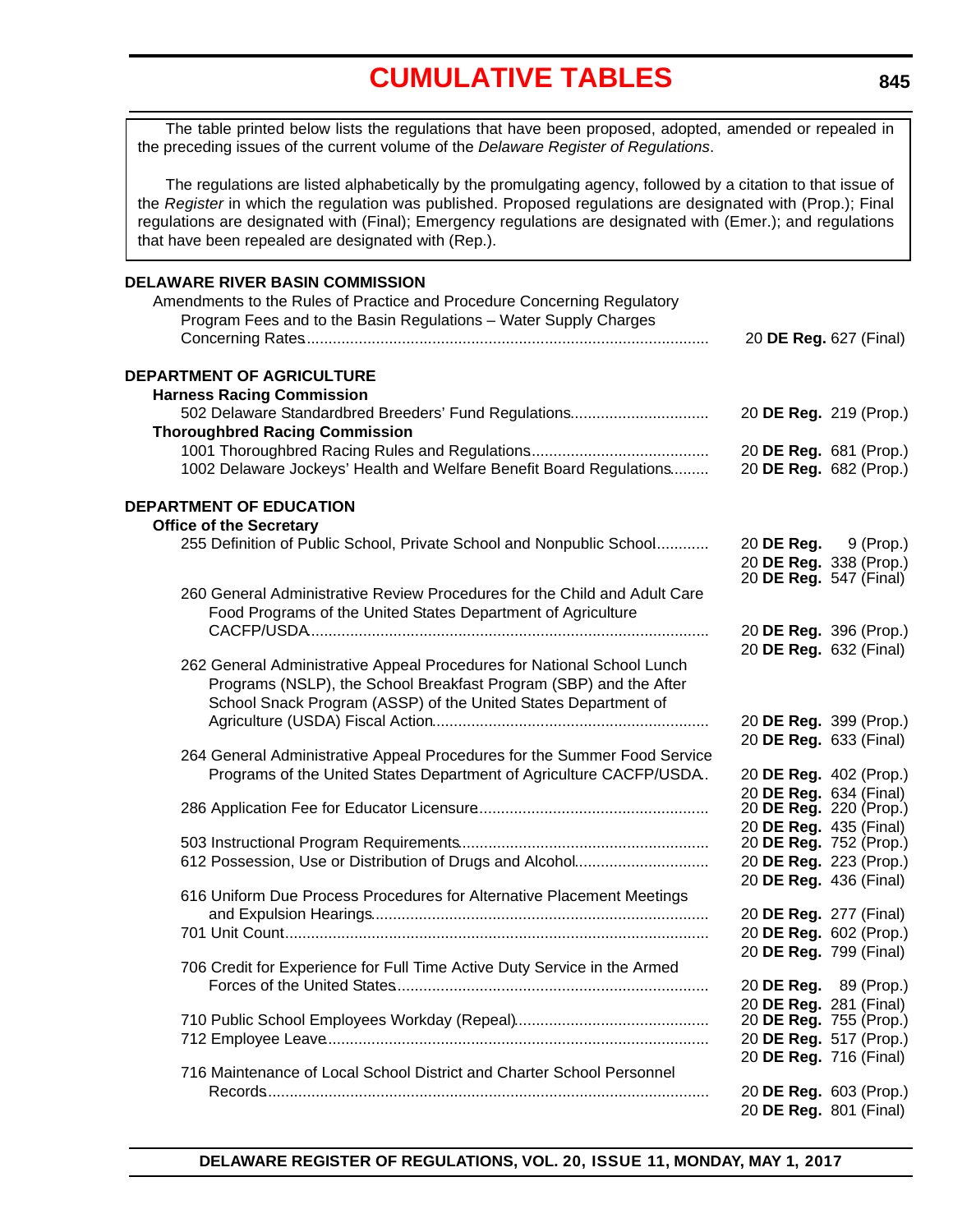<span id="page-5-0"></span>The table printed below lists the regulations that have been proposed, adopted, amended or repealed in the preceding issues of the current volume of the *Delaware Register of Regulations*.

The regulations are listed alphabetically by the promulgating agency, followed by a citation to that issue of the *Register* in which the regulation was published. Proposed regulations are designated with (Prop.); Final regulations are designated with (Final); Emergency regulations are designated with (Emer.); and regulations that have been repealed are designated with (Rep.).

### **DELAWARE RIVER BASIN COMMISSION** Amendments to the Rules of Practice and Procedure Concerning Regulatory Program Fees and to the Basin Regulations – Water Supply Charges Concerning Rates.............................................................................................. 20 **DE Reg.** 627 (Final) **DEPARTMENT OF AGRICULTURE Harness Racing Commission** 502 Delaware Standardbred Breeders' Fund Regulations................................ 20 **DE Reg.** 219 (Prop.) **Thoroughbred Racing Commission** 1001 Thoroughbred Racing Rules and Regulations.......................................... 20 **DE Reg.** 681 (Prop.) 1002 Delaware Jockeys' Health and Welfare Benefit Board Regulations......... 20 **DE Reg.** 682 (Prop.) **DEPARTMENT OF EDUCATION Office of the Secretary** 255 Definition of Public School, Private School and Nonpublic School............. 20 **DE Reg.** 9 (Prop.) 20 **DE Reg.** 338 (Prop.) 20 **DE Reg.** 547 (Final) 260 General Administrative Review Procedures for the Child and Adult Care Food Programs of the United States Department of Agriculture CACFP/USDA............................................................................................. 20 **DE Reg.** 396 (Prop.) 20 **DE Reg.** 632 (Final) 262 General Administrative Appeal Procedures for National School Lunch Programs (NSLP), the School Breakfast Program (SBP) and the After School Snack Program (ASSP) of the United States Department of Agriculture (USDA) Fiscal Action................................................................ 20 **DE Reg.** 399 (Prop.) 20 **DE Reg.** 633 (Final) 264 General Administrative Appeal Procedures for the Summer Food Service Programs of the United States Department of Agriculture CACFP/USDA.. 20 **DE Reg.** 402 (Prop.) 20 **DE Reg.** 634 (Final) 286 Application Fee for Educator Licensure...................................................... 20 **DE Reg.** 220 (Prop.) 20 **DE Reg.** 435 (Final) 503 Instructional Program Requirements.......................................................... 20 **DE Reg.** 752 (Prop.) 612 Possession, Use or Distribution of Drugs and Alcohol............................... 20 **DE Reg.** 223 (Prop.) 20 **DE Reg.** 436 (Final) 616 Uniform Due Process Procedures for Alternative Placement Meetings and Expulsion Hearings.............................................................................. 20 **DE Reg.** 277 (Final) 701 Unit Count................................................................................................... 20 **DE Reg.** 602 (Prop.) 20 **DE Reg.** 799 (Final) 706 Credit for Experience for Full Time Active Duty Service in the Armed Forces of the United States......................................................................... 20 **DE Reg.** 89 (Prop.) 20 **DE Reg.** 281 (Final) 710 Public School Employees Workday (Repeal)............................................. 20 **DE Reg.** 755 (Prop.) 712 Employee Leave......................................................................................... 20 **DE Reg.** 517 (Prop.) 20 **DE Reg.** 716 (Final) 716 Maintenance of Local School District and Charter School Personnel Records....................................................................................................... 20 **DE Reg.** 603 (Prop.) 20 **DE Reg.** 801 (Final)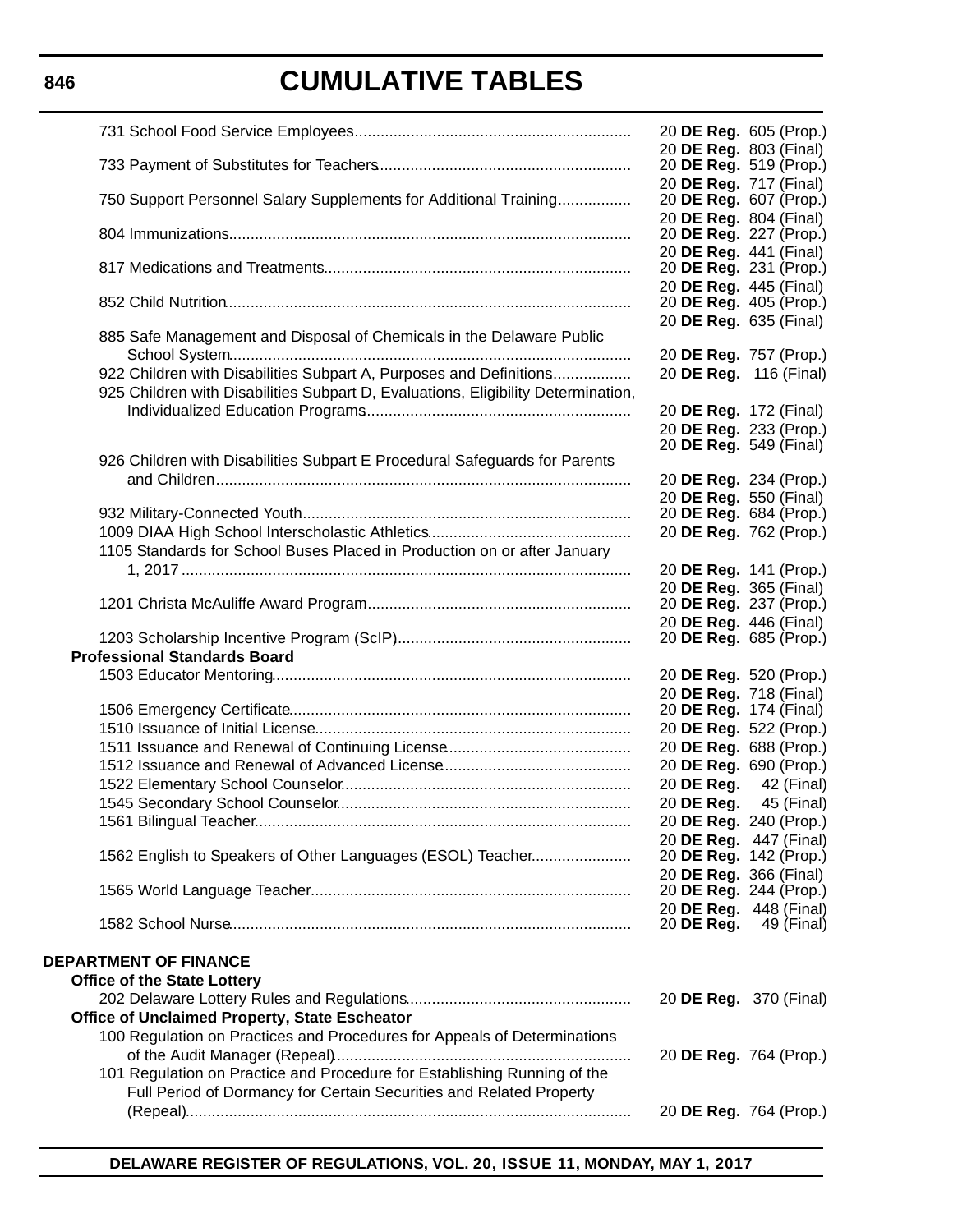|                                                                                   | 20 DE Reg. 605 (Prop.)                           |            |
|-----------------------------------------------------------------------------------|--------------------------------------------------|------------|
|                                                                                   | 20 DE Reg. 803 (Final)<br>20 DE Reg. 519 (Prop.) |            |
|                                                                                   | 20 DE Reg. 717 (Final)                           |            |
| 750 Support Personnel Salary Supplements for Additional Training                  | 20 DE Reg. 607 (Prop.)                           |            |
|                                                                                   | 20 DE Reg. 804 (Final)                           |            |
|                                                                                   | 20 DE Reg. 227 (Prop.)                           |            |
|                                                                                   | 20 DE Reg. 441 (Final)<br>20 DE Reg. 231 (Prop.) |            |
|                                                                                   | 20 DE Reg. 445 (Final)                           |            |
|                                                                                   | 20 <b>DE Reg.</b> 405 (Prop.)                    |            |
|                                                                                   | 20 DE Reg. 635 (Final)                           |            |
| 885 Safe Management and Disposal of Chemicals in the Delaware Public              | 20 DE Reg. 757 (Prop.)                           |            |
| 922 Children with Disabilities Subpart A, Purposes and Definitions                | 20 DE Reg. 116 (Final)                           |            |
| 925 Children with Disabilities Subpart D, Evaluations, Eligibility Determination, |                                                  |            |
|                                                                                   | 20 DE Reg. 172 (Final)                           |            |
|                                                                                   | 20 DE Reg. 233 (Prop.)                           |            |
| 926 Children with Disabilities Subpart E Procedural Safeguards for Parents        | 20 <b>DE Reg.</b> 549 (Final)                    |            |
|                                                                                   | 20 DE Reg. 234 (Prop.)                           |            |
|                                                                                   | 20 DE Reg. 550 (Final)                           |            |
|                                                                                   | 20 DE Reg. 684 (Prop.)                           |            |
|                                                                                   | 20 DE Reg. 762 (Prop.)                           |            |
| 1105 Standards for School Buses Placed in Production on or after January          |                                                  |            |
|                                                                                   | 20 DE Reg. 141 (Prop.)<br>20 DE Reg. 365 (Final) |            |
|                                                                                   | 20 DE Reg. 237 (Prop.)                           |            |
|                                                                                   | 20 DE Reg. 446 (Final)                           |            |
| <b>Professional Standards Board</b>                                               | 20 DE Reg. 685 (Prop.)                           |            |
|                                                                                   | 20 DE Reg. 520 (Prop.)                           |            |
|                                                                                   | 20 DE Reg. 718 (Final)                           |            |
|                                                                                   | 20 DE Reg. 174 (Final)                           |            |
|                                                                                   | 20 DE Reg. 522 (Prop.)                           |            |
|                                                                                   | 20 DE Reg. 688 (Prop.)                           |            |
|                                                                                   | 20 DE Reg. 690 (Prop.)<br>20 DE Reg.             | 42 (Final) |
|                                                                                   | 20 <b>DE Reg.</b> 45 (Final)                     |            |
|                                                                                   | 20 DE Reg. 240 (Prop.)                           |            |
|                                                                                   | 20 DE Reg. 447 (Final)                           |            |
| 1562 English to Speakers of Other Languages (ESOL) Teacher                        | 20 DE Reg. 142 (Prop.)                           |            |
|                                                                                   | 20 DE Reg. 366 (Final)<br>20 DE Reg. 244 (Prop.) |            |
|                                                                                   | 20 DE Reg. 448 (Final)                           |            |
|                                                                                   | 20 DE Reg.                                       | 49 (Final) |
| <b>DEPARTMENT OF FINANCE</b>                                                      |                                                  |            |
| <b>Office of the State Lottery</b>                                                |                                                  |            |
|                                                                                   | 20 <b>DE Reg.</b> 370 (Final)                    |            |
| Office of Unclaimed Property, State Escheator                                     |                                                  |            |
| 100 Regulation on Practices and Procedures for Appeals of Determinations          |                                                  |            |
|                                                                                   | 20 DE Reg. 764 (Prop.)                           |            |
| 101 Regulation on Practice and Procedure for Establishing Running of the          |                                                  |            |
| Full Period of Dormancy for Certain Securities and Related Property               |                                                  |            |
|                                                                                   | 20 DE Reg. 764 (Prop.)                           |            |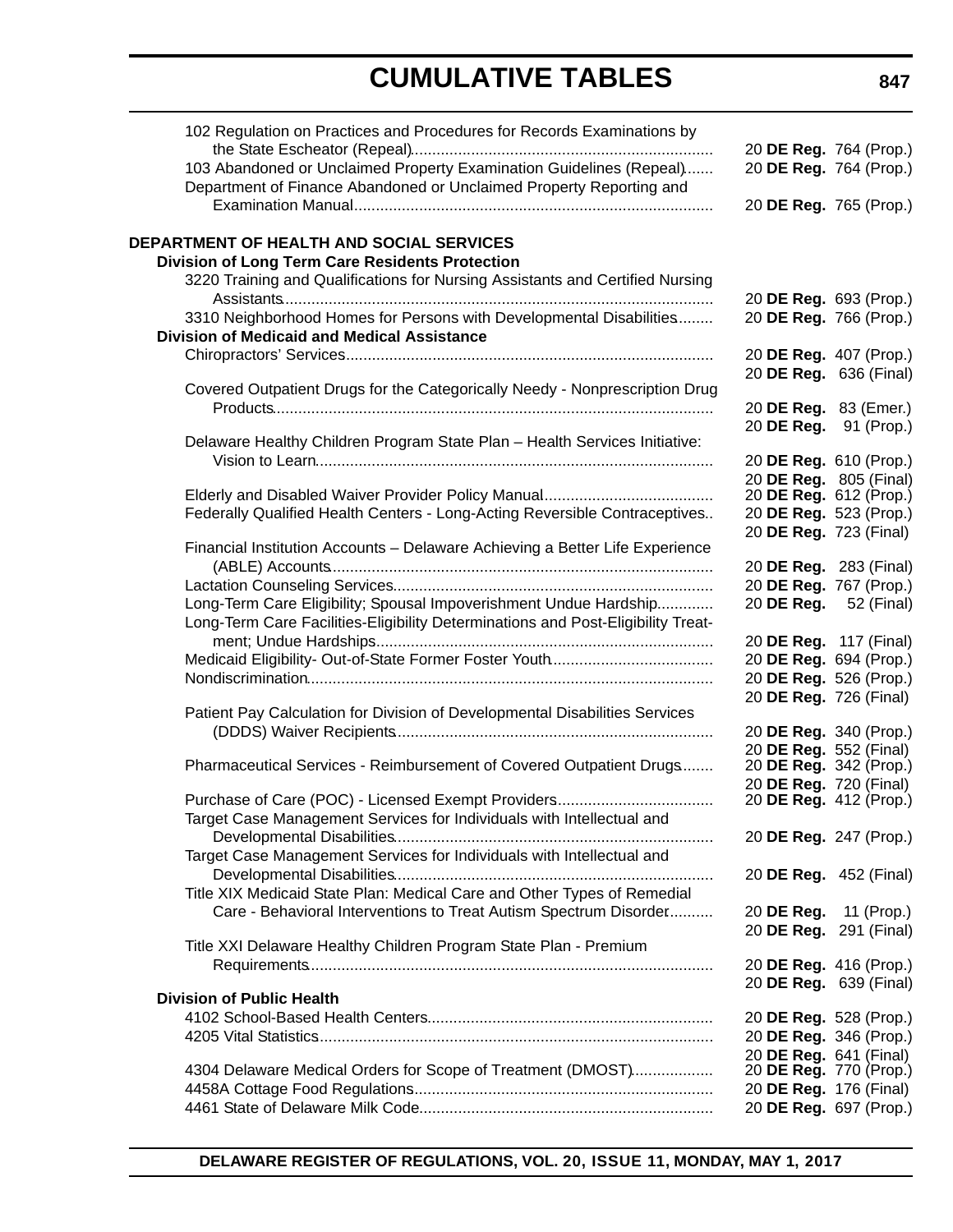| 102 Regulation on Practices and Procedures for Records Examinations by                                    | 20 DE Reg. 764 (Prop.)                           |  |
|-----------------------------------------------------------------------------------------------------------|--------------------------------------------------|--|
| 103 Abandoned or Unclaimed Property Examination Guidelines (Repeal)                                       | 20 DE Reg. 764 (Prop.)                           |  |
| Department of Finance Abandoned or Unclaimed Property Reporting and                                       |                                                  |  |
|                                                                                                           | 20 DE Reg. 765 (Prop.)                           |  |
|                                                                                                           |                                                  |  |
| <b>DEPARTMENT OF HEALTH AND SOCIAL SERVICES</b><br><b>Division of Long Term Care Residents Protection</b> |                                                  |  |
| 3220 Training and Qualifications for Nursing Assistants and Certified Nursing                             |                                                  |  |
|                                                                                                           | 20 DE Reg. 693 (Prop.)                           |  |
| 3310 Neighborhood Homes for Persons with Developmental Disabilities                                       | 20 DE Reg. 766 (Prop.)                           |  |
| <b>Division of Medicaid and Medical Assistance</b>                                                        |                                                  |  |
|                                                                                                           | 20 DE Reg. 407 (Prop.)                           |  |
|                                                                                                           | 20 DE Reg. 636 (Final)                           |  |
| Covered Outpatient Drugs for the Categorically Needy - Nonprescription Drug                               |                                                  |  |
|                                                                                                           | 20 DE Reg. 83 (Emer.)                            |  |
|                                                                                                           | 20 DE Reg. 91 (Prop.)                            |  |
| Delaware Healthy Children Program State Plan - Health Services Initiative:                                |                                                  |  |
|                                                                                                           | 20 DE Reg. 610 (Prop.)<br>20 DE Reg. 805 (Final) |  |
|                                                                                                           | 20 DE Reg. 612 (Prop.)                           |  |
| Federally Qualified Health Centers - Long-Acting Reversible Contraceptives                                | 20 DE Reg. 523 (Prop.)                           |  |
|                                                                                                           | 20 DE Reg. 723 (Final)                           |  |
| Financial Institution Accounts - Delaware Achieving a Better Life Experience                              |                                                  |  |
|                                                                                                           | 20 DE Reg. 283 (Final)                           |  |
|                                                                                                           | 20 DE Reg. 767 (Prop.)                           |  |
| Long-Term Care Eligibility; Spousal Impoverishment Undue Hardship                                         | 20 DE Reg. 52 (Final)                            |  |
| Long-Term Care Facilities-Eligibility Determinations and Post-Eligibility Treat-                          |                                                  |  |
|                                                                                                           | 20 DE Reg. 117 (Final)                           |  |
|                                                                                                           | 20 DE Reg. 694 (Prop.)                           |  |
|                                                                                                           | 20 DE Reg. 526 (Prop.)                           |  |
| Patient Pay Calculation for Division of Developmental Disabilities Services                               | 20 DE Reg. 726 (Final)                           |  |
|                                                                                                           | 20 DE Reg. 340 (Prop.)                           |  |
|                                                                                                           | 20 DE Reg. 552 (Final)                           |  |
| Pharmaceutical Services - Reimbursement of Covered Outpatient Drugs                                       | 20 DE Reg. 342 (Prop.)                           |  |
|                                                                                                           | 20 DE Reg. 720 (Final)                           |  |
|                                                                                                           | 20 DE Reg. 412 (Prop.)                           |  |
| Target Case Management Services for Individuals with Intellectual and                                     |                                                  |  |
|                                                                                                           | 20 DE Reg. 247 (Prop.)                           |  |
| Target Case Management Services for Individuals with Intellectual and                                     |                                                  |  |
|                                                                                                           | 20 DE Reg. 452 (Final)                           |  |
| Title XIX Medicaid State Plan: Medical Care and Other Types of Remedial                                   |                                                  |  |
| Care - Behavioral Interventions to Treat Autism Spectrum Disorder                                         | 20 DE Reg. 11 (Prop.)                            |  |
| Title XXI Delaware Healthy Children Program State Plan - Premium                                          | 20 DE Reg. 291 (Final)                           |  |
|                                                                                                           | 20 DE Reg. 416 (Prop.)                           |  |
|                                                                                                           | 20 DE Reg. 639 (Final)                           |  |
| <b>Division of Public Health</b>                                                                          |                                                  |  |
|                                                                                                           | 20 DE Reg. 528 (Prop.)                           |  |
|                                                                                                           | 20 DE Reg. 346 (Prop.)                           |  |
|                                                                                                           | 20 DE Reg. 641 (Final)                           |  |
| 4304 Delaware Medical Orders for Scope of Treatment (DMOST)                                               | 20 DE Reg. 770 (Prop.)                           |  |
|                                                                                                           | 20 DE Reg. 176 (Final)                           |  |
|                                                                                                           | 20 DE Reg. 697 (Prop.)                           |  |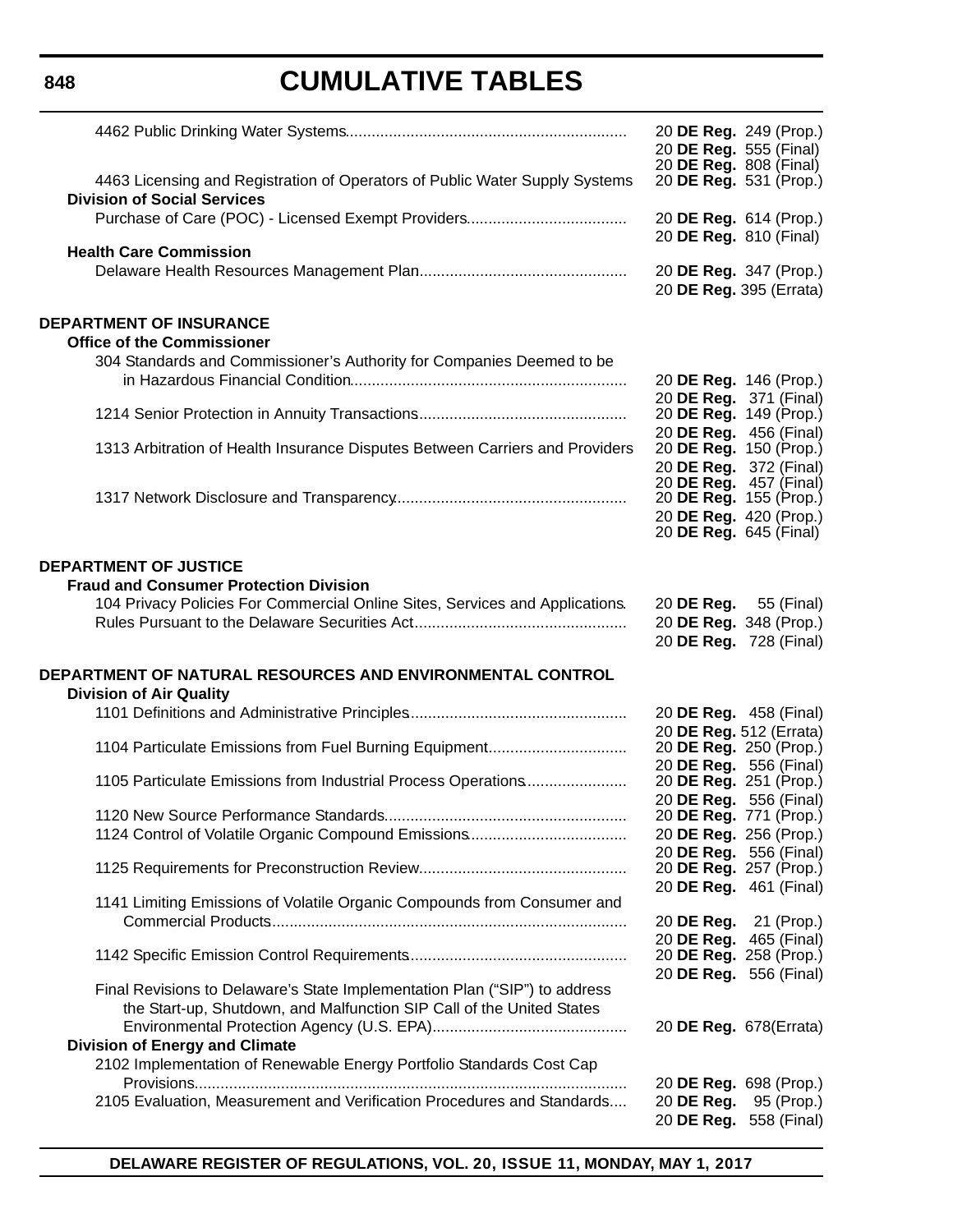**848**

|                                                                                                                                                     | 20 DE Reg. 249 (Prop.)<br>20 DE Reg. 555 (Final)<br>20 DE Reg. 808 (Final) |
|-----------------------------------------------------------------------------------------------------------------------------------------------------|----------------------------------------------------------------------------|
| 4463 Licensing and Registration of Operators of Public Water Supply Systems<br><b>Division of Social Services</b>                                   | 20 DE Reg. 531 (Prop.)                                                     |
| <b>Health Care Commission</b>                                                                                                                       | 20 DE Reg. 614 (Prop.)<br>20 DE Reg. 810 (Final)                           |
|                                                                                                                                                     | 20 DE Reg. 347 (Prop.)<br>20 DE Reg. 395 (Errata)                          |
| <b>DEPARTMENT OF INSURANCE</b><br><b>Office of the Commissioner</b>                                                                                 |                                                                            |
| 304 Standards and Commissioner's Authority for Companies Deemed to be                                                                               |                                                                            |
|                                                                                                                                                     | 20 DE Reg. 146 (Prop.)<br>20 DE Reg. 371 (Final)                           |
|                                                                                                                                                     | 20 DE Reg. 149 (Prop.)<br>20 DE Reg. 456 (Final)                           |
| 1313 Arbitration of Health Insurance Disputes Between Carriers and Providers                                                                        | 20 DE Reg. 150 (Prop.)                                                     |
|                                                                                                                                                     | 20 DE Reg. 372 (Final)<br>20 DE Reg. 457 (Final)                           |
|                                                                                                                                                     | 20 DE Reg. 155 (Prop.)<br>20 DE Reg. 420 (Prop.)                           |
|                                                                                                                                                     | 20 <b>DE Reg.</b> 645 (Final)                                              |
| <b>DEPARTMENT OF JUSTICE</b>                                                                                                                        |                                                                            |
| <b>Fraud and Consumer Protection Division</b><br>104 Privacy Policies For Commercial Online Sites, Services and Applications.                       | 20 <b>DE Reg.</b> 55 (Final)                                               |
|                                                                                                                                                     | 20 DE Reg. 348 (Prop.)                                                     |
|                                                                                                                                                     | 20 DE Reg. 728 (Final)                                                     |
| DEPARTMENT OF NATURAL RESOURCES AND ENVIRONMENTAL CONTROL<br><b>Division of Air Quality</b>                                                         |                                                                            |
|                                                                                                                                                     | 20 DE Reg. 458 (Final)                                                     |
| 1104 Particulate Emissions from Fuel Burning Equipment                                                                                              | 20 DE Reg. 512 (Errata)<br>20 DE Reg. 250 (Prop.)                          |
| 1105 Particulate Emissions from Industrial Process Operations                                                                                       | 20 DE Reg. 556 (Final)<br>20 DE Reg. 251 (Prop.)                           |
| 1120 New Source Performance Standards                                                                                                               | 20 DE Reg. 556 (Final)<br>20 DE Reg. 771 (Prop.)                           |
|                                                                                                                                                     | 20 DE Reg. 256 (Prop.)                                                     |
|                                                                                                                                                     | 20 DE Reg. 556 (Final)<br>20 DE Reg. 257 (Prop.)                           |
| 1141 Limiting Emissions of Volatile Organic Compounds from Consumer and                                                                             | 20 DE Reg. 461 (Final)                                                     |
|                                                                                                                                                     | 20 DE Reg. 21 (Prop.)                                                      |
|                                                                                                                                                     | 20 DE Reg. 465 (Final)<br>20 DE Reg. 258 (Prop.)<br>20 DE Reg. 556 (Final) |
| Final Revisions to Delaware's State Implementation Plan ("SIP") to address<br>the Start-up, Shutdown, and Malfunction SIP Call of the United States |                                                                            |
| <b>Division of Energy and Climate</b>                                                                                                               | 20 DE Reg. 678(Errata)                                                     |
| 2102 Implementation of Renewable Energy Portfolio Standards Cost Cap                                                                                | 20 DE Reg. 698 (Prop.)                                                     |
| 2105 Evaluation, Measurement and Verification Procedures and Standards                                                                              | 20 DE Reg.<br>95 (Prop.)<br>20 DE Reg. 558 (Final)                         |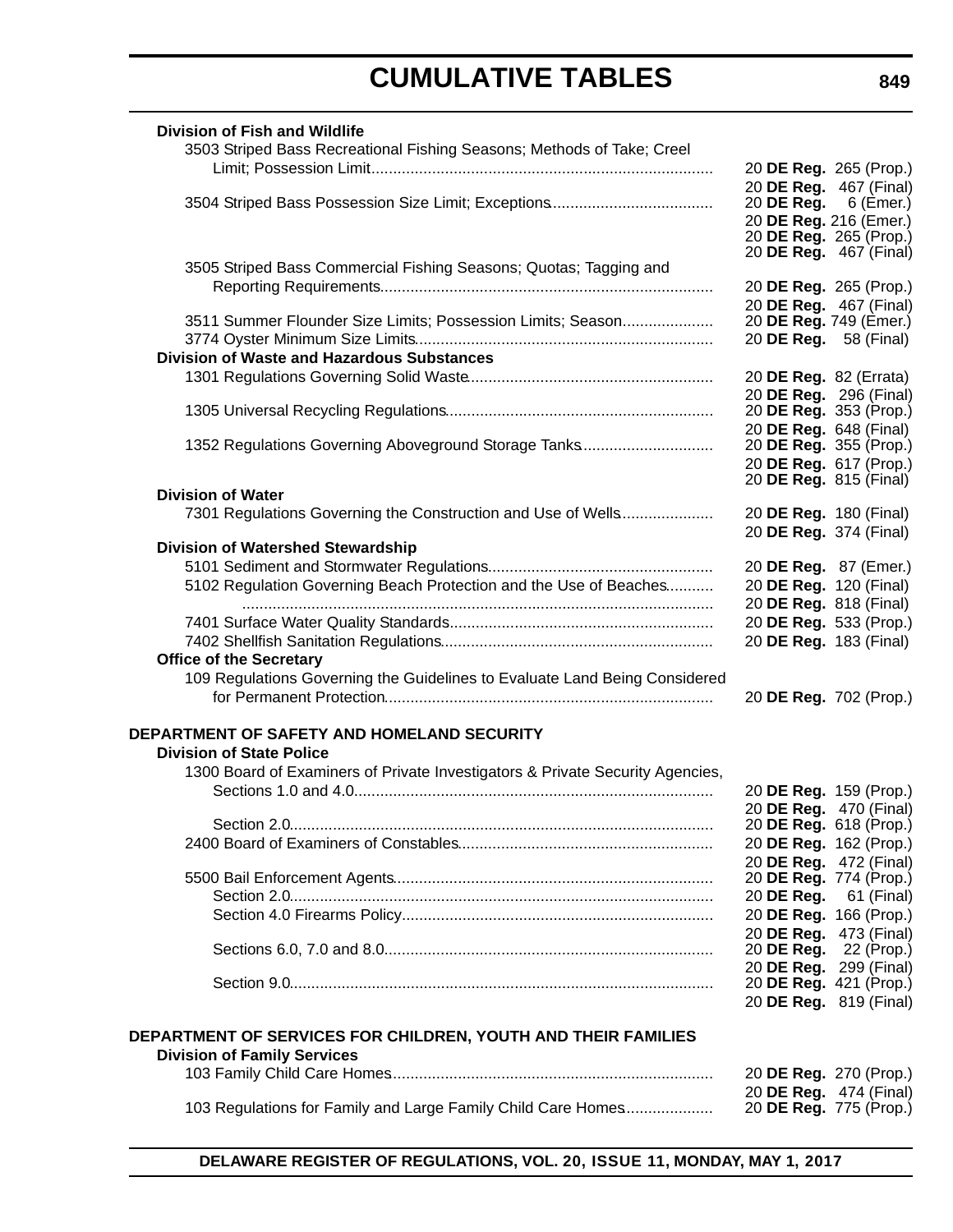| <b>Division of Fish and Wildlife</b>                                          |                                                  |           |
|-------------------------------------------------------------------------------|--------------------------------------------------|-----------|
| 3503 Striped Bass Recreational Fishing Seasons; Methods of Take; Creel        |                                                  |           |
|                                                                               | 20 DE Reg. 265 (Prop.)                           |           |
|                                                                               | 20 DE Reg. 467 (Final)                           |           |
|                                                                               | 20 DE Reg.                                       | 6 (Emer.) |
|                                                                               | 20 DE Reg. 216 (Emer.)<br>20 DE Reg. 265 (Prop.) |           |
|                                                                               | 20 <b>DE Reg.</b> 467 (Final)                    |           |
| 3505 Striped Bass Commercial Fishing Seasons; Quotas; Tagging and             |                                                  |           |
|                                                                               | 20 DE Reg. 265 (Prop.)                           |           |
|                                                                               | 20 DE Reg. 467 (Final)                           |           |
| 3511 Summer Flounder Size Limits; Possession Limits; Season                   | 20 DE Reg. 749 (Emer.)                           |           |
|                                                                               | 20 DE Reg. 58 (Final)                            |           |
| <b>Division of Waste and Hazardous Substances</b>                             |                                                  |           |
|                                                                               | 20 DE Reg. 82 (Errata)                           |           |
|                                                                               | 20 DE Reg. 296 (Final)<br>20 DE Reg. 353 (Prop.) |           |
|                                                                               | 20 DE Reg. 648 (Final)                           |           |
| 1352 Regulations Governing Aboveground Storage Tanks                          | 20 DE Reg. 355 (Prop.)                           |           |
|                                                                               | 20 DE Reg. 617 (Prop.)                           |           |
|                                                                               | 20 DE Reg. 815 (Final)                           |           |
| <b>Division of Water</b>                                                      |                                                  |           |
| 7301 Regulations Governing the Construction and Use of Wells                  | 20 DE Reg. 180 (Final)                           |           |
| <b>Division of Watershed Stewardship</b>                                      | 20 DE Reg. 374 (Final)                           |           |
|                                                                               | 20 DE Reg. 87 (Emer.)                            |           |
| 5102 Regulation Governing Beach Protection and the Use of Beaches             | 20 DE Reg. 120 (Final)                           |           |
|                                                                               | 20 DE Reg. 818 (Final)                           |           |
|                                                                               | 20 DE Reg. 533 (Prop.)                           |           |
|                                                                               | 20 DE Reg. 183 (Final)                           |           |
| <b>Office of the Secretary</b>                                                |                                                  |           |
| 109 Regulations Governing the Guidelines to Evaluate Land Being Considered    |                                                  |           |
|                                                                               | 20 DE Reg. 702 (Prop.)                           |           |
|                                                                               |                                                  |           |
| DEPARTMENT OF SAFETY AND HOMELAND SECURITY                                    |                                                  |           |
| <b>Division of State Police</b>                                               |                                                  |           |
| 1300 Board of Examiners of Private Investigators & Private Security Agencies, |                                                  |           |
|                                                                               | 20 DE Reg. 159 (Prop.)                           |           |
|                                                                               | 20 DE Reg. 470 (Final)<br>20 DE Reg. 618 (Prop.) |           |
|                                                                               | 20 DE Reg. 162 (Prop.)                           |           |
|                                                                               | 20 DE Reg. 472 (Final)                           |           |
|                                                                               | 20 DE Reg. 774 (Prop.)                           |           |
|                                                                               | 20 DE Reg. 61 (Final)                            |           |
|                                                                               | 20 DE Reg. 166 (Prop.)                           |           |
|                                                                               | 20 DE Reg. 473 (Final)                           |           |
|                                                                               | 20 <b>DE Reg.</b> 22 (Prop.)                     |           |
|                                                                               | 20 DE Reg. 299 (Final)<br>20 DE Reg. 421 (Prop.) |           |
|                                                                               | 20 DE Reg. 819 (Final)                           |           |
|                                                                               |                                                  |           |
| DEPARTMENT OF SERVICES FOR CHILDREN, YOUTH AND THEIR FAMILIES                 |                                                  |           |
| <b>Division of Family Services</b>                                            |                                                  |           |
|                                                                               | 20 DE Reg. 270 (Prop.)                           |           |
|                                                                               | 20 DE Reg. 474 (Final)                           |           |
| 103 Regulations for Family and Large Family Child Care Homes                  | 20 <b>DE Reg.</b> 775 (Prop.)                    |           |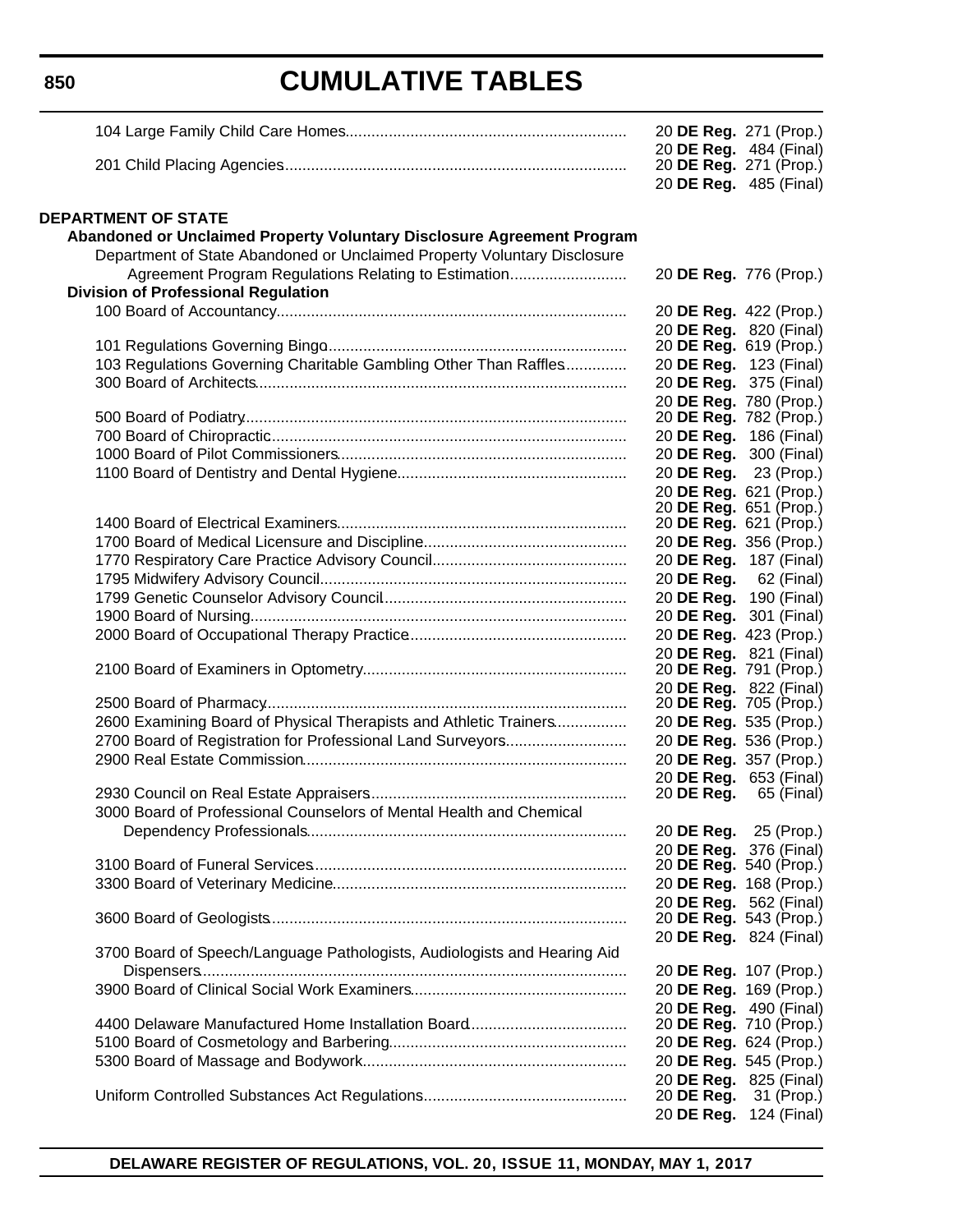|                                                                          | 20 DE Reg. 271 (Prop.)                           |                                      |
|--------------------------------------------------------------------------|--------------------------------------------------|--------------------------------------|
|                                                                          | 20 DE Reg. 484 (Final)                           | 20 <b>DE Reg.</b> 271 (Prop.)        |
|                                                                          |                                                  | 20 DE Reg. 485 (Final)               |
|                                                                          |                                                  |                                      |
| <b>DEPARTMENT OF STATE</b>                                               |                                                  |                                      |
| Abandoned or Unclaimed Property Voluntary Disclosure Agreement Program   |                                                  |                                      |
| Department of State Abandoned or Unclaimed Property Voluntary Disclosure |                                                  |                                      |
| Agreement Program Regulations Relating to Estimation                     | 20 DE Reg. 776 (Prop.)                           |                                      |
| <b>Division of Professional Regulation</b>                               |                                                  |                                      |
|                                                                          | 20 DE Reg. 422 (Prop.)                           |                                      |
|                                                                          |                                                  | 20 DE Reg. 820 (Final)               |
|                                                                          | 20 DE Reg. 619 (Prop.)                           |                                      |
| 103 Regulations Governing Charitable Gambling Other Than Raffles         | 20 DE Reg. 123 (Final)                           |                                      |
|                                                                          | 20 DE Reg. 375 (Final)                           |                                      |
|                                                                          | 20 DE Reg. 780 (Prop.)<br>20 DE Reg. 782 (Prop.) |                                      |
|                                                                          | 20 DE Reg. 186 (Final)                           |                                      |
|                                                                          | 20 DE Reg. 300 (Final)                           |                                      |
|                                                                          | 20 DE Reg. 23 (Prop.)                            |                                      |
|                                                                          | 20 DE Reg. 621 (Prop.)                           |                                      |
|                                                                          | 20 <b>DE Reg.</b> 651 (Prop.)                    |                                      |
|                                                                          | 20 DE Reg. 621 (Prop.)                           |                                      |
|                                                                          | 20 DE Reg. 356 (Prop.)                           |                                      |
|                                                                          |                                                  | 20 DE Reg. 187 (Final)               |
|                                                                          |                                                  | 20 DE Reg. 62 (Final)                |
|                                                                          | 20 DE Reg. 190 (Final)                           | 20 DE Reg. 301 (Final)               |
|                                                                          |                                                  | 20 DE Reg. 423 (Prop.)               |
|                                                                          | 20 DE Reg. 821 (Final)                           |                                      |
|                                                                          | 20 DE Reg. 791 (Prop.)                           |                                      |
|                                                                          | 20 DE Reg. 822 (Final)                           |                                      |
|                                                                          | 20 DE Reg. 705 (Prop.)                           |                                      |
| 2600 Examining Board of Physical Therapists and Athletic Trainers        | 20 DE Reg. 535 (Prop.)                           |                                      |
| 2700 Board of Registration for Professional Land Surveyors               | 20 DE Reg. 536 (Prop.)                           |                                      |
|                                                                          |                                                  | 20 DE Reg. 357 (Prop.)               |
|                                                                          | 20 DE Reg.                                       | 20 DE Reg. 653 (Final)<br>65 (Final) |
| 3000 Board of Professional Counselors of Mental Health and Chemical      |                                                  |                                      |
|                                                                          |                                                  | 20 <b>DE Reg.</b> 25 (Prop.)         |
|                                                                          | 20 DE Reg. 376 (Final)                           |                                      |
|                                                                          | 20 DE Reg. 540 (Prop.)                           |                                      |
|                                                                          | 20 DE Reg. 168 (Prop.)                           |                                      |
|                                                                          | 20 DE Reg. 562 (Final)                           |                                      |
|                                                                          | 20 <b>DE Reg.</b> 543 (Prop.)                    |                                      |
| 3700 Board of Speech/Language Pathologists, Audiologists and Hearing Aid | 20 DE Reg. 824 (Final)                           |                                      |
|                                                                          | 20 DE Reg. 107 (Prop.)                           |                                      |
|                                                                          | 20 DE Reg. 169 (Prop.)                           |                                      |
|                                                                          | 20 DE Reg. 490 (Final)                           |                                      |
|                                                                          |                                                  | 20 <b>DE Reg.</b> 710 (Prop.)        |
|                                                                          | 20 DE Reg. 624 (Prop.)                           |                                      |
|                                                                          | 20 DE Reg. 545 (Prop.)                           |                                      |
|                                                                          | 20 DE Reg. 825 (Final)                           |                                      |
|                                                                          | 20 DE Reg. 31 (Prop.)                            |                                      |
|                                                                          |                                                  | 20 DE Reg. 124 (Final)               |

**DELAWARE REGISTER OF REGULATIONS, VOL. 20, ISSUE 11, MONDAY, MAY 1, 2017**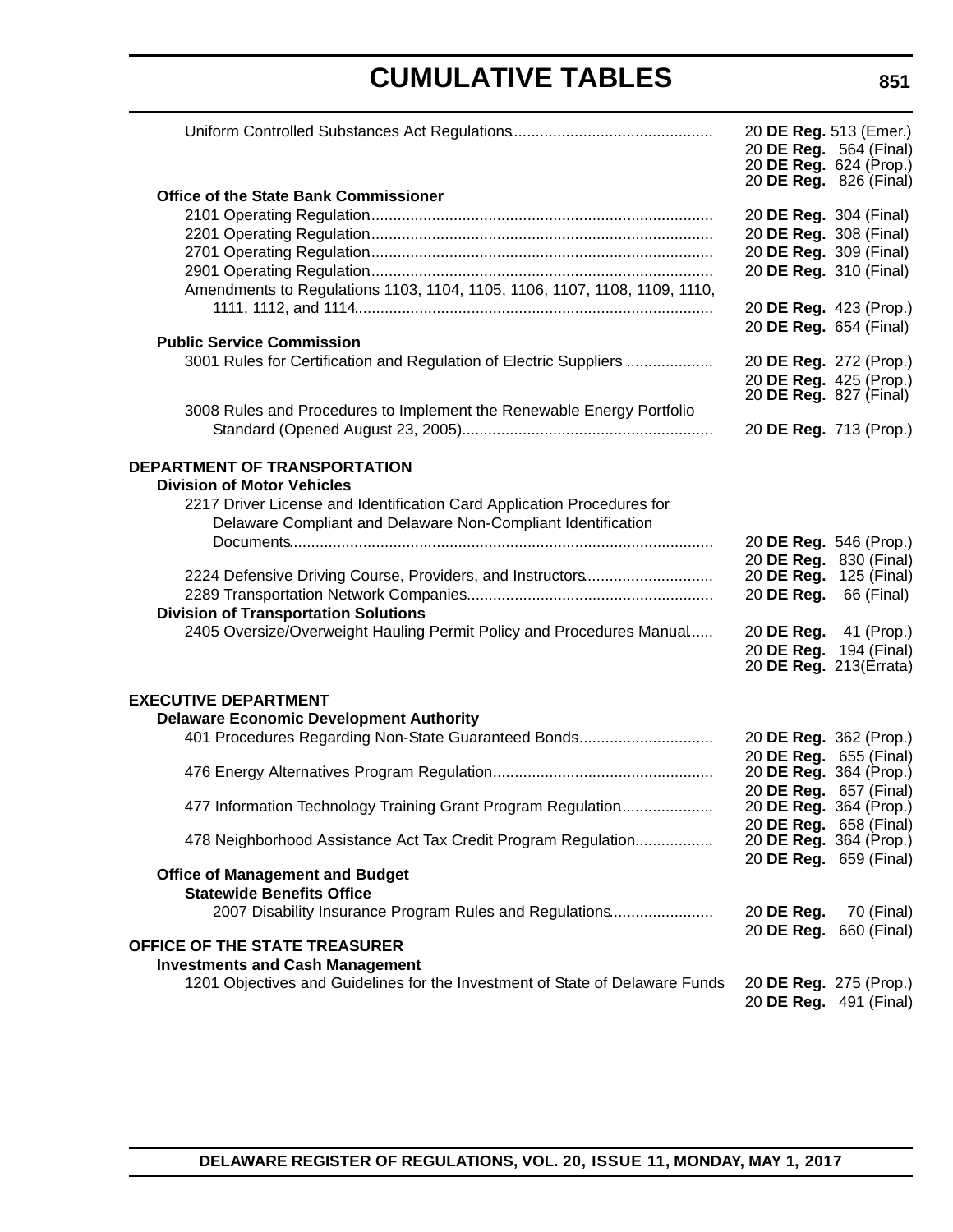|                                                                              | 20 DE Reg. 513 (Emer.)        | 20 DE Reg. 564 (Final)<br>20 DE Reg. 624 (Prop.)<br>20 <b>DE Reg.</b> 826 (Final) |
|------------------------------------------------------------------------------|-------------------------------|-----------------------------------------------------------------------------------|
| <b>Office of the State Bank Commissioner</b>                                 |                               |                                                                                   |
|                                                                              | 20 DE Reg. 304 (Final)        |                                                                                   |
|                                                                              | 20 DE Reg. 308 (Final)        |                                                                                   |
|                                                                              | 20 DE Reg. 309 (Final)        |                                                                                   |
|                                                                              | 20 DE Reg. 310 (Final)        |                                                                                   |
| Amendments to Regulations 1103, 1104, 1105, 1106, 1107, 1108, 1109, 1110,    |                               |                                                                                   |
|                                                                              |                               | 20 DE Reg. 423 (Prop.)                                                            |
|                                                                              | 20 DE Reg. 654 (Final)        |                                                                                   |
| <b>Public Service Commission</b>                                             |                               |                                                                                   |
| 3001 Rules for Certification and Regulation of Electric Suppliers            |                               | 20 DE Reg. 272 (Prop.)                                                            |
|                                                                              |                               | 20 DE Reg. 425 (Prop.)                                                            |
|                                                                              | 20 <b>DE Reg.</b> 827 (Final) |                                                                                   |
| 3008 Rules and Procedures to Implement the Renewable Energy Portfolio        |                               |                                                                                   |
|                                                                              | 20 DE Reg. 713 (Prop.)        |                                                                                   |
|                                                                              |                               |                                                                                   |
| DEPARTMENT OF TRANSPORTATION                                                 |                               |                                                                                   |
| <b>Division of Motor Vehicles</b>                                            |                               |                                                                                   |
| 2217 Driver License and Identification Card Application Procedures for       |                               |                                                                                   |
| Delaware Compliant and Delaware Non-Compliant Identification                 |                               |                                                                                   |
|                                                                              |                               | 20 DE Reg. 546 (Prop.)                                                            |
|                                                                              |                               | 20 DE Reg. 830 (Final)                                                            |
| 2224 Defensive Driving Course, Providers, and Instructors                    | 20 DE Reg.                    | 125 (Final)                                                                       |
|                                                                              | 20 DE Reg.                    | 66 (Final)                                                                        |
| <b>Division of Transportation Solutions</b>                                  |                               |                                                                                   |
| 2405 Oversize/Overweight Hauling Permit Policy and Procedures Manual         | 20 DE Reg.                    | 41 (Prop.)                                                                        |
|                                                                              |                               | 20 DE Reg. 194 (Final)                                                            |
|                                                                              |                               | 20 <b>DE Reg.</b> 213(Errata)                                                     |
|                                                                              |                               |                                                                                   |
| <b>EXECUTIVE DEPARTMENT</b>                                                  |                               |                                                                                   |
| <b>Delaware Economic Development Authority</b>                               |                               |                                                                                   |
| 401 Procedures Regarding Non-State Guaranteed Bonds                          |                               | 20 DE Reg. 362 (Prop.)                                                            |
|                                                                              |                               | 20 DE Reg. 655 (Final)                                                            |
|                                                                              | 20 DE Reg. 364 (Prop.)        |                                                                                   |
|                                                                              |                               | 20 DE Reg. 657 (Final)                                                            |
| 477 Information Technology Training Grant Program Regulation                 |                               | 20 DE Reg. 364 (Prop.)                                                            |
|                                                                              |                               | 20 <b>DE Reg.</b> 658 (Final)                                                     |
| 478 Neighborhood Assistance Act Tax Credit Program Regulation                |                               | 20 DE Reg. 364 (Prop.)                                                            |
|                                                                              |                               | 20 DE Reg. 659 (Final)                                                            |
| <b>Office of Management and Budget</b>                                       |                               |                                                                                   |
| <b>Statewide Benefits Office</b>                                             |                               |                                                                                   |
| 2007 Disability Insurance Program Rules and Regulations                      | 20 DE Reg.                    | 70 (Final)                                                                        |
|                                                                              |                               | 20 DE Reg. 660 (Final)                                                            |
| <b>OFFICE OF THE STATE TREASURER</b>                                         |                               |                                                                                   |
| <b>Investments and Cash Management</b>                                       |                               |                                                                                   |
| 1201 Objectives and Guidelines for the Investment of State of Delaware Funds |                               | 20 DE Reg. 275 (Prop.)                                                            |
|                                                                              |                               | 20 DE Reg. 491 (Final)                                                            |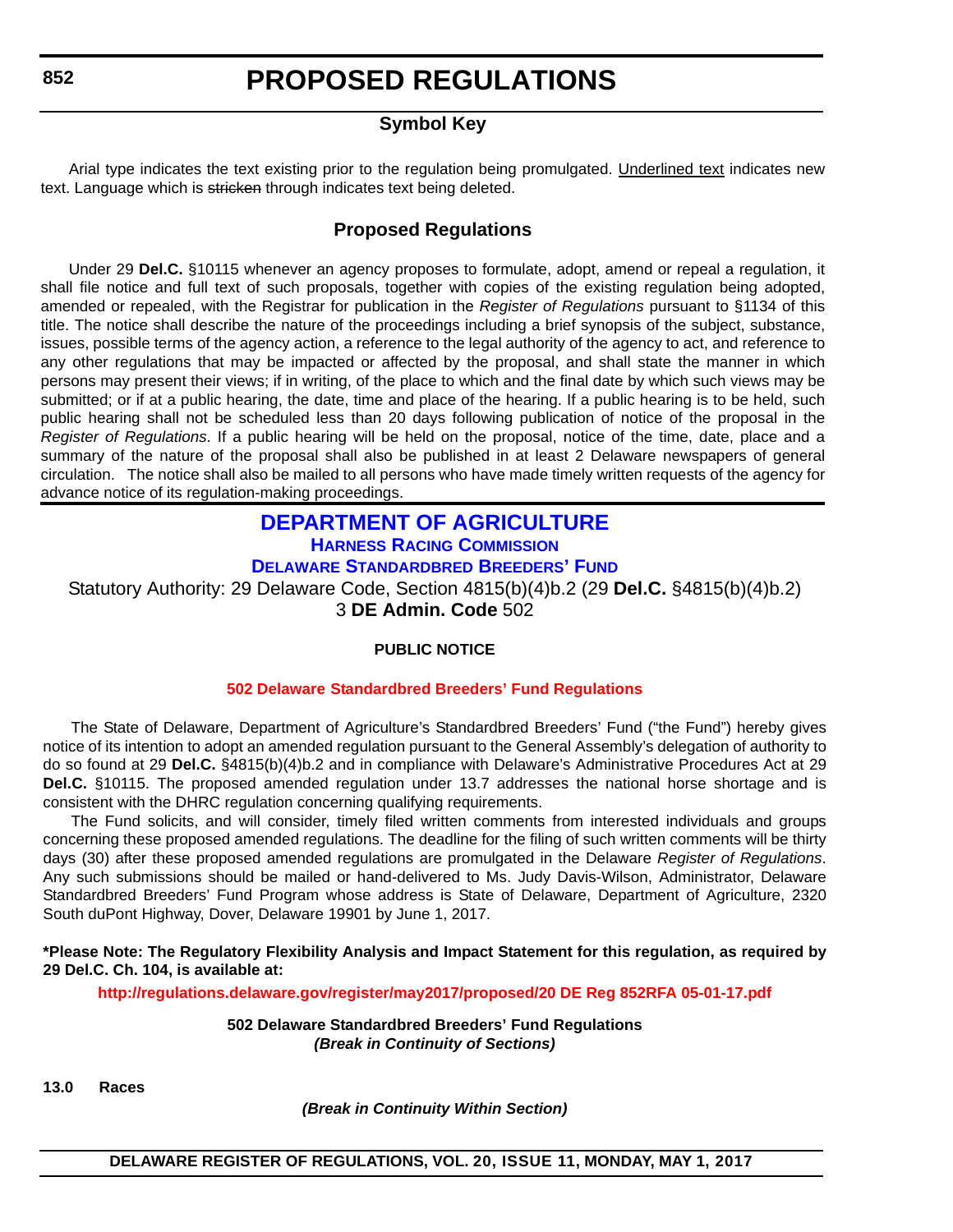<span id="page-12-0"></span>**852**

### **PROPOSED REGULATIONS**

### **Symbol Key**

Arial type indicates the text existing prior to the regulation being promulgated. Underlined text indicates new text. Language which is stricken through indicates text being deleted.

### **Proposed Regulations**

Under 29 **Del.C.** §10115 whenever an agency proposes to formulate, adopt, amend or repeal a regulation, it shall file notice and full text of such proposals, together with copies of the existing regulation being adopted, amended or repealed, with the Registrar for publication in the *Register of Regulations* pursuant to §1134 of this title. The notice shall describe the nature of the proceedings including a brief synopsis of the subject, substance, issues, possible terms of the agency action, a reference to the legal authority of the agency to act, and reference to any other regulations that may be impacted or affected by the proposal, and shall state the manner in which persons may present their views; if in writing, of the place to which and the final date by which such views may be submitted; or if at a public hearing, the date, time and place of the hearing. If a public hearing is to be held, such public hearing shall not be scheduled less than 20 days following publication of notice of the proposal in the *Register of Regulations*. If a public hearing will be held on the proposal, notice of the time, date, place and a summary of the nature of the proposal shall also be published in at least 2 Delaware newspapers of general circulation. The notice shall also be mailed to all persons who have made timely written requests of the agency for advance notice of its regulation-making proceedings.

### **[DEPARTMENT OF AGRICULTURE](http://dda.delaware.gov/) [HARNESS RACING COMMISSION](http://dda.delaware.gov/harness/index.shtml)**

**[DELAWARE STANDARDBRED BREEDERS' FUND](http://desbf.delaware.gov/)**

Statutory Authority: 29 Delaware Code, Section 4815(b)(4)b.2 (29 **Del.C.** §4815(b)(4)b.2) 3 **DE Admin. Code** 502

### **PUBLIC NOTICE**

### **502 Delaware [Standardbred Breeders' Fund Regulations](#page-3-0)**

The State of Delaware, Department of Agriculture's Standardbred Breeders' Fund ("the Fund") hereby gives notice of its intention to adopt an amended regulation pursuant to the General Assembly's delegation of authority to do so found at 29 **Del.C.** §4815(b)(4)b.2 and in compliance with Delaware's Administrative Procedures Act at 29 **Del.C.** §10115. The proposed amended regulation under 13.7 addresses the national horse shortage and is consistent with the DHRC regulation concerning qualifying requirements.

The Fund solicits, and will consider, timely filed written comments from interested individuals and groups concerning these proposed amended regulations. The deadline for the filing of such written comments will be thirty days (30) after these proposed amended regulations are promulgated in the Delaware *Register of Regulations*. Any such submissions should be mailed or hand-delivered to Ms. Judy Davis-Wilson, Administrator, Delaware Standardbred Breeders' Fund Program whose address is State of Delaware, Department of Agriculture, 2320 South duPont Highway, Dover, Delaware 19901 by June 1, 2017.

**\*Please Note: The Regulatory Flexibility Analysis and Impact Statement for this regulation, as required by 29 Del.C. Ch. 104, is available at:**

**<http://regulations.delaware.gov/register/may2017/proposed/20 DE Reg 852RFA 05-01-17.pdf>**

**502 Delaware Standardbred Breeders' Fund Regulations** *(Break in Continuity of Sections)*

**13.0 Races**

*(Break in Continuity Within Section)*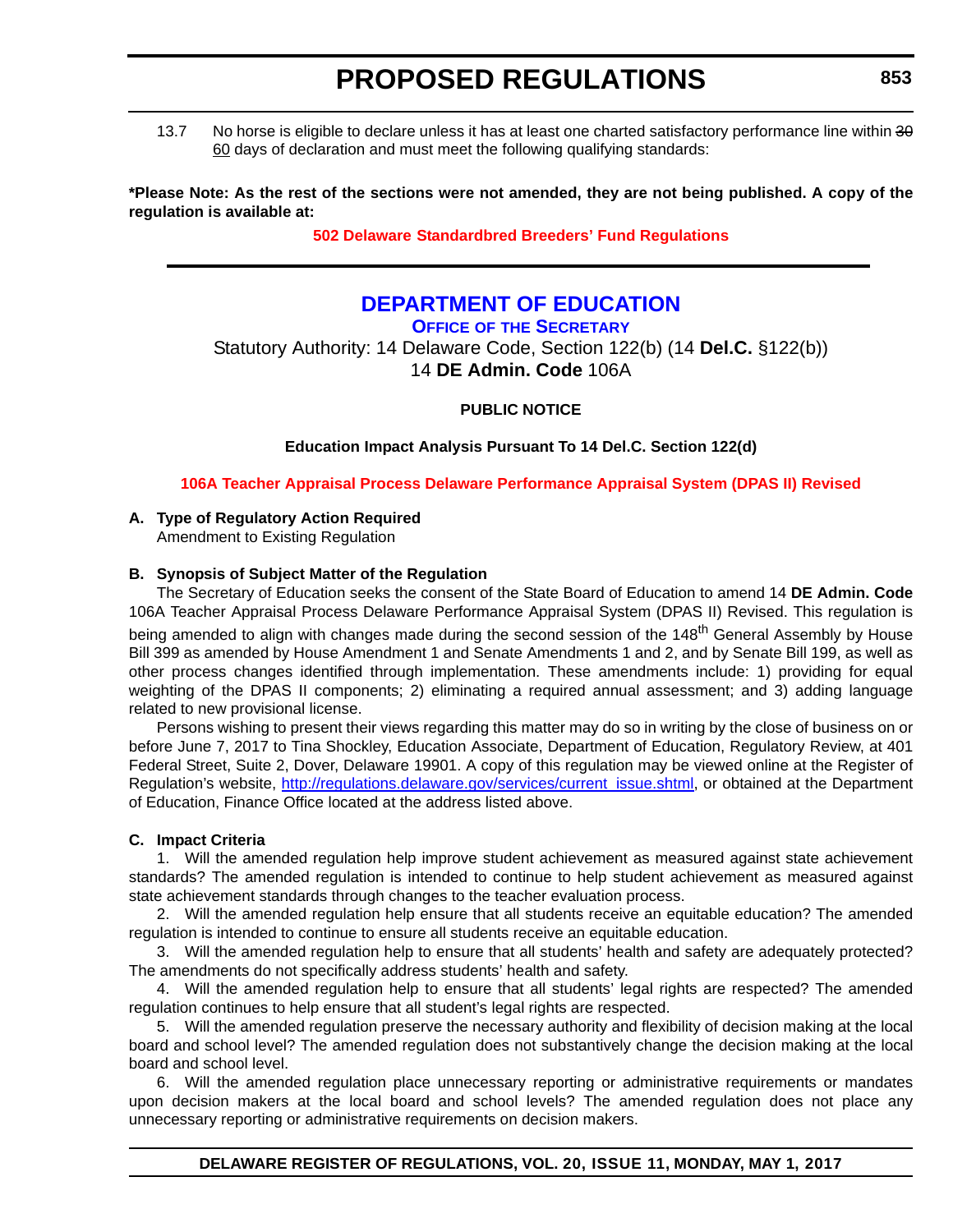<span id="page-13-0"></span>13.7 No horse is eligible to declare unless it has at least one charted satisfactory performance line within 30 60 days of declaration and must meet the following qualifying standards:

**\*Please Note: As the rest of the sections were not amended, they are not being published. A copy of the regulation is available at:**

**502 Delaware [Standardbred Breeders' Fund Regulations](http://regulations.delaware.gov/register/may2017/proposed/20 DE Reg 852 05-01-17.htm)**

### **[DEPARTMENT OF EDUCATION](http://www.doe.k12.de.us/)**

### **OFFICE OF [THE SECRETARY](https://pubapps.doe.k12.de.us/EducationalDirectoryPublic/pages/DDOE/Branches.aspx?page=branches&BID=1)**

Statutory Authority: 14 Delaware Code, Section 122(b) (14 **Del.C.** §122(b)) 14 **DE Admin. Code** 106A

**PUBLIC NOTICE**

**Education Impact Analysis Pursuant To 14 Del.C. Section 122(d)**

**[106A Teacher Appraisal Process Delaware Performance Appraisal System \(DPAS II\) Revised](#page-3-0)**

### **A. Type of Regulatory Action Required**

Amendment to Existing Regulation

### **B. Synopsis of Subject Matter of the Regulation**

The Secretary of Education seeks the consent of the State Board of Education to amend 14 **DE Admin. Code** 106A Teacher Appraisal Process Delaware Performance Appraisal System (DPAS II) Revised. This regulation is being amended to align with changes made during the second session of the 148<sup>th</sup> General Assembly by House Bill 399 as amended by House Amendment 1 and Senate Amendments 1 and 2, and by Senate Bill 199, as well as other process changes identified through implementation. These amendments include: 1) providing for equal weighting of the DPAS II components; 2) eliminating a required annual assessment; and 3) adding language related to new provisional license.

Persons wishing to present their views regarding this matter may do so in writing by the close of business on or before June 7, 2017 to Tina Shockley, Education Associate, Department of Education, Regulatory Review, at 401 Federal Street, Suite 2, Dover, Delaware 19901. A copy of this regulation may be viewed online at the Register of Regulation's website, [http://regulations.delaware.gov/services/current\\_issue.shtml,](http://regulations.delaware.gov/services/current_issue.shtml) or obtained at the Department of Education, Finance Office located at the address listed above.

### **C. Impact Criteria**

1. Will the amended regulation help improve student achievement as measured against state achievement standards? The amended regulation is intended to continue to help student achievement as measured against state achievement standards through changes to the teacher evaluation process.

2. Will the amended regulation help ensure that all students receive an equitable education? The amended regulation is intended to continue to ensure all students receive an equitable education.

3. Will the amended regulation help to ensure that all students' health and safety are adequately protected? The amendments do not specifically address students' health and safety.

4. Will the amended regulation help to ensure that all students' legal rights are respected? The amended regulation continues to help ensure that all student's legal rights are respected.

5. Will the amended regulation preserve the necessary authority and flexibility of decision making at the local board and school level? The amended regulation does not substantively change the decision making at the local board and school level.

6. Will the amended regulation place unnecessary reporting or administrative requirements or mandates upon decision makers at the local board and school levels? The amended regulation does not place any unnecessary reporting or administrative requirements on decision makers.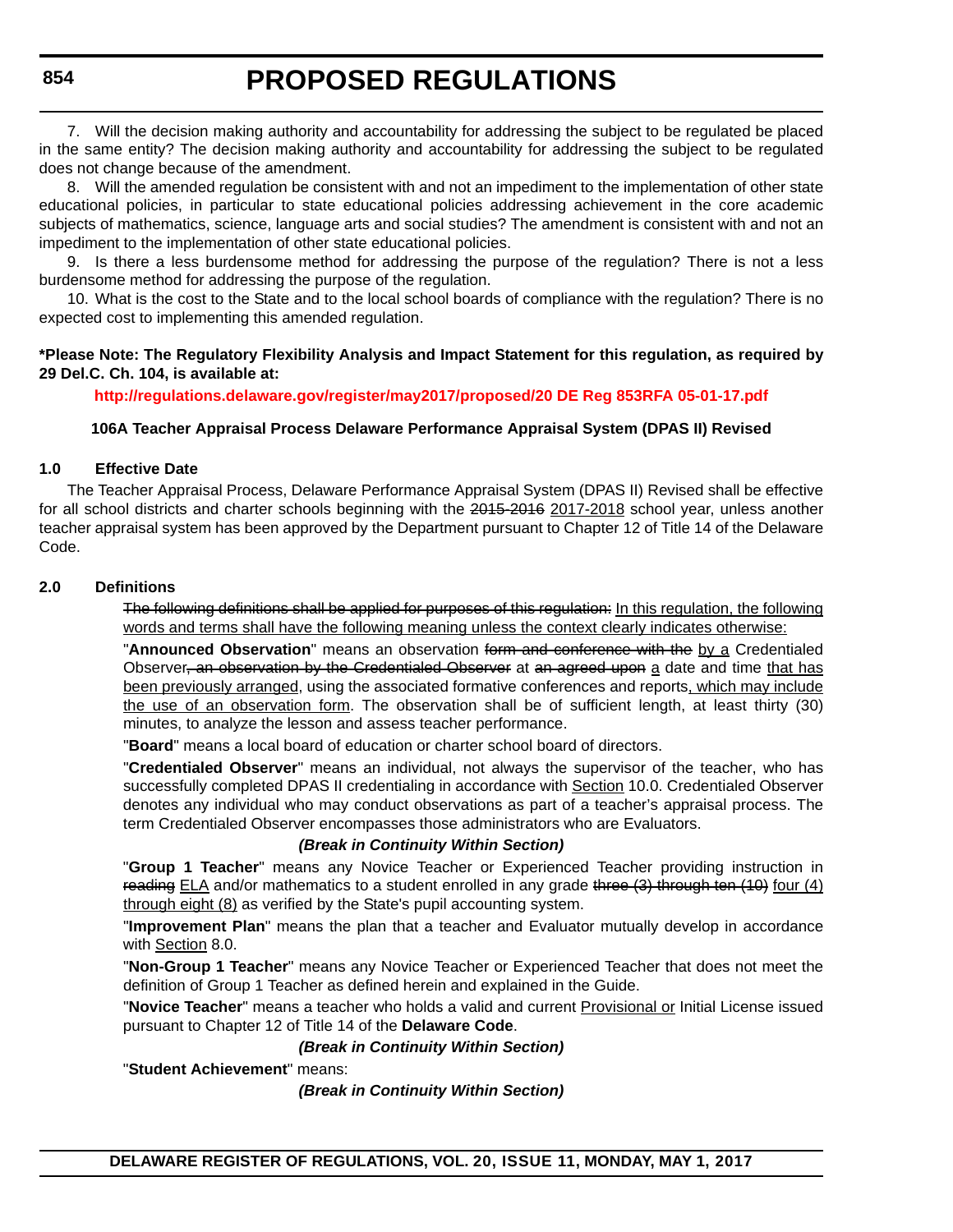**854**

### **PROPOSED REGULATIONS**

7. Will the decision making authority and accountability for addressing the subject to be regulated be placed in the same entity? The decision making authority and accountability for addressing the subject to be regulated does not change because of the amendment.

8. Will the amended regulation be consistent with and not an impediment to the implementation of other state educational policies, in particular to state educational policies addressing achievement in the core academic subjects of mathematics, science, language arts and social studies? The amendment is consistent with and not an impediment to the implementation of other state educational policies.

9. Is there a less burdensome method for addressing the purpose of the regulation? There is not a less burdensome method for addressing the purpose of the regulation.

10. What is the cost to the State and to the local school boards of compliance with the regulation? There is no expected cost to implementing this amended regulation.

### **\*Please Note: The Regulatory Flexibility Analysis and Impact Statement for this regulation, as required by 29 Del.C. Ch. 104, is available at:**

**<http://regulations.delaware.gov/register/may2017/proposed/20 DE Reg 853RFA 05-01-17.pdf>**

### **106A Teacher Appraisal Process Delaware Performance Appraisal System (DPAS II) Revised**

### **1.0 Effective Date**

The Teacher Appraisal Process, Delaware Performance Appraisal System (DPAS II) Revised shall be effective for all school districts and charter schools beginning with the 2015-2016 2017-2018 school year, unless another teacher appraisal system has been approved by the Department pursuant to Chapter 12 of Title 14 of the Delaware Code.

### **2.0 Definitions**

The following definitions shall be applied for purposes of this regulation: In this regulation, the following words and terms shall have the following meaning unless the context clearly indicates otherwise:

"**Announced Observation**" means an observation form and conference with the by a Credentialed Observer, an observation by the Credentialed Observer at an agreed upon a date and time that has been previously arranged, using the associated formative conferences and reports, which may include the use of an observation form. The observation shall be of sufficient length, at least thirty (30) minutes, to analyze the lesson and assess teacher performance.

"**Board**" means a local board of education or charter school board of directors.

"**Credentialed Observer**" means an individual, not always the supervisor of the teacher, who has successfully completed DPAS II credentialing in accordance with Section 10.0. Credentialed Observer denotes any individual who may conduct observations as part of a teacher's appraisal process. The term Credentialed Observer encompasses those administrators who are Evaluators.

### *(Break in Continuity Within Section)*

"**Group 1 Teacher**" means any Novice Teacher or Experienced Teacher providing instruction in reading  $ELA$  and/or mathematics to a student enrolled in any grade three  $(3)$  through ten  $(10)$  four  $(4)$ through eight (8) as verified by the State's pupil accounting system.

"**Improvement Plan**" means the plan that a teacher and Evaluator mutually develop in accordance with Section 8.0.

"**Non-Group 1 Teacher**" means any Novice Teacher or Experienced Teacher that does not meet the definition of Group 1 Teacher as defined herein and explained in the Guide.

"**Novice Teacher**" means a teacher who holds a valid and current Provisional or Initial License issued pursuant to Chapter 12 of Title 14 of the **Delaware Code**.

### *(Break in Continuity Within Section)*

"**Student Achievement**" means:

*(Break in Continuity Within Section)*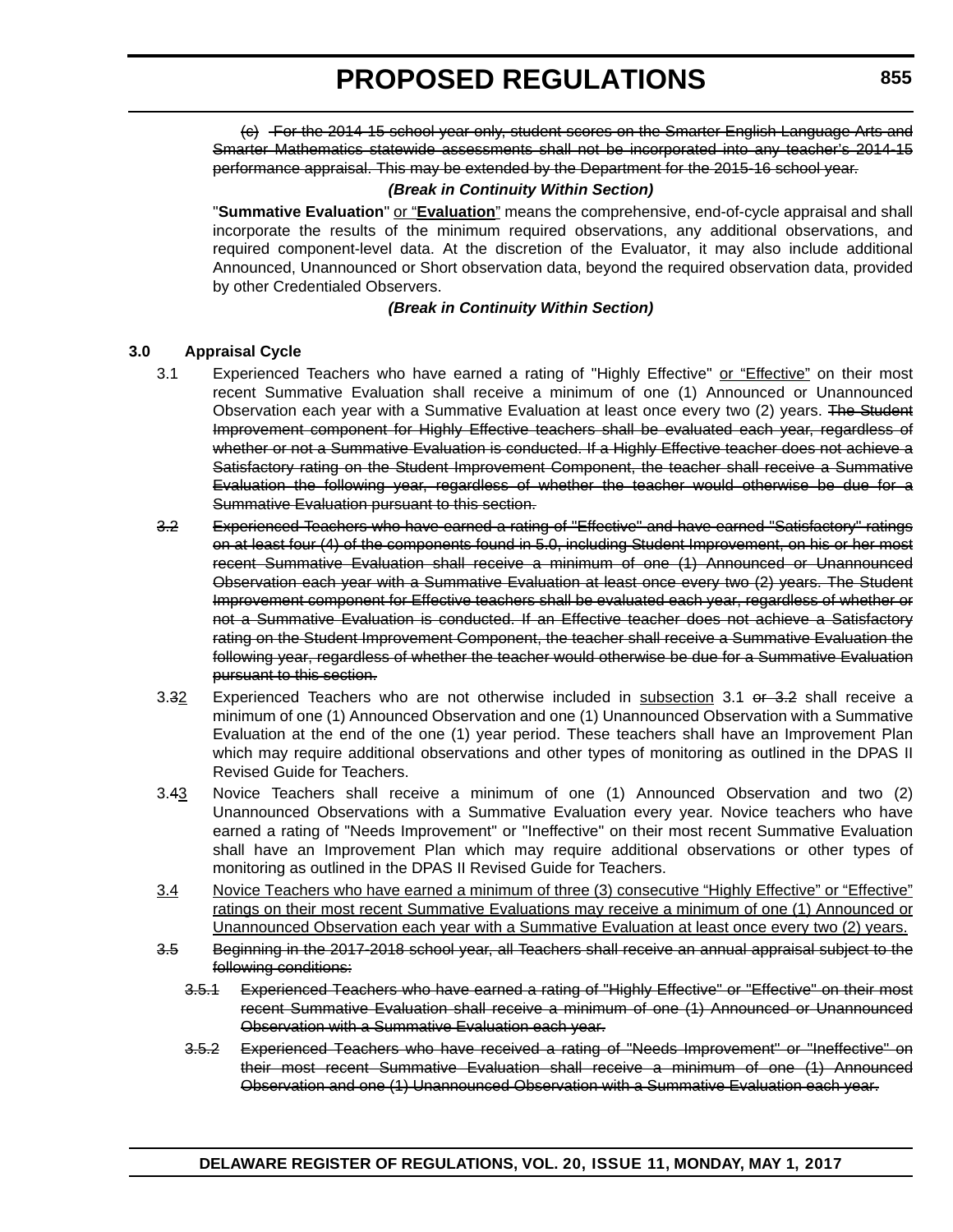(c) For the 2014-15 school year only, student scores on the Smarter English Language Arts and Smarter Mathematics statewide assessments shall not be incorporated into any teacher's 2014-15 performance appraisal. This may be extended by the Department for the 2015-16 school year.

### *(Break in Continuity Within Section)*

"**Summative Evaluation**" or "**Evaluation**" means the comprehensive, end-of-cycle appraisal and shall incorporate the results of the minimum required observations, any additional observations, and required component-level data. At the discretion of the Evaluator, it may also include additional Announced, Unannounced or Short observation data, beyond the required observation data, provided by other Credentialed Observers.

#### *(Break in Continuity Within Section)*

#### **3.0 Appraisal Cycle**

- 3.1 Experienced Teachers who have earned a rating of "Highly Effective" or "Effective" on their most recent Summative Evaluation shall receive a minimum of one (1) Announced or Unannounced Observation each year with a Summative Evaluation at least once every two (2) years. The Student Improvement component for Highly Effective teachers shall be evaluated each year, regardless of whether or not a Summative Evaluation is conducted. If a Highly Effective teacher does not achieve a Satisfactory rating on the Student Improvement Component, the teacher shall receive a Summative Evaluation the following year, regardless of whether the teacher would otherwise be due for a Summative Evaluation pursuant to this section.
- 3.2 Experienced Teachers who have earned a rating of "Effective" and have earned "Satisfactory" ratings on at least four (4) of the components found in 5.0, including Student Improvement, on his or her most recent Summative Evaluation shall receive a minimum of one (1) Announced or Unannounced Observation each year with a Summative Evaluation at least once every two (2) years. The Student Improvement component for Effective teachers shall be evaluated each year, regardless of whether or not a Summative Evaluation is conducted. If an Effective teacher does not achieve a Satisfactory rating on the Student Improvement Component, the teacher shall receive a Summative Evaluation the following year, regardless of whether the teacher would otherwise be due for a Summative Evaluation pursuant to this section.
- 3.32 Experienced Teachers who are not otherwise included in subsection 3.1 or 3.2 shall receive a minimum of one (1) Announced Observation and one (1) Unannounced Observation with a Summative Evaluation at the end of the one (1) year period. These teachers shall have an Improvement Plan which may require additional observations and other types of monitoring as outlined in the DPAS II Revised Guide for Teachers.
- 3.43 Novice Teachers shall receive a minimum of one (1) Announced Observation and two (2) Unannounced Observations with a Summative Evaluation every year. Novice teachers who have earned a rating of "Needs Improvement" or "Ineffective" on their most recent Summative Evaluation shall have an Improvement Plan which may require additional observations or other types of monitoring as outlined in the DPAS II Revised Guide for Teachers.
- 3.4 Novice Teachers who have earned a minimum of three (3) consecutive "Highly Effective" or "Effective" ratings on their most recent Summative Evaluations may receive a minimum of one (1) Announced or Unannounced Observation each year with a Summative Evaluation at least once every two (2) years.
- 3.5 Beginning in the 2017-2018 school year, all Teachers shall receive an annual appraisal subject to the following conditions:
	- 3.5.1 Experienced Teachers who have earned a rating of "Highly Effective" or "Effective" on their most recent Summative Evaluation shall receive a minimum of one (1) Announced or Unannounced Observation with a Summative Evaluation each year.
	- 3.5.2 Experienced Teachers who have received a rating of "Needs Improvement" or "Ineffective" on their most recent Summative Evaluation shall receive a minimum of one (1) Announced Observation and one (1) Unannounced Observation with a Summative Evaluation each year.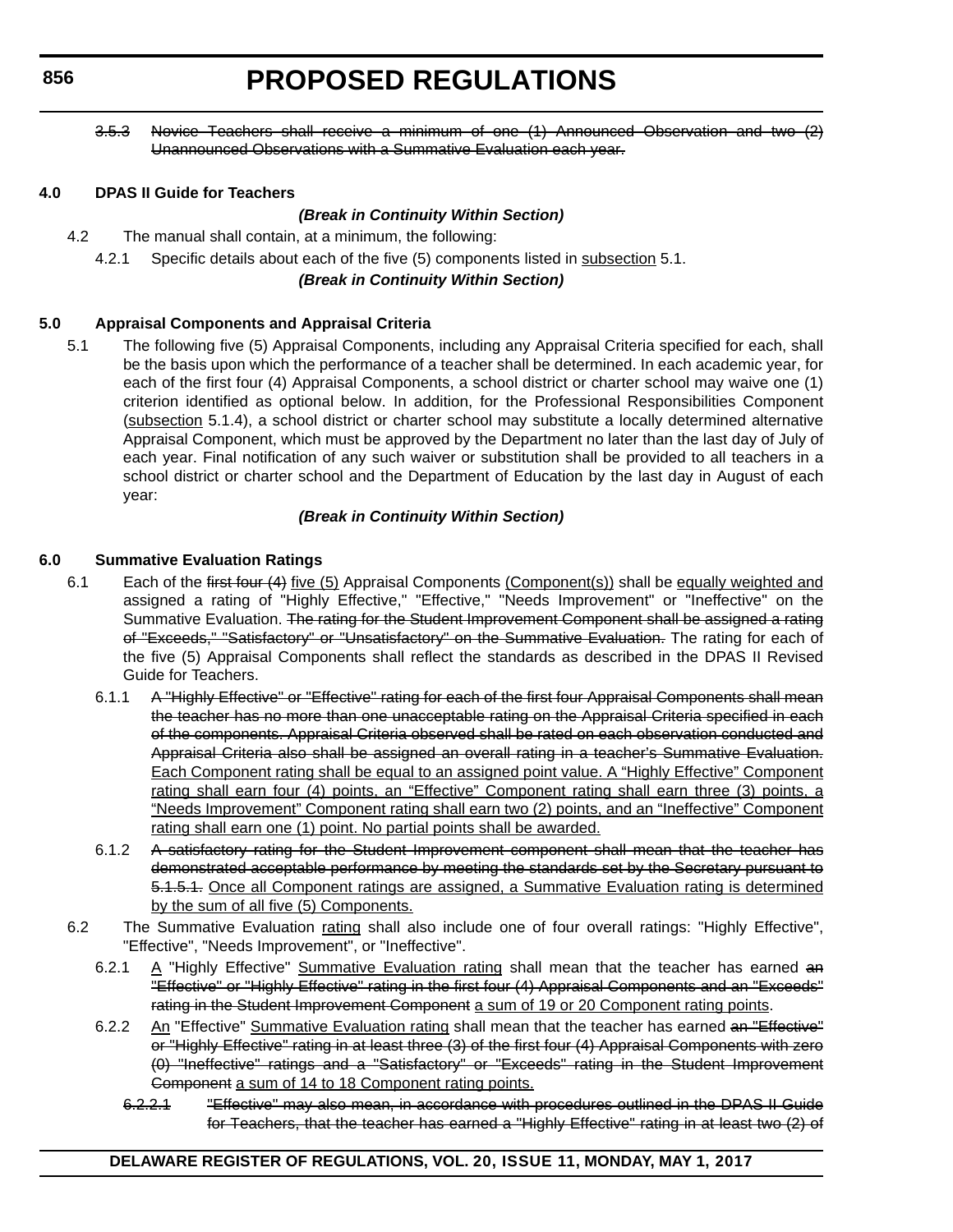**856**

### **PROPOSED REGULATIONS**

3.5.3 Novice Teachers shall receive a minimum of one (1) Announced Observation and two (2) Unannounced Observations with a Summative Evaluation each year.

### **4.0 DPAS II Guide for Teachers**

### *(Break in Continuity Within Section)*

- 4.2 The manual shall contain, at a minimum, the following:
	- 4.2.1 Specific details about each of the five (5) components listed in subsection 5.1.

### *(Break in Continuity Within Section)*

### **5.0 Appraisal Components and Appraisal Criteria**

5.1 The following five (5) Appraisal Components, including any Appraisal Criteria specified for each, shall be the basis upon which the performance of a teacher shall be determined. In each academic year, for each of the first four (4) Appraisal Components, a school district or charter school may waive one (1) criterion identified as optional below. In addition, for the Professional Responsibilities Component (subsection 5.1.4), a school district or charter school may substitute a locally determined alternative Appraisal Component, which must be approved by the Department no later than the last day of July of each year. Final notification of any such waiver or substitution shall be provided to all teachers in a school district or charter school and the Department of Education by the last day in August of each year:

### *(Break in Continuity Within Section)*

### **6.0 Summative Evaluation Ratings**

- 6.1 Each of the first four (4) five (5) Appraisal Components (Component(s)) shall be equally weighted and assigned a rating of "Highly Effective," "Effective," "Needs Improvement" or "Ineffective" on the Summative Evaluation. The rating for the Student Improvement Component shall be assigned a rating of "Exceeds," "Satisfactory" or "Unsatisfactory" on the Summative Evaluation. The rating for each of the five (5) Appraisal Components shall reflect the standards as described in the DPAS II Revised Guide for Teachers.
	- 6.1.1 A "Highly Effective" or "Effective" rating for each of the first four Appraisal Components shall mean the teacher has no more than one unacceptable rating on the Appraisal Criteria specified in each of the components. Appraisal Criteria observed shall be rated on each observation conducted and Appraisal Criteria also shall be assigned an overall rating in a teacher's Summative Evaluation. Each Component rating shall be equal to an assigned point value. A "Highly Effective" Component rating shall earn four (4) points, an "Effective" Component rating shall earn three (3) points, a "Needs Improvement" Component rating shall earn two (2) points, and an "Ineffective" Component rating shall earn one (1) point. No partial points shall be awarded.
	- 6.1.2 A satisfactory rating for the Student Improvement component shall mean that the teacher has demonstrated acceptable performance by meeting the standards set by the Secretary pursuant to 5.1.5.1. Once all Component ratings are assigned, a Summative Evaluation rating is determined by the sum of all five (5) Components.
- 6.2 The Summative Evaluation rating shall also include one of four overall ratings: "Highly Effective", "Effective", "Needs Improvement", or "Ineffective".
	- 6.2.1  $A$  "Highly Effective" Summative Evaluation rating shall mean that the teacher has earned an "Effective" or "Highly Effective" rating in the first four (4) Appraisal Components and an "Exceeds" rating in the Student Improvement Component a sum of 19 or 20 Component rating points.
	- 6.2.2 An "Effective" Summative Evaluation rating shall mean that the teacher has earned an "Effective" or "Highly Effective" rating in at least three (3) of the first four (4) Appraisal Components with zero (0) "Ineffective" ratings and a "Satisfactory" or "Exceeds" rating in the Student Improvement Component a sum of 14 to 18 Component rating points.
		- 6.2.2.1 "Effective" may also mean, in accordance with procedures outlined in the DPAS II Guide for Teachers, that the teacher has earned a "Highly Effective" rating in at least two (2) of

### **DELAWARE REGISTER OF REGULATIONS, VOL. 20, ISSUE 11, MONDAY, MAY 1, 2017**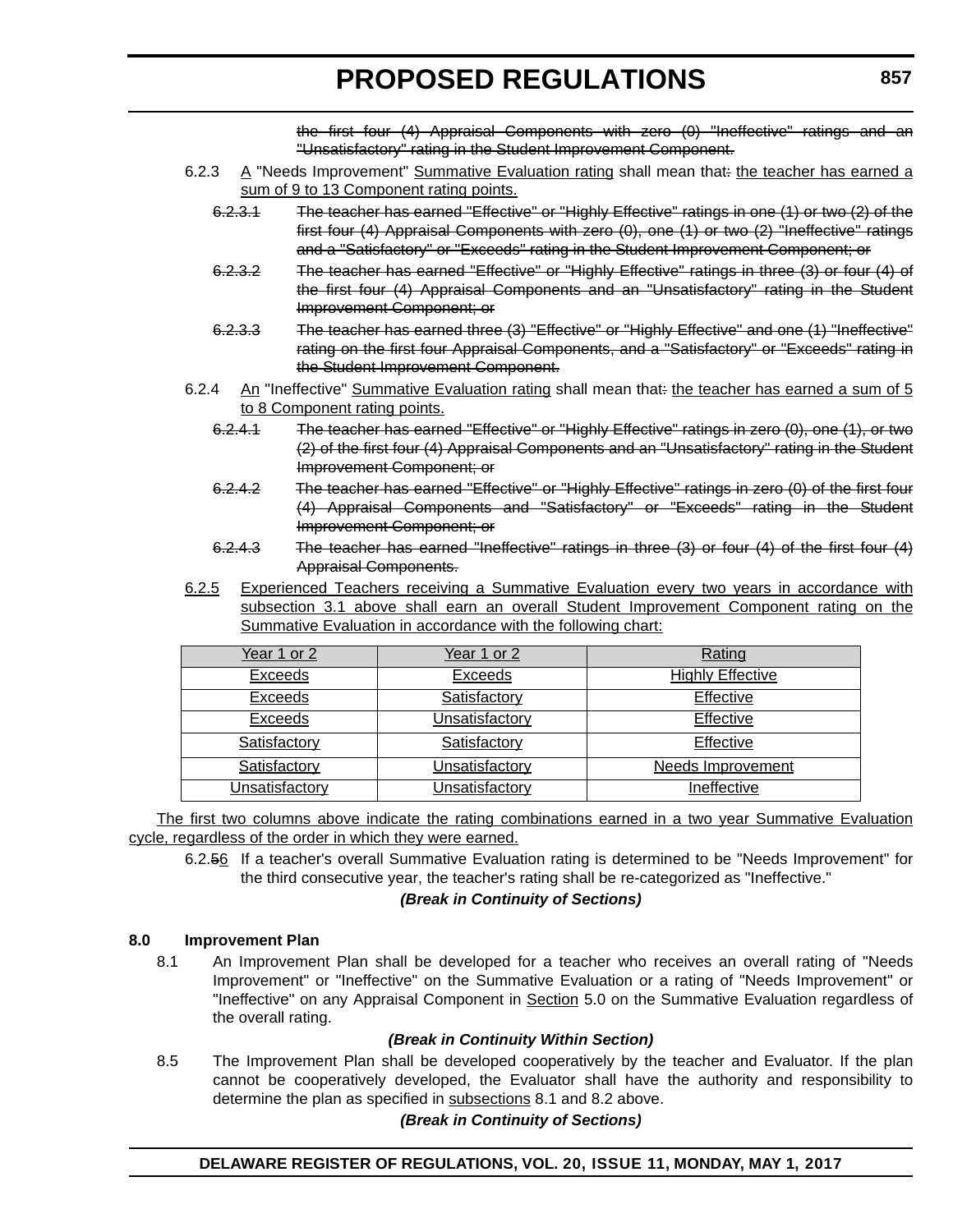the first four (4) Appraisal Components with zero (0) "Ineffective" ratings and an "Unsatisfactory" rating in the Student Improvement Component.

- 6.2.3  $\land$  "Needs Improvement" Summative Evaluation rating shall mean that: the teacher has earned a sum of 9 to 13 Component rating points.
	- 6.2.3.1 The teacher has earned "Effective" or "Highly Effective" ratings in one (1) or two (2) of the first four (4) Appraisal Components with zero (0), one (1) or two (2) "Ineffective" ratings and a "Satisfactory" or "Exceeds" rating in the Student Improvement Component; or
	- 6.2.3.2 The teacher has earned "Effective" or "Highly Effective" ratings in three (3) or four (4) of the first four (4) Appraisal Components and an "Unsatisfactory" rating in the Student Improvement Component; or
	- 6.2.3.3 The teacher has earned three (3) "Effective" or "Highly Effective" and one (1) "Ineffective" rating on the first four Appraisal Components, and a "Satisfactory" or "Exceeds" rating in the Student Improvement Component.
- 6.2.4 An "Ineffective" Summative Evaluation rating shall mean that: the teacher has earned a sum of 5 to 8 Component rating points.
	- 6.2.4.1 The teacher has earned "Effective" or "Highly Effective" ratings in zero (0), one (1), or two (2) of the first four (4) Appraisal Components and an "Unsatisfactory" rating in the Student Improvement Component; or
	- 6.2.4.2 The teacher has earned "Effective" or "Highly Effective" ratings in zero (0) of the first four (4) Appraisal Components and "Satisfactory" or "Exceeds" rating in the Student Improvement Component; or
	- 6.2.4.3 The teacher has earned "Ineffective" ratings in three (3) or four (4) of the first four (4) Appraisal Components.
- 6.2.5 Experienced Teachers receiving a Summative Evaluation every two years in accordance with subsection 3.1 above shall earn an overall Student Improvement Component rating on the Summative Evaluation in accordance with the following chart:

| Year 1 or 2    | Year 1 or 2    | Rating                  |
|----------------|----------------|-------------------------|
| <b>Exceeds</b> | <b>Exceeds</b> | <b>Highly Effective</b> |
| <b>Exceeds</b> | Satisfactory   | Effective               |
| <b>Exceeds</b> | Unsatisfactory | Effective               |
| Satisfactory   | Satisfactory   | Effective               |
| Satisfactory   | Unsatisfactory | Needs Improvement       |
| Unsatisfactory | Unsatisfactory | Ineffective             |

The first two columns above indicate the rating combinations earned in a two year Summative Evaluation cycle, regardless of the order in which they were earned.

6.2.56 If a teacher's overall Summative Evaluation rating is determined to be "Needs Improvement" for the third consecutive year, the teacher's rating shall be re-categorized as "Ineffective."

### *(Break in Continuity of Sections)*

### **8.0 Improvement Plan**

8.1 An Improvement Plan shall be developed for a teacher who receives an overall rating of "Needs Improvement" or "Ineffective" on the Summative Evaluation or a rating of "Needs Improvement" or "Ineffective" on any Appraisal Component in Section 5.0 on the Summative Evaluation regardless of the overall rating.

### *(Break in Continuity Within Section)*

8.5 The Improvement Plan shall be developed cooperatively by the teacher and Evaluator. If the plan cannot be cooperatively developed, the Evaluator shall have the authority and responsibility to determine the plan as specified in subsections 8.1 and 8.2 above.

### *(Break in Continuity of Sections)*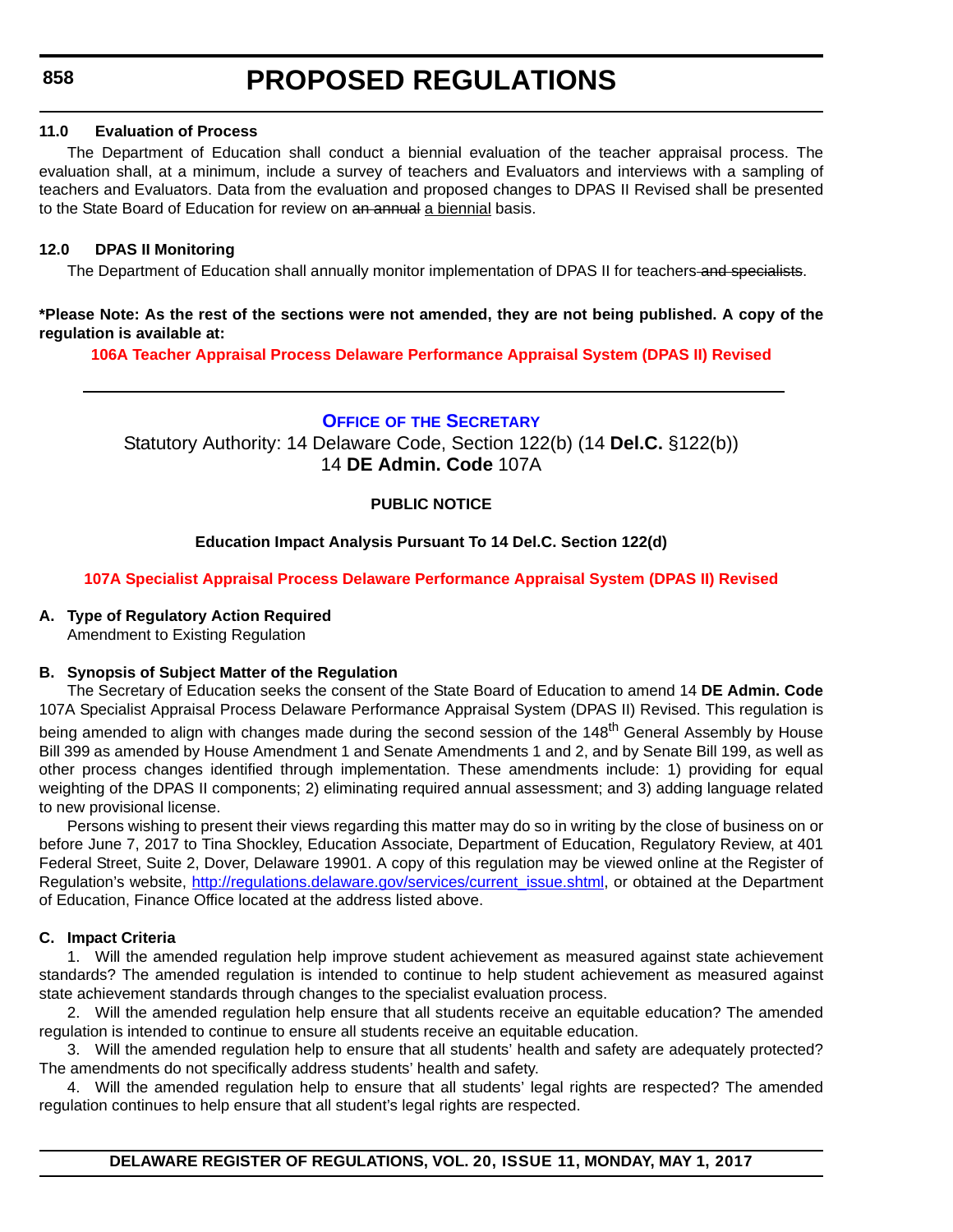### <span id="page-18-0"></span>**11.0 Evaluation of Process**

The Department of Education shall conduct a biennial evaluation of the teacher appraisal process. The evaluation shall, at a minimum, include a survey of teachers and Evaluators and interviews with a sampling of teachers and Evaluators. Data from the evaluation and proposed changes to DPAS II Revised shall be presented to the State Board of Education for review on an annual a biennial basis.

### **12.0 DPAS II Monitoring**

The Department of Education shall annually monitor implementation of DPAS II for teachers and specialists.

**\*Please Note: As the rest of the sections were not amended, they are not being published. A copy of the regulation is available at:**

**[106A Teacher Appraisal Process Delaware Performance Appraisal System \(DPAS II\) Revised](http://regulations.delaware.gov/register/may2017/proposed/20 DE Reg 853 05-01-17.htm)** 

### **OFFICE OF [THE SECRETARY](https://pubapps.doe.k12.de.us/EducationalDirectoryPublic/pages/DDOE/Branches.aspx?page=branches&BID=1)**

Statutory Authority: 14 Delaware Code, Section 122(b) (14 **Del.C.** §122(b)) 14 **DE Admin. Code** 107A

### **PUBLIC NOTICE**

### **Education Impact Analysis Pursuant To 14 Del.C. Section 122(d)**

**[107A Specialist Appraisal Process Delaware Performance Appraisal System \(DPAS II\) Revised](#page-3-0)**

### **A. Type of Regulatory Action Required**

Amendment to Existing Regulation

### **B. Synopsis of Subject Matter of the Regulation**

The Secretary of Education seeks the consent of the State Board of Education to amend 14 **DE Admin. Code** 107A Specialist Appraisal Process Delaware Performance Appraisal System (DPAS II) Revised. This regulation is being amended to align with changes made during the second session of the 148<sup>th</sup> General Assembly by House Bill 399 as amended by House Amendment 1 and Senate Amendments 1 and 2, and by Senate Bill 199, as well as other process changes identified through implementation. These amendments include: 1) providing for equal weighting of the DPAS II components; 2) eliminating required annual assessment; and 3) adding language related to new provisional license.

Persons wishing to present their views regarding this matter may do so in writing by the close of business on or before June 7, 2017 to Tina Shockley, Education Associate, Department of Education, Regulatory Review, at 401 Federal Street, Suite 2, Dover, Delaware 19901. A copy of this regulation may be viewed online at the Register of Regulation's website, [http://regulations.delaware.gov/services/current\\_issue.shtml](http://regulations.delaware.gov/services/current_issue.shtml), or obtained at the Department of Education, Finance Office located at the address listed above.

### **C. Impact Criteria**

1. Will the amended regulation help improve student achievement as measured against state achievement standards? The amended regulation is intended to continue to help student achievement as measured against state achievement standards through changes to the specialist evaluation process.

2. Will the amended regulation help ensure that all students receive an equitable education? The amended regulation is intended to continue to ensure all students receive an equitable education.

3. Will the amended regulation help to ensure that all students' health and safety are adequately protected? The amendments do not specifically address students' health and safety.

4. Will the amended regulation help to ensure that all students' legal rights are respected? The amended regulation continues to help ensure that all student's legal rights are respected.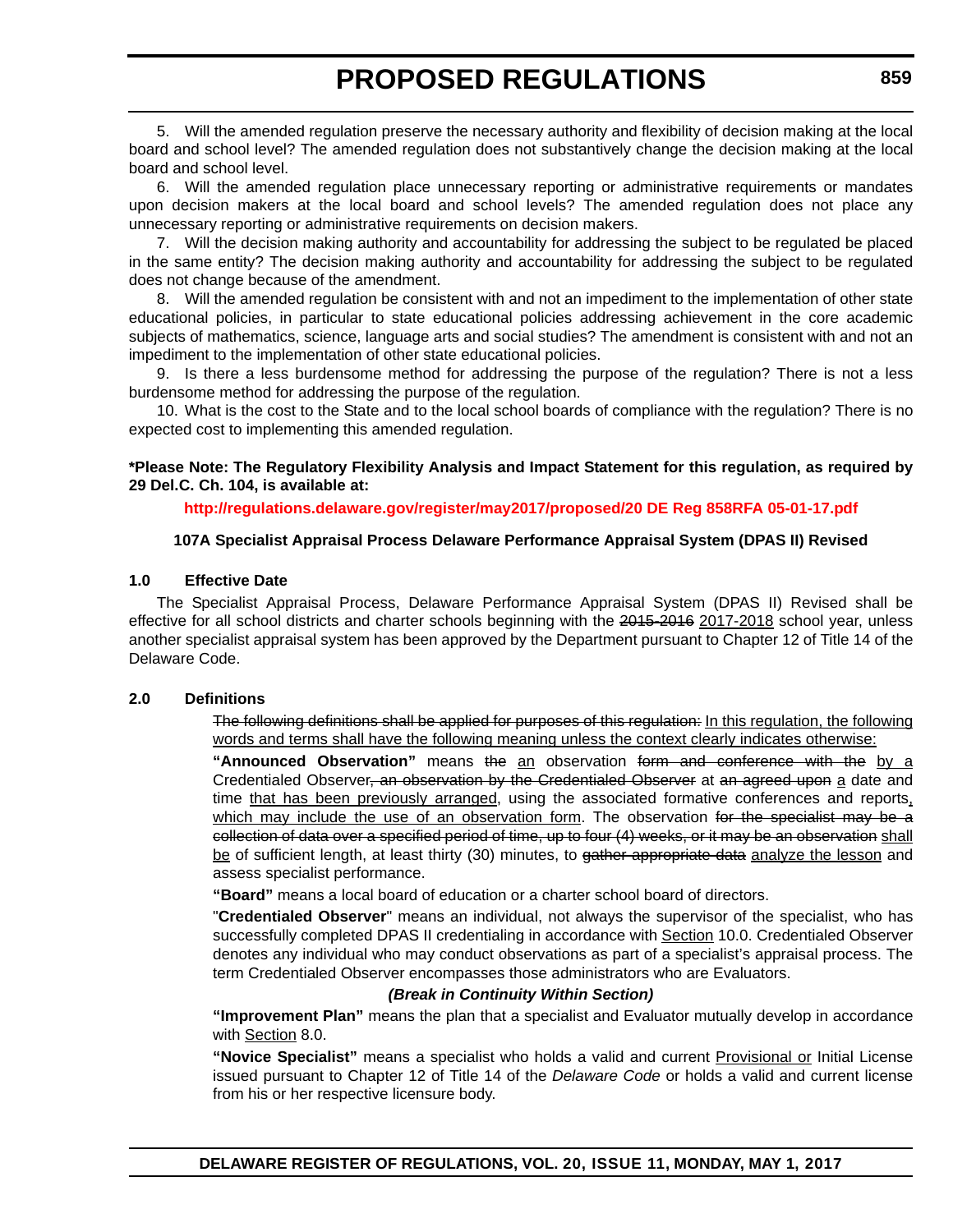5. Will the amended regulation preserve the necessary authority and flexibility of decision making at the local board and school level? The amended regulation does not substantively change the decision making at the local board and school level.

6. Will the amended regulation place unnecessary reporting or administrative requirements or mandates upon decision makers at the local board and school levels? The amended regulation does not place any unnecessary reporting or administrative requirements on decision makers.

7. Will the decision making authority and accountability for addressing the subject to be regulated be placed in the same entity? The decision making authority and accountability for addressing the subject to be regulated does not change because of the amendment.

8. Will the amended regulation be consistent with and not an impediment to the implementation of other state educational policies, in particular to state educational policies addressing achievement in the core academic subjects of mathematics, science, language arts and social studies? The amendment is consistent with and not an impediment to the implementation of other state educational policies.

9. Is there a less burdensome method for addressing the purpose of the regulation? There is not a less burdensome method for addressing the purpose of the regulation.

10. What is the cost to the State and to the local school boards of compliance with the regulation? There is no expected cost to implementing this amended regulation.

**\*Please Note: The Regulatory Flexibility Analysis and Impact Statement for this regulation, as required by 29 Del.C. Ch. 104, is available at:**

**<http://regulations.delaware.gov/register/may2017/proposed/20 DE Reg 858RFA 05-01-17.pdf>**

### **107A Specialist Appraisal Process Delaware Performance Appraisal System (DPAS II) Revised**

#### **1.0 Effective Date**

The Specialist Appraisal Process, Delaware Performance Appraisal System (DPAS II) Revised shall be effective for all school districts and charter schools beginning with the 2015-2016 2017-2018 school year, unless another specialist appraisal system has been approved by the Department pursuant to Chapter 12 of Title 14 of the Delaware Code.

#### **2.0 Definitions**

The following definitions shall be applied for purposes of this regulation: In this regulation, the following words and terms shall have the following meaning unless the context clearly indicates otherwise:

**"Announced Observation"** means the an observation form and conference with the by a Credentialed Observer<del>, an observation by the Credentialed Observer</del> at an agreed upon a date and time that has been previously arranged, using the associated formative conferences and reports, which may include the use of an observation form. The observation for the specialist may be a collection of data over a specified period of time, up to four (4) weeks, or it may be an observation shall be of sufficient length, at least thirty (30) minutes, to gather appropriate data analyze the lesson and assess specialist performance.

**"Board"** means a local board of education or a charter school board of directors.

"**Credentialed Observer**" means an individual, not always the supervisor of the specialist, who has successfully completed DPAS II credentialing in accordance with Section 10.0. Credentialed Observer denotes any individual who may conduct observations as part of a specialist's appraisal process. The term Credentialed Observer encompasses those administrators who are Evaluators.

### *(Break in Continuity Within Section)*

**"Improvement Plan"** means the plan that a specialist and Evaluator mutually develop in accordance with Section 8.0.

**"Novice Specialist"** means a specialist who holds a valid and current Provisional or Initial License issued pursuant to Chapter 12 of Title 14 of the *Delaware Code* or holds a valid and current license from his or her respective licensure body.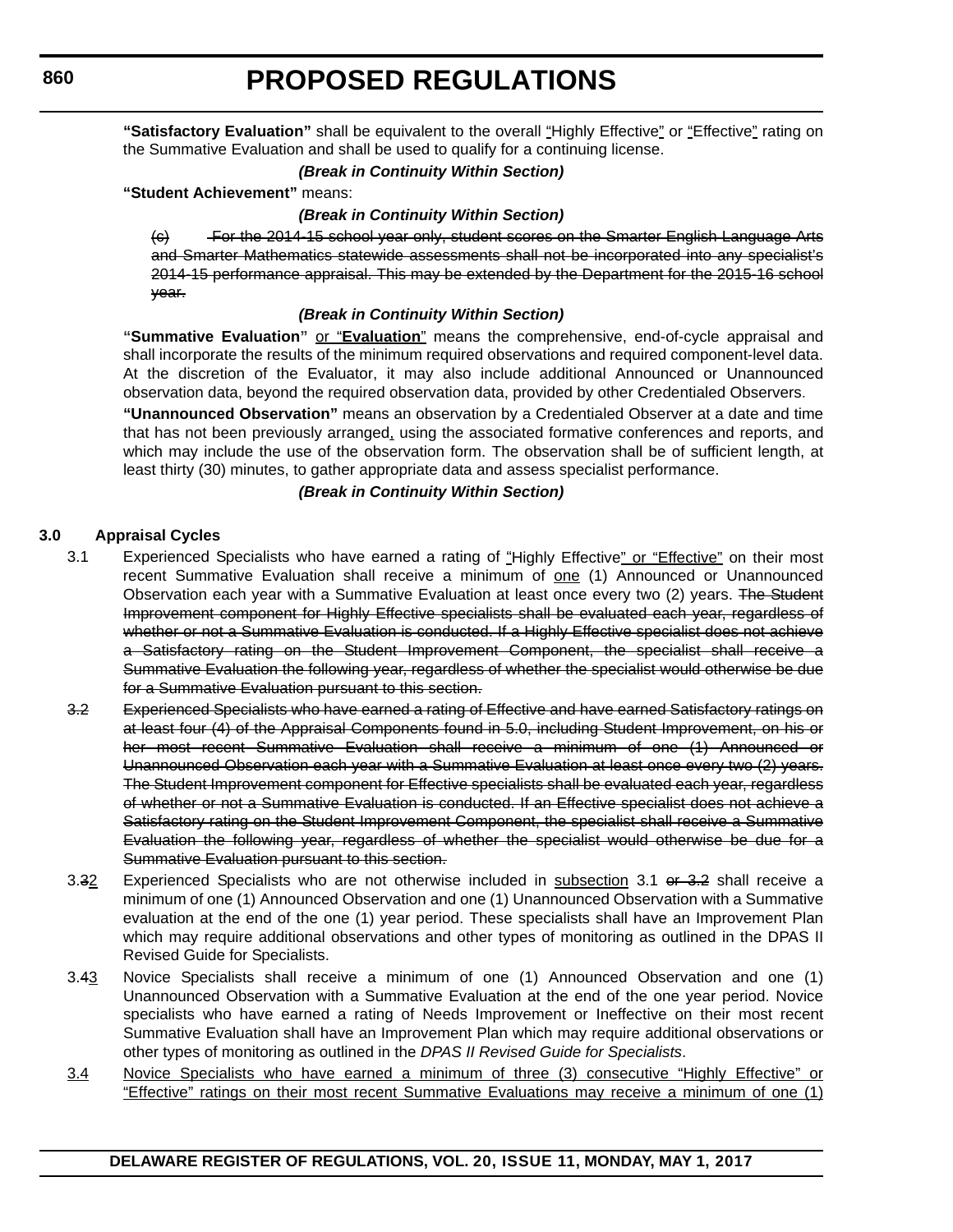**"Satisfactory Evaluation"** shall be equivalent to the overall "Highly Effective" or "Effective" rating on the Summative Evaluation and shall be used to qualify for a continuing license.

### *(Break in Continuity Within Section)*

#### **"Student Achievement"** means:

#### *(Break in Continuity Within Section)*

(c) For the 2014-15 school year only, student scores on the Smarter English Language Arts and Smarter Mathematics statewide assessments shall not be incorporated into any specialist's 2014-15 performance appraisal. This may be extended by the Department for the 2015-16 school year.

#### *(Break in Continuity Within Section)*

**"Summative Evaluation"** or "**Evaluation**" means the comprehensive, end-of-cycle appraisal and shall incorporate the results of the minimum required observations and required component-level data. At the discretion of the Evaluator, it may also include additional Announced or Unannounced observation data, beyond the required observation data, provided by other Credentialed Observers.

**"Unannounced Observation"** means an observation by a Credentialed Observer at a date and time that has not been previously arranged, using the associated formative conferences and reports, and which may include the use of the observation form. The observation shall be of sufficient length, at least thirty (30) minutes, to gather appropriate data and assess specialist performance.

*(Break in Continuity Within Section)*

#### **3.0 Appraisal Cycles**

- 3.1 Experienced Specialists who have earned a rating of "Highly Effective" or "Effective" on their most recent Summative Evaluation shall receive a minimum of one (1) Announced or Unannounced Observation each year with a Summative Evaluation at least once every two (2) years. The Student Improvement component for Highly Effective specialists shall be evaluated each year, regardless of whether or not a Summative Evaluation is conducted. If a Highly Effective specialist does not achieve a Satisfactory rating on the Student Improvement Component, the specialist shall receive a Summative Evaluation the following year, regardless of whether the specialist would otherwise be due for a Summative Evaluation pursuant to this section.
- 3.2 Experienced Specialists who have earned a rating of Effective and have earned Satisfactory ratings on at least four (4) of the Appraisal Components found in 5.0, including Student Improvement, on his or her most recent Summative Evaluation shall receive a minimum of one (1) Announced or Unannounced Observation each year with a Summative Evaluation at least once every two (2) years. The Student Improvement component for Effective specialists shall be evaluated each year, regardless of whether or not a Summative Evaluation is conducted. If an Effective specialist does not achieve a Satisfactory rating on the Student Improvement Component, the specialist shall receive a Summative Evaluation the following year, regardless of whether the specialist would otherwise be due for a Summative Evaluation pursuant to this section.
- 3.32 Experienced Specialists who are not otherwise included in subsection 3.1 or 3.2 shall receive a minimum of one (1) Announced Observation and one (1) Unannounced Observation with a Summative evaluation at the end of the one (1) year period. These specialists shall have an Improvement Plan which may require additional observations and other types of monitoring as outlined in the DPAS II Revised Guide for Specialists.
- 3.43 Novice Specialists shall receive a minimum of one (1) Announced Observation and one (1) Unannounced Observation with a Summative Evaluation at the end of the one year period. Novice specialists who have earned a rating of Needs Improvement or Ineffective on their most recent Summative Evaluation shall have an Improvement Plan which may require additional observations or other types of monitoring as outlined in the *DPAS II Revised Guide for Specialists*.
- 3.4 Novice Specialists who have earned a minimum of three (3) consecutive "Highly Effective" or "Effective" ratings on their most recent Summative Evaluations may receive a minimum of one (1)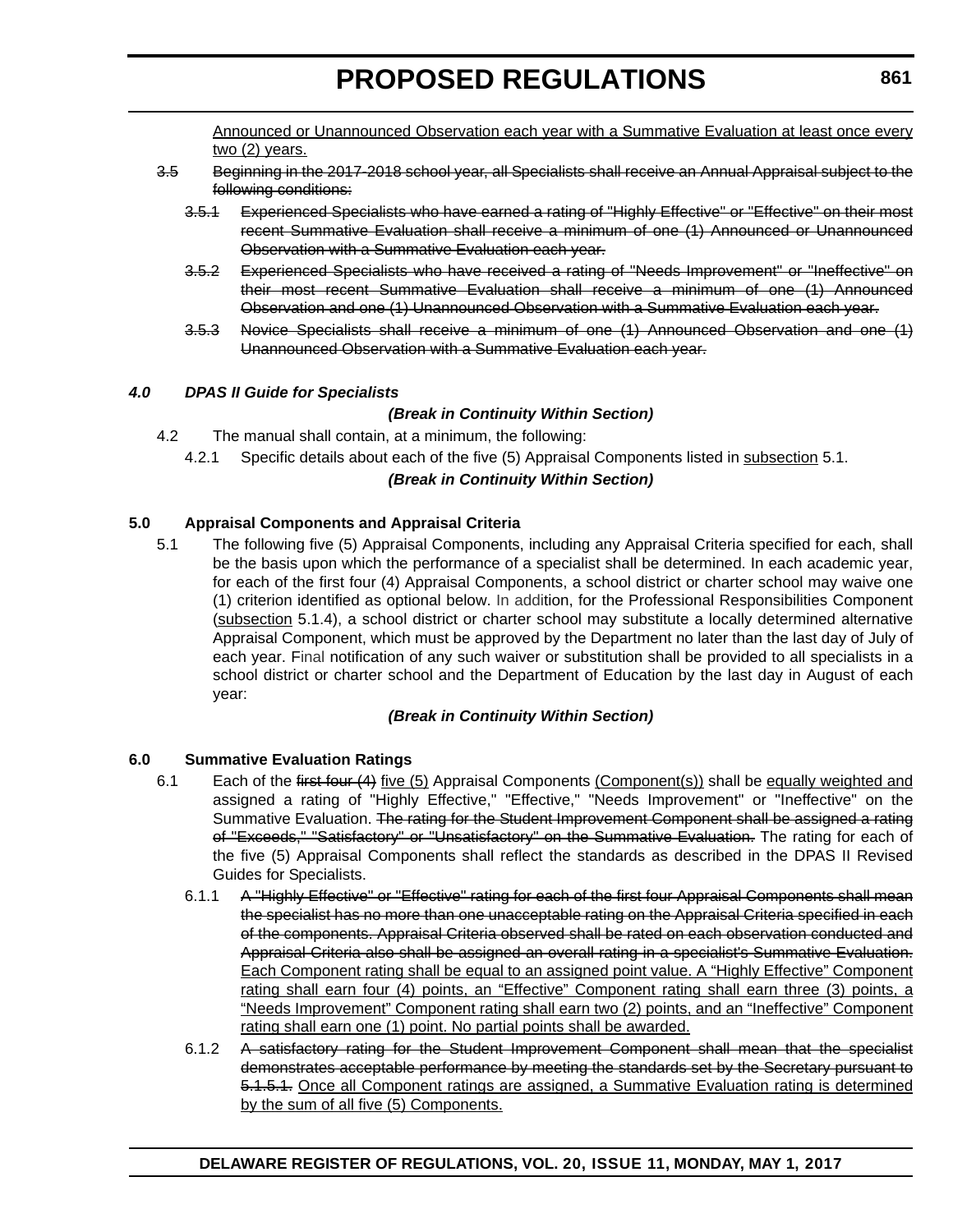Announced or Unannounced Observation each year with a Summative Evaluation at least once every two (2) years.

- 3.5 Beginning in the 2017-2018 school year, all Specialists shall receive an Annual Appraisal subject to the following conditions:
	- 3.5.1 Experienced Specialists who have earned a rating of "Highly Effective" or "Effective" on their most recent Summative Evaluation shall receive a minimum of one (1) Announced or Unannounced Observation with a Summative Evaluation each year.
	- 3.5.2 Experienced Specialists who have received a rating of "Needs Improvement" or "Ineffective" on their most recent Summative Evaluation shall receive a minimum of one (1) Announced Observation and one (1) Unannounced Observation with a Summative Evaluation each year.
	- 3.5.3 Novice Specialists shall receive a minimum of one (1) Announced Observation and one (1) Unannounced Observation with a Summative Evaluation each year.

### *4.0 DPAS II Guide for Specialists*

### *(Break in Continuity Within Section)*

- 4.2 The manual shall contain, at a minimum, the following:
	- 4.2.1 Specific details about each of the five (5) Appraisal Components listed in subsection 5.1.

### *(Break in Continuity Within Section)*

### **5.0 Appraisal Components and Appraisal Criteria**

5.1 The following five (5) Appraisal Components, including any Appraisal Criteria specified for each, shall be the basis upon which the performance of a specialist shall be determined. In each academic year, for each of the first four (4) Appraisal Components, a school district or charter school may waive one (1) criterion identified as optional below. In addition, for the Professional Responsibilities Component (subsection 5.1.4), a school district or charter school may substitute a locally determined alternative Appraisal Component, which must be approved by the Department no later than the last day of July of each year. Final notification of any such waiver or substitution shall be provided to all specialists in a school district or charter school and the Department of Education by the last day in August of each year:

### *(Break in Continuity Within Section)*

### **6.0 Summative Evaluation Ratings**

- 6.1 Each of the first four (4) five (5) Appraisal Components (Component(s)) shall be equally weighted and assigned a rating of "Highly Effective," "Effective," "Needs Improvement" or "Ineffective" on the Summative Evaluation. The rating for the Student Improvement Component shall be assigned a rating of "Exceeds," "Satisfactory" or "Unsatisfactory" on the Summative Evaluation. The rating for each of the five (5) Appraisal Components shall reflect the standards as described in the DPAS II Revised Guides for Specialists.
	- 6.1.1 A "Highly Effective" or "Effective" rating for each of the first four Appraisal Components shall mean the specialist has no more than one unacceptable rating on the Appraisal Criteria specified in each of the components. Appraisal Criteria observed shall be rated on each observation conducted and Appraisal Criteria also shall be assigned an overall rating in a specialist's Summative Evaluation. Each Component rating shall be equal to an assigned point value. A "Highly Effective" Component rating shall earn four (4) points, an "Effective" Component rating shall earn three (3) points, a "Needs Improvement" Component rating shall earn two (2) points, and an "Ineffective" Component rating shall earn one (1) point. No partial points shall be awarded.
	- 6.1.2 A satisfactory rating for the Student Improvement Component shall mean that the specialist demonstrates acceptable performance by meeting the standards set by the Secretary pursuant to 5.1.5.1. Once all Component ratings are assigned, a Summative Evaluation rating is determined by the sum of all five (5) Components.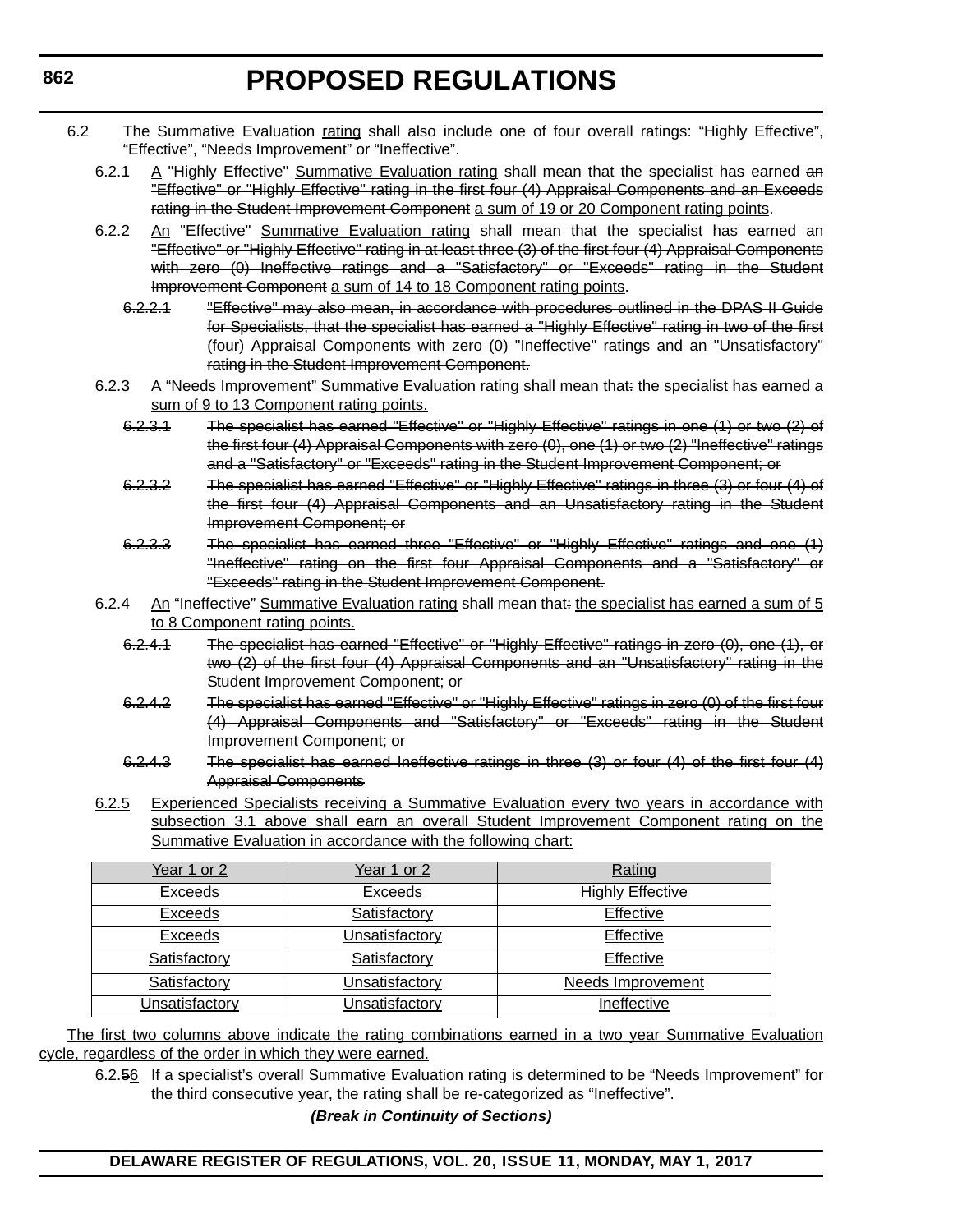- 6.2 The Summative Evaluation rating shall also include one of four overall ratings: "Highly Effective", "Effective", "Needs Improvement" or "Ineffective".
	- 6.2.1  $\Delta$  "Highly Effective" Summative Evaluation rating shall mean that the specialist has earned an "Effective" or "Highly Effective" rating in the first four (4) Appraisal Components and an Exceeds rating in the Student Improvement Component a sum of 19 or 20 Component rating points.
	- 6.2.2 An "Effective" Summative Evaluation rating shall mean that the specialist has earned an "Effective" or "Highly Effective" rating in at least three (3) of the first four (4) Appraisal Components with zero (0) Ineffective ratings and a "Satisfactory" or "Exceeds" rating in the Student Improvement Component a sum of 14 to 18 Component rating points.
		- 6.2.2.1 "Effective" may also mean, in accordance with procedures outlined in the DPAS II Guide for Specialists, that the specialist has earned a "Highly Effective" rating in two of the first (four) Appraisal Components with zero (0) "Ineffective" ratings and an "Unsatisfactory" rating in the Student Improvement Component.
	- 6.2.3  $A$  "Needs Improvement" Summative Evaluation rating shall mean that: the specialist has earned a sum of 9 to 13 Component rating points.
		- 6.2.3.1 The specialist has earned "Effective" or "Highly Effective" ratings in one (1) or two (2) of the first four (4) Appraisal Components with zero (0), one (1) or two (2) "Ineffective" ratings and a "Satisfactory" or "Exceeds" rating in the Student Improvement Component; or
		- 6.2.3.2 The specialist has earned "Effective" or "Highly Effective" ratings in three (3) or four (4) of the first four (4) Appraisal Components and an Unsatisfactory rating in the Student Improvement Component; or
		- 6.2.3.3 The specialist has earned three "Effective" or "Highly Effective" ratings and one (1) "Ineffective" rating on the first four Appraisal Components and a "Satisfactory" or "Exceeds" rating in the Student Improvement Component.
	- 6.2.4 An "Ineffective" Summative Evaluation rating shall mean that: the specialist has earned a sum of 5 to 8 Component rating points.
		- 6.2.4.1 The specialist has earned "Effective" or "Highly Effective" ratings in zero (0), one (1), or two (2) of the first four (4) Appraisal Components and an "Unsatisfactory" rating in the Student Improvement Component; or
		- 6.2.4.2 The specialist has earned "Effective" or "Highly Effective" ratings in zero (0) of the first four (4) Appraisal Components and "Satisfactory" or "Exceeds" rating in the Student Improvement Component; or
		- 6.2.4.3 The specialist has earned Ineffective ratings in three (3) or four (4) of the first four (4) Appraisal Components
	- 6.2.5 Experienced Specialists receiving a Summative Evaluation every two years in accordance with subsection 3.1 above shall earn an overall Student Improvement Component rating on the Summative Evaluation in accordance with the following chart:

| Year 1 or 2    | Year 1 or 2           | Rating                   |
|----------------|-----------------------|--------------------------|
| Exceeds        | Exceeds               | <b>Highly Effective</b>  |
| Exceeds        | Satisfactory          | Effective                |
| Exceeds        | <b>Unsatisfactory</b> | Effective                |
| Satisfactory   | Satisfactory          | Effective                |
| Satisfactory   | <b>Unsatisfactory</b> | <b>Needs Improvement</b> |
| Unsatisfactory | Jnsatisfactory        | Ineffective              |

The first two columns above indicate the rating combinations earned in a two year Summative Evaluation cycle, regardless of the order in which they were earned.

6.2.56 If a specialist's overall Summative Evaluation rating is determined to be "Needs Improvement" for the third consecutive year, the rating shall be re-categorized as "Ineffective".

*(Break in Continuity of Sections)*

### **DELAWARE REGISTER OF REGULATIONS, VOL. 20, ISSUE 11, MONDAY, MAY 1, 2017**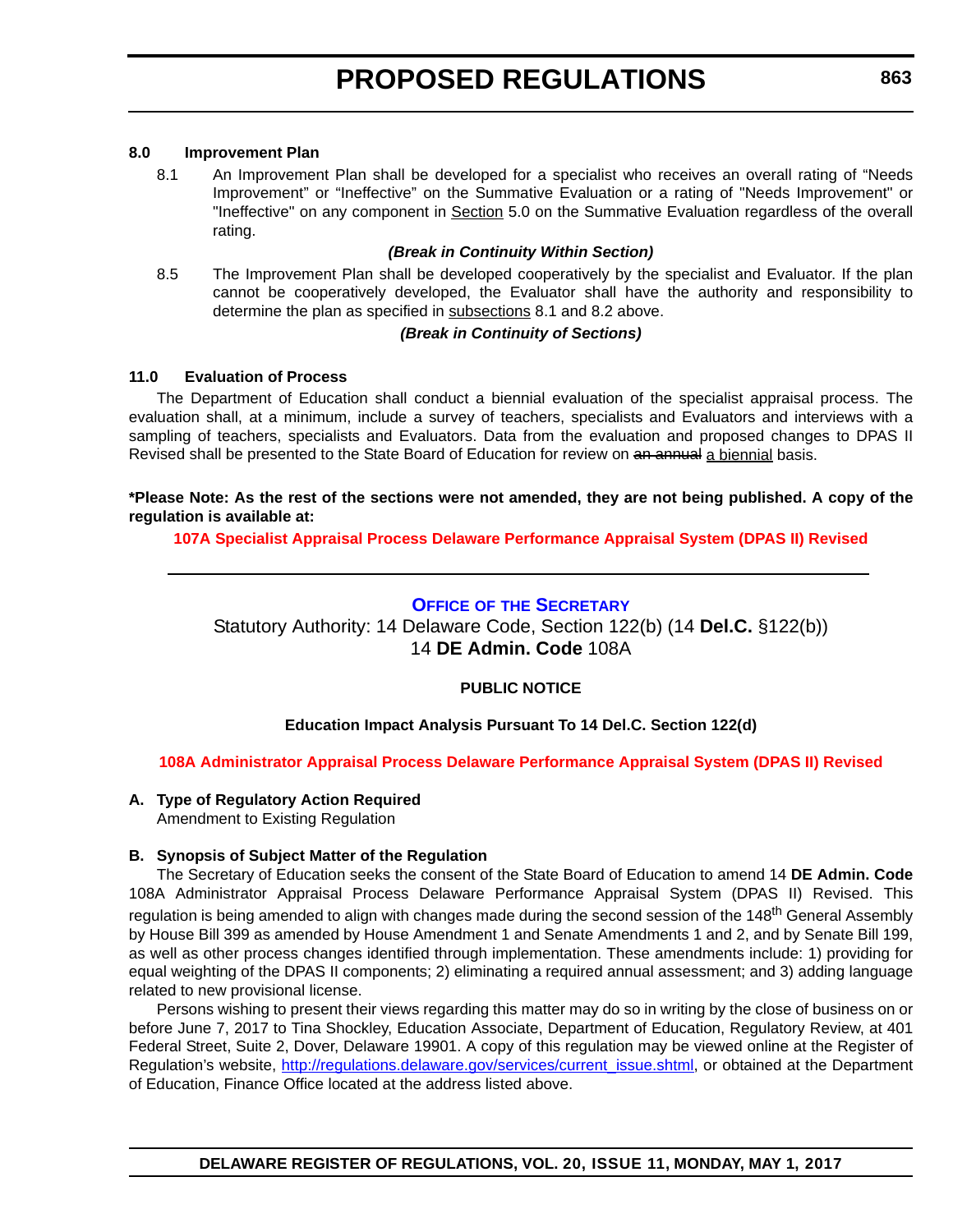### <span id="page-23-0"></span>**8.0 Improvement Plan**

8.1 An Improvement Plan shall be developed for a specialist who receives an overall rating of "Needs Improvement" or "Ineffective" on the Summative Evaluation or a rating of "Needs Improvement" or "Ineffective" on any component in Section 5.0 on the Summative Evaluation regardless of the overall rating.

### *(Break in Continuity Within Section)*

8.5 The Improvement Plan shall be developed cooperatively by the specialist and Evaluator. If the plan cannot be cooperatively developed, the Evaluator shall have the authority and responsibility to determine the plan as specified in subsections 8.1 and 8.2 above.

#### *(Break in Continuity of Sections)*

### **11.0 Evaluation of Process**

The Department of Education shall conduct a biennial evaluation of the specialist appraisal process. The evaluation shall, at a minimum, include a survey of teachers, specialists and Evaluators and interviews with a sampling of teachers, specialists and Evaluators. Data from the evaluation and proposed changes to DPAS II Revised shall be presented to the State Board of Education for review on an annual a biennial basis.

### **\*Please Note: As the rest of the sections were not amended, they are not being published. A copy of the regulation is available at:**

**[107A Specialist Appraisal Process Delaware Performance Appraisal System \(DPAS II\) Revised](http://regulations.delaware.gov/register/may2017/proposed/20 DE Reg 858 05-01-17.htm)** 

### **OFFICE OF [THE SECRETARY](https://pubapps.doe.k12.de.us/EducationalDirectoryPublic/pages/DDOE/Branches.aspx?page=branches&BID=1)**

Statutory Authority: 14 Delaware Code, Section 122(b) (14 **Del.C.** §122(b)) 14 **DE Admin. Code** 108A

### **PUBLIC NOTICE**

### **Education Impact Analysis Pursuant To 14 Del.C. Section 122(d)**

### **[108A Administrator Appraisal Process Delaware Performance Appraisal System \(DPAS II\) Revised](#page-3-0)**

### **A. Type of Regulatory Action Required**

Amendment to Existing Regulation

### **B. Synopsis of Subject Matter of the Regulation**

The Secretary of Education seeks the consent of the State Board of Education to amend 14 **DE Admin. Code** 108A Administrator Appraisal Process Delaware Performance Appraisal System (DPAS II) Revised. This regulation is being amended to align with changes made during the second session of the 148<sup>th</sup> General Assembly by House Bill 399 as amended by House Amendment 1 and Senate Amendments 1 and 2, and by Senate Bill 199, as well as other process changes identified through implementation. These amendments include: 1) providing for equal weighting of the DPAS II components; 2) eliminating a required annual assessment; and 3) adding language related to new provisional license.

Persons wishing to present their views regarding this matter may do so in writing by the close of business on or before June 7, 2017 to Tina Shockley, Education Associate, Department of Education, Regulatory Review, at 401 Federal Street, Suite 2, Dover, Delaware 19901. A copy of this regulation may be viewed online at the Register of Regulation's website, [http://regulations.delaware.gov/services/current\\_issue.shtml,](http://regulations.delaware.gov/services/current_issue.shtml) or obtained at the Department of Education, Finance Office located at the address listed above.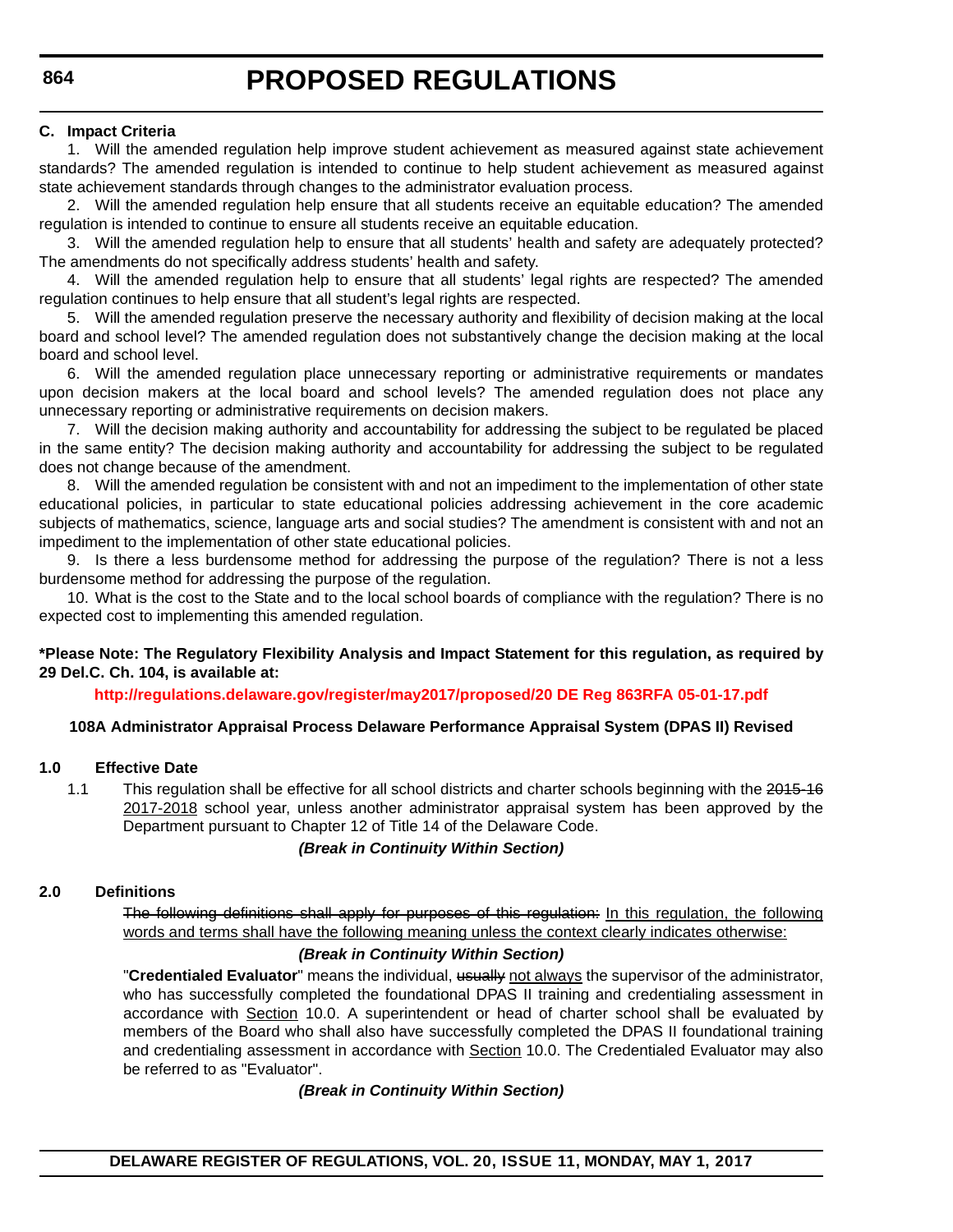### **C. Impact Criteria**

1. Will the amended regulation help improve student achievement as measured against state achievement standards? The amended regulation is intended to continue to help student achievement as measured against state achievement standards through changes to the administrator evaluation process.

2. Will the amended regulation help ensure that all students receive an equitable education? The amended regulation is intended to continue to ensure all students receive an equitable education.

3. Will the amended regulation help to ensure that all students' health and safety are adequately protected? The amendments do not specifically address students' health and safety.

4. Will the amended regulation help to ensure that all students' legal rights are respected? The amended regulation continues to help ensure that all student's legal rights are respected.

5. Will the amended regulation preserve the necessary authority and flexibility of decision making at the local board and school level? The amended regulation does not substantively change the decision making at the local board and school level.

6. Will the amended regulation place unnecessary reporting or administrative requirements or mandates upon decision makers at the local board and school levels? The amended regulation does not place any unnecessary reporting or administrative requirements on decision makers.

7. Will the decision making authority and accountability for addressing the subject to be regulated be placed in the same entity? The decision making authority and accountability for addressing the subject to be regulated does not change because of the amendment.

8. Will the amended regulation be consistent with and not an impediment to the implementation of other state educational policies, in particular to state educational policies addressing achievement in the core academic subjects of mathematics, science, language arts and social studies? The amendment is consistent with and not an impediment to the implementation of other state educational policies.

9. Is there a less burdensome method for addressing the purpose of the regulation? There is not a less burdensome method for addressing the purpose of the regulation.

10. What is the cost to the State and to the local school boards of compliance with the regulation? There is no expected cost to implementing this amended regulation.

### **\*Please Note: The Regulatory Flexibility Analysis and Impact Statement for this regulation, as required by 29 Del.C. Ch. 104, is available at:**

**<http://regulations.delaware.gov/register/may2017/proposed/20 DE Reg 863RFA 05-01-17.pdf>**

### **108A Administrator Appraisal Process Delaware Performance Appraisal System (DPAS II) Revised**

### **1.0 Effective Date**

1.1 This regulation shall be effective for all school districts and charter schools beginning with the 2015-16 2017-2018 school year, unless another administrator appraisal system has been approved by the Department pursuant to Chapter 12 of Title 14 of the Delaware Code.

### *(Break in Continuity Within Section)*

#### **2.0 Definitions**

The following definitions shall apply for purposes of this regulation: In this regulation, the following words and terms shall have the following meaning unless the context clearly indicates otherwise:

### *(Break in Continuity Within Section)*

"**Credentialed Evaluator**" means the individual, usually not always the supervisor of the administrator, who has successfully completed the foundational DPAS II training and credentialing assessment in accordance with Section 10.0. A superintendent or head of charter school shall be evaluated by members of the Board who shall also have successfully completed the DPAS II foundational training and credentialing assessment in accordance with Section 10.0. The Credentialed Evaluator may also be referred to as "Evaluator".

*(Break in Continuity Within Section)*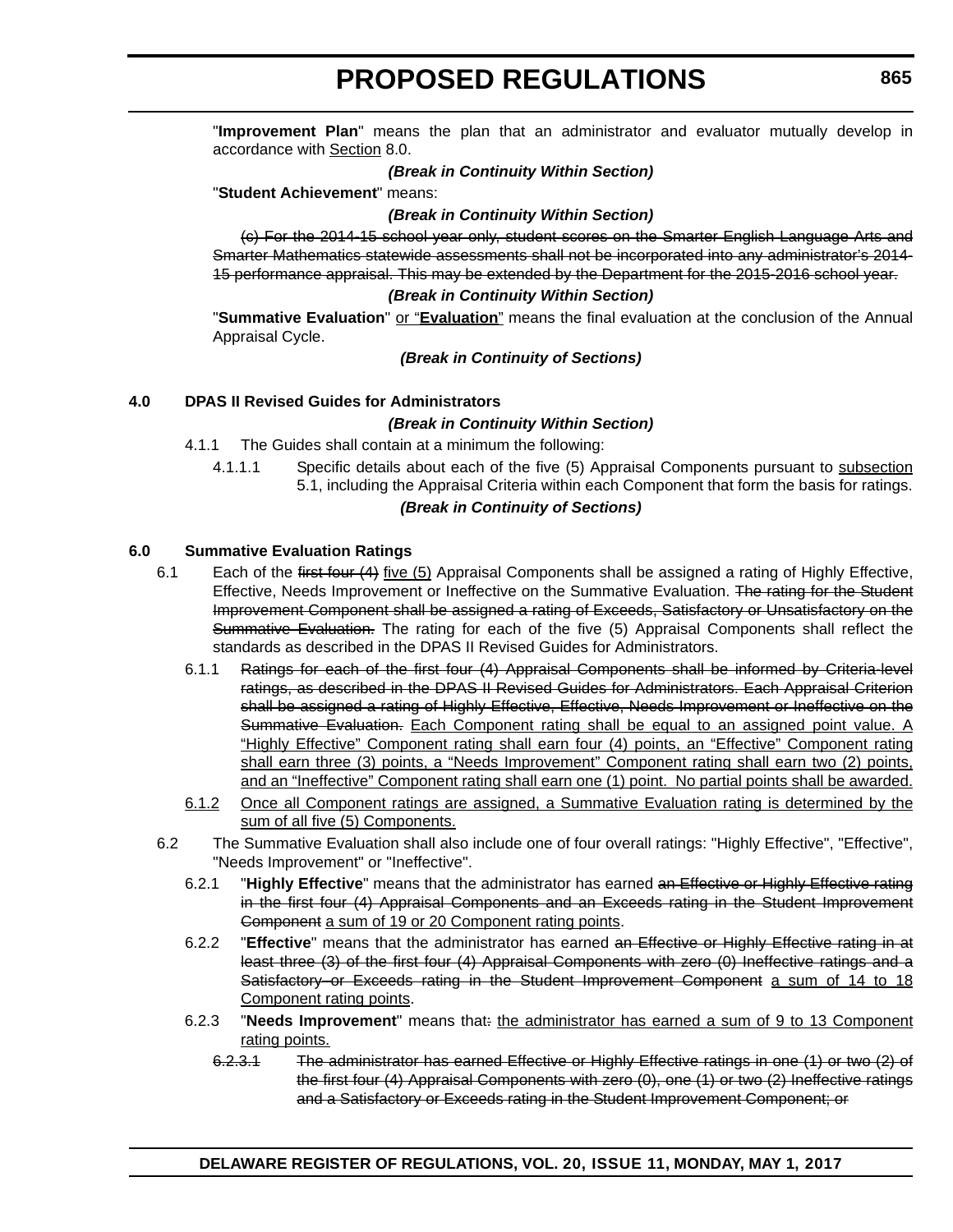"**Improvement Plan**" means the plan that an administrator and evaluator mutually develop in accordance with Section 8.0.

### *(Break in Continuity Within Section)*

"**Student Achievement**" means:

#### *(Break in Continuity Within Section)*

(c) For the 2014-15 school year only, student scores on the Smarter English Language Arts and Smarter Mathematics statewide assessments shall not be incorporated into any administrator's 2014- 15 performance appraisal. This may be extended by the Department for the 2015-2016 school year.

#### *(Break in Continuity Within Section)*

"**Summative Evaluation**" or "**Evaluation**" means the final evaluation at the conclusion of the Annual Appraisal Cycle.

#### *(Break in Continuity of Sections)*

### **4.0 DPAS II Revised Guides for Administrators**

#### *(Break in Continuity Within Section)*

- 4.1.1 The Guides shall contain at a minimum the following:
	- 4.1.1.1 Specific details about each of the five (5) Appraisal Components pursuant to subsection 5.1, including the Appraisal Criteria within each Component that form the basis for ratings.

### *(Break in Continuity of Sections)*

#### **6.0 Summative Evaluation Ratings**

- 6.1 Each of the first four (4) five (5) Appraisal Components shall be assigned a rating of Highly Effective, Effective, Needs Improvement or Ineffective on the Summative Evaluation. The rating for the Student Improvement Component shall be assigned a rating of Exceeds, Satisfactory or Unsatisfactory on the Summative Evaluation. The rating for each of the five (5) Appraisal Components shall reflect the standards as described in the DPAS II Revised Guides for Administrators.
	- 6.1.1 Ratings for each of the first four (4) Appraisal Components shall be informed by Criteria-level ratings, as described in the DPAS II Revised Guides for Administrators. Each Appraisal Criterion shall be assigned a rating of Highly Effective, Effective, Needs Improvement or Ineffective on the Summative Evaluation. Each Component rating shall be equal to an assigned point value. A "Highly Effective" Component rating shall earn four (4) points, an "Effective" Component rating shall earn three (3) points, a "Needs Improvement" Component rating shall earn two (2) points, and an "Ineffective" Component rating shall earn one (1) point. No partial points shall be awarded.
	- 6.1.2 Once all Component ratings are assigned, a Summative Evaluation rating is determined by the sum of all five (5) Components.
- 6.2 The Summative Evaluation shall also include one of four overall ratings: "Highly Effective", "Effective", "Needs Improvement" or "Ineffective".
	- 6.2.1 "**Highly Effective**" means that the administrator has earned an Effective or Highly Effective rating in the first four (4) Appraisal Components and an Exceeds rating in the Student Improvement Component a sum of 19 or 20 Component rating points.
	- 6.2.2 "**Effective**" means that the administrator has earned an Effective or Highly Effective rating in at least three (3) of the first four (4) Appraisal Components with zero (0) Ineffective ratings and a Satisfactory or Exceeds rating in the Student Improvement Component a sum of 14 to 18 Component rating points.
	- 6.2.3 "**Needs Improvement**" means that: the administrator has earned a sum of 9 to 13 Component rating points.
		- 6.2.3.1 The administrator has earned Effective or Highly Effective ratings in one (1) or two (2) of the first four (4) Appraisal Components with zero (0), one (1) or two (2) Ineffective ratings and a Satisfactory or Exceeds rating in the Student Improvement Component; or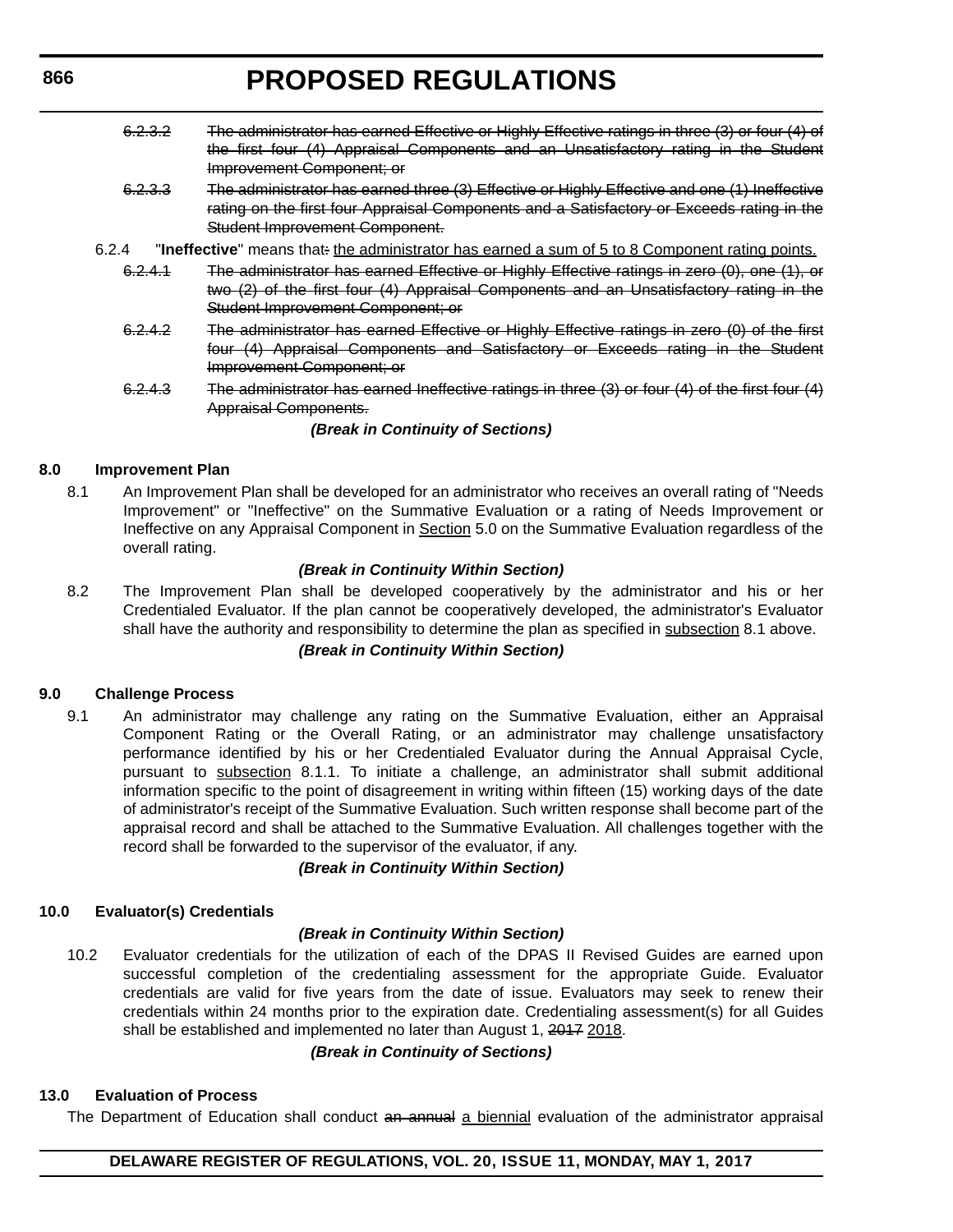- 6.2.3.2 The administrator has earned Effective or Highly Effective ratings in three (3) or four (4) of the first four (4) Appraisal Components and an Unsatisfactory rating in the Student Improvement Component; or 6.2.3.3 The administrator has earned three (3) Effective or Highly Effective and one (1) Ineffective rating on the first four Appraisal Components and a Satisfactory or Exceeds rating in the Student Improvement Component. 6.2.4 **"Ineffective**" means that: the administrator has earned a sum of 5 to 8 Component rating points. 6.2.4.1 The administrator has earned Effective or Highly Effective ratings in zero (0), one (1), or two (2) of the first four (4) Appraisal Components and an Unsatisfactory rating in the Student Improvement Component; or 6.2.4.2 The administrator has earned Effective or Highly Effective ratings in zero (0) of the first four (4) Appraisal Components and Satisfactory or Exceeds rating in the Student Improvement Component; or
	- 6.2.4.3 The administrator has earned Ineffective ratings in three (3) or four (4) of the first four (4) Appraisal Components.

### *(Break in Continuity of Sections)*

### **8.0 Improvement Plan**

8.1 An Improvement Plan shall be developed for an administrator who receives an overall rating of "Needs Improvement" or "Ineffective" on the Summative Evaluation or a rating of Needs Improvement or Ineffective on any Appraisal Component in Section 5.0 on the Summative Evaluation regardless of the overall rating.

### *(Break in Continuity Within Section)*

8.2 The Improvement Plan shall be developed cooperatively by the administrator and his or her Credentialed Evaluator. If the plan cannot be cooperatively developed, the administrator's Evaluator shall have the authority and responsibility to determine the plan as specified in subsection 8.1 above.

### *(Break in Continuity Within Section)*

#### **9.0 Challenge Process**

9.1 An administrator may challenge any rating on the Summative Evaluation, either an Appraisal Component Rating or the Overall Rating, or an administrator may challenge unsatisfactory performance identified by his or her Credentialed Evaluator during the Annual Appraisal Cycle, pursuant to subsection 8.1.1. To initiate a challenge, an administrator shall submit additional information specific to the point of disagreement in writing within fifteen (15) working days of the date of administrator's receipt of the Summative Evaluation. Such written response shall become part of the appraisal record and shall be attached to the Summative Evaluation. All challenges together with the record shall be forwarded to the supervisor of the evaluator, if any.

### *(Break in Continuity Within Section)*

#### **10.0 Evaluator(s) Credentials**

#### *(Break in Continuity Within Section)*

10.2 Evaluator credentials for the utilization of each of the DPAS II Revised Guides are earned upon successful completion of the credentialing assessment for the appropriate Guide. Evaluator credentials are valid for five years from the date of issue. Evaluators may seek to renew their credentials within 24 months prior to the expiration date. Credentialing assessment(s) for all Guides shall be established and implemented no later than August 1, 2017 2018.

#### *(Break in Continuity of Sections)*

#### **13.0 Evaluation of Process**

The Department of Education shall conduct an annual a biennial evaluation of the administrator appraisal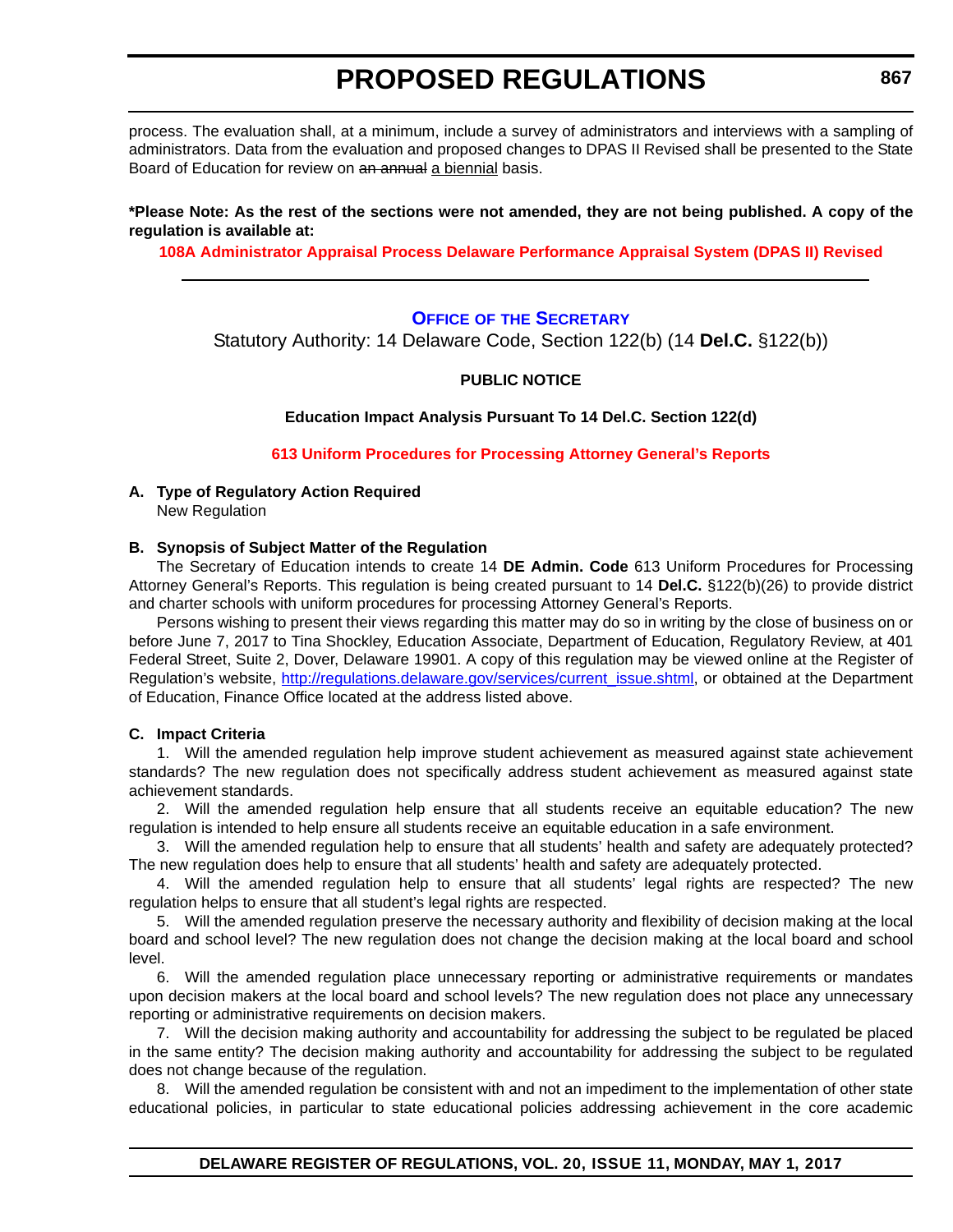<span id="page-27-0"></span>process. The evaluation shall, at a minimum, include a survey of administrators and interviews with a sampling of administrators. Data from the evaluation and proposed changes to DPAS II Revised shall be presented to the State Board of Education for review on an annual a biennial basis.

### **\*Please Note: As the rest of the sections were not amended, they are not being published. A copy of the regulation is available at:**

**[108A Administrator Appraisal Process Delaware Performance Appraisal System \(DPAS II\) Revised](http://regulations.delaware.gov/register/may2017/proposed/20 DE Reg 863 05-01-17.htm)** 

### **OFFICE OF [THE SECRETARY](https://pubapps.doe.k12.de.us/EducationalDirectoryPublic/pages/DDOE/Branches.aspx?page=branches&BID=1)**

Statutory Authority: 14 Delaware Code, Section 122(b) (14 **Del.C.** §122(b))

### **PUBLIC NOTICE**

**Education Impact Analysis Pursuant To 14 Del.C. Section 122(d)**

**[613 Uniform Procedures for Processing Attorney General's Reports](#page-3-0)**

### **A. Type of Regulatory Action Required** New Regulation

### **B. Synopsis of Subject Matter of the Regulation**

The Secretary of Education intends to create 14 **DE Admin. Code** 613 Uniform Procedures for Processing Attorney General's Reports. This regulation is being created pursuant to 14 **Del.C.** §122(b)(26) to provide district and charter schools with uniform procedures for processing Attorney General's Reports.

Persons wishing to present their views regarding this matter may do so in writing by the close of business on or before June 7, 2017 to Tina Shockley, Education Associate, Department of Education, Regulatory Review, at 401 Federal Street, Suite 2, Dover, Delaware 19901. A copy of this regulation may be viewed online at the Register of Regulation's website, [http://regulations.delaware.gov/services/current\\_issue.shtml,](http://regulations.delaware.gov/services/current_issue.shtml) or obtained at the Department of Education, Finance Office located at the address listed above.

#### **C. Impact Criteria**

1. Will the amended regulation help improve student achievement as measured against state achievement standards? The new regulation does not specifically address student achievement as measured against state achievement standards.

2. Will the amended regulation help ensure that all students receive an equitable education? The new regulation is intended to help ensure all students receive an equitable education in a safe environment.

3. Will the amended regulation help to ensure that all students' health and safety are adequately protected? The new regulation does help to ensure that all students' health and safety are adequately protected.

4. Will the amended regulation help to ensure that all students' legal rights are respected? The new regulation helps to ensure that all student's legal rights are respected.

5. Will the amended regulation preserve the necessary authority and flexibility of decision making at the local board and school level? The new regulation does not change the decision making at the local board and school level.

6. Will the amended regulation place unnecessary reporting or administrative requirements or mandates upon decision makers at the local board and school levels? The new regulation does not place any unnecessary reporting or administrative requirements on decision makers.

7. Will the decision making authority and accountability for addressing the subject to be regulated be placed in the same entity? The decision making authority and accountability for addressing the subject to be regulated does not change because of the regulation.

8. Will the amended regulation be consistent with and not an impediment to the implementation of other state educational policies, in particular to state educational policies addressing achievement in the core academic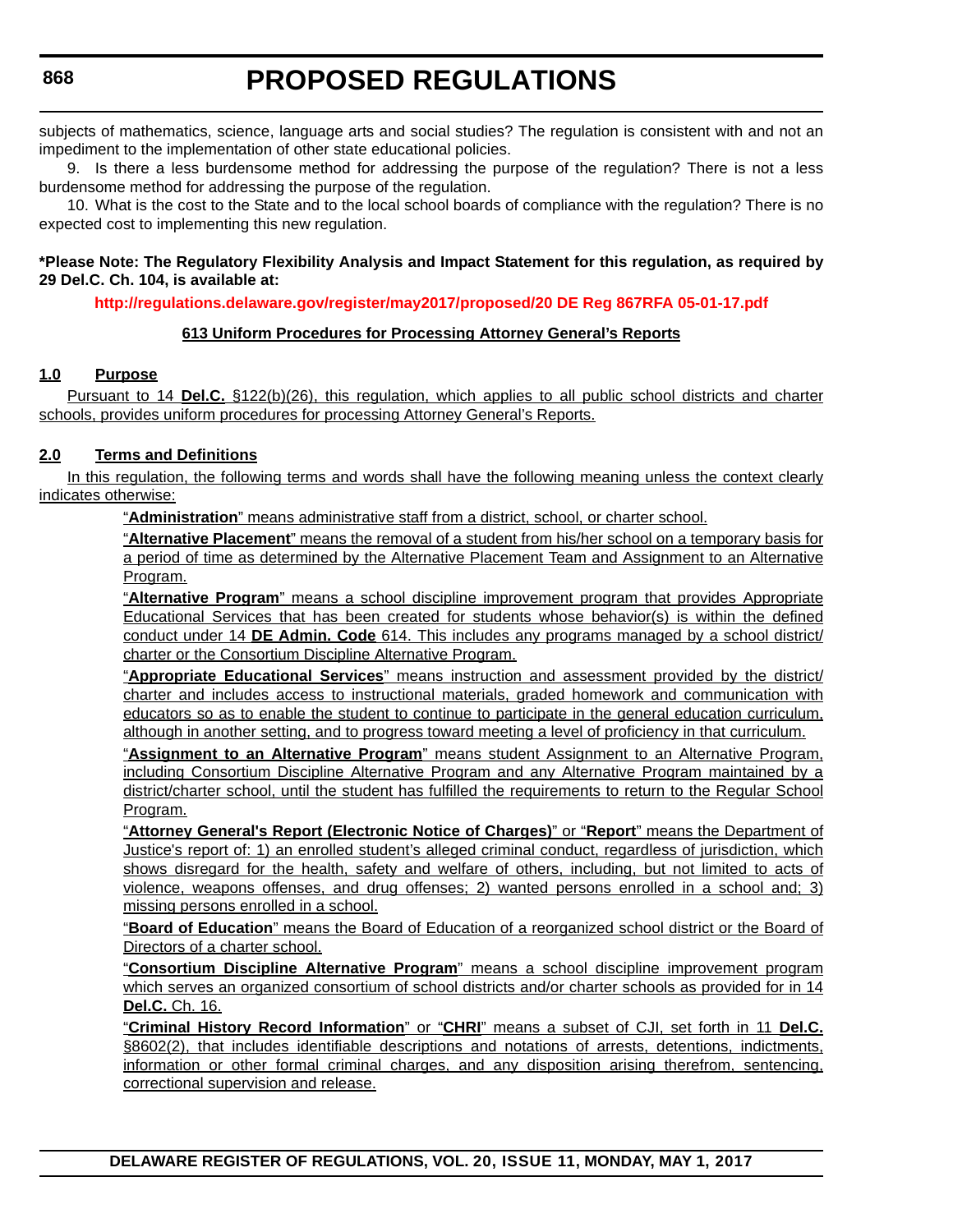subjects of mathematics, science, language arts and social studies? The regulation is consistent with and not an impediment to the implementation of other state educational policies.

9. Is there a less burdensome method for addressing the purpose of the regulation? There is not a less burdensome method for addressing the purpose of the regulation.

10. What is the cost to the State and to the local school boards of compliance with the regulation? There is no expected cost to implementing this new regulation.

### **\*Please Note: The Regulatory Flexibility Analysis and Impact Statement for this regulation, as required by 29 Del.C. Ch. 104, is available at:**

**<http://regulations.delaware.gov/register/may2017/proposed/20 DE Reg 867RFA 05-01-17.pdf>**

### **613 Uniform Procedures for Processing Attorney General's Reports**

### **1.0 Purpose**

Pursuant to 14 **Del.C.** §122(b)(26), this regulation, which applies to all public school districts and charter schools, provides uniform procedures for processing Attorney General's Reports.

### **2.0 Terms and Definitions**

In this regulation, the following terms and words shall have the following meaning unless the context clearly indicates otherwise:

"**Administration**" means administrative staff from a district, school, or charter school.

"**Alternative Placement**" means the removal of a student from his/her school on a temporary basis for a period of time as determined by the Alternative Placement Team and Assignment to an Alternative Program.

"**Alternative Program**" means a school discipline improvement program that provides Appropriate Educational Services that has been created for students whose behavior(s) is within the defined conduct under 14 **DE Admin. Code** 614. This includes any programs managed by a school district/ charter or the Consortium Discipline Alternative Program.

"**Appropriate Educational Services**" means instruction and assessment provided by the district/ charter and includes access to instructional materials, graded homework and communication with educators so as to enable the student to continue to participate in the general education curriculum, although in another setting, and to progress toward meeting a level of proficiency in that curriculum.

"**Assignment to an Alternative Program**" means student Assignment to an Alternative Program, including Consortium Discipline Alternative Program and any Alternative Program maintained by a district/charter school, until the student has fulfilled the requirements to return to the Regular School Program.

"**Attorney General's Report (Electronic Notice of Charges)**" or "**Report**" means the Department of Justice's report of: 1) an enrolled student's alleged criminal conduct, regardless of jurisdiction, which shows disregard for the health, safety and welfare of others, including, but not limited to acts of violence, weapons offenses, and drug offenses; 2) wanted persons enrolled in a school and; 3) missing persons enrolled in a school.

"**Board of Education**" means the Board of Education of a reorganized school district or the Board of Directors of a charter school.

"**Consortium Discipline Alternative Program**" means a school discipline improvement program which serves an organized consortium of school districts and/or charter schools as provided for in 14 **Del.C.** Ch. 16.

"**Criminal History Record Information**" or "**CHRI**" means a subset of CJI, set forth in 11 **Del.C.** §8602(2), that includes identifiable descriptions and notations of arrests, detentions, indictments, information or other formal criminal charges, and any disposition arising therefrom, sentencing, correctional supervision and release.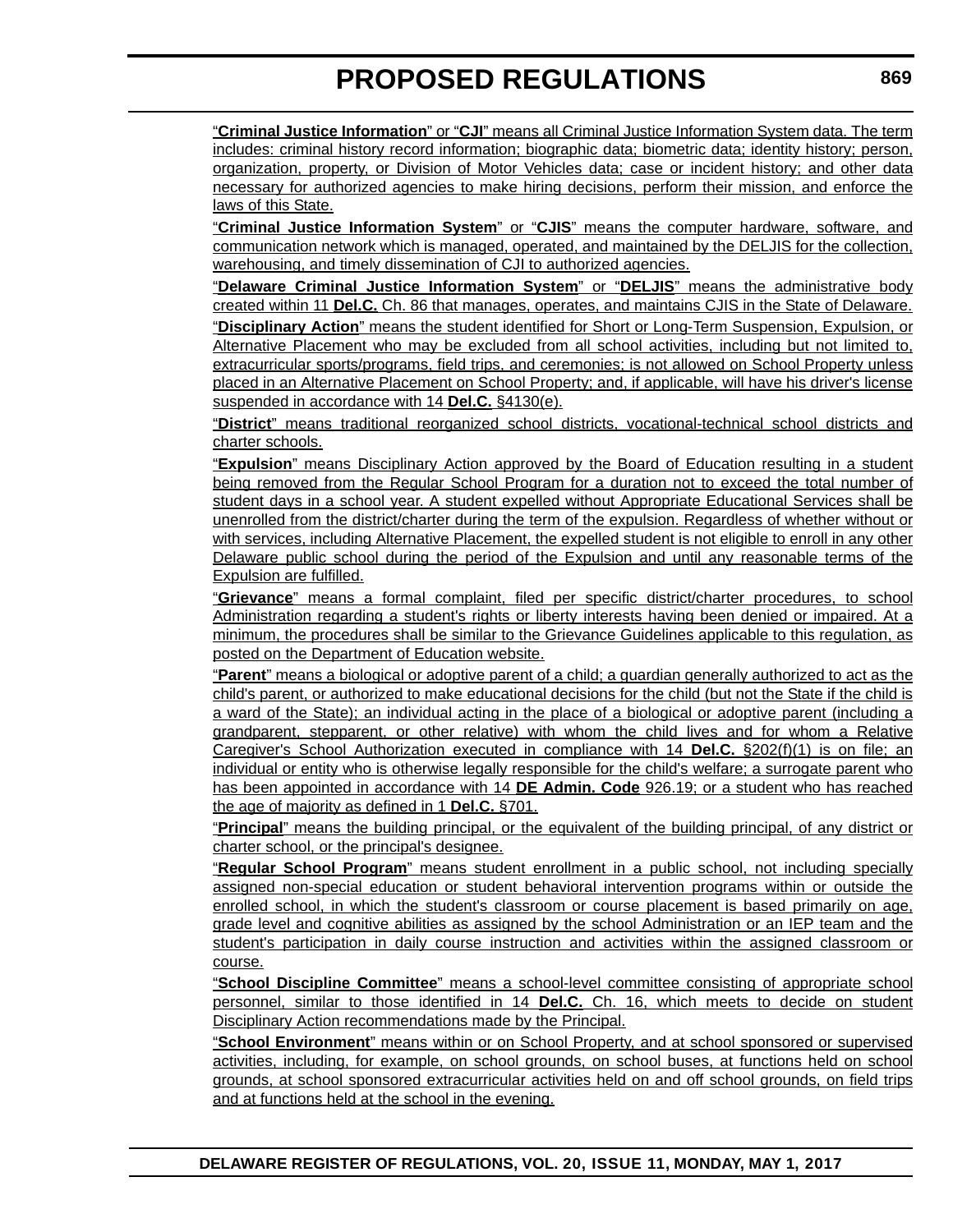"**Criminal Justice Information**" or "**CJI**" means all Criminal Justice Information System data. The term includes: criminal history record information; biographic data; biometric data; identity history; person, organization, property, or Division of Motor Vehicles data; case or incident history; and other data necessary for authorized agencies to make hiring decisions, perform their mission, and enforce the laws of this State.

"**Criminal Justice Information System**" or "**CJIS**" means the computer hardware, software, and communication network which is managed, operated, and maintained by the DELJIS for the collection, warehousing, and timely dissemination of CJI to authorized agencies.

"**Delaware Criminal Justice Information System**" or "**DELJIS**" means the administrative body created within 11 **Del.C.** Ch. 86 that manages, operates, and maintains CJIS in the State of Delaware.

"**Disciplinary Action**" means the student identified for Short or Long-Term Suspension, Expulsion, or Alternative Placement who may be excluded from all school activities, including but not limited to, extracurricular sports/programs, field trips, and ceremonies; is not allowed on School Property unless placed in an Alternative Placement on School Property; and, if applicable, will have his driver's license suspended in accordance with 14 **Del.C.** §4130(e).

"**District**" means traditional reorganized school districts, vocational-technical school districts and charter schools.

"**Expulsion**" means Disciplinary Action approved by the Board of Education resulting in a student being removed from the Regular School Program for a duration not to exceed the total number of student days in a school year. A student expelled without Appropriate Educational Services shall be unenrolled from the district/charter during the term of the expulsion. Regardless of whether without or with services, including Alternative Placement, the expelled student is not eligible to enroll in any other Delaware public school during the period of the Expulsion and until any reasonable terms of the Expulsion are fulfilled.

"**Grievance**" means a formal complaint, filed per specific district/charter procedures, to school Administration regarding a student's rights or liberty interests having been denied or impaired. At a minimum, the procedures shall be similar to the Grievance Guidelines applicable to this regulation, as posted on the Department of Education website.

"**Parent**" means a biological or adoptive parent of a child; a guardian generally authorized to act as the child's parent, or authorized to make educational decisions for the child (but not the State if the child is a ward of the State); an individual acting in the place of a biological or adoptive parent (including a grandparent, stepparent, or other relative) with whom the child lives and for whom a Relative Caregiver's School Authorization executed in compliance with 14 **Del.C.** §202(f)(1) is on file; an individual or entity who is otherwise legally responsible for the child's welfare; a surrogate parent who has been appointed in accordance with 14 **DE Admin. Code** 926.19; or a student who has reached the age of majority as defined in 1 **Del.C.** §701.

"**Principal**" means the building principal, or the equivalent of the building principal, of any district or charter school, or the principal's designee.

"**Regular School Program**" means student enrollment in a public school, not including specially assigned non-special education or student behavioral intervention programs within or outside the enrolled school, in which the student's classroom or course placement is based primarily on age, grade level and cognitive abilities as assigned by the school Administration or an IEP team and the student's participation in daily course instruction and activities within the assigned classroom or course.

"**School Discipline Committee**" means a school-level committee consisting of appropriate school personnel, similar to those identified in 14 **Del.C.** Ch. 16, which meets to decide on student Disciplinary Action recommendations made by the Principal.

"**School Environment**" means within or on School Property, and at school sponsored or supervised activities, including, for example, on school grounds, on school buses, at functions held on school grounds, at school sponsored extracurricular activities held on and off school grounds, on field trips and at functions held at the school in the evening.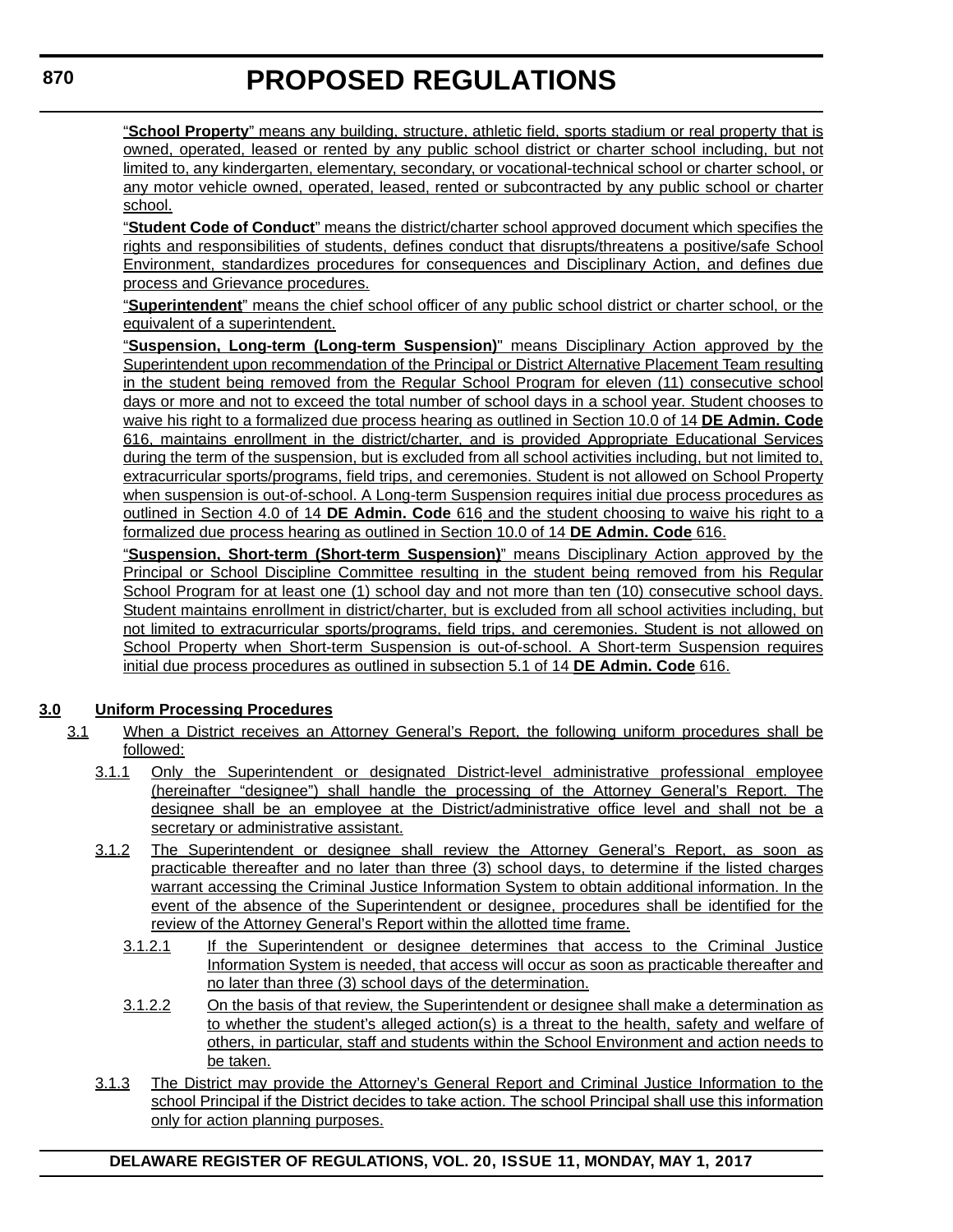"**School Property**" means any building, structure, athletic field, sports stadium or real property that is owned, operated, leased or rented by any public school district or charter school including, but not limited to, any kindergarten, elementary, secondary, or vocational-technical school or charter school, or any motor vehicle owned, operated, leased, rented or subcontracted by any public school or charter school.

"**Student Code of Conduct**" means the district/charter school approved document which specifies the rights and responsibilities of students, defines conduct that disrupts/threatens a positive/safe School Environment, standardizes procedures for consequences and Disciplinary Action, and defines due process and Grievance procedures.

"**Superintendent**" means the chief school officer of any public school district or charter school, or the equivalent of a superintendent.

"**Suspension, Long-term (Long-term Suspension)**" means Disciplinary Action approved by the Superintendent upon recommendation of the Principal or District Alternative Placement Team resulting in the student being removed from the Regular School Program for eleven (11) consecutive school days or more and not to exceed the total number of school days in a school year. Student chooses to waive his right to a formalized due process hearing as outlined in Section 10.0 of 14 **DE Admin. Code** 616, maintains enrollment in the district/charter, and is provided Appropriate Educational Services during the term of the suspension, but is excluded from all school activities including, but not limited to, extracurricular sports/programs, field trips, and ceremonies. Student is not allowed on School Property when suspension is out-of-school. A Long-term Suspension requires initial due process procedures as outlined in Section 4.0 of 14 **DE Admin. Code** 616 and the student choosing to waive his right to a formalized due process hearing as outlined in Section 10.0 of 14 **DE Admin. Code** 616.

"**Suspension, Short-term (Short-term Suspension)**" means Disciplinary Action approved by the Principal or School Discipline Committee resulting in the student being removed from his Regular School Program for at least one (1) school day and not more than ten (10) consecutive school days. Student maintains enrollment in district/charter, but is excluded from all school activities including, but not limited to extracurricular sports/programs, field trips, and ceremonies. Student is not allowed on School Property when Short-term Suspension is out-of-school. A Short-term Suspension requires initial due process procedures as outlined in subsection 5.1 of 14 **DE Admin. Code** 616.

### **3.0 Uniform Processing Procedures**

- 3.1 When a District receives an Attorney General's Report, the following uniform procedures shall be followed:
	- 3.1.1 Only the Superintendent or designated District-level administrative professional employee (hereinafter "designee") shall handle the processing of the Attorney General's Report. The designee shall be an employee at the District/administrative office level and shall not be a secretary or administrative assistant.
	- 3.1.2 The Superintendent or designee shall review the Attorney General's Report, as soon as practicable thereafter and no later than three (3) school days, to determine if the listed charges warrant accessing the Criminal Justice Information System to obtain additional information. In the event of the absence of the Superintendent or designee, procedures shall be identified for the review of the Attorney General's Report within the allotted time frame.
		- 3.1.2.1 If the Superintendent or designee determines that access to the Criminal Justice Information System is needed, that access will occur as soon as practicable thereafter and no later than three (3) school days of the determination.
		- 3.1.2.2 On the basis of that review, the Superintendent or designee shall make a determination as to whether the student's alleged action(s) is a threat to the health, safety and welfare of others, in particular, staff and students within the School Environment and action needs to be taken.
	- 3.1.3 The District may provide the Attorney's General Report and Criminal Justice Information to the school Principal if the District decides to take action. The school Principal shall use this information only for action planning purposes.

**DELAWARE REGISTER OF REGULATIONS, VOL. 20, ISSUE 11, MONDAY, MAY 1, 2017**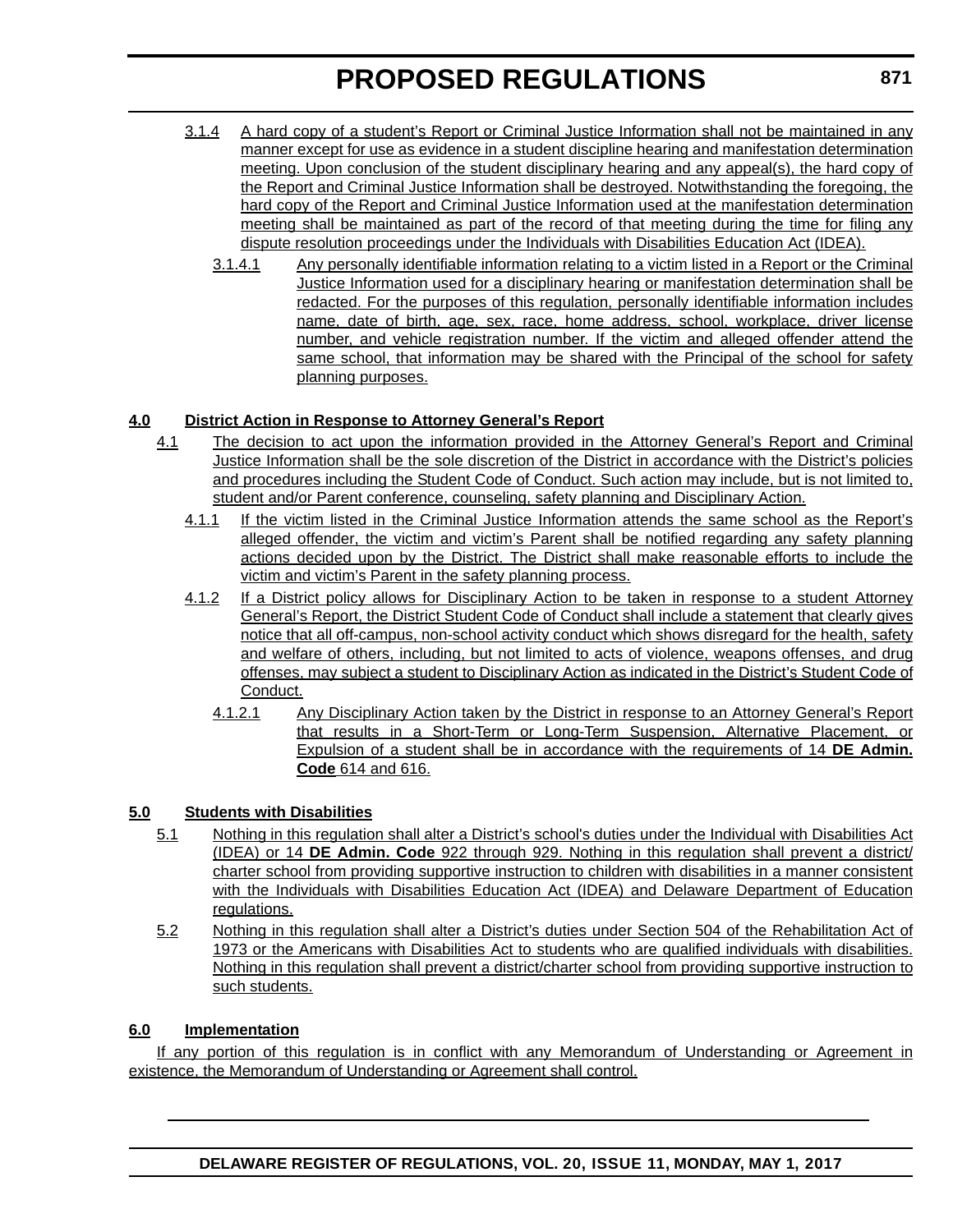- 3.1.4 A hard copy of a student's Report or Criminal Justice Information shall not be maintained in any manner except for use as evidence in a student discipline hearing and manifestation determination meeting. Upon conclusion of the student disciplinary hearing and any appeal(s), the hard copy of the Report and Criminal Justice Information shall be destroyed. Notwithstanding the foregoing, the hard copy of the Report and Criminal Justice Information used at the manifestation determination meeting shall be maintained as part of the record of that meeting during the time for filing any dispute resolution proceedings under the Individuals with Disabilities Education Act (IDEA).
	- 3.1.4.1 Any personally identifiable information relating to a victim listed in a Report or the Criminal Justice Information used for a disciplinary hearing or manifestation determination shall be redacted. For the purposes of this regulation, personally identifiable information includes name, date of birth, age, sex, race, home address, school, workplace, driver license number, and vehicle registration number. If the victim and alleged offender attend the same school, that information may be shared with the Principal of the school for safety planning purposes.

### **4.0 District Action in Response to Attorney General's Report**

- 4.1 The decision to act upon the information provided in the Attorney General's Report and Criminal Justice Information shall be the sole discretion of the District in accordance with the District's policies and procedures including the Student Code of Conduct. Such action may include, but is not limited to, student and/or Parent conference, counseling, safety planning and Disciplinary Action.
	- 4.1.1 If the victim listed in the Criminal Justice Information attends the same school as the Report's alleged offender, the victim and victim's Parent shall be notified regarding any safety planning actions decided upon by the District. The District shall make reasonable efforts to include the victim and victim's Parent in the safety planning process.
	- 4.1.2 If a District policy allows for Disciplinary Action to be taken in response to a student Attorney General's Report, the District Student Code of Conduct shall include a statement that clearly gives notice that all off-campus, non-school activity conduct which shows disregard for the health, safety and welfare of others, including, but not limited to acts of violence, weapons offenses, and drug offenses, may subject a student to Disciplinary Action as indicated in the District's Student Code of Conduct.
		- 4.1.2.1 Any Disciplinary Action taken by the District in response to an Attorney General's Report that results in a Short-Term or Long-Term Suspension, Alternative Placement, or Expulsion of a student shall be in accordance with the requirements of 14 **DE Admin. Code** 614 and 616.

### **5.0 Students with Disabilities**

- 5.1 Nothing in this regulation shall alter a District's school's duties under the Individual with Disabilities Act (IDEA) or 14 **DE Admin. Code** 922 through 929. Nothing in this regulation shall prevent a district/ charter school from providing supportive instruction to children with disabilities in a manner consistent with the Individuals with Disabilities Education Act (IDEA) and Delaware Department of Education regulations.
- 5.2 Nothing in this regulation shall alter a District's duties under Section 504 of the Rehabilitation Act of 1973 or the Americans with Disabilities Act to students who are qualified individuals with disabilities. Nothing in this regulation shall prevent a district/charter school from providing supportive instruction to such students.

### **6.0 Implementation**

If any portion of this regulation is in conflict with any Memorandum of Understanding or Agreement in existence, the Memorandum of Understanding or Agreement shall control.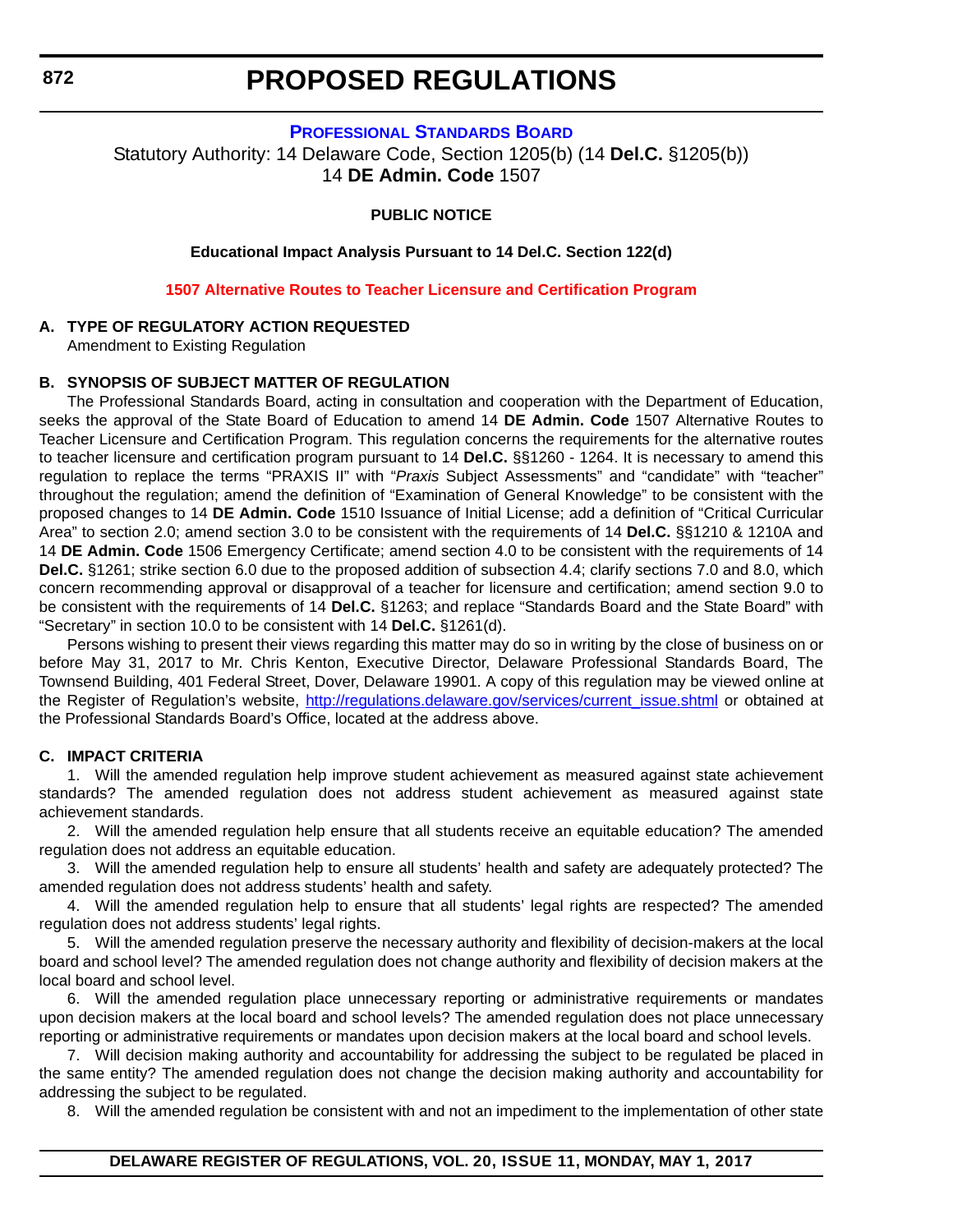### **[PROFESSIONAL STANDARDS BOARD](https://pubapps.doe.k12.de.us/EducationalDirectoryPublic/pages/DDOE/WorkGroupStaff.aspx?page=branches&WGID=75&BID=1)**

Statutory Authority: 14 Delaware Code, Section 1205(b) (14 **Del.C.** §1205(b)) 14 **DE Admin. Code** 1507

### **PUBLIC NOTICE**

**Educational Impact Analysis Pursuant to 14 Del.C. Section 122(d)**

**[1507 Alternative Routes to Teacher Licensure and Certification Program](#page-3-0)**

#### **A. TYPE OF REGULATORY ACTION REQUESTED**

Amendment to Existing Regulation

#### **B. SYNOPSIS OF SUBJECT MATTER OF REGULATION**

The Professional Standards Board, acting in consultation and cooperation with the Department of Education, seeks the approval of the State Board of Education to amend 14 **DE Admin. Code** 1507 Alternative Routes to Teacher Licensure and Certification Program. This regulation concerns the requirements for the alternative routes to teacher licensure and certification program pursuant to 14 **Del.C.** §§1260 - 1264. It is necessary to amend this regulation to replace the terms "PRAXIS II" with "*Praxis* Subject Assessments" and "candidate" with "teacher" throughout the regulation; amend the definition of "Examination of General Knowledge" to be consistent with the proposed changes to 14 **DE Admin. Code** 1510 Issuance of Initial License; add a definition of "Critical Curricular Area" to section 2.0; amend section 3.0 to be consistent with the requirements of 14 **Del.C.** §§1210 & 1210A and 14 **DE Admin. Code** 1506 Emergency Certificate; amend section 4.0 to be consistent with the requirements of 14 **Del.C.** §1261; strike section 6.0 due to the proposed addition of subsection 4.4; clarify sections 7.0 and 8.0, which concern recommending approval or disapproval of a teacher for licensure and certification; amend section 9.0 to be consistent with the requirements of 14 **Del.C.** §1263; and replace "Standards Board and the State Board" with "Secretary" in section 10.0 to be consistent with 14 **Del.C.** §1261(d).

Persons wishing to present their views regarding this matter may do so in writing by the close of business on or before May 31, 2017 to Mr. Chris Kenton, Executive Director, Delaware Professional Standards Board, The Townsend Building, 401 Federal Street, Dover, Delaware 19901. A copy of this regulation may be viewed online at the Register of Regulation's website, [http://regulations.delaware.gov/services/current\\_issue.shtml](http://regulations.delaware.gov/services/current_issue.shtml) or obtained at the Professional Standards Board's Office, located at the address above.

#### **C. IMPACT CRITERIA**

1. Will the amended regulation help improve student achievement as measured against state achievement standards? The amended regulation does not address student achievement as measured against state achievement standards.

2. Will the amended regulation help ensure that all students receive an equitable education? The amended regulation does not address an equitable education.

3. Will the amended regulation help to ensure all students' health and safety are adequately protected? The amended regulation does not address students' health and safety.

4. Will the amended regulation help to ensure that all students' legal rights are respected? The amended regulation does not address students' legal rights.

5. Will the amended regulation preserve the necessary authority and flexibility of decision-makers at the local board and school level? The amended regulation does not change authority and flexibility of decision makers at the local board and school level.

6. Will the amended regulation place unnecessary reporting or administrative requirements or mandates upon decision makers at the local board and school levels? The amended regulation does not place unnecessary reporting or administrative requirements or mandates upon decision makers at the local board and school levels.

7. Will decision making authority and accountability for addressing the subject to be regulated be placed in the same entity? The amended regulation does not change the decision making authority and accountability for addressing the subject to be regulated.

8. Will the amended regulation be consistent with and not an impediment to the implementation of other state

<span id="page-32-0"></span>**872**

#### **DELAWARE REGISTER OF REGULATIONS, VOL. 20, ISSUE 11, MONDAY, MAY 1, 2017**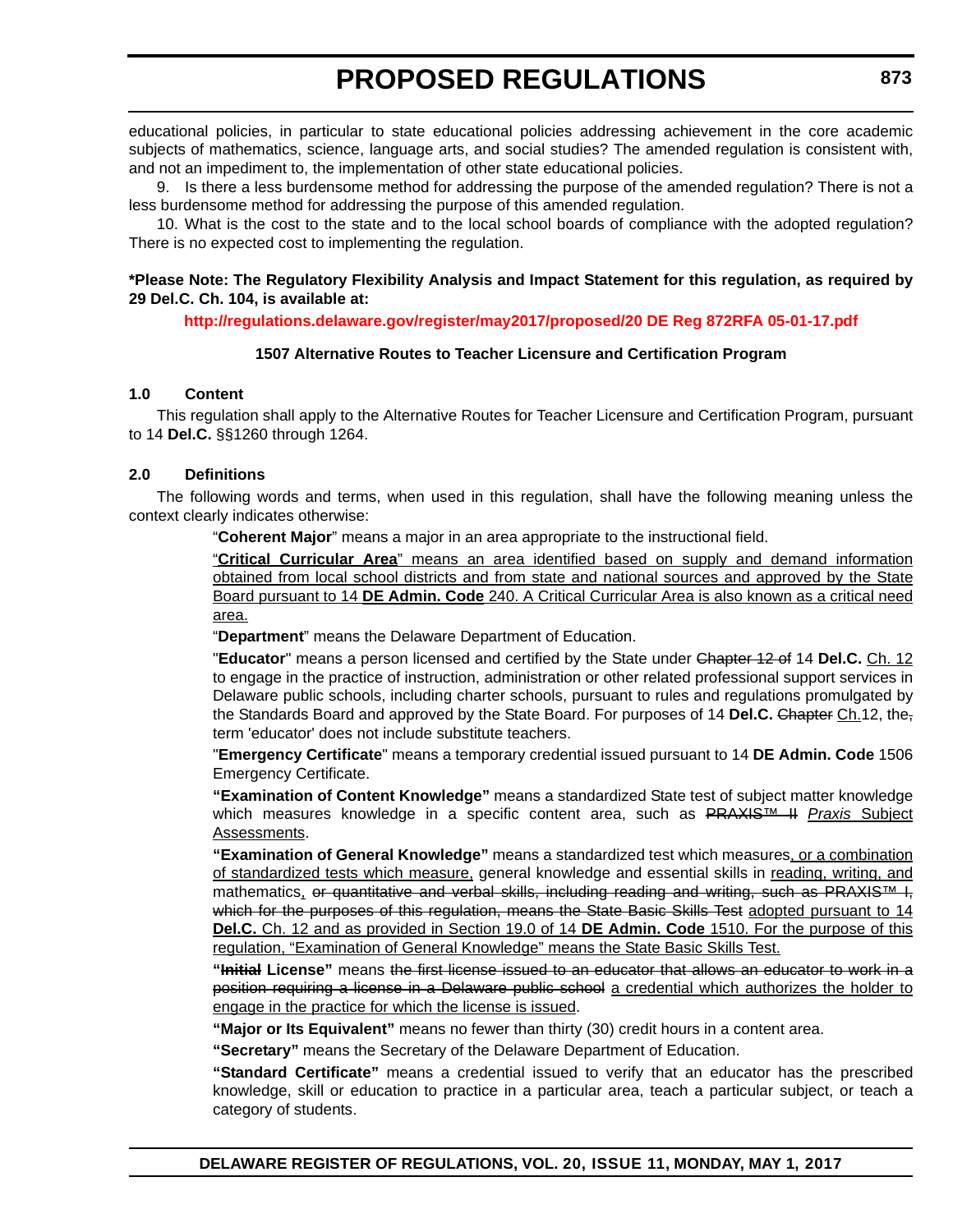educational policies, in particular to state educational policies addressing achievement in the core academic subjects of mathematics, science, language arts, and social studies? The amended regulation is consistent with, and not an impediment to, the implementation of other state educational policies.

9. Is there a less burdensome method for addressing the purpose of the amended regulation? There is not a less burdensome method for addressing the purpose of this amended regulation.

10. What is the cost to the state and to the local school boards of compliance with the adopted regulation? There is no expected cost to implementing the regulation.

### **\*Please Note: The Regulatory Flexibility Analysis and Impact Statement for this regulation, as required by 29 Del.C. Ch. 104, is available at:**

**<http://regulations.delaware.gov/register/may2017/proposed/20 DE Reg 872RFA 05-01-17.pdf>**

### **1507 Alternative Routes to Teacher Licensure and Certification Program**

### **1.0 Content**

This regulation shall apply to the Alternative Routes for Teacher Licensure and Certification Program, pursuant to 14 **Del.C.** §§1260 through 1264.

### **2.0 Definitions**

The following words and terms, when used in this regulation, shall have the following meaning unless the context clearly indicates otherwise:

"**Coherent Major**" means a major in an area appropriate to the instructional field.

"**Critical Curricular Area**" means an area identified based on supply and demand information obtained from local school districts and from state and national sources and approved by the State Board pursuant to 14 **DE Admin. Code** 240. A Critical Curricular Area is also known as a critical need area.

"**Department**" means the Delaware Department of Education.

"**Educator**" means a person licensed and certified by the State under Chapter 12 of 14 **Del.C.** Ch. 12 to engage in the practice of instruction, administration or other related professional support services in Delaware public schools, including charter schools, pursuant to rules and regulations promulgated by the Standards Board and approved by the State Board. For purposes of 14 **Del.C.** Chapter Ch.12, the, term 'educator' does not include substitute teachers.

"**Emergency Certificate**" means a temporary credential issued pursuant to 14 **DE Admin. Code** 1506 Emergency Certificate.

**"Examination of Content Knowledge"** means a standardized State test of subject matter knowledge which measures knowledge in a specific content area, such as PRAXIS™ II *Praxis* Subject Assessments.

**"Examination of General Knowledge"** means a standardized test which measures, or a combination of standardized tests which measure, general knowledge and essential skills in reading, writing, and mathematics, or quantitative and verbal skills, including reading and writing, such as PRAXIS™ I, which for the purposes of this regulation, means the State Basic Skills Test adopted pursuant to 14 **Del.C.** Ch. 12 and as provided in Section 19.0 of 14 **DE Admin. Code** 1510. For the purpose of this regulation, "Examination of General Knowledge" means the State Basic Skills Test.

**"Initial License"** means the first license issued to an educator that allows an educator to work in a position requiring a license in a Delaware public school a credential which authorizes the holder to engage in the practice for which the license is issued.

**"Major or Its Equivalent"** means no fewer than thirty (30) credit hours in a content area.

**"Secretary"** means the Secretary of the Delaware Department of Education.

**"Standard Certificate"** means a credential issued to verify that an educator has the prescribed knowledge, skill or education to practice in a particular area, teach a particular subject, or teach a category of students.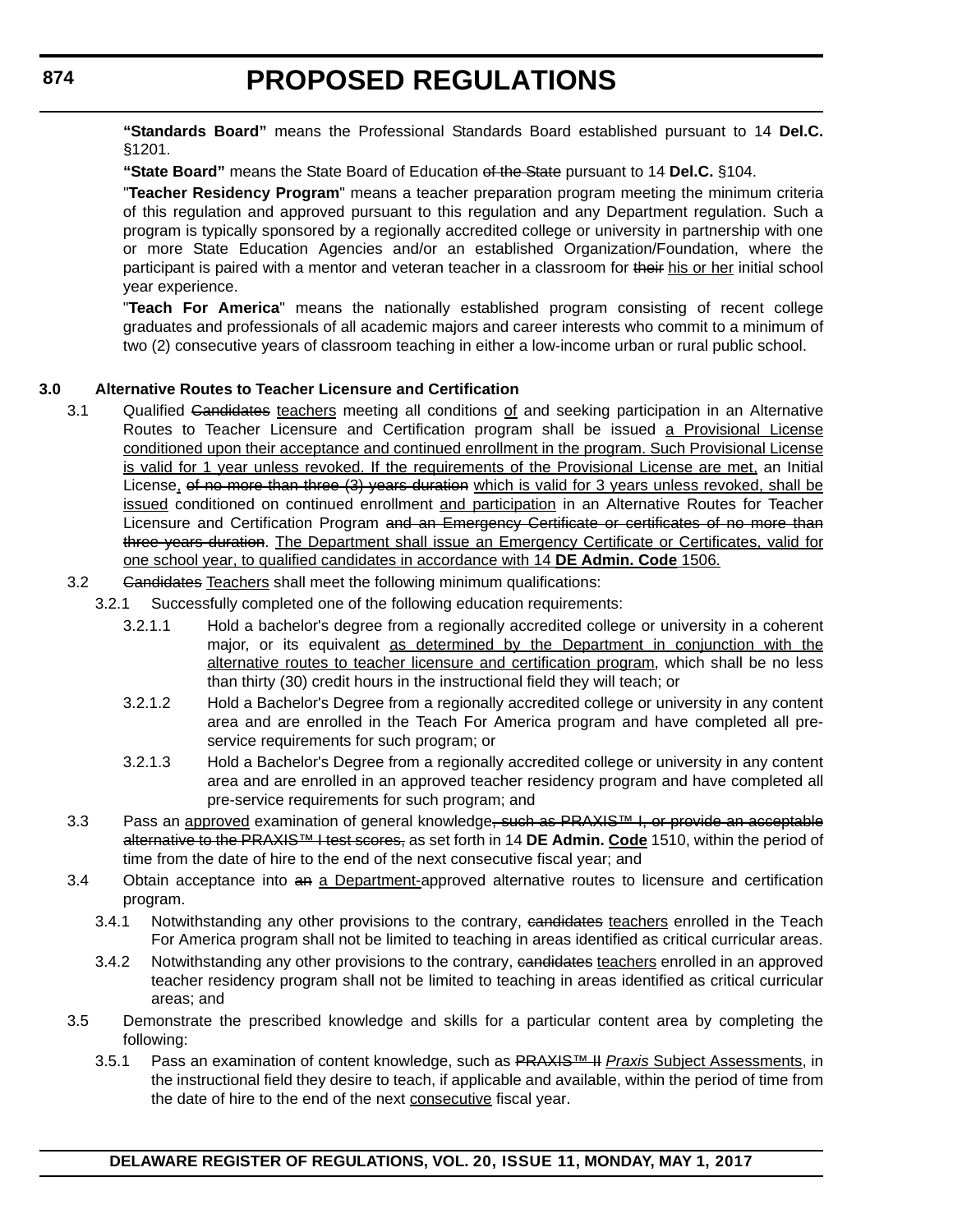**"Standards Board"** means the Professional Standards Board established pursuant to 14 **Del.C.** §1201.

**"State Board"** means the State Board of Education of the State pursuant to 14 **Del.C.** §104.

"**Teacher Residency Program**" means a teacher preparation program meeting the minimum criteria of this regulation and approved pursuant to this regulation and any Department regulation. Such a program is typically sponsored by a regionally accredited college or university in partnership with one or more State Education Agencies and/or an established Organization/Foundation, where the participant is paired with a mentor and veteran teacher in a classroom for their his or her initial school year experience.

"**Teach For America**" means the nationally established program consisting of recent college graduates and professionals of all academic majors and career interests who commit to a minimum of two (2) consecutive years of classroom teaching in either a low-income urban or rural public school.

### **3.0 Alternative Routes to Teacher Licensure and Certification**

- 3.1 Qualified Candidates teachers meeting all conditions of and seeking participation in an Alternative Routes to Teacher Licensure and Certification program shall be issued a Provisional License conditioned upon their acceptance and continued enrollment in the program. Such Provisional License is valid for 1 year unless revoked. If the requirements of the Provisional License are met, an Initial License, of no more than three (3) years duration which is valid for 3 years unless revoked, shall be issued conditioned on continued enrollment and participation in an Alternative Routes for Teacher Licensure and Certification Program and an Emergency Certificate or certificates of no more than three years duration. The Department shall issue an Emergency Certificate or Certificates, valid for one school year, to qualified candidates in accordance with 14 **DE Admin. Code** 1506.
- 3.2 Gandidates Teachers shall meet the following minimum qualifications:
	- 3.2.1 Successfully completed one of the following education requirements:
		- 3.2.1.1 Hold a bachelor's degree from a regionally accredited college or university in a coherent major, or its equivalent as determined by the Department in conjunction with the alternative routes to teacher licensure and certification program, which shall be no less than thirty (30) credit hours in the instructional field they will teach; or
		- 3.2.1.2 Hold a Bachelor's Degree from a regionally accredited college or university in any content area and are enrolled in the Teach For America program and have completed all preservice requirements for such program; or
		- 3.2.1.3 Hold a Bachelor's Degree from a regionally accredited college or university in any content area and are enrolled in an approved teacher residency program and have completed all pre-service requirements for such program; and
- 3.3 Pass an approved examination of general knowledge, such as PRAXIS™ I, or provide an acceptable alternative to the PRAXIS™ I test scores, as set forth in 14 **DE Admin. Code** 1510, within the period of time from the date of hire to the end of the next consecutive fiscal year; and
- 3.4 Obtain acceptance into an a Department-approved alternative routes to licensure and certification program.
	- 3.4.1 Notwithstanding any other provisions to the contrary, candidates teachers enrolled in the Teach For America program shall not be limited to teaching in areas identified as critical curricular areas.
	- 3.4.2 Notwithstanding any other provisions to the contrary, candidates teachers enrolled in an approved teacher residency program shall not be limited to teaching in areas identified as critical curricular areas; and
- 3.5 Demonstrate the prescribed knowledge and skills for a particular content area by completing the following:
	- 3.5.1 Pass an examination of content knowledge, such as PRAXIS™ II *Praxis* Subject Assessments, in the instructional field they desire to teach, if applicable and available, within the period of time from the date of hire to the end of the next consecutive fiscal year.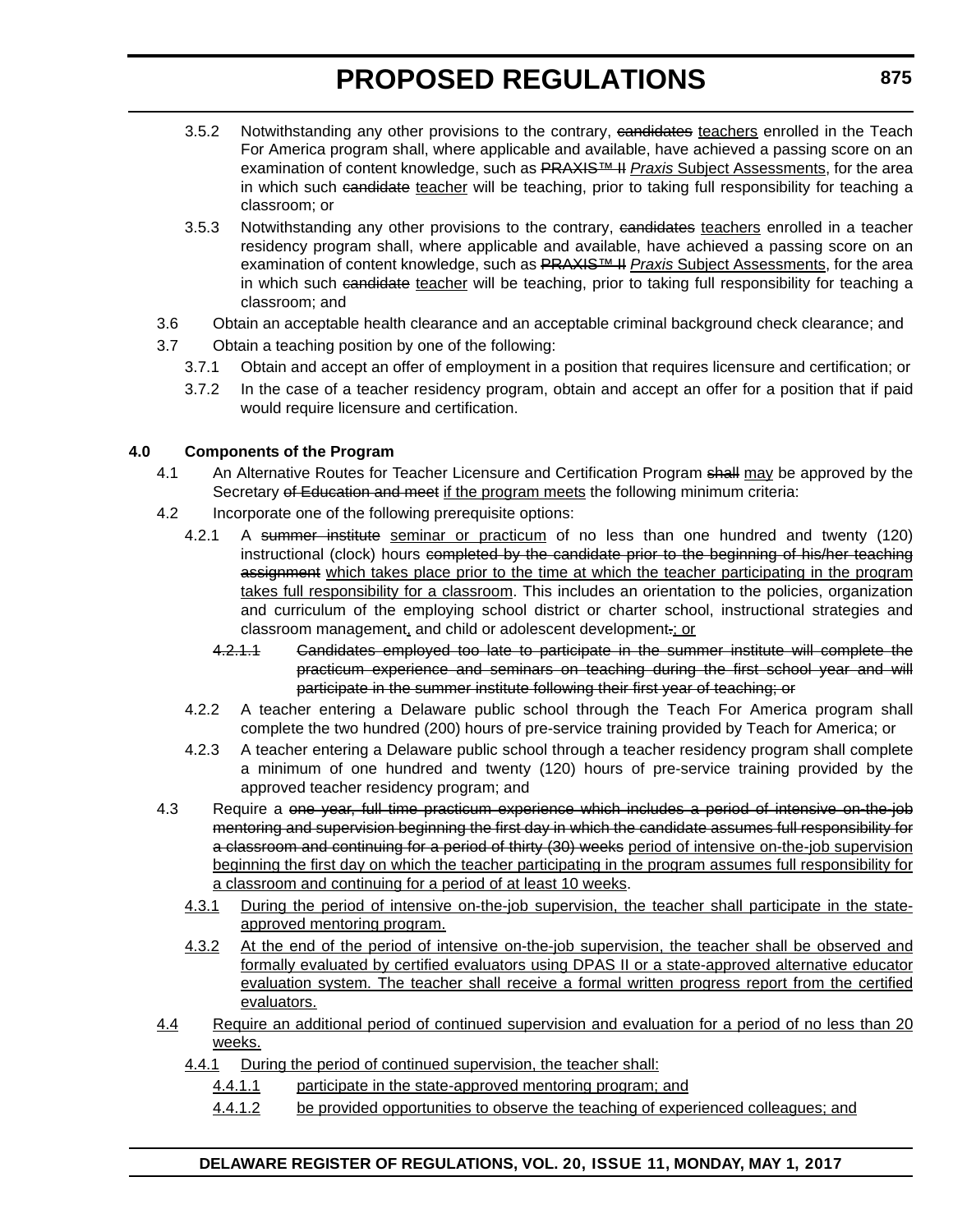- 3.5.2 Notwithstanding any other provisions to the contrary, eandidates teachers enrolled in the Teach For America program shall, where applicable and available, have achieved a passing score on an examination of content knowledge, such as PRAXIS™ II *Praxis* Subject Assessments, for the area in which such candidate teacher will be teaching, prior to taking full responsibility for teaching a classroom; or
- 3.5.3 Notwithstanding any other provisions to the contrary, eandidates teachers enrolled in a teacher residency program shall, where applicable and available, have achieved a passing score on an examination of content knowledge, such as PRAXIS™ II *Praxis* Subject Assessments, for the area in which such candidate teacher will be teaching, prior to taking full responsibility for teaching a classroom; and
- 3.6 Obtain an acceptable health clearance and an acceptable criminal background check clearance; and
- 3.7 Obtain a teaching position by one of the following:
	- 3.7.1 Obtain and accept an offer of employment in a position that requires licensure and certification; or
	- 3.7.2 In the case of a teacher residency program, obtain and accept an offer for a position that if paid would require licensure and certification.

### **4.0 Components of the Program**

- 4.1 An Alternative Routes for Teacher Licensure and Certification Program shall may be approved by the Secretary of Education and meet if the program meets the following minimum criteria:
- 4.2 Incorporate one of the following prerequisite options:
	- 4.2.1 A summer institute seminar or practicum of no less than one hundred and twenty (120) instructional (clock) hours completed by the candidate prior to the beginning of his/her teaching assignment which takes place prior to the time at which the teacher participating in the program takes full responsibility for a classroom. This includes an orientation to the policies, organization and curriculum of the employing school district or charter school, instructional strategies and classroom management, and child or adolescent development.; or
		- 4.2.1.1 Candidates employed too late to participate in the summer institute will complete the practicum experience and seminars on teaching during the first school year and will participate in the summer institute following their first year of teaching; or
	- 4.2.2 A teacher entering a Delaware public school through the Teach For America program shall complete the two hundred (200) hours of pre-service training provided by Teach for America; or
	- 4.2.3 A teacher entering a Delaware public school through a teacher residency program shall complete a minimum of one hundred and twenty (120) hours of pre-service training provided by the approved teacher residency program; and
- 4.3 Require a one year, full time practicum experience which includes a period of intensive on-the-job mentoring and supervision beginning the first day in which the candidate assumes full responsibility for a classroom and continuing for a period of thirty (30) weeks period of intensive on-the-job supervision beginning the first day on which the teacher participating in the program assumes full responsibility for a classroom and continuing for a period of at least 10 weeks.
	- 4.3.1 During the period of intensive on-the-job supervision, the teacher shall participate in the stateapproved mentoring program.
	- 4.3.2 At the end of the period of intensive on-the-job supervision, the teacher shall be observed and formally evaluated by certified evaluators using DPAS II or a state-approved alternative educator evaluation system. The teacher shall receive a formal written progress report from the certified evaluators.
- 4.4 Require an additional period of continued supervision and evaluation for a period of no less than 20 weeks.
	- 4.4.1 During the period of continued supervision, the teacher shall:
		- 4.4.1.1 participate in the state-approved mentoring program; and
		- 4.4.1.2 be provided opportunities to observe the teaching of experienced colleagues; and

### **DELAWARE REGISTER OF REGULATIONS, VOL. 20, ISSUE 11, MONDAY, MAY 1, 2017**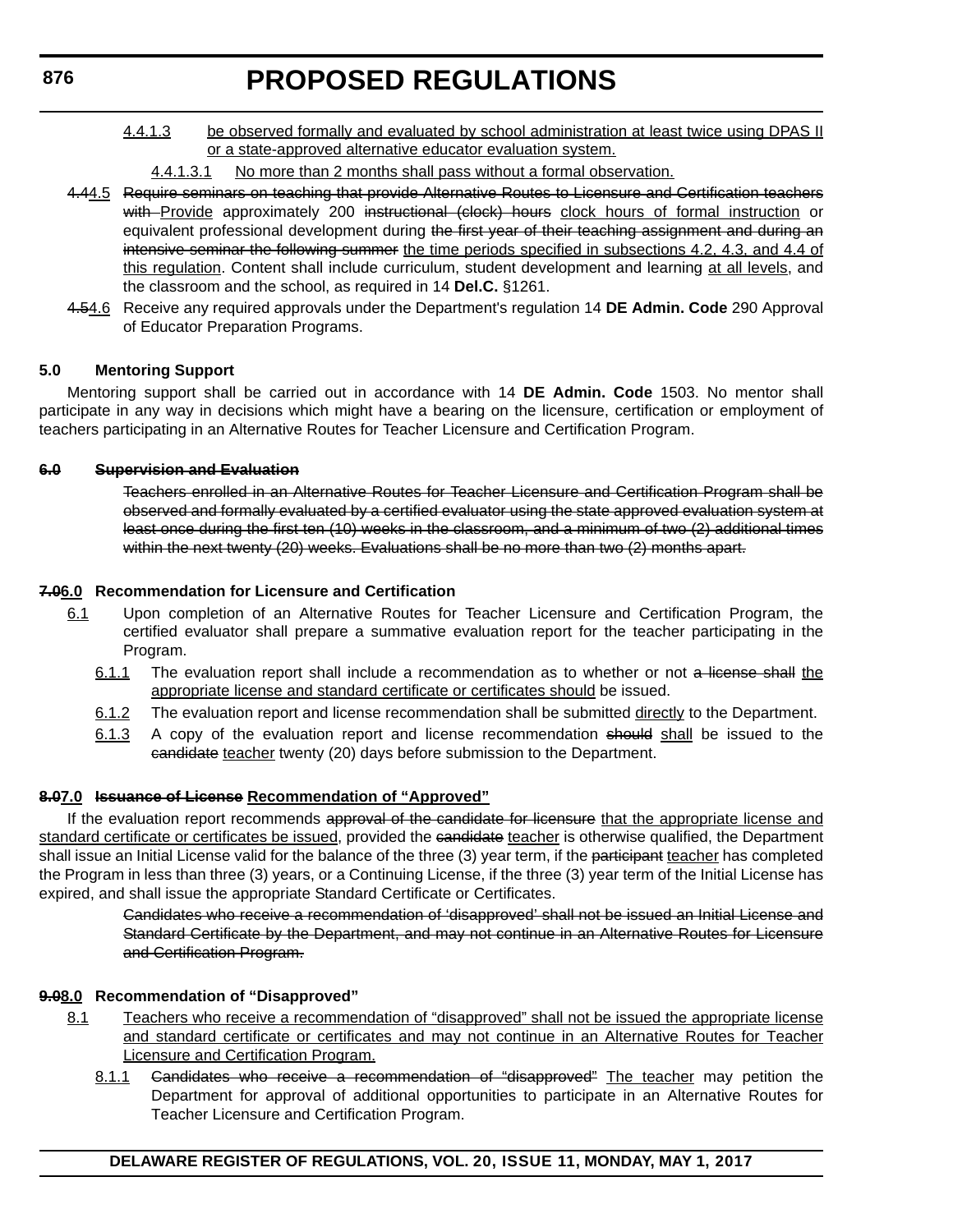4.4.1.3 be observed formally and evaluated by school administration at least twice using DPAS II or a state-approved alternative educator evaluation system.

### 4.4.1.3.1 No more than 2 months shall pass without a formal observation.

- 4.44.5 Require seminars on teaching that provide Alternative Routes to Licensure and Certification teachers with Provide approximately 200 instructional (clock) hours clock hours of formal instruction or equivalent professional development during the first year of their teaching assignment and during an intensive seminar the following summer the time periods specified in subsections 4.2, 4.3, and 4.4 of this regulation. Content shall include curriculum, student development and learning at all levels, and the classroom and the school, as required in 14 **Del.C.** §1261.
- 4.54.6 Receive any required approvals under the Department's regulation 14 **DE Admin. Code** 290 Approval of Educator Preparation Programs.

### **5.0 Mentoring Support**

Mentoring support shall be carried out in accordance with 14 **DE Admin. Code** 1503. No mentor shall participate in any way in decisions which might have a bearing on the licensure, certification or employment of teachers participating in an Alternative Routes for Teacher Licensure and Certification Program.

### **6.0 Supervision and Evaluation**

Teachers enrolled in an Alternative Routes for Teacher Licensure and Certification Program shall be observed and formally evaluated by a certified evaluator using the state approved evaluation system at least once during the first ten (10) weeks in the classroom, and a minimum of two (2) additional times within the next twenty (20) weeks. Evaluations shall be no more than two (2) months apart.

## **7.06.0 Recommendation for Licensure and Certification**

- 6.1 Upon completion of an Alternative Routes for Teacher Licensure and Certification Program, the certified evaluator shall prepare a summative evaluation report for the teacher participating in the Program.
	- 6.1.1 The evaluation report shall include a recommendation as to whether or not a license shall the appropriate license and standard certificate or certificates should be issued.
	- 6.1.2 The evaluation report and license recommendation shall be submitted directly to the Department.
	- 6.1.3 A copy of the evaluation report and license recommendation should shall be issued to the candidate teacher twenty (20) days before submission to the Department.

## **8.07.0 Issuance of License Recommendation of "Approved"**

If the evaluation report recommends approval of the candidate for licensure that the appropriate license and standard certificate or certificates be issued, provided the candidate teacher is otherwise qualified, the Department shall issue an Initial License valid for the balance of the three (3) year term, if the participant teacher has completed the Program in less than three (3) years, or a Continuing License, if the three (3) year term of the Initial License has expired, and shall issue the appropriate Standard Certificate or Certificates.

> Candidates who receive a recommendation of 'disapproved' shall not be issued an Initial License and Standard Certificate by the Department, and may not continue in an Alternative Routes for Licensure and Certification Program.

## **9.08.0 Recommendation of "Disapproved"**

- 8.1 Teachers who receive a recommendation of "disapproved" shall not be issued the appropriate license and standard certificate or certificates and may not continue in an Alternative Routes for Teacher Licensure and Certification Program.
	- 8.1.1 Candidates who receive a recommendation of "disapproved" The teacher may petition the Department for approval of additional opportunities to participate in an Alternative Routes for Teacher Licensure and Certification Program.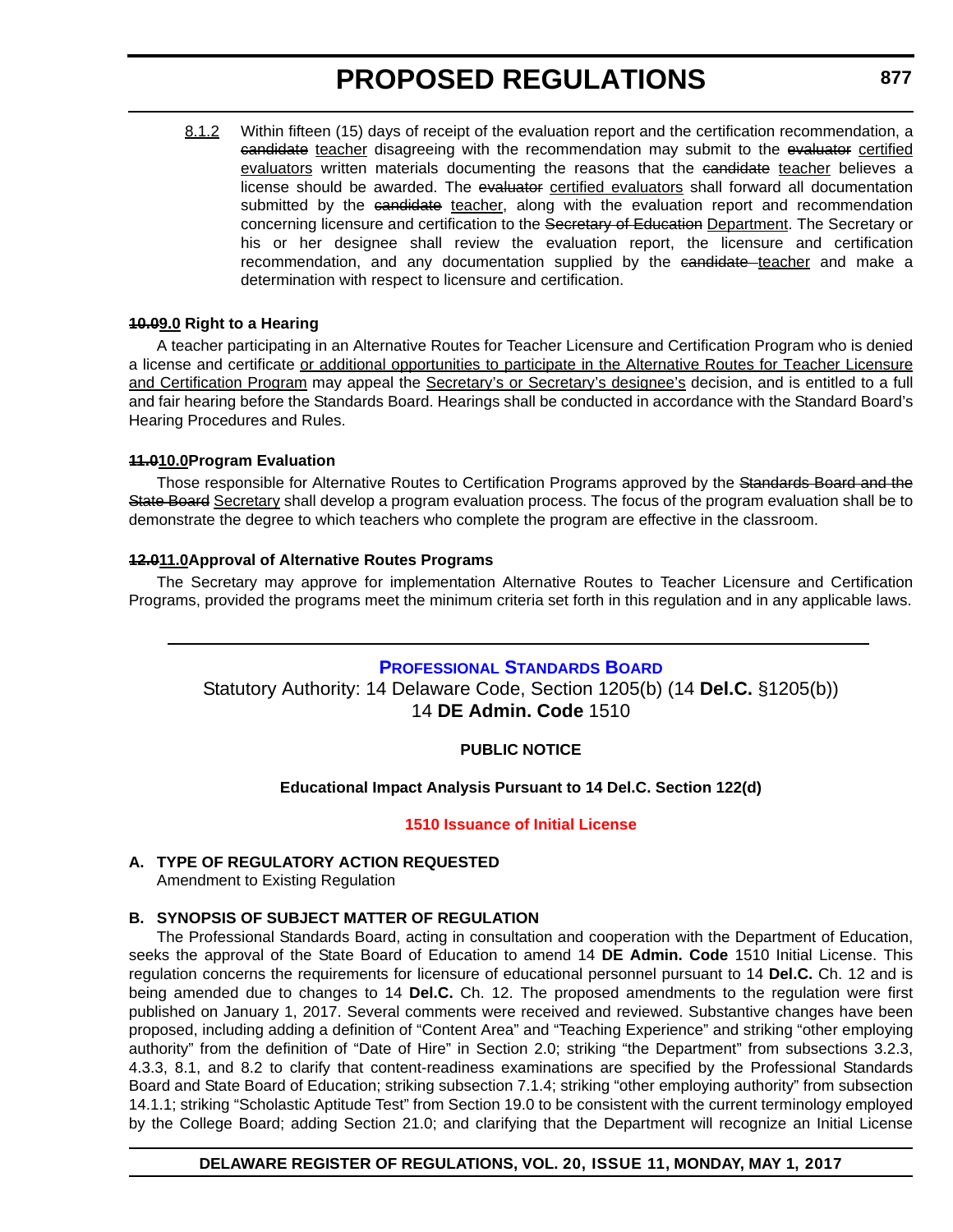8.1.2 Within fifteen (15) days of receipt of the evaluation report and the certification recommendation, a eandidate teacher disagreeing with the recommendation may submit to the evaluator certified evaluators written materials documenting the reasons that the eandidate teacher believes a license should be awarded. The evaluator certified evaluators shall forward all documentation submitted by the candidate teacher, along with the evaluation report and recommendation concerning licensure and certification to the Secretary of Education Department. The Secretary or his or her designee shall review the evaluation report, the licensure and certification recommendation, and any documentation supplied by the eandidate teacher and make a determination with respect to licensure and certification.

### **10.09.0 Right to a Hearing**

A teacher participating in an Alternative Routes for Teacher Licensure and Certification Program who is denied a license and certificate or additional opportunities to participate in the Alternative Routes for Teacher Licensure and Certification Program may appeal the Secretary's or Secretary's designee's decision, and is entitled to a full and fair hearing before the Standards Board. Hearings shall be conducted in accordance with the Standard Board's Hearing Procedures and Rules.

### **11.010.0Program Evaluation**

Those responsible for Alternative Routes to Certification Programs approved by the Standards Board and the State Board Secretary shall develop a program evaluation process. The focus of the program evaluation shall be to demonstrate the degree to which teachers who complete the program are effective in the classroom.

### **12.011.0Approval of Alternative Routes Programs**

The Secretary may approve for implementation Alternative Routes to Teacher Licensure and Certification Programs, provided the programs meet the minimum criteria set forth in this regulation and in any applicable laws.

### **[PROFESSIONAL STANDARDS BOARD](https://pubapps.doe.k12.de.us/EducationalDirectoryPublic/pages/DDOE/WorkGroupStaff.aspx?page=branches&WGID=75&BID=1)**

Statutory Authority: 14 Delaware Code, Section 1205(b) (14 **Del.C.** §1205(b)) 14 **DE Admin. Code** 1510

### **PUBLIC NOTICE**

### **Educational Impact Analysis Pursuant to 14 Del.C. Section 122(d)**

### **[1510 Issuance of Initial License](#page-3-0)**

### **A. TYPE OF REGULATORY ACTION REQUESTED**

Amendment to Existing Regulation

## **B. SYNOPSIS OF SUBJECT MATTER OF REGULATION**

The Professional Standards Board, acting in consultation and cooperation with the Department of Education, seeks the approval of the State Board of Education to amend 14 **DE Admin. Code** 1510 Initial License. This regulation concerns the requirements for licensure of educational personnel pursuant to 14 **Del.C.** Ch. 12 and is being amended due to changes to 14 **Del.C.** Ch. 12. The proposed amendments to the regulation were first published on January 1, 2017. Several comments were received and reviewed. Substantive changes have been proposed, including adding a definition of "Content Area" and "Teaching Experience" and striking "other employing authority" from the definition of "Date of Hire" in Section 2.0; striking "the Department" from subsections 3.2.3, 4.3.3, 8.1, and 8.2 to clarify that content-readiness examinations are specified by the Professional Standards Board and State Board of Education; striking subsection 7.1.4; striking "other employing authority" from subsection 14.1.1; striking "Scholastic Aptitude Test" from Section 19.0 to be consistent with the current terminology employed by the College Board; adding Section 21.0; and clarifying that the Department will recognize an Initial License

### **DELAWARE REGISTER OF REGULATIONS, VOL. 20, ISSUE 11, MONDAY, MAY 1, 2017**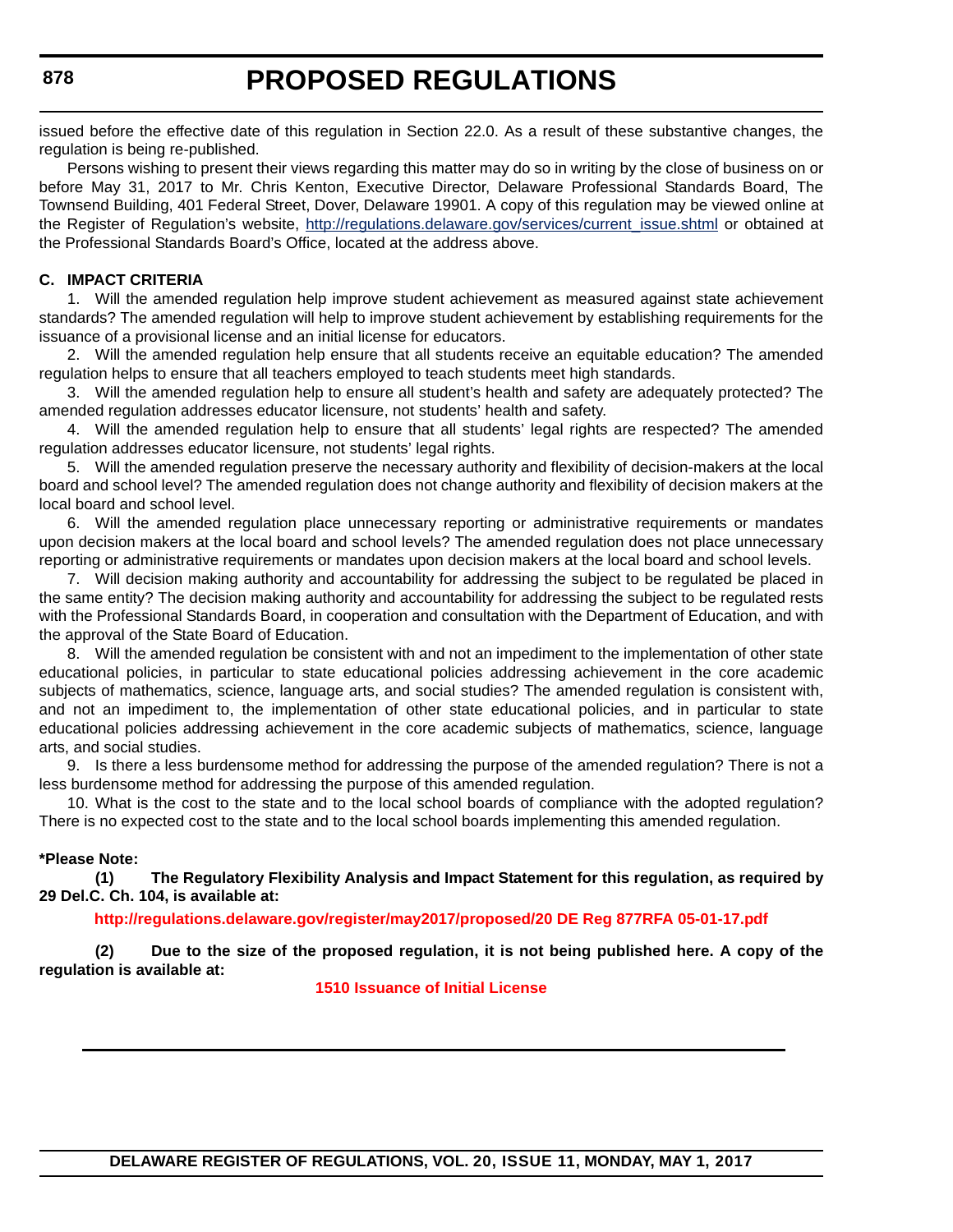issued before the effective date of this regulation in Section 22.0. As a result of these substantive changes, the regulation is being re-published.

Persons wishing to present their views regarding this matter may do so in writing by the close of business on or before May 31, 2017 to Mr. Chris Kenton, Executive Director, Delaware Professional Standards Board, The Townsend Building, 401 Federal Street, Dover, Delaware 19901. A copy of this regulation may be viewed online at the Register of Regulation's website, [http://regulations.delaware.gov/services/current\\_issue.shtml](http://regulations.delaware.gov/services/current_issue.shtml) or obtained at the Professional Standards Board's Office, located at the address above.

### **C. IMPACT CRITERIA**

1. Will the amended regulation help improve student achievement as measured against state achievement standards? The amended regulation will help to improve student achievement by establishing requirements for the issuance of a provisional license and an initial license for educators.

2. Will the amended regulation help ensure that all students receive an equitable education? The amended regulation helps to ensure that all teachers employed to teach students meet high standards.

3. Will the amended regulation help to ensure all student's health and safety are adequately protected? The amended regulation addresses educator licensure, not students' health and safety.

4. Will the amended regulation help to ensure that all students' legal rights are respected? The amended regulation addresses educator licensure, not students' legal rights.

5. Will the amended regulation preserve the necessary authority and flexibility of decision-makers at the local board and school level? The amended regulation does not change authority and flexibility of decision makers at the local board and school level.

6. Will the amended regulation place unnecessary reporting or administrative requirements or mandates upon decision makers at the local board and school levels? The amended regulation does not place unnecessary reporting or administrative requirements or mandates upon decision makers at the local board and school levels.

7. Will decision making authority and accountability for addressing the subject to be regulated be placed in the same entity? The decision making authority and accountability for addressing the subject to be regulated rests with the Professional Standards Board, in cooperation and consultation with the Department of Education, and with the approval of the State Board of Education.

8. Will the amended regulation be consistent with and not an impediment to the implementation of other state educational policies, in particular to state educational policies addressing achievement in the core academic subjects of mathematics, science, language arts, and social studies? The amended regulation is consistent with, and not an impediment to, the implementation of other state educational policies, and in particular to state educational policies addressing achievement in the core academic subjects of mathematics, science, language arts, and social studies.

9. Is there a less burdensome method for addressing the purpose of the amended regulation? There is not a less burdensome method for addressing the purpose of this amended regulation.

10. What is the cost to the state and to the local school boards of compliance with the adopted regulation? There is no expected cost to the state and to the local school boards implementing this amended regulation.

### **\*Please Note:**

**(1) The Regulatory Flexibility Analysis and Impact Statement for this regulation, as required by 29 Del.C. Ch. 104, is available at:**

**<http://regulations.delaware.gov/register/may2017/proposed/20 DE Reg 877RFA 05-01-17.pdf>**

**(2) Due to the size of the proposed regulation, it is not being published here. A copy of the regulation is available at:**

**[1510 Issuance of Initial License](http://regulations.delaware.gov/register/may2017/proposed/20 DE Reg 877 05-01-17.htm)**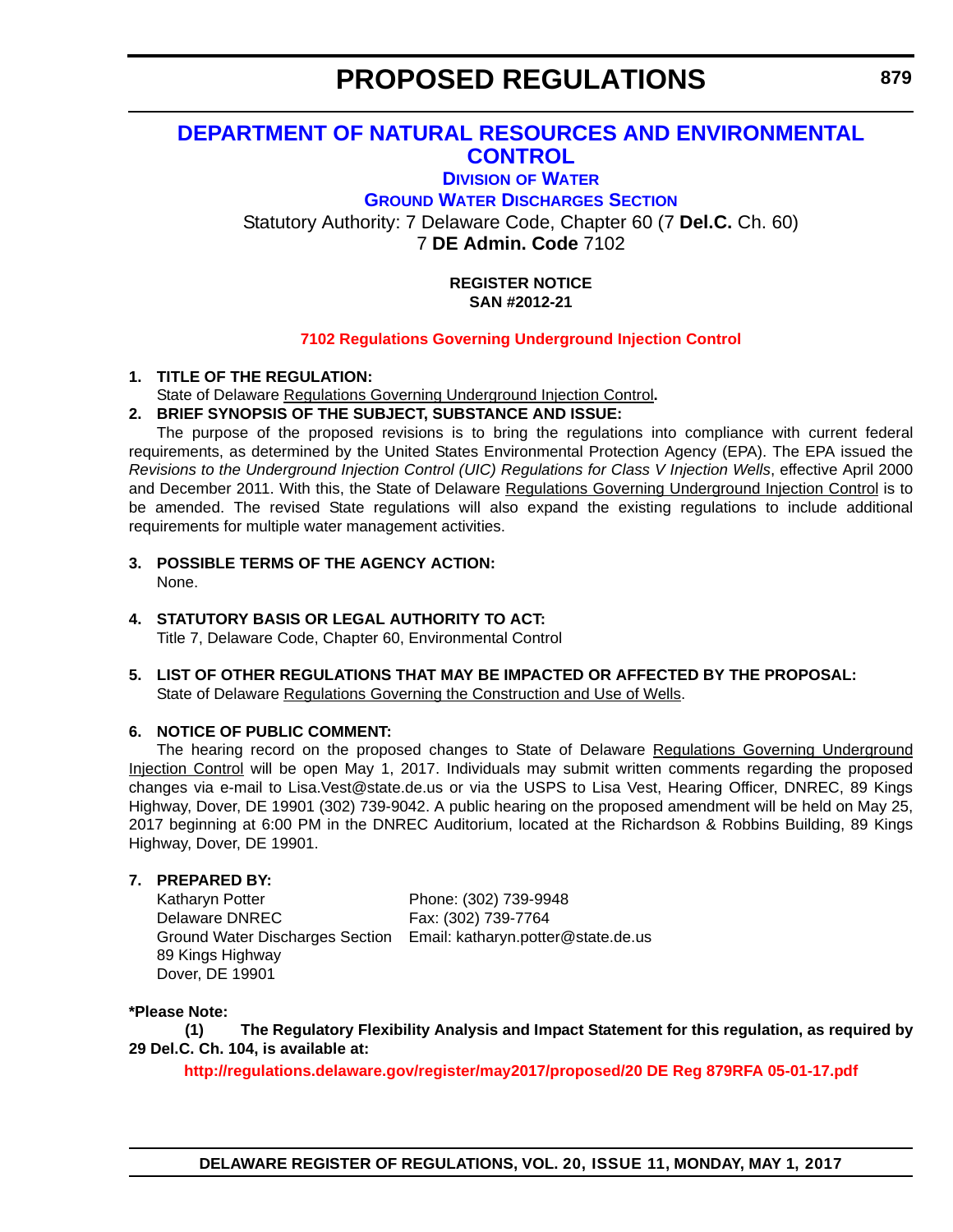## **[DEPARTMENT OF NATURAL RESOURCES AND ENVIRONMENTAL](http://www.dnrec.delaware.gov/Pages/Portal.aspx)  CONTROL**

## **DIVISION [OF WATER](http://www.dnrec.delaware.gov/wr/Pages/Default.aspx) [GROUND WATER DISCHARGES SECTION](http://www.dnrec.delaware.gov/wr/Services/Pages/GroundWaterDischarges.aspx)** Statutory Authority: 7 Delaware Code, Chapter 60 (7 **Del.C.** Ch. 60) 7 **DE Admin. Code** 7102

### **REGISTER NOTICE SAN #2012-21**

### **[7102 Regulations Governing Underground Injection Control](#page-3-0)**

## **1. TITLE OF THE REGULATION:**

State of Delaware Regulations Governing Underground Injection Control**.**

## **2. BRIEF SYNOPSIS OF THE SUBJECT, SUBSTANCE AND ISSUE:**

The purpose of the proposed revisions is to bring the regulations into compliance with current federal requirements, as determined by the United States Environmental Protection Agency (EPA). The EPA issued the *Revisions to the Underground Injection Control (UIC) Regulations for Class V Injection Wells*, effective April 2000 and December 2011. With this, the State of Delaware Regulations Governing Underground Injection Control is to be amended. The revised State regulations will also expand the existing regulations to include additional requirements for multiple water management activities.

## **3. POSSIBLE TERMS OF THE AGENCY ACTION:**

None.

## **4. STATUTORY BASIS OR LEGAL AUTHORITY TO ACT:**

Title 7, Delaware Code, Chapter 60, Environmental Control

### **5. LIST OF OTHER REGULATIONS THAT MAY BE IMPACTED OR AFFECTED BY THE PROPOSAL:** State of Delaware Regulations Governing the Construction and Use of Wells.

## **6. NOTICE OF PUBLIC COMMENT:**

The hearing record on the proposed changes to State of Delaware Regulations Governing Underground Injection Control will be open May 1, 2017. Individuals may submit written comments regarding the proposed changes via e-mail to Lisa.Vest@state.de.us or via the USPS to Lisa Vest, Hearing Officer, DNREC, 89 Kings Highway, Dover, DE 19901 (302) 739-9042. A public hearing on the proposed amendment will be held on May 25, 2017 beginning at 6:00 PM in the DNREC Auditorium, located at the Richardson & Robbins Building, 89 Kings Highway, Dover, DE 19901.

### **7. PREPARED BY:**

Katharyn Potter Phone: (302) 739-9948 Delaware DNREC Fax: (302) 739-7764 89 Kings Highway Dover, DE 19901

Ground Water Discharges Section Email: katharyn.potter@state.de.us

## **\*Please Note:**

**(1) The Regulatory Flexibility Analysis and Impact Statement for this regulation, as required by 29 Del.C. Ch. 104, is available at:**

**<http://regulations.delaware.gov/register/may2017/proposed/20 DE Reg 879RFA 05-01-17.pdf>**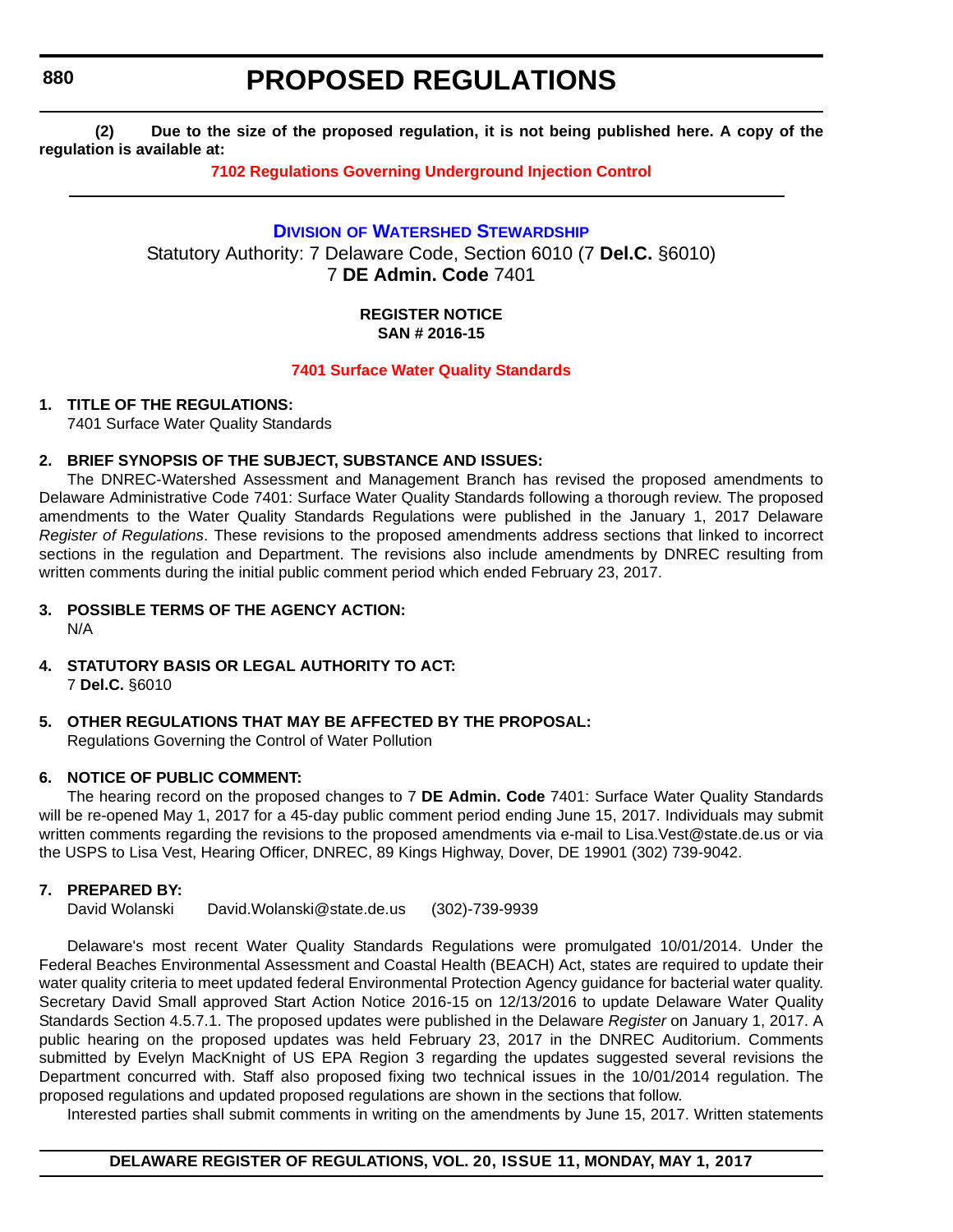## **PROPOSED REGULATIONS**

**(2) Due to the size of the proposed regulation, it is not being published here. A copy of the regulation is available at:**

**[7102 Regulations Governing Underground Injection Control](http://regulations.delaware.gov/register/may2017/proposed/20 DE Reg 879 05-01-17.htm)**

**DIVISION [OF WATERSHED STEWARDSHIP](http://www.dnrec.delaware.gov/swc/Pages/portal.aspx)** Statutory Authority: 7 Delaware Code, Section 6010 (7 **Del.C.** §6010) 7 **DE Admin. Code** 7401

### **REGISTER NOTICE SAN # 2016-15**

### **[7401 Surface Water Quality Standards](#page-3-0)**

### **1. TITLE OF THE REGULATIONS:**

7401 Surface Water Quality Standards

### **2. BRIEF SYNOPSIS OF THE SUBJECT, SUBSTANCE AND ISSUES:**

The DNREC-Watershed Assessment and Management Branch has revised the proposed amendments to Delaware Administrative Code 7401: Surface Water Quality Standards following a thorough review. The proposed amendments to the Water Quality Standards Regulations were published in the January 1, 2017 Delaware *Register of Regulations*. These revisions to the proposed amendments address sections that linked to incorrect sections in the regulation and Department. The revisions also include amendments by DNREC resulting from written comments during the initial public comment period which ended February 23, 2017.

## **3. POSSIBLE TERMS OF THE AGENCY ACTION:**

N/A

- **4. STATUTORY BASIS OR LEGAL AUTHORITY TO ACT:** 7 **Del.C.** §6010
- **5. OTHER REGULATIONS THAT MAY BE AFFECTED BY THE PROPOSAL:** Regulations Governing the Control of Water Pollution

## **6. NOTICE OF PUBLIC COMMENT:**

The hearing record on the proposed changes to 7 **DE Admin. Code** 7401: Surface Water Quality Standards will be re-opened May 1, 2017 for a 45-day public comment period ending June 15, 2017. Individuals may submit written comments regarding the revisions to the proposed amendments via e-mail to Lisa.Vest@state.de.us or via the USPS to Lisa Vest, Hearing Officer, DNREC, 89 Kings Highway, Dover, DE 19901 (302) 739-9042.

## **7. PREPARED BY:**

David Wolanski David.Wolanski@state.de.us (302)-739-9939

Delaware's most recent Water Quality Standards Regulations were promulgated 10/01/2014. Under the Federal Beaches Environmental Assessment and Coastal Health (BEACH) Act, states are required to update their water quality criteria to meet updated federal Environmental Protection Agency guidance for bacterial water quality. Secretary David Small approved Start Action Notice 2016-15 on 12/13/2016 to update Delaware Water Quality Standards Section 4.5.7.1. The proposed updates were published in the Delaware *Register* on January 1, 2017. A public hearing on the proposed updates was held February 23, 2017 in the DNREC Auditorium. Comments submitted by Evelyn MacKnight of US EPA Region 3 regarding the updates suggested several revisions the Department concurred with. Staff also proposed fixing two technical issues in the 10/01/2014 regulation. The proposed regulations and updated proposed regulations are shown in the sections that follow.

Interested parties shall submit comments in writing on the amendments by June 15, 2017. Written statements

### **DELAWARE REGISTER OF REGULATIONS, VOL. 20, ISSUE 11, MONDAY, MAY 1, 2017**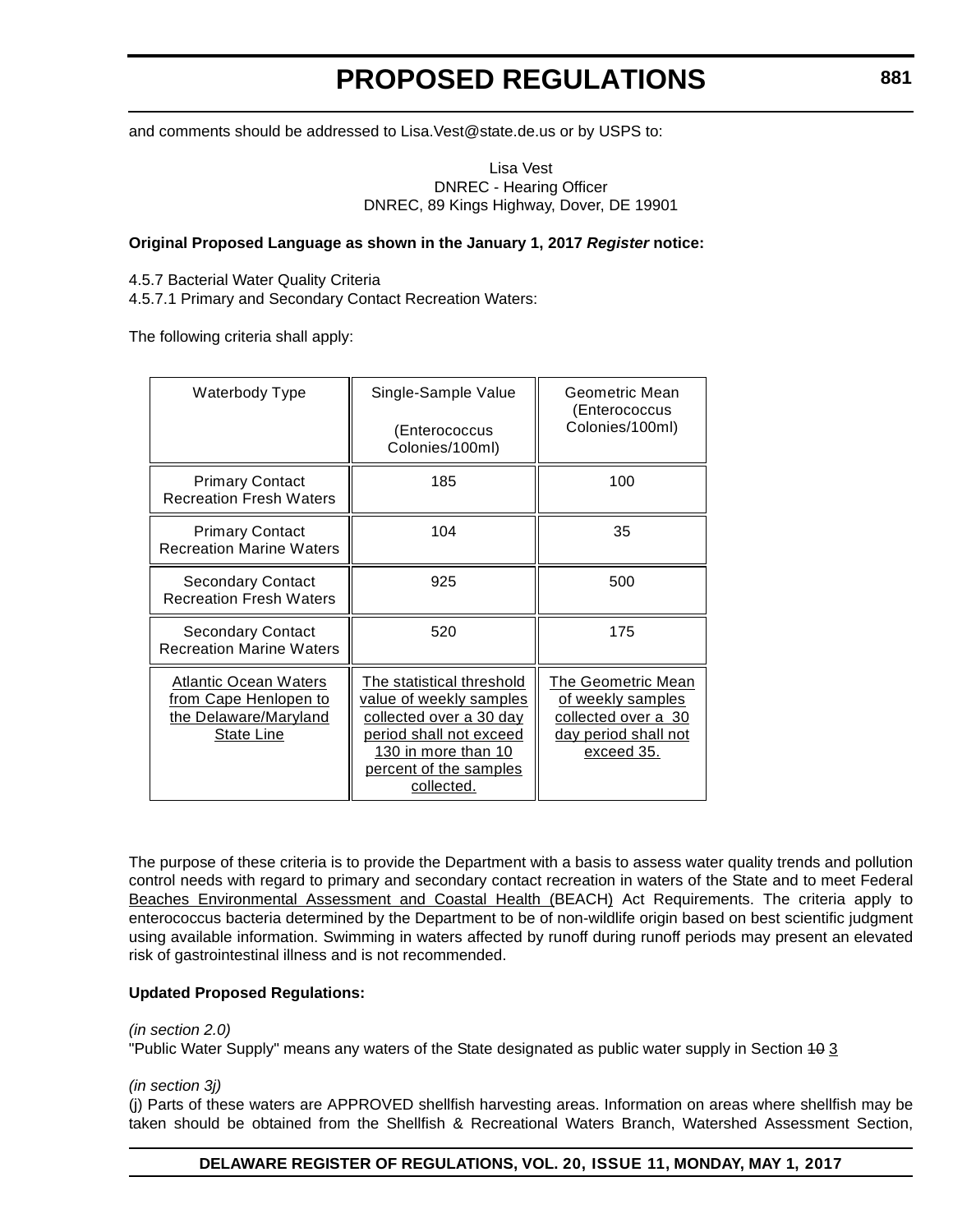and comments should be addressed to Lisa.Vest@state.de.us or by USPS to:

Lisa Vest DNREC - Hearing Officer DNREC, 89 Kings Highway, Dover, DE 19901

### **Original Proposed Language as shown in the January 1, 2017** *Register* **notice:**

4.5.7 Bacterial Water Quality Criteria

4.5.7.1 Primary and Secondary Contact Recreation Waters:

The following criteria shall apply:

| Waterbody Type                                                                        | Single-Sample Value<br>(Enterococcus<br>Colonies/100ml)                                                                                                                   | Geometric Mean<br>(Enterococcus<br>Colonies/100ml)                                                   |  |
|---------------------------------------------------------------------------------------|---------------------------------------------------------------------------------------------------------------------------------------------------------------------------|------------------------------------------------------------------------------------------------------|--|
| <b>Primary Contact</b><br><b>Recreation Fresh Waters</b>                              | 185                                                                                                                                                                       | 100                                                                                                  |  |
| <b>Primary Contact</b><br><b>Recreation Marine Waters</b>                             | 104                                                                                                                                                                       | 35                                                                                                   |  |
| Secondary Contact<br><b>Recreation Fresh Waters</b>                                   | 925                                                                                                                                                                       | 500                                                                                                  |  |
| <b>Secondary Contact</b><br><b>Recreation Marine Waters</b>                           | 520                                                                                                                                                                       | 175                                                                                                  |  |
| Atlantic Ocean Waters<br>from Cape Henlopen to<br>the Delaware/Maryland<br>State Line | The statistical threshold<br>value of weekly samples<br>collected over a 30 day<br>period shall not exceed<br>130 in more than 10<br>percent of the samples<br>collected. | The Geometric Mean<br>of weekly samples<br>collected over a 30<br>day period shall not<br>exceed 35. |  |

The purpose of these criteria is to provide the Department with a basis to assess water quality trends and pollution control needs with regard to primary and secondary contact recreation in waters of the State and to meet Federal Beaches Environmental Assessment and Coastal Health (BEACH) Act Requirements. The criteria apply to enterococcus bacteria determined by the Department to be of non-wildlife origin based on best scientific judgment using available information. Swimming in waters affected by runoff during runoff periods may present an elevated risk of gastrointestinal illness and is not recommended.

### **Updated Proposed Regulations:**

### *(in section 2.0)*

"Public Water Supply" means any waters of the State designated as public water supply in Section 40 3

### *(in section 3j)*

(j) Parts of these waters are APPROVED shellfish harvesting areas. Information on areas where shellfish may be taken should be obtained from the Shellfish & Recreational Waters Branch, Watershed Assessment Section,

### **DELAWARE REGISTER OF REGULATIONS, VOL. 20, ISSUE 11, MONDAY, MAY 1, 2017**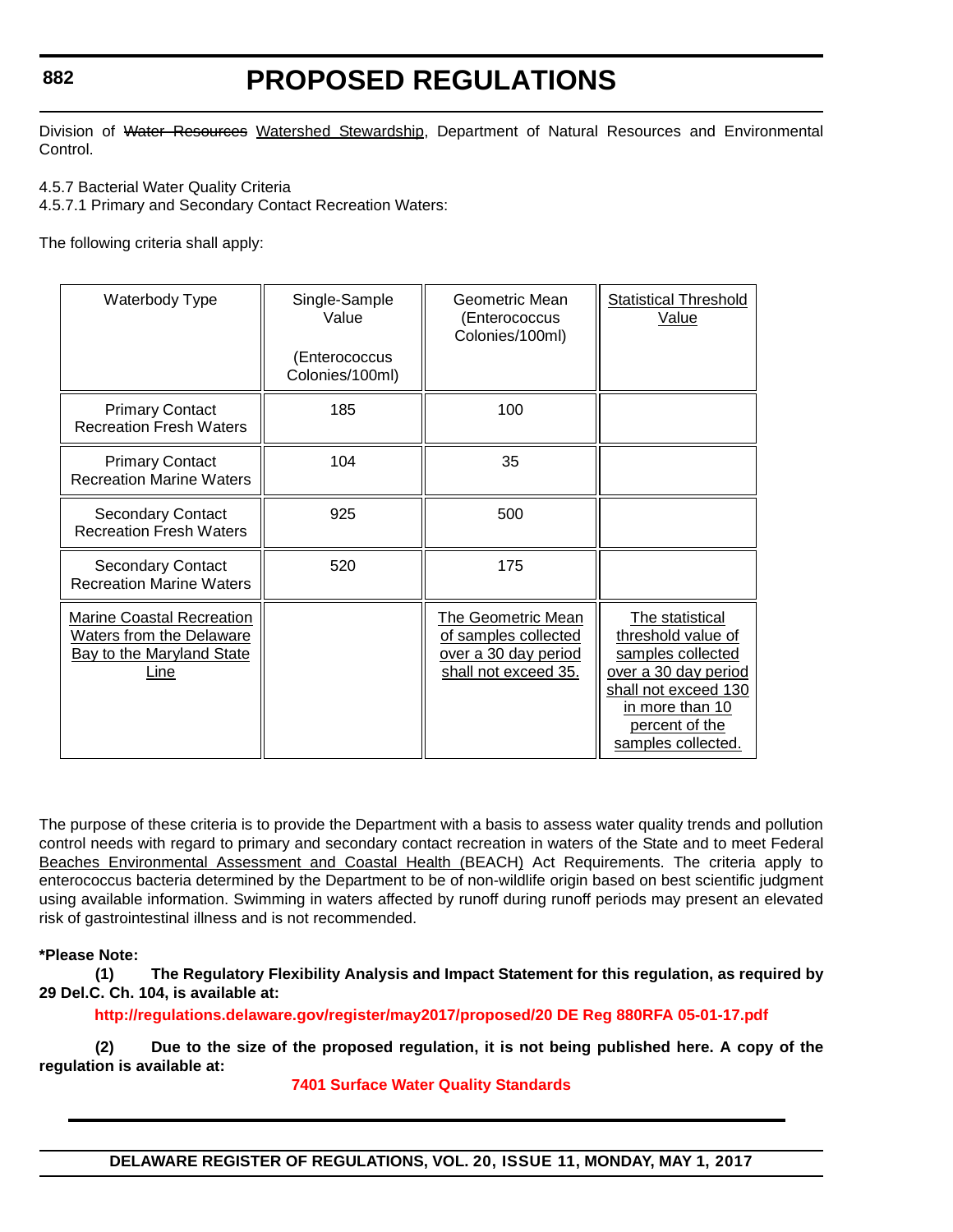# **PROPOSED REGULATIONS**

Division of Water Resources Watershed Stewardship, Department of Natural Resources and Environmental Control.

4.5.7 Bacterial Water Quality Criteria

4.5.7.1 Primary and Secondary Contact Recreation Waters:

The following criteria shall apply:

| Waterbody Type                                                                                    | Single-Sample<br>Value<br>(Enterococcus<br>Colonies/100ml) | Geometric Mean<br>(Enterococcus<br>Colonies/100ml)                                                | <b>Statistical Threshold</b><br>Value                                                                                                                                 |
|---------------------------------------------------------------------------------------------------|------------------------------------------------------------|---------------------------------------------------------------------------------------------------|-----------------------------------------------------------------------------------------------------------------------------------------------------------------------|
| <b>Primary Contact</b><br><b>Recreation Fresh Waters</b>                                          | 185                                                        | 100                                                                                               |                                                                                                                                                                       |
| <b>Primary Contact</b><br><b>Recreation Marine Waters</b>                                         | 104                                                        | 35                                                                                                |                                                                                                                                                                       |
| <b>Secondary Contact</b><br><b>Recreation Fresh Waters</b>                                        | 925                                                        | 500                                                                                               |                                                                                                                                                                       |
| <b>Secondary Contact</b><br><b>Recreation Marine Waters</b>                                       | 520                                                        | 175                                                                                               |                                                                                                                                                                       |
| <b>Marine Coastal Recreation</b><br>Waters from the Delaware<br>Bay to the Maryland State<br>Line |                                                            | <b>The Geometric Mean</b><br>of samples collected<br>over a 30 day period<br>shall not exceed 35. | The statistical<br>threshold value of<br>samples collected<br>over a 30 day period<br>shall not exceed 130<br>in more than 10<br>percent of the<br>samples collected. |

The purpose of these criteria is to provide the Department with a basis to assess water quality trends and pollution control needs with regard to primary and secondary contact recreation in waters of the State and to meet Federal Beaches Environmental Assessment and Coastal Health (BEACH) Act Requirements. The criteria apply to enterococcus bacteria determined by the Department to be of non-wildlife origin based on best scientific judgment using available information. Swimming in waters affected by runoff during runoff periods may present an elevated risk of gastrointestinal illness and is not recommended.

**\*Please Note:** 

**(1) The Regulatory Flexibility Analysis and Impact Statement for this regulation, as required by 29 Del.C. Ch. 104, is available at:**

**<http://regulations.delaware.gov/register/may2017/proposed/20 DE Reg 880RFA 05-01-17.pdf>**

**(2) Due to the size of the proposed regulation, it is not being published here. A copy of the regulation is available at:**

**[7401 Surface Water Quality Standards](http://regulations.delaware.gov/register/may2017/proposed/20 DE Reg 880 05-01-17.htm)**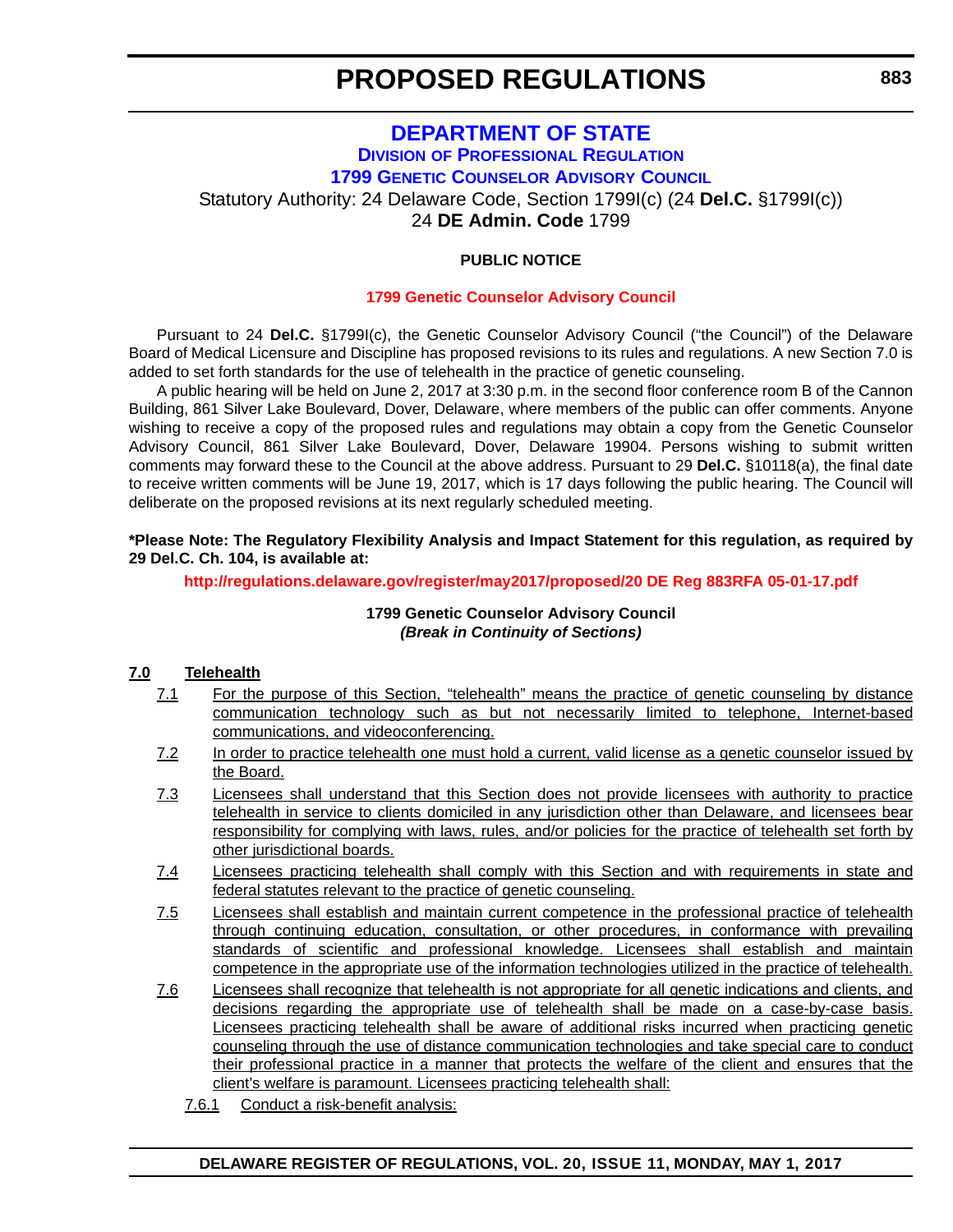## **[DEPARTMENT OF STATE](http://sos.delaware.gov/) DIVISION [OF PROFESSIONAL REGULATION](http://dpr.delaware.gov/) [1799 GENETIC COUNSELOR ADVISORY COUNCIL](http://dpr.delaware.gov/boards/medicalpractice/index.shtml)** Statutory Authority: 24 Delaware Code, Section 1799I(c) (24 **Del.C.** §1799I(c)) 24 **DE Admin. Code** 1799

## **PUBLIC NOTICE**

### **[1799 Genetic Counselor Advisory Council](#page-3-0)**

Pursuant to 24 **Del.C.** §1799I(c), the Genetic Counselor Advisory Council ("the Council") of the Delaware Board of Medical Licensure and Discipline has proposed revisions to its rules and regulations. A new Section 7.0 is added to set forth standards for the use of telehealth in the practice of genetic counseling.

A public hearing will be held on June 2, 2017 at 3:30 p.m. in the second floor conference room B of the Cannon Building, 861 Silver Lake Boulevard, Dover, Delaware, where members of the public can offer comments. Anyone wishing to receive a copy of the proposed rules and regulations may obtain a copy from the Genetic Counselor Advisory Council, 861 Silver Lake Boulevard, Dover, Delaware 19904. Persons wishing to submit written comments may forward these to the Council at the above address. Pursuant to 29 **Del.C.** §10118(a), the final date to receive written comments will be June 19, 2017, which is 17 days following the public hearing. The Council will deliberate on the proposed revisions at its next regularly scheduled meeting.

### **\*Please Note: The Regulatory Flexibility Analysis and Impact Statement for this regulation, as required by 29 Del.C. Ch. 104, is available at:**

**<http://regulations.delaware.gov/register/may2017/proposed/20 DE Reg 883RFA 05-01-17.pdf>**

### **1799 Genetic Counselor Advisory Council** *(Break in Continuity of Sections)*

### **7.0 Telehealth**

- 7.1 For the purpose of this Section, "telehealth" means the practice of genetic counseling by distance communication technology such as but not necessarily limited to telephone, Internet-based communications, and videoconferencing.
- 7.2 In order to practice telehealth one must hold a current, valid license as a genetic counselor issued by the Board.
- 7.3 Licensees shall understand that this Section does not provide licensees with authority to practice telehealth in service to clients domiciled in any jurisdiction other than Delaware, and licensees bear responsibility for complying with laws, rules, and/or policies for the practice of telehealth set forth by other jurisdictional boards.
- 7.4 Licensees practicing telehealth shall comply with this Section and with requirements in state and federal statutes relevant to the practice of genetic counseling.
- 7.5 Licensees shall establish and maintain current competence in the professional practice of telehealth through continuing education, consultation, or other procedures, in conformance with prevailing standards of scientific and professional knowledge. Licensees shall establish and maintain competence in the appropriate use of the information technologies utilized in the practice of telehealth.
- 7.6 Licensees shall recognize that telehealth is not appropriate for all genetic indications and clients, and decisions regarding the appropriate use of telehealth shall be made on a case-by-case basis. Licensees practicing telehealth shall be aware of additional risks incurred when practicing genetic counseling through the use of distance communication technologies and take special care to conduct their professional practice in a manner that protects the welfare of the client and ensures that the client's welfare is paramount. Licensees practicing telehealth shall:
	- 7.6.1 Conduct a risk-benefit analysis: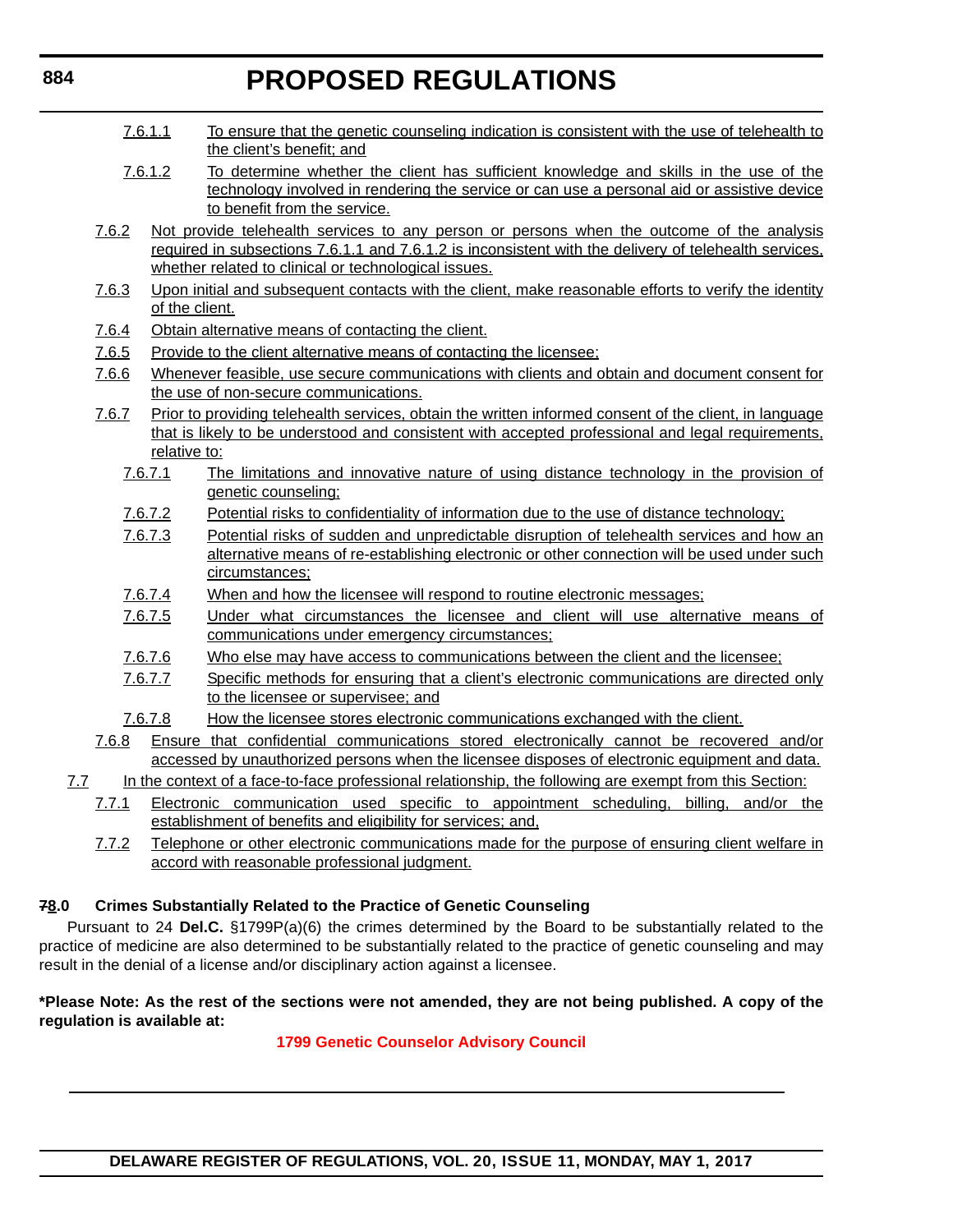- 7.6.1.1 To ensure that the genetic counseling indication is consistent with the use of telehealth to the client's benefit; and
- 7.6.1.2 To determine whether the client has sufficient knowledge and skills in the use of the technology involved in rendering the service or can use a personal aid or assistive device to benefit from the service.
- 7.6.2 Not provide telehealth services to any person or persons when the outcome of the analysis required in subsections 7.6.1.1 and 7.6.1.2 is inconsistent with the delivery of telehealth services, whether related to clinical or technological issues.
- 7.6.3 Upon initial and subsequent contacts with the client, make reasonable efforts to verify the identity of the client.
- 7.6.4 Obtain alternative means of contacting the client.
- 7.6.5 Provide to the client alternative means of contacting the licensee;
- 7.6.6 Whenever feasible, use secure communications with clients and obtain and document consent for the use of non-secure communications.
- 7.6.7 Prior to providing telehealth services, obtain the written informed consent of the client, in language that is likely to be understood and consistent with accepted professional and legal requirements, relative to:
	- 7.6.7.1 The limitations and innovative nature of using distance technology in the provision of genetic counseling;
	- 7.6.7.2 Potential risks to confidentiality of information due to the use of distance technology;
	- 7.6.7.3 Potential risks of sudden and unpredictable disruption of telehealth services and how an alternative means of re-establishing electronic or other connection will be used under such circumstances;
	- 7.6.7.4 When and how the licensee will respond to routine electronic messages;
	- 7.6.7.5 Under what circumstances the licensee and client will use alternative means of communications under emergency circumstances;
	- 7.6.7.6 Who else may have access to communications between the client and the licensee;
	- 7.6.7.7 Specific methods for ensuring that a client's electronic communications are directed only to the licensee or supervisee; and
	- 7.6.7.8 How the licensee stores electronic communications exchanged with the client.
- 7.6.8 Ensure that confidential communications stored electronically cannot be recovered and/or accessed by unauthorized persons when the licensee disposes of electronic equipment and data.
- 7.7 In the context of a face-to-face professional relationship, the following are exempt from this Section:
	- 7.7.1 Electronic communication used specific to appointment scheduling, billing, and/or the establishment of benefits and eligibility for services; and,
	- 7.7.2 Telephone or other electronic communications made for the purpose of ensuring client welfare in accord with reasonable professional judgment.

## **78.0 Crimes Substantially Related to the Practice of Genetic Counseling**

Pursuant to 24 **Del.C.** §1799P(a)(6) the crimes determined by the Board to be substantially related to the practice of medicine are also determined to be substantially related to the practice of genetic counseling and may result in the denial of a license and/or disciplinary action against a licensee.

### **\*Please Note: As the rest of the sections were not amended, they are not being published. A copy of the regulation is available at:**

## **[1799 Genetic Counselor Advisory Council](http://regulations.delaware.gov/register/may2017/proposed/20 DE Reg 883 05-01-17.htm)**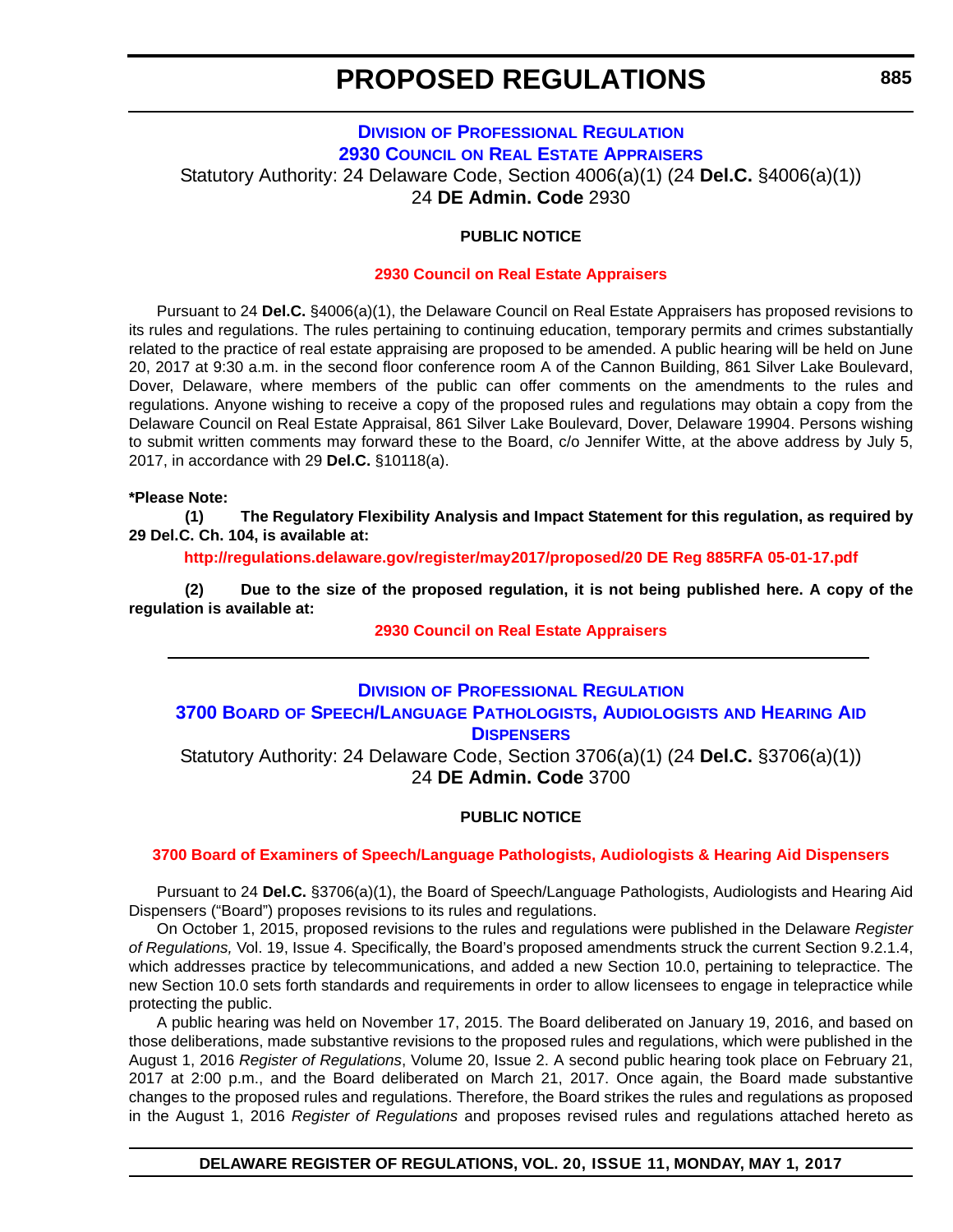## **DIVISION [OF PROFESSIONAL REGULATION](http://dpr.delaware.gov/) 2930 COUNCIL [ON REAL ESTATE APPRAISERS](http://dpr.delaware.gov/boards/realestate/index.shtml)** Statutory Authority: 24 Delaware Code, Section 4006(a)(1) (24 **Del.C.** §4006(a)(1)) 24 **DE Admin. Code** 2930

### **PUBLIC NOTICE**

### **[2930 Council on Real Estate Appraisers](#page-3-0)**

Pursuant to 24 **Del.C.** §4006(a)(1), the Delaware Council on Real Estate Appraisers has proposed revisions to its rules and regulations. The rules pertaining to continuing education, temporary permits and crimes substantially related to the practice of real estate appraising are proposed to be amended. A public hearing will be held on June 20, 2017 at 9:30 a.m. in the second floor conference room A of the Cannon Building, 861 Silver Lake Boulevard, Dover, Delaware, where members of the public can offer comments on the amendments to the rules and regulations. Anyone wishing to receive a copy of the proposed rules and regulations may obtain a copy from the Delaware Council on Real Estate Appraisal, 861 Silver Lake Boulevard, Dover, Delaware 19904. Persons wishing to submit written comments may forward these to the Board, c/o Jennifer Witte, at the above address by July 5, 2017, in accordance with 29 **Del.C.** §10118(a).

#### **\*Please Note:**

**(1) The Regulatory Flexibility Analysis and Impact Statement for this regulation, as required by 29 Del.C. Ch. 104, is available at:**

**<http://regulations.delaware.gov/register/may2017/proposed/20 DE Reg 885RFA 05-01-17.pdf>**

**(2) Due to the size of the proposed regulation, it is not being published here. A copy of the regulation is available at:**

### **[2930 Council on Real Estate Appraisers](http://regulations.delaware.gov/register/may2017/proposed/20 DE Reg 885 05-01-17.htm)**

## **DIVISION [OF PROFESSIONAL REGULATION](http://dpr.delaware.gov/) 3700 BOARD [OF SPEECH/LANGUAGE PATHOLOGISTS, AUDIOLOGISTS](http://dpr.delaware.gov/boards/speechaudio/index.shtml) AND HEARING AID DISPENSERS**

Statutory Authority: 24 Delaware Code, Section 3706(a)(1) (24 **Del.C.** §3706(a)(1)) 24 **DE Admin. Code** 3700

### **PUBLIC NOTICE**

### **[3700 Board of Examiners of Speech/Language Pathologists, Audiologists & Hearing Aid Dispensers](#page-3-0)**

Pursuant to 24 **Del.C.** §3706(a)(1), the Board of Speech/Language Pathologists, Audiologists and Hearing Aid Dispensers ("Board") proposes revisions to its rules and regulations.

On October 1, 2015, proposed revisions to the rules and regulations were published in the Delaware *Register of Regulations,* Vol. 19, Issue 4. Specifically, the Board's proposed amendments struck the current Section 9.2.1.4, which addresses practice by telecommunications, and added a new Section 10.0, pertaining to telepractice. The new Section 10.0 sets forth standards and requirements in order to allow licensees to engage in telepractice while protecting the public.

A public hearing was held on November 17, 2015. The Board deliberated on January 19, 2016, and based on those deliberations, made substantive revisions to the proposed rules and regulations, which were published in the August 1, 2016 *Register of Regulations*, Volume 20, Issue 2. A second public hearing took place on February 21, 2017 at 2:00 p.m., and the Board deliberated on March 21, 2017. Once again, the Board made substantive changes to the proposed rules and regulations. Therefore, the Board strikes the rules and regulations as proposed in the August 1, 2016 *Register of Regulations* and proposes revised rules and regulations attached hereto as

### **DELAWARE REGISTER OF REGULATIONS, VOL. 20, ISSUE 11, MONDAY, MAY 1, 2017**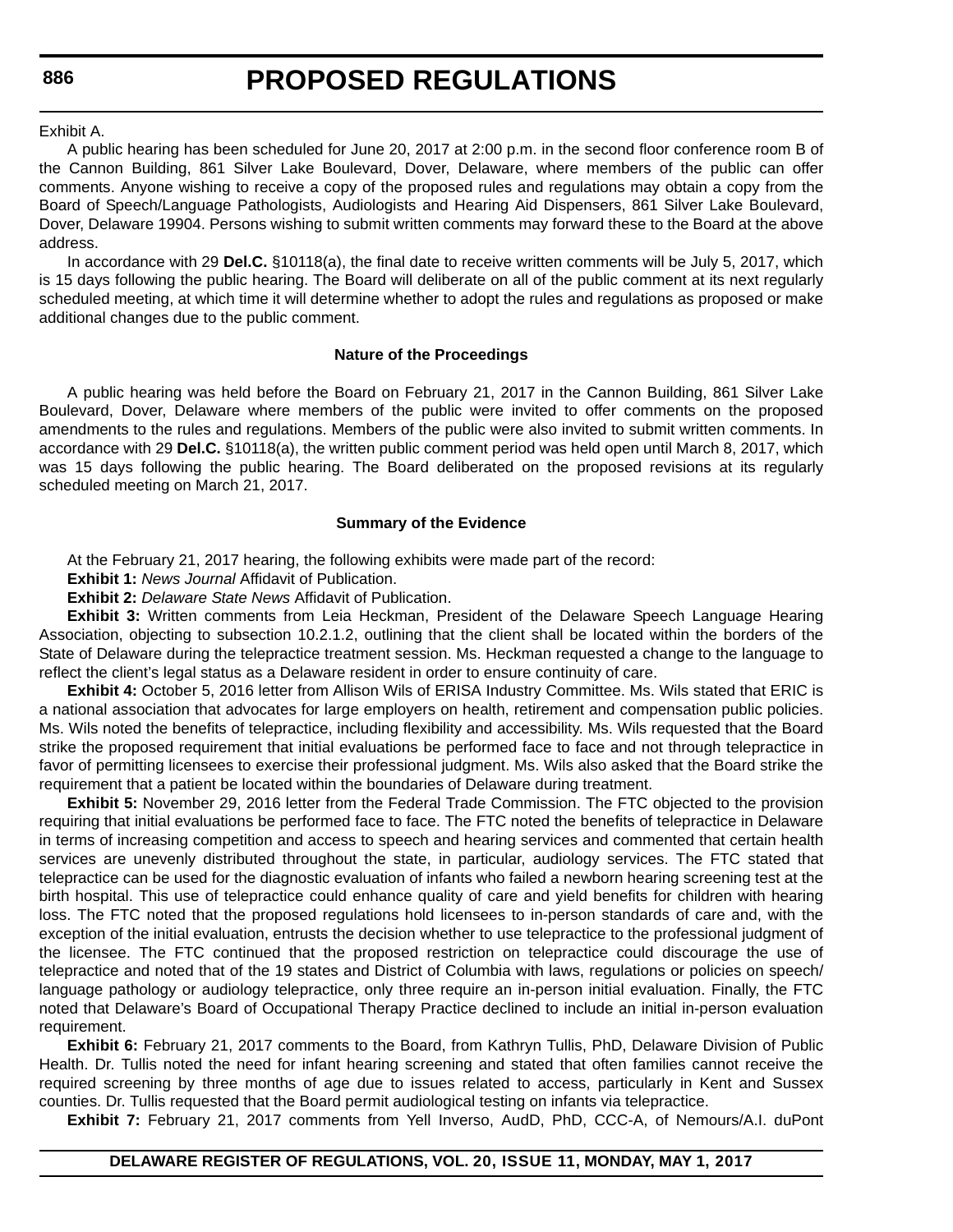#### Exhibit A.

A public hearing has been scheduled for June 20, 2017 at 2:00 p.m. in the second floor conference room B of the Cannon Building, 861 Silver Lake Boulevard, Dover, Delaware, where members of the public can offer comments. Anyone wishing to receive a copy of the proposed rules and regulations may obtain a copy from the Board of Speech/Language Pathologists, Audiologists and Hearing Aid Dispensers, 861 Silver Lake Boulevard, Dover, Delaware 19904. Persons wishing to submit written comments may forward these to the Board at the above address.

In accordance with 29 **Del.C.** §10118(a), the final date to receive written comments will be July 5, 2017, which is 15 days following the public hearing. The Board will deliberate on all of the public comment at its next regularly scheduled meeting, at which time it will determine whether to adopt the rules and regulations as proposed or make additional changes due to the public comment.

### **Nature of the Proceedings**

A public hearing was held before the Board on February 21, 2017 in the Cannon Building, 861 Silver Lake Boulevard, Dover, Delaware where members of the public were invited to offer comments on the proposed amendments to the rules and regulations. Members of the public were also invited to submit written comments. In accordance with 29 **Del.C.** §10118(a), the written public comment period was held open until March 8, 2017, which was 15 days following the public hearing. The Board deliberated on the proposed revisions at its regularly scheduled meeting on March 21, 2017.

### **Summary of the Evidence**

At the February 21, 2017 hearing, the following exhibits were made part of the record:

**Exhibit 1:** *News Journal* Affidavit of Publication.

**Exhibit 2:** *Delaware State News* Affidavit of Publication.

**Exhibit 3:** Written comments from Leia Heckman, President of the Delaware Speech Language Hearing Association, objecting to subsection 10.2.1.2, outlining that the client shall be located within the borders of the State of Delaware during the telepractice treatment session. Ms. Heckman requested a change to the language to reflect the client's legal status as a Delaware resident in order to ensure continuity of care.

**Exhibit 4:** October 5, 2016 letter from Allison Wils of ERISA Industry Committee. Ms. Wils stated that ERIC is a national association that advocates for large employers on health, retirement and compensation public policies. Ms. Wils noted the benefits of telepractice, including flexibility and accessibility. Ms. Wils requested that the Board strike the proposed requirement that initial evaluations be performed face to face and not through telepractice in favor of permitting licensees to exercise their professional judgment. Ms. Wils also asked that the Board strike the requirement that a patient be located within the boundaries of Delaware during treatment.

**Exhibit 5:** November 29, 2016 letter from the Federal Trade Commission. The FTC objected to the provision requiring that initial evaluations be performed face to face. The FTC noted the benefits of telepractice in Delaware in terms of increasing competition and access to speech and hearing services and commented that certain health services are unevenly distributed throughout the state, in particular, audiology services. The FTC stated that telepractice can be used for the diagnostic evaluation of infants who failed a newborn hearing screening test at the birth hospital. This use of telepractice could enhance quality of care and yield benefits for children with hearing loss. The FTC noted that the proposed regulations hold licensees to in-person standards of care and, with the exception of the initial evaluation, entrusts the decision whether to use telepractice to the professional judgment of the licensee. The FTC continued that the proposed restriction on telepractice could discourage the use of telepractice and noted that of the 19 states and District of Columbia with laws, regulations or policies on speech/ language pathology or audiology telepractice, only three require an in-person initial evaluation. Finally, the FTC noted that Delaware's Board of Occupational Therapy Practice declined to include an initial in-person evaluation requirement.

**Exhibit 6:** February 21, 2017 comments to the Board, from Kathryn Tullis, PhD, Delaware Division of Public Health. Dr. Tullis noted the need for infant hearing screening and stated that often families cannot receive the required screening by three months of age due to issues related to access, particularly in Kent and Sussex counties. Dr. Tullis requested that the Board permit audiological testing on infants via telepractice.

**Exhibit 7:** February 21, 2017 comments from Yell Inverso, AudD, PhD, CCC-A, of Nemours/A.I. duPont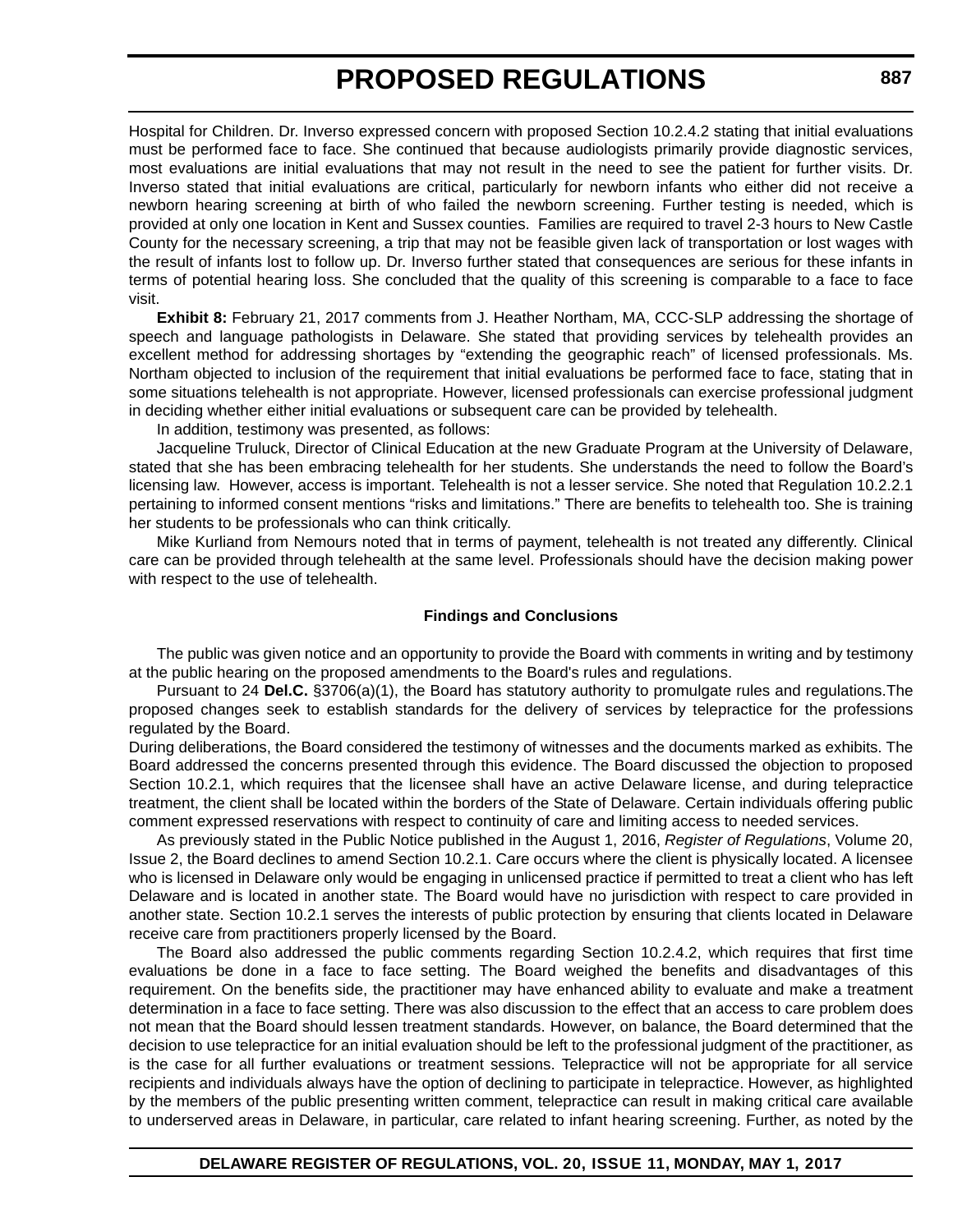Hospital for Children. Dr. Inverso expressed concern with proposed Section 10.2.4.2 stating that initial evaluations must be performed face to face. She continued that because audiologists primarily provide diagnostic services, most evaluations are initial evaluations that may not result in the need to see the patient for further visits. Dr. Inverso stated that initial evaluations are critical, particularly for newborn infants who either did not receive a newborn hearing screening at birth of who failed the newborn screening. Further testing is needed, which is provided at only one location in Kent and Sussex counties. Families are required to travel 2-3 hours to New Castle County for the necessary screening, a trip that may not be feasible given lack of transportation or lost wages with the result of infants lost to follow up. Dr. Inverso further stated that consequences are serious for these infants in terms of potential hearing loss. She concluded that the quality of this screening is comparable to a face to face visit.

**Exhibit 8:** February 21, 2017 comments from J. Heather Northam, MA, CCC-SLP addressing the shortage of speech and language pathologists in Delaware. She stated that providing services by telehealth provides an excellent method for addressing shortages by "extending the geographic reach" of licensed professionals. Ms. Northam objected to inclusion of the requirement that initial evaluations be performed face to face, stating that in some situations telehealth is not appropriate. However, licensed professionals can exercise professional judgment in deciding whether either initial evaluations or subsequent care can be provided by telehealth.

In addition, testimony was presented, as follows:

Jacqueline Truluck, Director of Clinical Education at the new Graduate Program at the University of Delaware, stated that she has been embracing telehealth for her students. She understands the need to follow the Board's licensing law. However, access is important. Telehealth is not a lesser service. She noted that Regulation 10.2.2.1 pertaining to informed consent mentions "risks and limitations." There are benefits to telehealth too. She is training her students to be professionals who can think critically.

Mike Kurliand from Nemours noted that in terms of payment, telehealth is not treated any differently. Clinical care can be provided through telehealth at the same level. Professionals should have the decision making power with respect to the use of telehealth.

### **Findings and Conclusions**

The public was given notice and an opportunity to provide the Board with comments in writing and by testimony at the public hearing on the proposed amendments to the Board's rules and regulations.

Pursuant to 24 **Del.C.** §3706(a)(1), the Board has statutory authority to promulgate rules and regulations.The proposed changes seek to establish standards for the delivery of services by telepractice for the professions regulated by the Board.

During deliberations, the Board considered the testimony of witnesses and the documents marked as exhibits. The Board addressed the concerns presented through this evidence. The Board discussed the objection to proposed Section 10.2.1, which requires that the licensee shall have an active Delaware license, and during telepractice treatment, the client shall be located within the borders of the State of Delaware. Certain individuals offering public comment expressed reservations with respect to continuity of care and limiting access to needed services.

As previously stated in the Public Notice published in the August 1, 2016, *Register of Regulations*, Volume 20, Issue 2, the Board declines to amend Section 10.2.1. Care occurs where the client is physically located. A licensee who is licensed in Delaware only would be engaging in unlicensed practice if permitted to treat a client who has left Delaware and is located in another state. The Board would have no jurisdiction with respect to care provided in another state. Section 10.2.1 serves the interests of public protection by ensuring that clients located in Delaware receive care from practitioners properly licensed by the Board.

The Board also addressed the public comments regarding Section 10.2.4.2, which requires that first time evaluations be done in a face to face setting. The Board weighed the benefits and disadvantages of this requirement. On the benefits side, the practitioner may have enhanced ability to evaluate and make a treatment determination in a face to face setting. There was also discussion to the effect that an access to care problem does not mean that the Board should lessen treatment standards. However, on balance, the Board determined that the decision to use telepractice for an initial evaluation should be left to the professional judgment of the practitioner, as is the case for all further evaluations or treatment sessions. Telepractice will not be appropriate for all service recipients and individuals always have the option of declining to participate in telepractice. However, as highlighted by the members of the public presenting written comment, telepractice can result in making critical care available to underserved areas in Delaware, in particular, care related to infant hearing screening. Further, as noted by the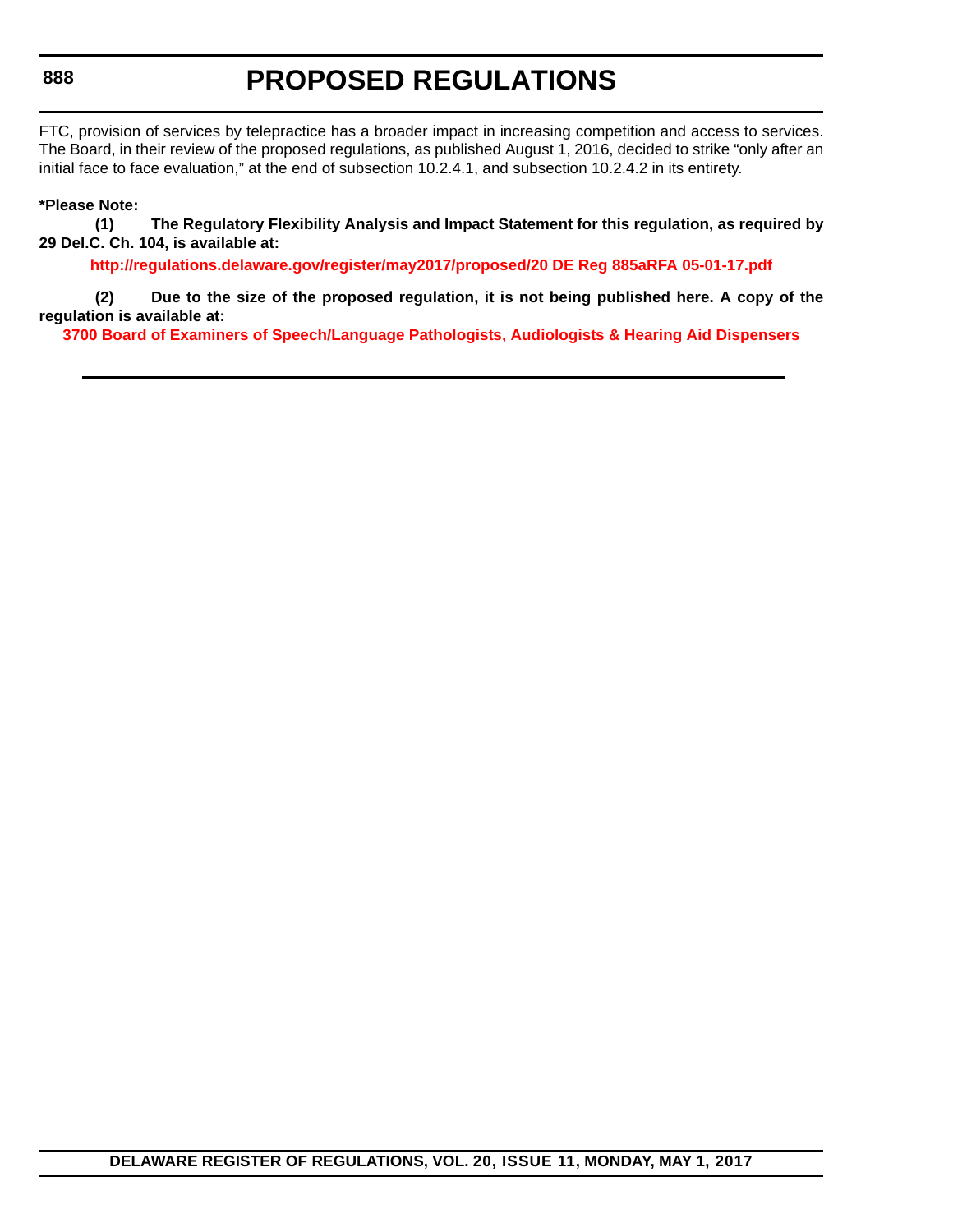# **PROPOSED REGULATIONS**

FTC, provision of services by telepractice has a broader impact in increasing competition and access to services. The Board, in their review of the proposed regulations, as published August 1, 2016, decided to strike "only after an initial face to face evaluation," at the end of subsection 10.2.4.1, and subsection 10.2.4.2 in its entirety.

### **\*Please Note:**

**(1) The Regulatory Flexibility Analysis and Impact Statement for this regulation, as required by 29 Del.C. Ch. 104, is available at:**

**<http://regulations.delaware.gov/register/may2017/proposed/20 DE Reg 885aRFA 05-01-17.pdf>**

**(2) Due to the size of the proposed regulation, it is not being published here. A copy of the regulation is available at:**

**[3700 Board of Examiners of Speech/Language Pathologists, Audiologists & Hearing Aid Dispensers](http://regulations.delaware.gov/register/may2017/proposed/20 DE Reg 885a 05-01-17.htm)**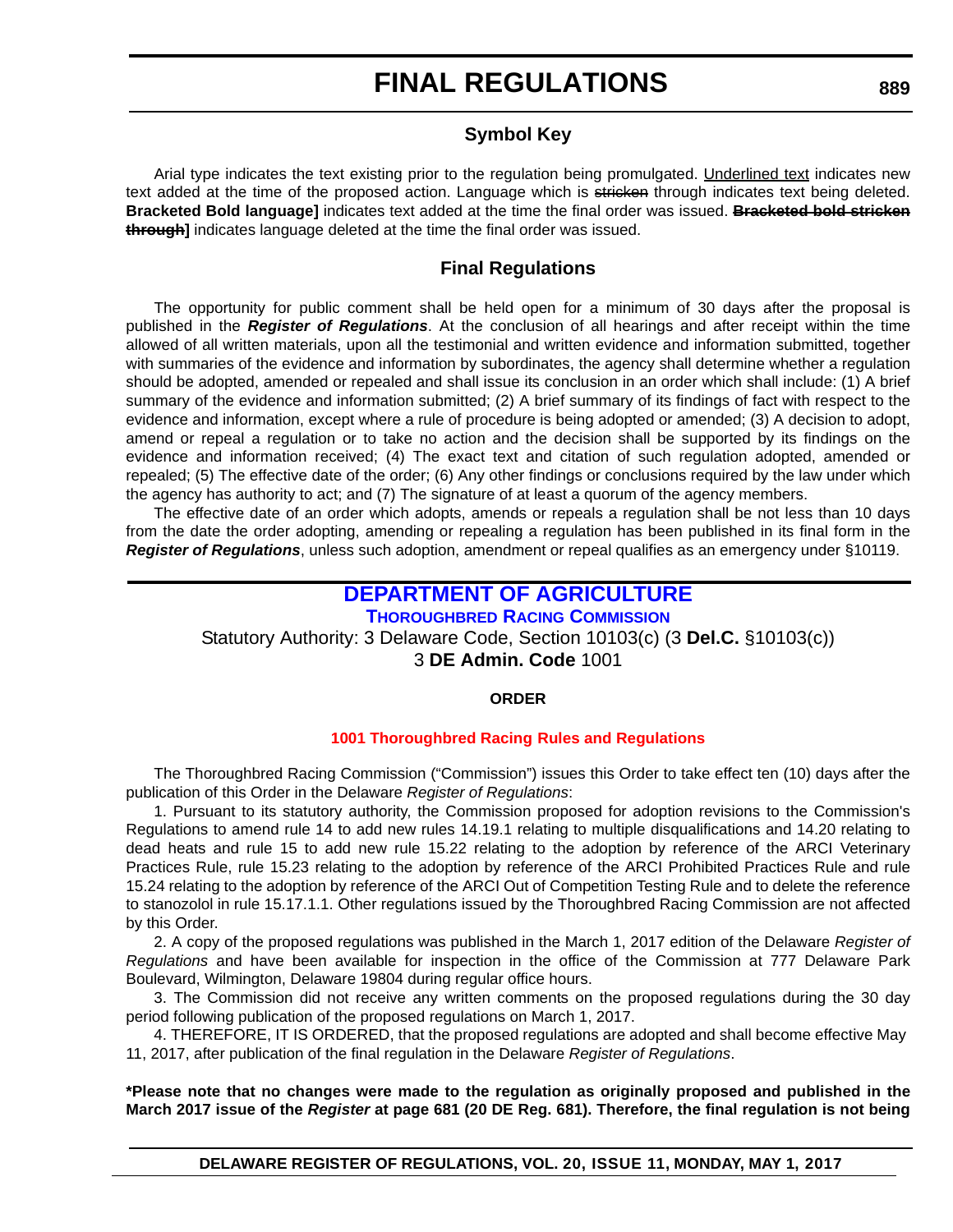## **Symbol Key**

Arial type indicates the text existing prior to the regulation being promulgated. Underlined text indicates new text added at the time of the proposed action. Language which is stricken through indicates text being deleted. **Bracketed Bold language]** indicates text added at the time the final order was issued. **Bracketed bold stricken through]** indicates language deleted at the time the final order was issued.

## **Final Regulations**

The opportunity for public comment shall be held open for a minimum of 30 days after the proposal is published in the *Register of Regulations*. At the conclusion of all hearings and after receipt within the time allowed of all written materials, upon all the testimonial and written evidence and information submitted, together with summaries of the evidence and information by subordinates, the agency shall determine whether a regulation should be adopted, amended or repealed and shall issue its conclusion in an order which shall include: (1) A brief summary of the evidence and information submitted; (2) A brief summary of its findings of fact with respect to the evidence and information, except where a rule of procedure is being adopted or amended; (3) A decision to adopt, amend or repeal a regulation or to take no action and the decision shall be supported by its findings on the evidence and information received; (4) The exact text and citation of such regulation adopted, amended or repealed; (5) The effective date of the order; (6) Any other findings or conclusions required by the law under which the agency has authority to act; and (7) The signature of at least a quorum of the agency members.

The effective date of an order which adopts, amends or repeals a regulation shall be not less than 10 days from the date the order adopting, amending or repealing a regulation has been published in its final form in the *Register of Regulations*, unless such adoption, amendment or repeal qualifies as an emergency under §10119.

## **[DEPARTMENT OF AGRICULTURE](http://dda.delaware.gov/)**

**[THOROUGHBRED RACING COMMISSION](http://dda.delaware.gov/thoroughbred/index.shtml)**

Statutory Authority: 3 Delaware Code, Section 10103(c) (3 **Del.C.** §10103(c))

3 **DE Admin. Code** 1001

### **ORDER**

### **[1001 Thoroughbred Racing](#page-3-0) Rules and Regulations**

The Thoroughbred Racing Commission ("Commission") issues this Order to take effect ten (10) days after the publication of this Order in the Delaware *Register of Regulations*:

1. Pursuant to its statutory authority, the Commission proposed for adoption revisions to the Commission's Regulations to amend rule 14 to add new rules 14.19.1 relating to multiple disqualifications and 14.20 relating to dead heats and rule 15 to add new rule 15.22 relating to the adoption by reference of the ARCI Veterinary Practices Rule, rule 15.23 relating to the adoption by reference of the ARCI Prohibited Practices Rule and rule 15.24 relating to the adoption by reference of the ARCI Out of Competition Testing Rule and to delete the reference to stanozolol in rule 15.17.1.1. Other regulations issued by the Thoroughbred Racing Commission are not affected by this Order.

2. A copy of the proposed regulations was published in the March 1, 2017 edition of the Delaware *Register of Regulations* and have been available for inspection in the office of the Commission at 777 Delaware Park Boulevard, Wilmington, Delaware 19804 during regular office hours.

3. The Commission did not receive any written comments on the proposed regulations during the 30 day period following publication of the proposed regulations on March 1, 2017.

4. THEREFORE, IT IS ORDERED, that the proposed regulations are adopted and shall become effective May 11, 2017, after publication of the final regulation in the Delaware *Register of Regulations*.

**\*Please note that no changes were made to the regulation as originally proposed and published in the March 2017 issue of the** *Register* **at page 681 (20 DE Reg. 681). Therefore, the final regulation is not being**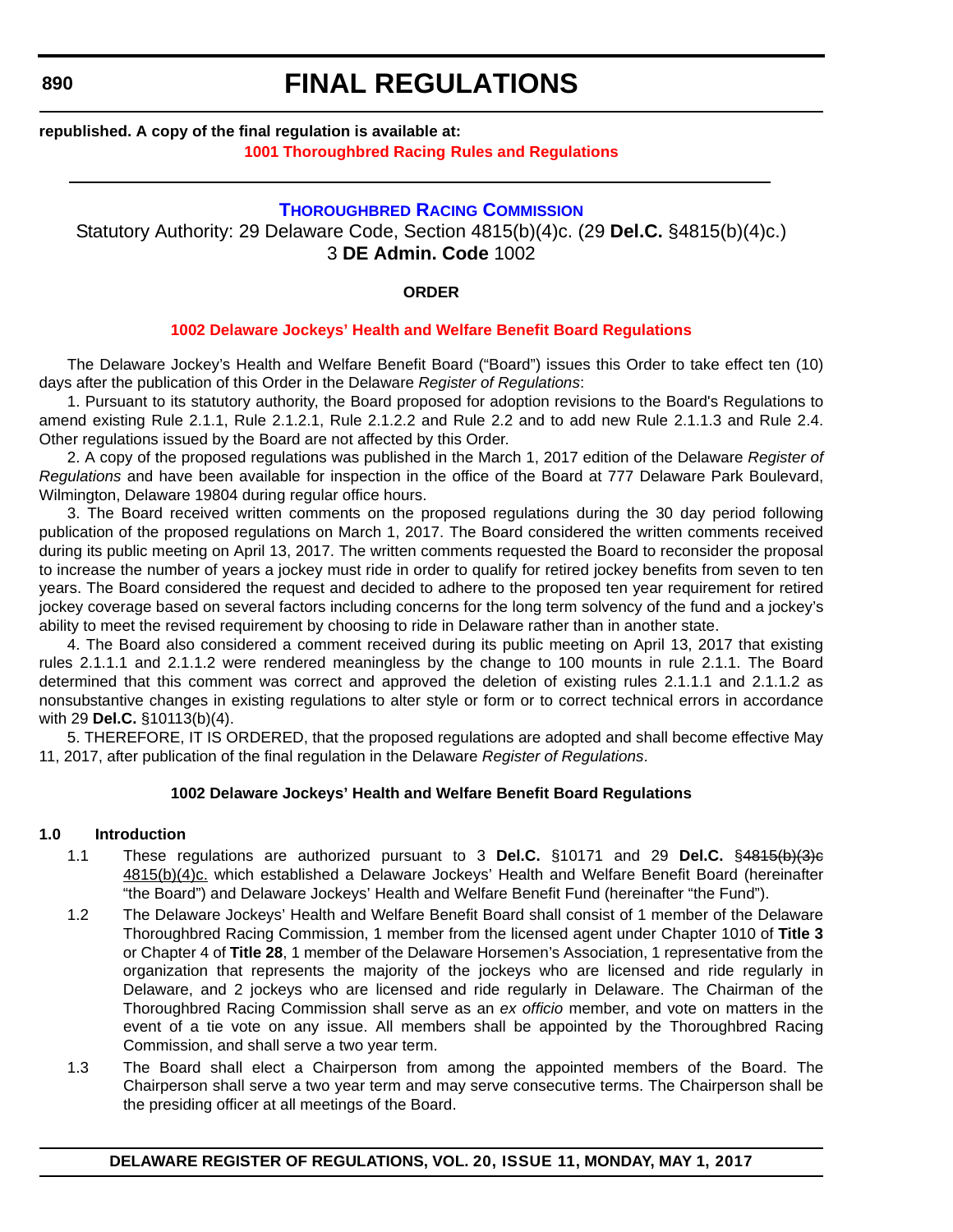## **FINAL REGULATIONS**

## **republished. A copy of the final regulation is available at: [1001 Thoroughbred Racing](http://regulations.delaware.gov/register/may2017/final/20 DE Reg 889 05-01-17.htm) Rules and Regulations**

## **[THOROUGHBRED RACING COMMISSION](http://dda.delaware.gov/thoroughbred/index.shtml)**

Statutory Authority: 29 Delaware Code, Section 4815(b)(4)c. (29 **Del.C.** §4815(b)(4)c.) 3 **DE Admin. Code** 1002

**ORDER**

### **[1002 Delaware Jockeys' Health and Welfare Benefit Board Regulations](#page-3-0)**

The Delaware Jockey's Health and Welfare Benefit Board ("Board") issues this Order to take effect ten (10) days after the publication of this Order in the Delaware *Register of Regulations*:

1. Pursuant to its statutory authority, the Board proposed for adoption revisions to the Board's Regulations to amend existing Rule 2.1.1, Rule 2.1.2.1, Rule 2.1.2.2 and Rule 2.2 and to add new Rule 2.1.1.3 and Rule 2.4. Other regulations issued by the Board are not affected by this Order.

2. A copy of the proposed regulations was published in the March 1, 2017 edition of the Delaware *Register of Regulations* and have been available for inspection in the office of the Board at 777 Delaware Park Boulevard, Wilmington, Delaware 19804 during regular office hours.

3. The Board received written comments on the proposed regulations during the 30 day period following publication of the proposed regulations on March 1, 2017. The Board considered the written comments received during its public meeting on April 13, 2017. The written comments requested the Board to reconsider the proposal to increase the number of years a jockey must ride in order to qualify for retired jockey benefits from seven to ten years. The Board considered the request and decided to adhere to the proposed ten year requirement for retired jockey coverage based on several factors including concerns for the long term solvency of the fund and a jockey's ability to meet the revised requirement by choosing to ride in Delaware rather than in another state.

4. The Board also considered a comment received during its public meeting on April 13, 2017 that existing rules 2.1.1.1 and 2.1.1.2 were rendered meaningless by the change to 100 mounts in rule 2.1.1. The Board determined that this comment was correct and approved the deletion of existing rules 2.1.1.1 and 2.1.1.2 as nonsubstantive changes in existing regulations to alter style or form or to correct technical errors in accordance with 29 **Del.C.** §10113(b)(4).

5. THEREFORE, IT IS ORDERED, that the proposed regulations are adopted and shall become effective May 11, 2017, after publication of the final regulation in the Delaware *Register of Regulations*.

### **1002 Delaware Jockeys' Health and Welfare Benefit Board Regulations**

### **1.0 Introduction**

- 1.1 These regulations are authorized pursuant to 3 **Del.C.** §10171 and 29 **Del.C.** §4815(b)(3)c 4815(b)(4)c. which established a Delaware Jockeys' Health and Welfare Benefit Board (hereinafter "the Board") and Delaware Jockeys' Health and Welfare Benefit Fund (hereinafter "the Fund").
- 1.2 The Delaware Jockeys' Health and Welfare Benefit Board shall consist of 1 member of the Delaware Thoroughbred Racing Commission, 1 member from the licensed agent under Chapter 1010 of **Title 3** or Chapter 4 of **Title 28**, 1 member of the Delaware Horsemen's Association, 1 representative from the organization that represents the majority of the jockeys who are licensed and ride regularly in Delaware, and 2 jockeys who are licensed and ride regularly in Delaware. The Chairman of the Thoroughbred Racing Commission shall serve as an *ex officio* member, and vote on matters in the event of a tie vote on any issue. All members shall be appointed by the Thoroughbred Racing Commission, and shall serve a two year term.
- 1.3 The Board shall elect a Chairperson from among the appointed members of the Board. The Chairperson shall serve a two year term and may serve consecutive terms. The Chairperson shall be the presiding officer at all meetings of the Board.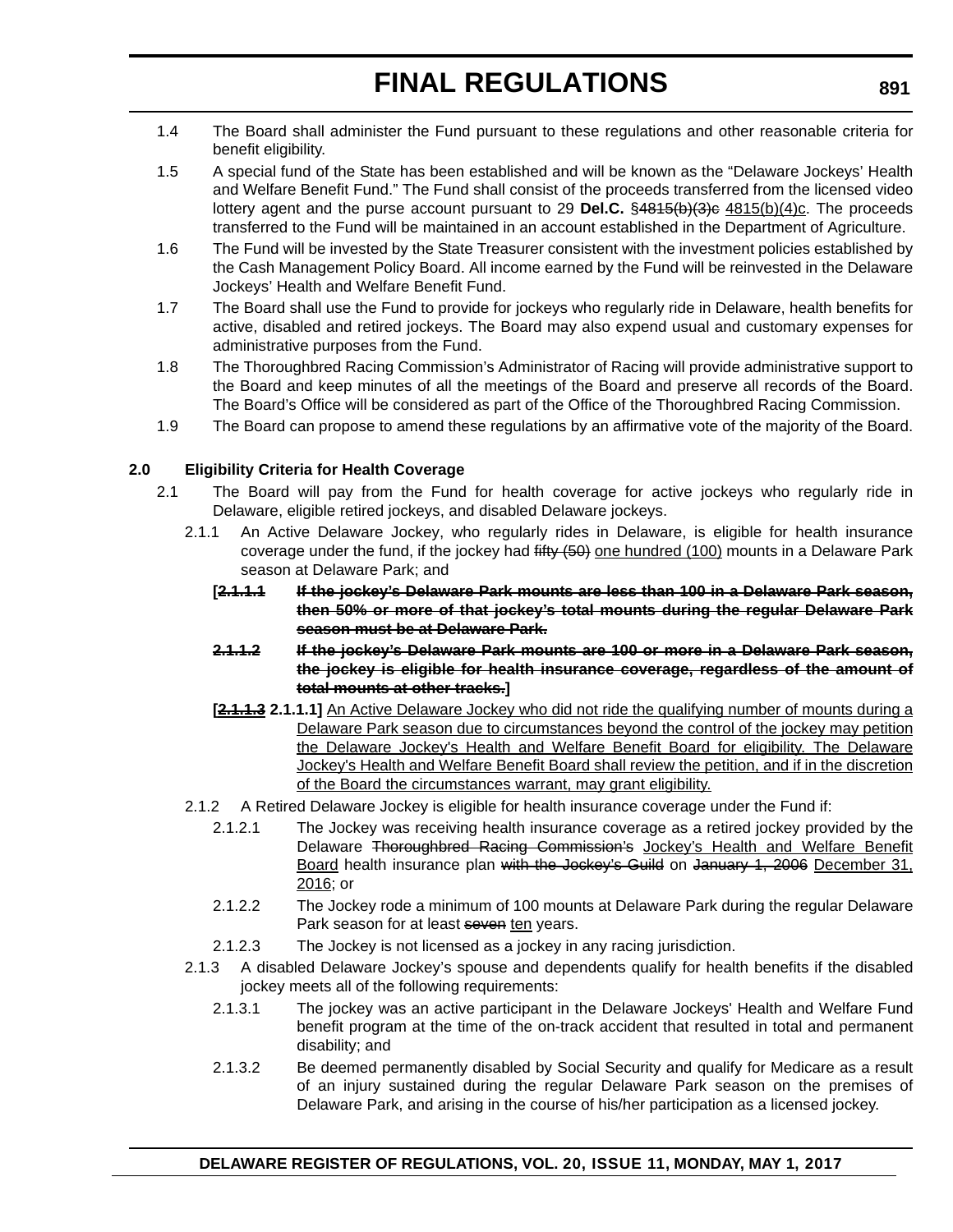- 1.4 The Board shall administer the Fund pursuant to these regulations and other reasonable criteria for benefit eligibility.
- 1.5 A special fund of the State has been established and will be known as the "Delaware Jockeys' Health and Welfare Benefit Fund." The Fund shall consist of the proceeds transferred from the licensed video lottery agent and the purse account pursuant to 29 **Del.C.** §4815(b)(3)e 4815(b)(4)c. The proceeds transferred to the Fund will be maintained in an account established in the Department of Agriculture.
- 1.6 The Fund will be invested by the State Treasurer consistent with the investment policies established by the Cash Management Policy Board. All income earned by the Fund will be reinvested in the Delaware Jockeys' Health and Welfare Benefit Fund.
- 1.7 The Board shall use the Fund to provide for jockeys who regularly ride in Delaware, health benefits for active, disabled and retired jockeys. The Board may also expend usual and customary expenses for administrative purposes from the Fund.
- 1.8 The Thoroughbred Racing Commission's Administrator of Racing will provide administrative support to the Board and keep minutes of all the meetings of the Board and preserve all records of the Board. The Board's Office will be considered as part of the Office of the Thoroughbred Racing Commission.
- 1.9 The Board can propose to amend these regulations by an affirmative vote of the majority of the Board.

### **2.0 Eligibility Criteria for Health Coverage**

- 2.1 The Board will pay from the Fund for health coverage for active jockeys who regularly ride in Delaware, eligible retired jockeys, and disabled Delaware jockeys.
	- 2.1.1 An Active Delaware Jockey, who regularly rides in Delaware, is eligible for health insurance coverage under the fund, if the jockey had  $f$ ifty  $(50)$  one hundred (100) mounts in a Delaware Park season at Delaware Park; and
		- **[2.1.1.1 If the jockey's Delaware Park mounts are less than 100 in a Delaware Park season, then 50% or more of that jockey's total mounts during the regular Delaware Park season must be at Delaware Park.**
		- **2.1.1.2 If the jockey's Delaware Park mounts are 100 or more in a Delaware Park season, the jockey is eligible for health insurance coverage, regardless of the amount of total mounts at other tracks.]**
		- **[2.1.1.3 2.1.1.1]** An Active Delaware Jockey who did not ride the qualifying number of mounts during a Delaware Park season due to circumstances beyond the control of the jockey may petition the Delaware Jockey's Health and Welfare Benefit Board for eligibility. The Delaware Jockey's Health and Welfare Benefit Board shall review the petition, and if in the discretion of the Board the circumstances warrant, may grant eligibility.
	- 2.1.2 A Retired Delaware Jockey is eligible for health insurance coverage under the Fund if:
		- 2.1.2.1 The Jockey was receiving health insurance coverage as a retired jockey provided by the Delaware Thoroughbred Racing Commission's Jockey's Health and Welfare Benefit Board health insurance plan with the Jockey's Guild on January 1, 2006 December 31, 2016; or
		- 2.1.2.2 The Jockey rode a minimum of 100 mounts at Delaware Park during the regular Delaware Park season for at least seven ten years.
		- 2.1.2.3 The Jockey is not licensed as a jockey in any racing jurisdiction.
	- 2.1.3 A disabled Delaware Jockey's spouse and dependents qualify for health benefits if the disabled jockey meets all of the following requirements:
		- 2.1.3.1 The jockey was an active participant in the Delaware Jockeys' Health and Welfare Fund benefit program at the time of the on-track accident that resulted in total and permanent disability; and
		- 2.1.3.2 Be deemed permanently disabled by Social Security and qualify for Medicare as a result of an injury sustained during the regular Delaware Park season on the premises of Delaware Park, and arising in the course of his/her participation as a licensed jockey.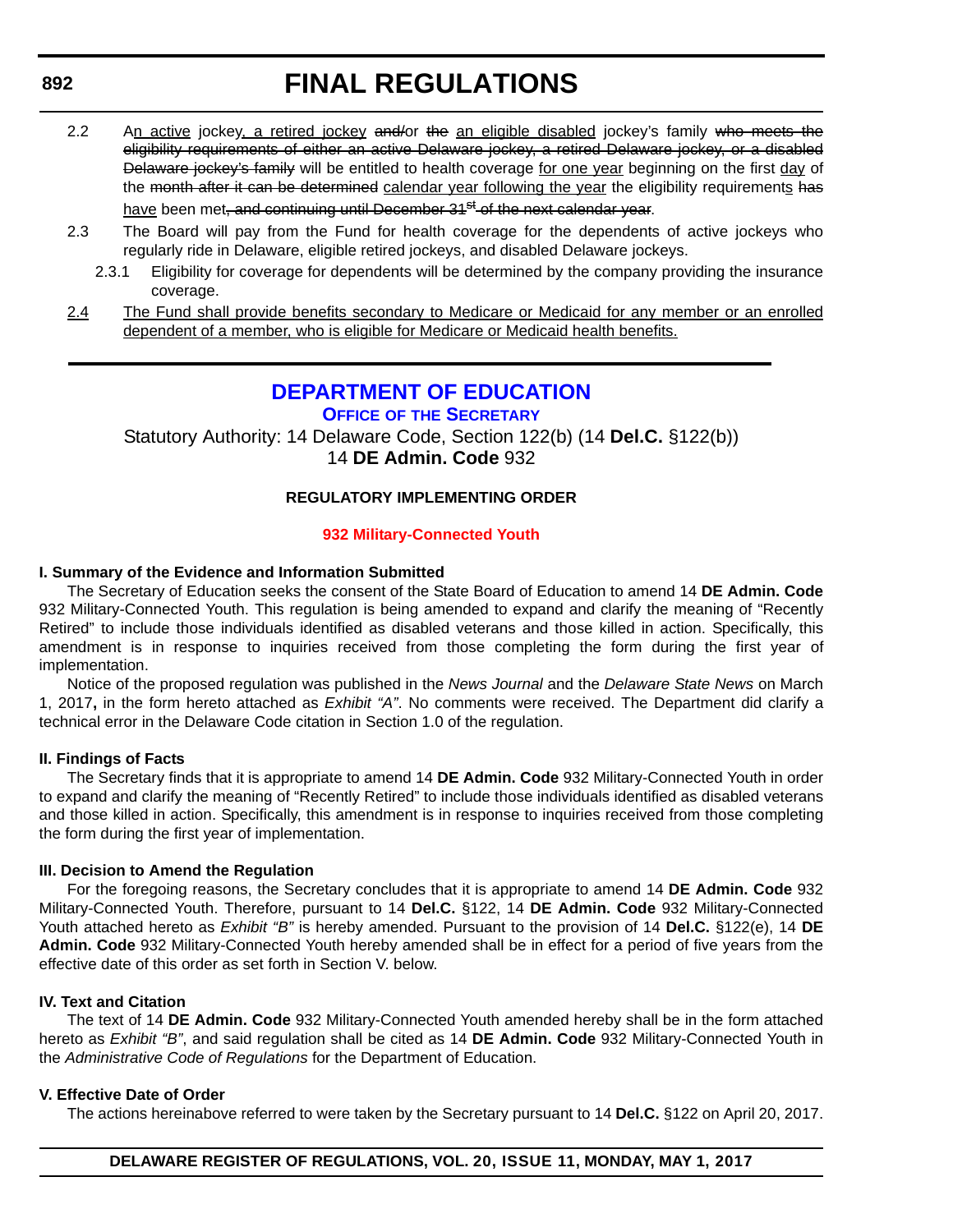- 2.2 An active jockey, a retired jockey and/or the an eligible disabled jockey's family who meets the eligibility requirements of either an active Delaware jockey, a retired Delaware jockey, or a disabled Delaware jockey's family will be entitled to health coverage for one year beginning on the first day of the month after it can be determined calendar year following the year the eligibility requirements has have been met<del>, and continuing until December 31<sup>st</sup> of the next calendar vear</del>.
- 2.3 The Board will pay from the Fund for health coverage for the dependents of active jockeys who regularly ride in Delaware, eligible retired jockeys, and disabled Delaware jockeys.
	- 2.3.1 Eligibility for coverage for dependents will be determined by the company providing the insurance coverage.
- 2.4 The Fund shall provide benefits secondary to Medicare or Medicaid for any member or an enrolled dependent of a member, who is eligible for Medicare or Medicaid health benefits.

## **[DEPARTMENT OF EDUCATION](http://www.doe.k12.de.us/)**

**OFFICE OF [THE SECRETARY](https://pubapps.doe.k12.de.us/EducationalDirectoryPublic/pages/DDOE/Branches.aspx?page=branches&BID=1)**

Statutory Authority: 14 Delaware Code, Section 122(b) (14 **Del.C.** §122(b)) 14 **DE Admin. Code** 932

## **REGULATORY IMPLEMENTING ORDER**

### **[932 Military-Connected Youth](#page-3-0)**

### **I. Summary of the Evidence and Information Submitted**

The Secretary of Education seeks the consent of the State Board of Education to amend 14 **DE Admin. Code** 932 Military-Connected Youth. This regulation is being amended to expand and clarify the meaning of "Recently Retired" to include those individuals identified as disabled veterans and those killed in action. Specifically, this amendment is in response to inquiries received from those completing the form during the first year of implementation.

Notice of the proposed regulation was published in the *News Journal* and the *Delaware State News* on March 1, 2017**,** in the form hereto attached as *Exhibit "A"*. No comments were received. The Department did clarify a technical error in the Delaware Code citation in Section 1.0 of the regulation.

### **II. Findings of Facts**

The Secretary finds that it is appropriate to amend 14 **DE Admin. Code** 932 Military-Connected Youth in order to expand and clarify the meaning of "Recently Retired" to include those individuals identified as disabled veterans and those killed in action. Specifically, this amendment is in response to inquiries received from those completing the form during the first year of implementation.

### **III. Decision to Amend the Regulation**

For the foregoing reasons, the Secretary concludes that it is appropriate to amend 14 **DE Admin. Code** 932 Military-Connected Youth. Therefore, pursuant to 14 **Del.C.** §122, 14 **DE Admin. Code** 932 Military-Connected Youth attached hereto as *Exhibit "B"* is hereby amended. Pursuant to the provision of 14 **Del.C.** §122(e), 14 **DE Admin. Code** 932 Military-Connected Youth hereby amended shall be in effect for a period of five years from the effective date of this order as set forth in Section V. below.

### **IV. Text and Citation**

The text of 14 **DE Admin. Code** 932 Military-Connected Youth amended hereby shall be in the form attached hereto as *Exhibit "B"*, and said regulation shall be cited as 14 **DE Admin. Code** 932 Military-Connected Youth in the *Administrative Code of Regulations* for the Department of Education.

### **V. Effective Date of Order**

The actions hereinabove referred to were taken by the Secretary pursuant to 14 **Del.C.** §122 on April 20, 2017.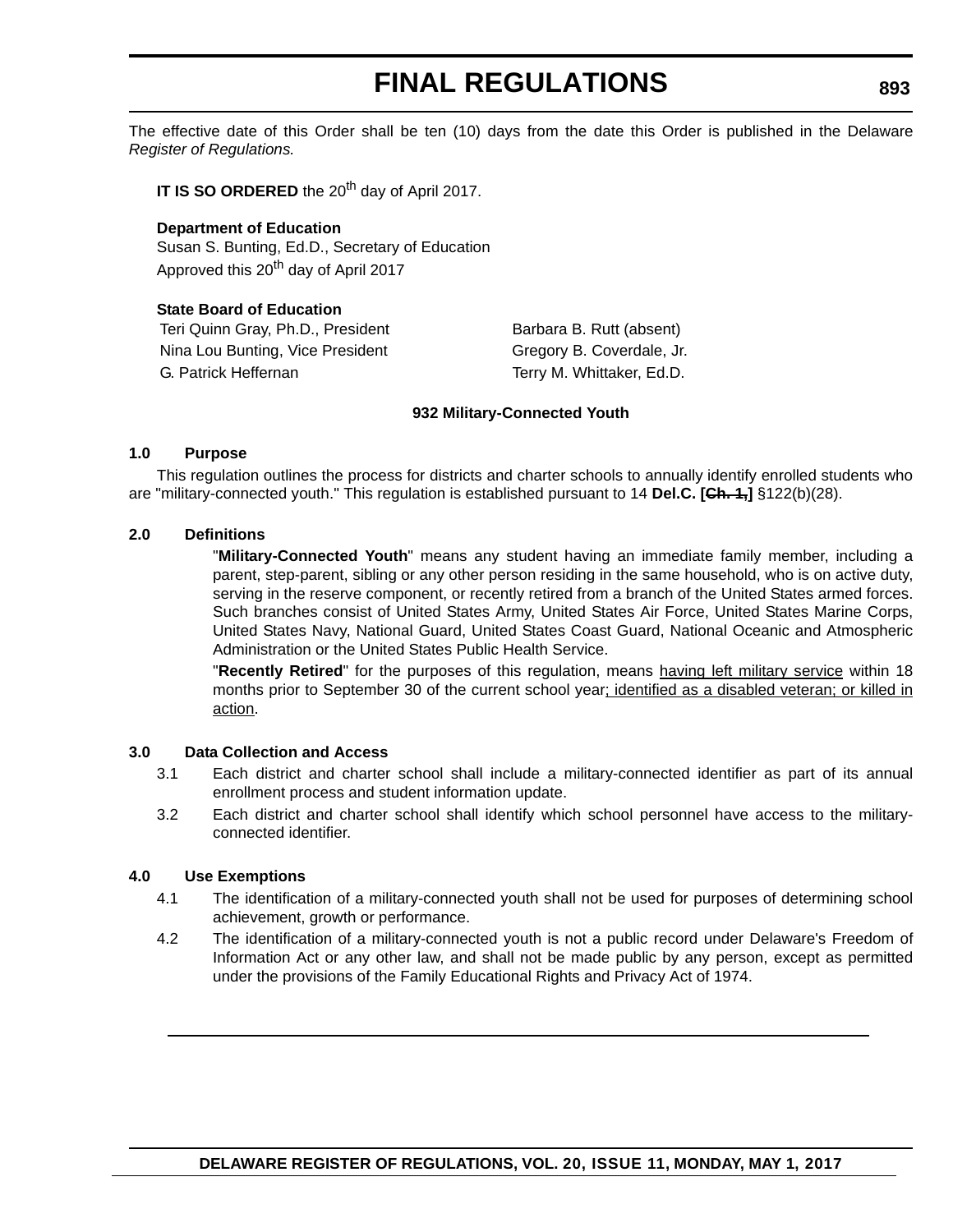The effective date of this Order shall be ten (10) days from the date this Order is published in the Delaware *Register of Regulations.*

**IT IS SO ORDERED** the 20<sup>th</sup> day of April 2017.

### **Department of Education** Susan S. Bunting, Ed.D., Secretary of Education Approved this 20<sup>th</sup> day of April 2017

## **State Board of Education** Teri Quinn Gray, Ph.D., President Barbara B. Rutt (absent) Nina Lou Bunting, Vice President Gregory B. Coverdale, Jr.

G. Patrick Heffernan Terry M. Whittaker, Ed.D.

### **932 Military-Connected Youth**

### **1.0 Purpose**

This regulation outlines the process for districts and charter schools to annually identify enrolled students who are "military-connected youth." This regulation is established pursuant to 14 **Del.C. [Ch. 1,]** §122(b)(28).

### **2.0 Definitions**

"**Military-Connected Youth**" means any student having an immediate family member, including a parent, step-parent, sibling or any other person residing in the same household, who is on active duty, serving in the reserve component, or recently retired from a branch of the United States armed forces. Such branches consist of United States Army, United States Air Force, United States Marine Corps, United States Navy, National Guard, United States Coast Guard, National Oceanic and Atmospheric Administration or the United States Public Health Service.

"**Recently Retired**" for the purposes of this regulation, means having left military service within 18 months prior to September 30 of the current school year; identified as a disabled veteran; or killed in action.

### **3.0 Data Collection and Access**

- 3.1 Each district and charter school shall include a military-connected identifier as part of its annual enrollment process and student information update.
- 3.2 Each district and charter school shall identify which school personnel have access to the militaryconnected identifier.

### **4.0 Use Exemptions**

- 4.1 The identification of a military-connected youth shall not be used for purposes of determining school achievement, growth or performance.
- 4.2 The identification of a military-connected youth is not a public record under Delaware's Freedom of Information Act or any other law, and shall not be made public by any person, except as permitted under the provisions of the Family Educational Rights and Privacy Act of 1974.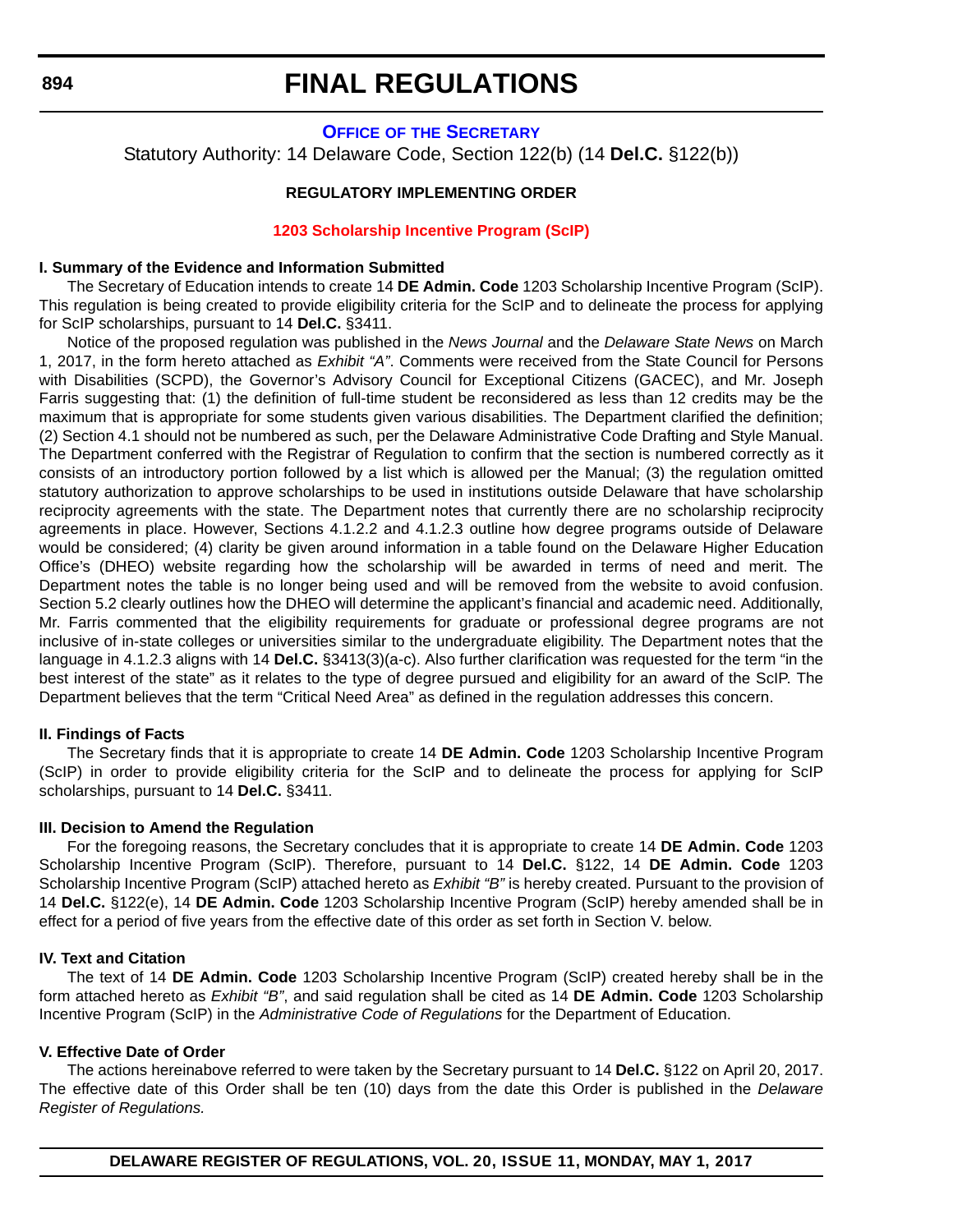### **OFFICE OF [THE SECRETARY](https://pubapps.doe.k12.de.us/EducationalDirectoryPublic/pages/DDOE/Branches.aspx?page=branches&BID=1)**

Statutory Authority: 14 Delaware Code, Section 122(b) (14 **Del.C.** §122(b))

### **REGULATORY IMPLEMENTING ORDER**

#### **[1203 Scholarship Incentive Program \(ScIP\)](#page-3-0)**

#### **I. Summary of the Evidence and Information Submitted**

The Secretary of Education intends to create 14 **DE Admin. Code** 1203 Scholarship Incentive Program (ScIP). This regulation is being created to provide eligibility criteria for the ScIP and to delineate the process for applying for ScIP scholarships, pursuant to 14 **Del.C.** §3411.

Notice of the proposed regulation was published in the *News Journal* and the *Delaware State News* on March 1, 2017, in the form hereto attached as *Exhibit "A"*. Comments were received from the State Council for Persons with Disabilities (SCPD), the Governor's Advisory Council for Exceptional Citizens (GACEC), and Mr. Joseph Farris suggesting that: (1) the definition of full-time student be reconsidered as less than 12 credits may be the maximum that is appropriate for some students given various disabilities. The Department clarified the definition; (2) Section 4.1 should not be numbered as such, per the Delaware Administrative Code Drafting and Style Manual. The Department conferred with the Registrar of Regulation to confirm that the section is numbered correctly as it consists of an introductory portion followed by a list which is allowed per the Manual; (3) the regulation omitted statutory authorization to approve scholarships to be used in institutions outside Delaware that have scholarship reciprocity agreements with the state. The Department notes that currently there are no scholarship reciprocity agreements in place. However, Sections 4.1.2.2 and 4.1.2.3 outline how degree programs outside of Delaware would be considered; (4) clarity be given around information in a table found on the Delaware Higher Education Office's (DHEO) website regarding how the scholarship will be awarded in terms of need and merit. The Department notes the table is no longer being used and will be removed from the website to avoid confusion. Section 5.2 clearly outlines how the DHEO will determine the applicant's financial and academic need. Additionally, Mr. Farris commented that the eligibility requirements for graduate or professional degree programs are not inclusive of in-state colleges or universities similar to the undergraduate eligibility. The Department notes that the language in 4.1.2.3 aligns with 14 **Del.C.** §3413(3)(a-c). Also further clarification was requested for the term "in the best interest of the state" as it relates to the type of degree pursued and eligibility for an award of the ScIP. The Department believes that the term "Critical Need Area" as defined in the regulation addresses this concern.

#### **II. Findings of Facts**

The Secretary finds that it is appropriate to create 14 **DE Admin. Code** 1203 Scholarship Incentive Program (ScIP) in order to provide eligibility criteria for the ScIP and to delineate the process for applying for ScIP scholarships, pursuant to 14 **Del.C.** §3411.

#### **III. Decision to Amend the Regulation**

For the foregoing reasons, the Secretary concludes that it is appropriate to create 14 **DE Admin. Code** 1203 Scholarship Incentive Program (ScIP). Therefore, pursuant to 14 **Del.C.** §122, 14 **DE Admin. Code** 1203 Scholarship Incentive Program (ScIP) attached hereto as *Exhibit "B"* is hereby created. Pursuant to the provision of 14 **Del.C.** §122(e), 14 **DE Admin. Code** 1203 Scholarship Incentive Program (ScIP) hereby amended shall be in effect for a period of five years from the effective date of this order as set forth in Section V. below.

### **IV. Text and Citation**

The text of 14 **DE Admin. Code** 1203 Scholarship Incentive Program (ScIP) created hereby shall be in the form attached hereto as *Exhibit "B"*, and said regulation shall be cited as 14 **DE Admin. Code** 1203 Scholarship Incentive Program (ScIP) in the *Administrative Code of Regulations* for the Department of Education.

#### **V. Effective Date of Order**

The actions hereinabove referred to were taken by the Secretary pursuant to 14 **Del.C.** §122 on April 20, 2017. The effective date of this Order shall be ten (10) days from the date this Order is published in the *Delaware Register of Regulations.*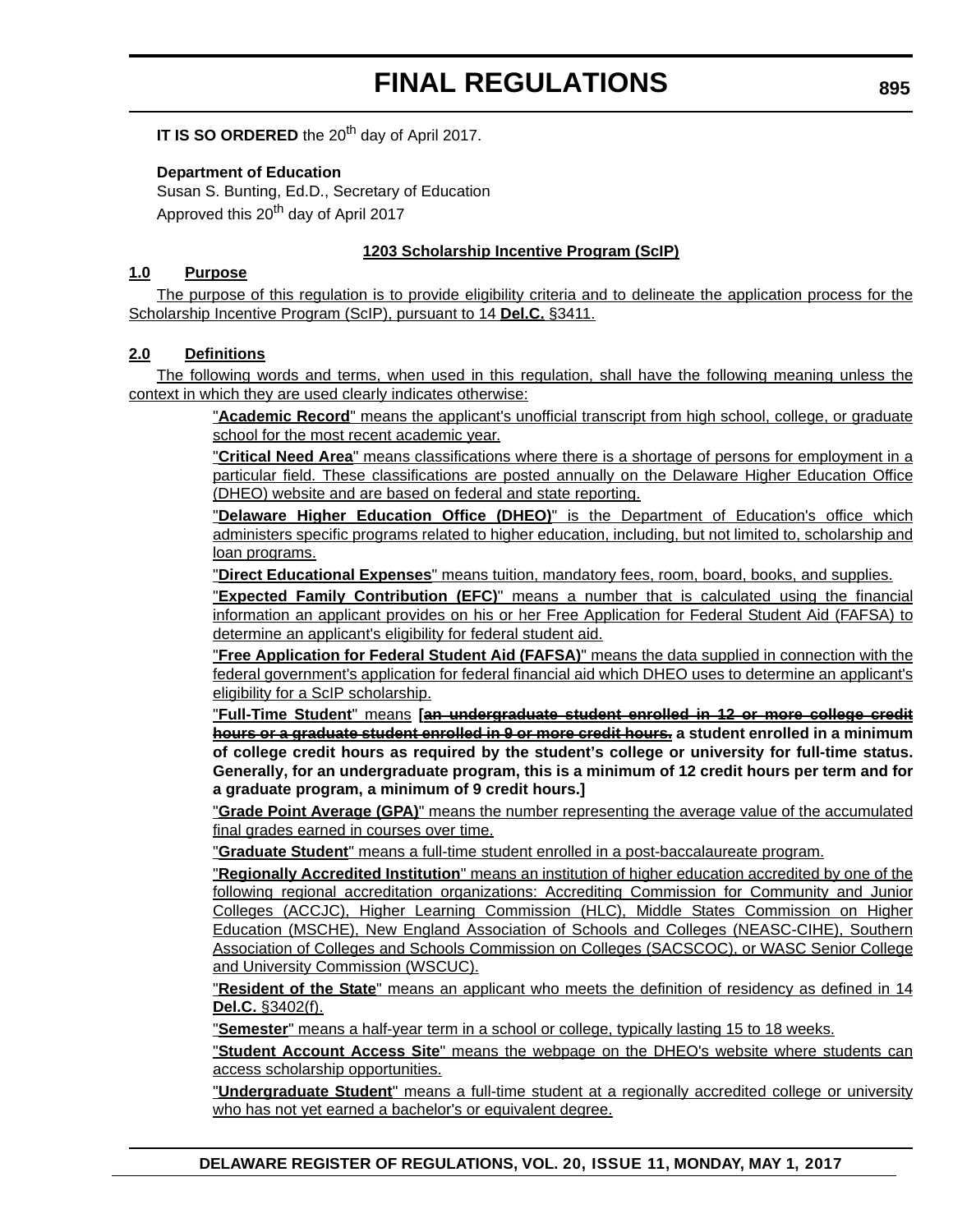**IT IS SO ORDERED** the 20<sup>th</sup> day of April 2017.

### **Department of Education**

Susan S. Bunting, Ed.D., Secretary of Education Approved this 20<sup>th</sup> day of April 2017

### **1203 Scholarship Incentive Program (ScIP)**

### **1.0 Purpose**

The purpose of this regulation is to provide eligibility criteria and to delineate the application process for the Scholarship Incentive Program (ScIP), pursuant to 14 **Del.C.** §3411.

### **2.0 Definitions**

The following words and terms, when used in this regulation, shall have the following meaning unless the context in which they are used clearly indicates otherwise:

> "**Academic Record**" means the applicant's unofficial transcript from high school, college, or graduate school for the most recent academic year.

> "**Critical Need Area**" means classifications where there is a shortage of persons for employment in a particular field. These classifications are posted annually on the Delaware Higher Education Office (DHEO) website and are based on federal and state reporting.

> "**Delaware Higher Education Office (DHEO)**" is the Department of Education's office which administers specific programs related to higher education, including, but not limited to, scholarship and loan programs.

"**Direct Educational Expenses**" means tuition, mandatory fees, room, board, books, and supplies.

"**Expected Family Contribution (EFC)**" means a number that is calculated using the financial information an applicant provides on his or her Free Application for Federal Student Aid (FAFSA) to determine an applicant's eligibility for federal student aid.

"**Free Application for Federal Student Aid (FAFSA)**" means the data supplied in connection with the federal government's application for federal financial aid which DHEO uses to determine an applicant's eligibility for a ScIP scholarship.

"**Full-Time Student**" means **[an undergraduate student enrolled in 12 or more college credit hours or a graduate student enrolled in 9 or more credit hours. a student enrolled in a minimum of college credit hours as required by the student's college or university for full-time status. Generally, for an undergraduate program, this is a minimum of 12 credit hours per term and for a graduate program, a minimum of 9 credit hours.]**

"**Grade Point Average (GPA)**" means the number representing the average value of the accumulated final grades earned in courses over time.

"**Graduate Student**" means a full-time student enrolled in a post-baccalaureate program.

"**Regionally Accredited Institution**" means an institution of higher education accredited by one of the following regional accreditation organizations: Accrediting Commission for Community and Junior Colleges (ACCJC), Higher Learning Commission (HLC), Middle States Commission on Higher Education (MSCHE), New England Association of Schools and Colleges (NEASC-CIHE), Southern Association of Colleges and Schools Commission on Colleges (SACSCOC), or WASC Senior College and University Commission (WSCUC).

"**Resident of the State**" means an applicant who meets the definition of residency as defined in 14 **Del.C.** §3402(f).

"**Semester**" means a half-year term in a school or college, typically lasting 15 to 18 weeks.

"**Student Account Access Site**" means the webpage on the DHEO's website where students can access scholarship opportunities.

"**Undergraduate Student**" means a full-time student at a regionally accredited college or university who has not yet earned a bachelor's or equivalent degree.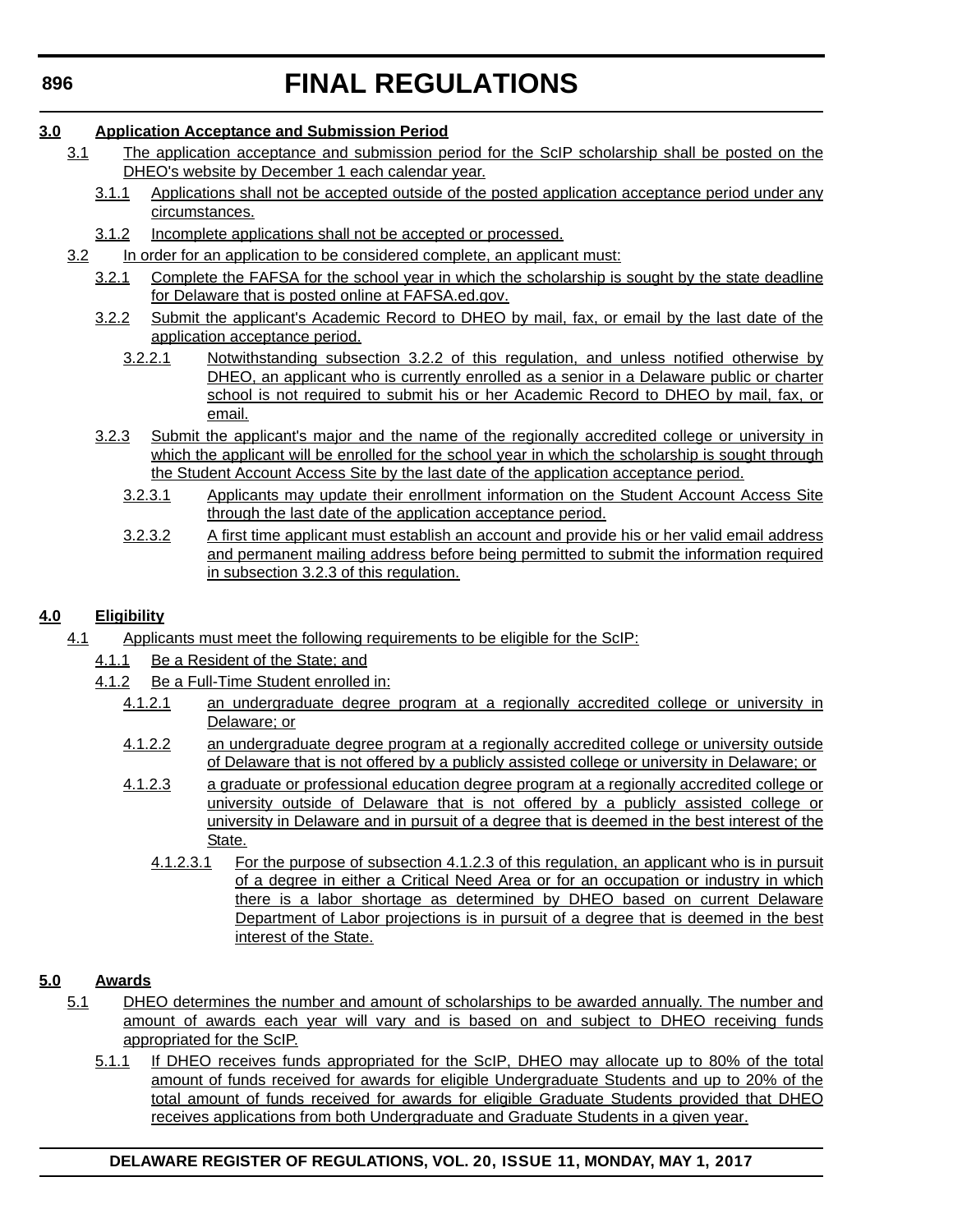## **3.0 Application Acceptance and Submission Period**

- 3.1 The application acceptance and submission period for the ScIP scholarship shall be posted on the DHEO's website by December 1 each calendar year.
	- 3.1.1 Applications shall not be accepted outside of the posted application acceptance period under any circumstances.
	- 3.1.2 Incomplete applications shall not be accepted or processed.
- 3.2 In order for an application to be considered complete, an applicant must:
	- 3.2.1 Complete the FAFSA for the school year in which the scholarship is sought by the state deadline for Delaware that is posted online at FAFSA.ed.gov.
	- 3.2.2 Submit the applicant's Academic Record to DHEO by mail, fax, or email by the last date of the application acceptance period.
		- 3.2.2.1 Notwithstanding subsection 3.2.2 of this regulation, and unless notified otherwise by DHEO, an applicant who is currently enrolled as a senior in a Delaware public or charter school is not required to submit his or her Academic Record to DHEO by mail, fax, or email.
	- 3.2.3 Submit the applicant's major and the name of the regionally accredited college or university in which the applicant will be enrolled for the school year in which the scholarship is sought through the Student Account Access Site by the last date of the application acceptance period.
		- 3.2.3.1 Applicants may update their enrollment information on the Student Account Access Site through the last date of the application acceptance period.
		- 3.2.3.2 A first time applicant must establish an account and provide his or her valid email address and permanent mailing address before being permitted to submit the information required in subsection 3.2.3 of this regulation.

## **4.0 Eligibility**

- 4.1 Applicants must meet the following requirements to be eligible for the ScIP:
	- 4.1.1 Be a Resident of the State; and
	- 4.1.2 Be a Full-Time Student enrolled in:
		- 4.1.2.1 an undergraduate degree program at a regionally accredited college or university in Delaware; or
		- 4.1.2.2 an undergraduate degree program at a regionally accredited college or university outside of Delaware that is not offered by a publicly assisted college or university in Delaware; or
		- 4.1.2.3 a graduate or professional education degree program at a regionally accredited college or university outside of Delaware that is not offered by a publicly assisted college or university in Delaware and in pursuit of a degree that is deemed in the best interest of the State.
			- 4.1.2.3.1 For the purpose of subsection 4.1.2.3 of this regulation, an applicant who is in pursuit of a degree in either a Critical Need Area or for an occupation or industry in which there is a labor shortage as determined by DHEO based on current Delaware Department of Labor projections is in pursuit of a degree that is deemed in the best interest of the State.

## **5.0 Awards**

- 5.1 DHEO determines the number and amount of scholarships to be awarded annually. The number and amount of awards each year will vary and is based on and subject to DHEO receiving funds appropriated for the ScIP.
	- 5.1.1 If DHEO receives funds appropriated for the ScIP, DHEO may allocate up to 80% of the total amount of funds received for awards for eligible Undergraduate Students and up to 20% of the total amount of funds received for awards for eligible Graduate Students provided that DHEO receives applications from both Undergraduate and Graduate Students in a given year.

## **DELAWARE REGISTER OF REGULATIONS, VOL. 20, ISSUE 11, MONDAY, MAY 1, 2017**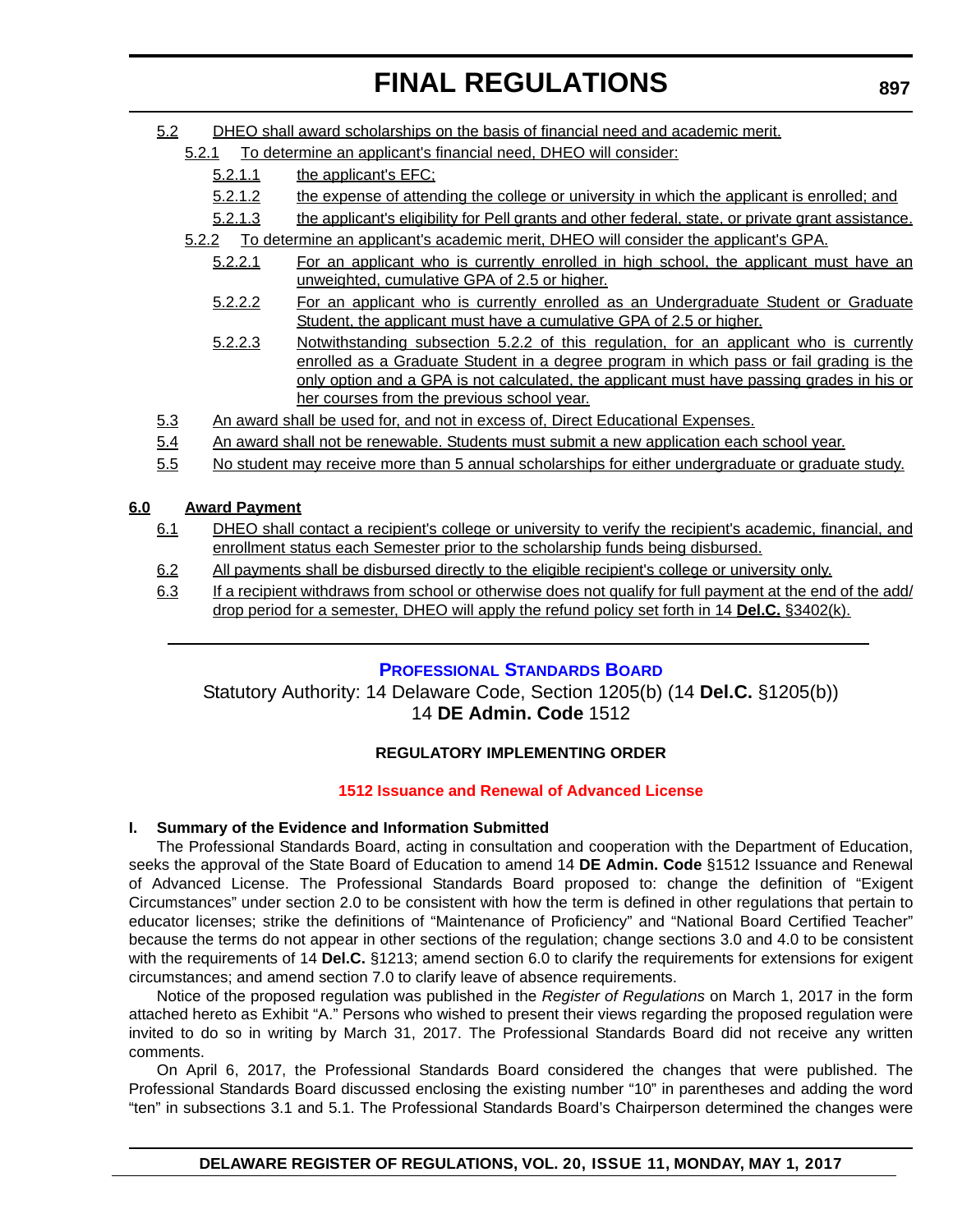- 5.2 DHEO shall award scholarships on the basis of financial need and academic merit.
	- 5.2.1 To determine an applicant's financial need, DHEO will consider:
		- 5.2.1.1 the applicant's EFC;
		- 5.2.1.2 the expense of attending the college or university in which the applicant is enrolled; and
		- 5.2.1.3 the applicant's eligibility for Pell grants and other federal, state, or private grant assistance.
	- 5.2.2 To determine an applicant's academic merit, DHEO will consider the applicant's GPA.
		- 5.2.2.1 For an applicant who is currently enrolled in high school, the applicant must have an unweighted, cumulative GPA of 2.5 or higher.
		- 5.2.2.2 For an applicant who is currently enrolled as an Undergraduate Student or Graduate Student, the applicant must have a cumulative GPA of 2.5 or higher.
		- 5.2.2.3 Notwithstanding subsection 5.2.2 of this regulation, for an applicant who is currently enrolled as a Graduate Student in a degree program in which pass or fail grading is the only option and a GPA is not calculated, the applicant must have passing grades in his or her courses from the previous school year.
- 5.3 An award shall be used for, and not in excess of, Direct Educational Expenses.
- 5.4 An award shall not be renewable. Students must submit a new application each school year.
- 5.5 No student may receive more than 5 annual scholarships for either undergraduate or graduate study.

## **6.0 Award Payment**

- 6.1 DHEO shall contact a recipient's college or university to verify the recipient's academic, financial, and enrollment status each Semester prior to the scholarship funds being disbursed.
- 6.2 All payments shall be disbursed directly to the eligible recipient's college or university only.
- 6.3 If a recipient withdraws from school or otherwise does not qualify for full payment at the end of the add/ drop period for a semester, DHEO will apply the refund policy set forth in 14 **Del.C.** §3402(k).

## **[PROFESSIONAL STANDARDS BOARD](https://pubapps.doe.k12.de.us/EducationalDirectoryPublic/pages/DDOE/WorkGroupStaff.aspx?page=branches&WGID=75&BID=1)**

Statutory Authority: 14 Delaware Code, Section 1205(b) (14 **Del.C.** §1205(b)) 14 **DE Admin. Code** 1512

## **REGULATORY IMPLEMENTING ORDER**

### **[1512 Issuance and Renewal of Advanced License](#page-3-0)**

### **I. Summary of the Evidence and Information Submitted**

The Professional Standards Board, acting in consultation and cooperation with the Department of Education, seeks the approval of the State Board of Education to amend 14 **DE Admin. Code** §1512 Issuance and Renewal of Advanced License. The Professional Standards Board proposed to: change the definition of "Exigent Circumstances" under section 2.0 to be consistent with how the term is defined in other regulations that pertain to educator licenses; strike the definitions of "Maintenance of Proficiency" and "National Board Certified Teacher" because the terms do not appear in other sections of the regulation; change sections 3.0 and 4.0 to be consistent with the requirements of 14 **Del.C.** §1213; amend section 6.0 to clarify the requirements for extensions for exigent circumstances; and amend section 7.0 to clarify leave of absence requirements.

Notice of the proposed regulation was published in the *Register of Regulations* on March 1, 2017 in the form attached hereto as Exhibit "A." Persons who wished to present their views regarding the proposed regulation were invited to do so in writing by March 31, 2017. The Professional Standards Board did not receive any written comments.

On April 6, 2017, the Professional Standards Board considered the changes that were published. The Professional Standards Board discussed enclosing the existing number "10" in parentheses and adding the word "ten" in subsections 3.1 and 5.1. The Professional Standards Board's Chairperson determined the changes were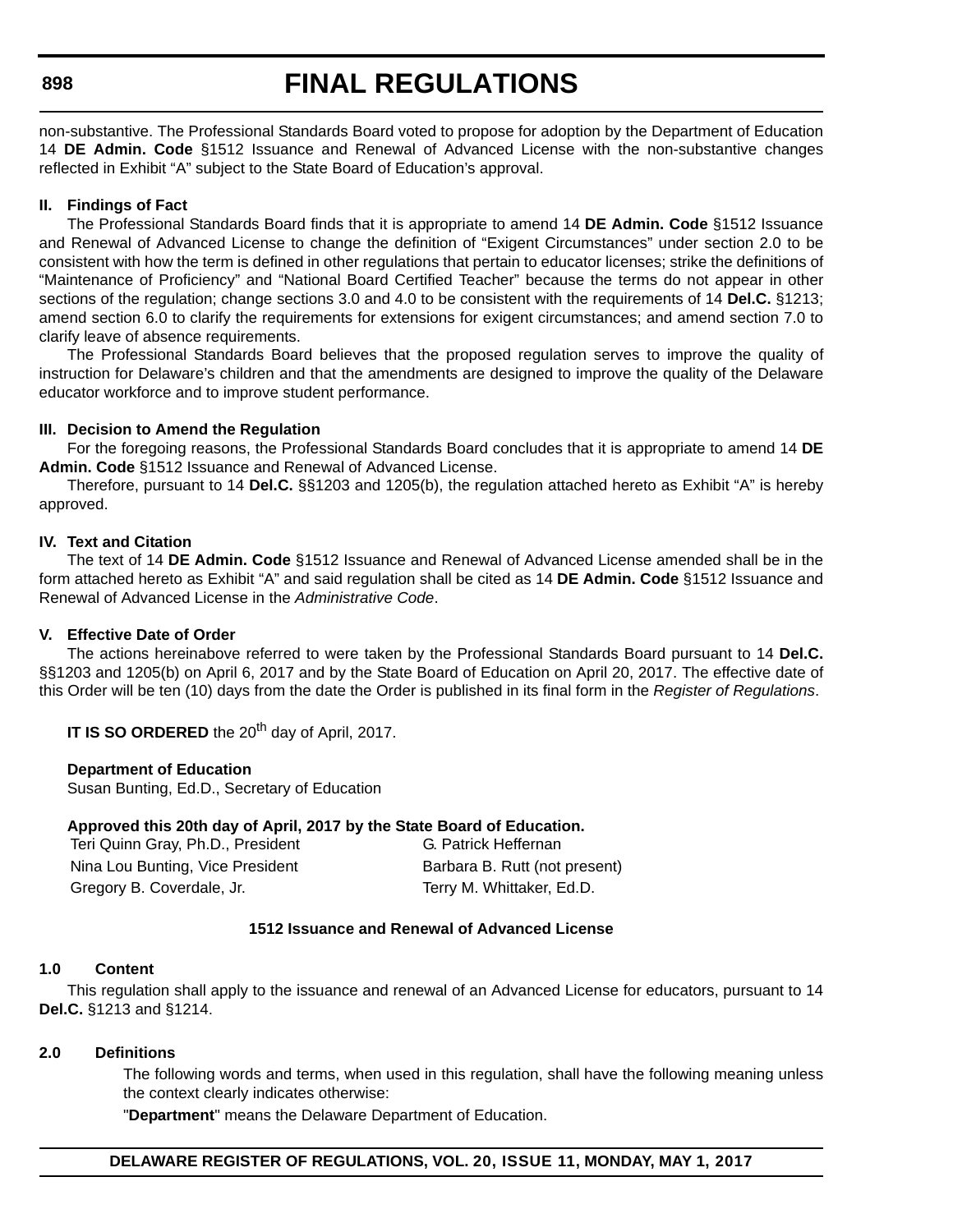# **FINAL REGULATIONS**

non-substantive. The Professional Standards Board voted to propose for adoption by the Department of Education 14 **DE Admin. Code** §1512 Issuance and Renewal of Advanced License with the non-substantive changes reflected in Exhibit "A" subject to the State Board of Education's approval.

### **II. Findings of Fact**

The Professional Standards Board finds that it is appropriate to amend 14 **DE Admin. Code** §1512 Issuance and Renewal of Advanced License to change the definition of "Exigent Circumstances" under section 2.0 to be consistent with how the term is defined in other regulations that pertain to educator licenses; strike the definitions of "Maintenance of Proficiency" and "National Board Certified Teacher" because the terms do not appear in other sections of the regulation; change sections 3.0 and 4.0 to be consistent with the requirements of 14 **Del.C.** §1213; amend section 6.0 to clarify the requirements for extensions for exigent circumstances; and amend section 7.0 to clarify leave of absence requirements.

The Professional Standards Board believes that the proposed regulation serves to improve the quality of instruction for Delaware's children and that the amendments are designed to improve the quality of the Delaware educator workforce and to improve student performance.

### **III. Decision to Amend the Regulation**

For the foregoing reasons, the Professional Standards Board concludes that it is appropriate to amend 14 **DE Admin. Code** §1512 Issuance and Renewal of Advanced License.

Therefore, pursuant to 14 **Del.C.** §§1203 and 1205(b), the regulation attached hereto as Exhibit "A" is hereby approved.

### **IV. Text and Citation**

The text of 14 **DE Admin. Code** §1512 Issuance and Renewal of Advanced License amended shall be in the form attached hereto as Exhibit "A" and said regulation shall be cited as 14 **DE Admin. Code** §1512 Issuance and Renewal of Advanced License in the *Administrative Code*.

### **V. Effective Date of Order**

The actions hereinabove referred to were taken by the Professional Standards Board pursuant to 14 **Del.C.** §§1203 and 1205(b) on April 6, 2017 and by the State Board of Education on April 20, 2017. The effective date of this Order will be ten (10) days from the date the Order is published in its final form in the *Register of Regulations*.

**IT IS SO ORDERED** the 20<sup>th</sup> day of April, 2017.

### **Department of Education**

Susan Bunting, Ed.D., Secretary of Education

### **Approved this 20th day of April, 2017 by the State Board of Education.**

Teri Quinn Gray, Ph.D., President G. Patrick Heffernan Nina Lou Bunting, Vice President Barbara B. Rutt (not present) Gregory B. Coverdale, Jr. Terry M. Whittaker, Ed.D.

### **1512 Issuance and Renewal of Advanced License**

### **1.0 Content**

This regulation shall apply to the issuance and renewal of an Advanced License for educators, pursuant to 14 **Del.C.** §1213 and §1214.

### **2.0 Definitions**

The following words and terms, when used in this regulation, shall have the following meaning unless the context clearly indicates otherwise:

"**Department**" means the Delaware Department of Education.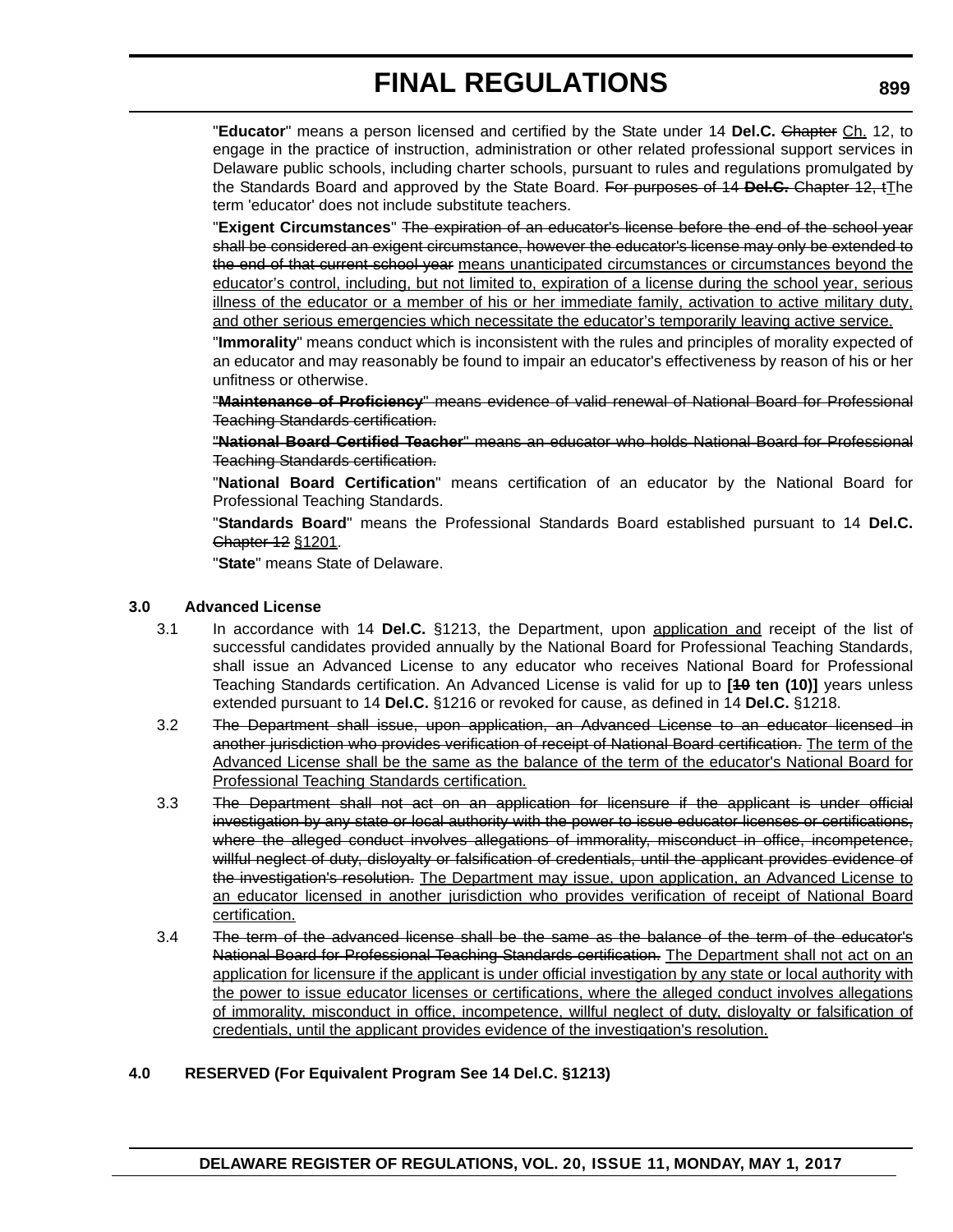"**Educator**" means a person licensed and certified by the State under 14 **Del.C.** Chapter Ch. 12, to engage in the practice of instruction, administration or other related professional support services in Delaware public schools, including charter schools, pursuant to rules and regulations promulgated by the Standards Board and approved by the State Board. For purposes of 14 **Del.C.** Chapter 12, tThe term 'educator' does not include substitute teachers.

"**Exigent Circumstances**" The expiration of an educator's license before the end of the school year shall be considered an exigent circumstance, however the educator's license may only be extended to the end of that current school year means unanticipated circumstances or circumstances beyond the educator's control, including, but not limited to, expiration of a license during the school year, serious illness of the educator or a member of his or her immediate family, activation to active military duty, and other serious emergencies which necessitate the educator's temporarily leaving active service.

"**Immorality**" means conduct which is inconsistent with the rules and principles of morality expected of an educator and may reasonably be found to impair an educator's effectiveness by reason of his or her unfitness or otherwise.

"**Maintenance of Proficiency**" means evidence of valid renewal of National Board for Professional Teaching Standards certification.

"**National Board Certified Teacher**" means an educator who holds National Board for Professional Teaching Standards certification.

"**National Board Certification**" means certification of an educator by the National Board for Professional Teaching Standards.

"**Standards Board**" means the Professional Standards Board established pursuant to 14 **Del.C.** Chapter 12 §1201.

"**State**" means State of Delaware.

### **3.0 Advanced License**

- 3.1 In accordance with 14 **Del.C.** §1213, the Department, upon application and receipt of the list of successful candidates provided annually by the National Board for Professional Teaching Standards, shall issue an Advanced License to any educator who receives National Board for Professional Teaching Standards certification. An Advanced License is valid for up to **[10 ten (10)]** years unless extended pursuant to 14 **Del.C.** §1216 or revoked for cause, as defined in 14 **Del.C.** §1218.
- 3.2 The Department shall issue, upon application, an Advanced License to an educator licensed in another jurisdiction who provides verification of receipt of National Board certification. The term of the Advanced License shall be the same as the balance of the term of the educator's National Board for Professional Teaching Standards certification.
- 3.3 The Department shall not act on an application for licensure if the applicant is under official investigation by any state or local authority with the power to issue educator licenses or certifications, where the alleged conduct involves allegations of immorality, misconduct in office, incompetence, willful neglect of duty, disloyalty or falsification of credentials, until the applicant provides evidence of the investigation's resolution. The Department may issue, upon application, an Advanced License to an educator licensed in another jurisdiction who provides verification of receipt of National Board certification.
- 3.4 The term of the advanced license shall be the same as the balance of the term of the educator's National Board for Professional Teaching Standards certification. The Department shall not act on an application for licensure if the applicant is under official investigation by any state or local authority with the power to issue educator licenses or certifications, where the alleged conduct involves allegations of immorality, misconduct in office, incompetence, willful neglect of duty, disloyalty or falsification of credentials, until the applicant provides evidence of the investigation's resolution.

### **4.0 RESERVED (For Equivalent Program See 14 Del.C. §1213)**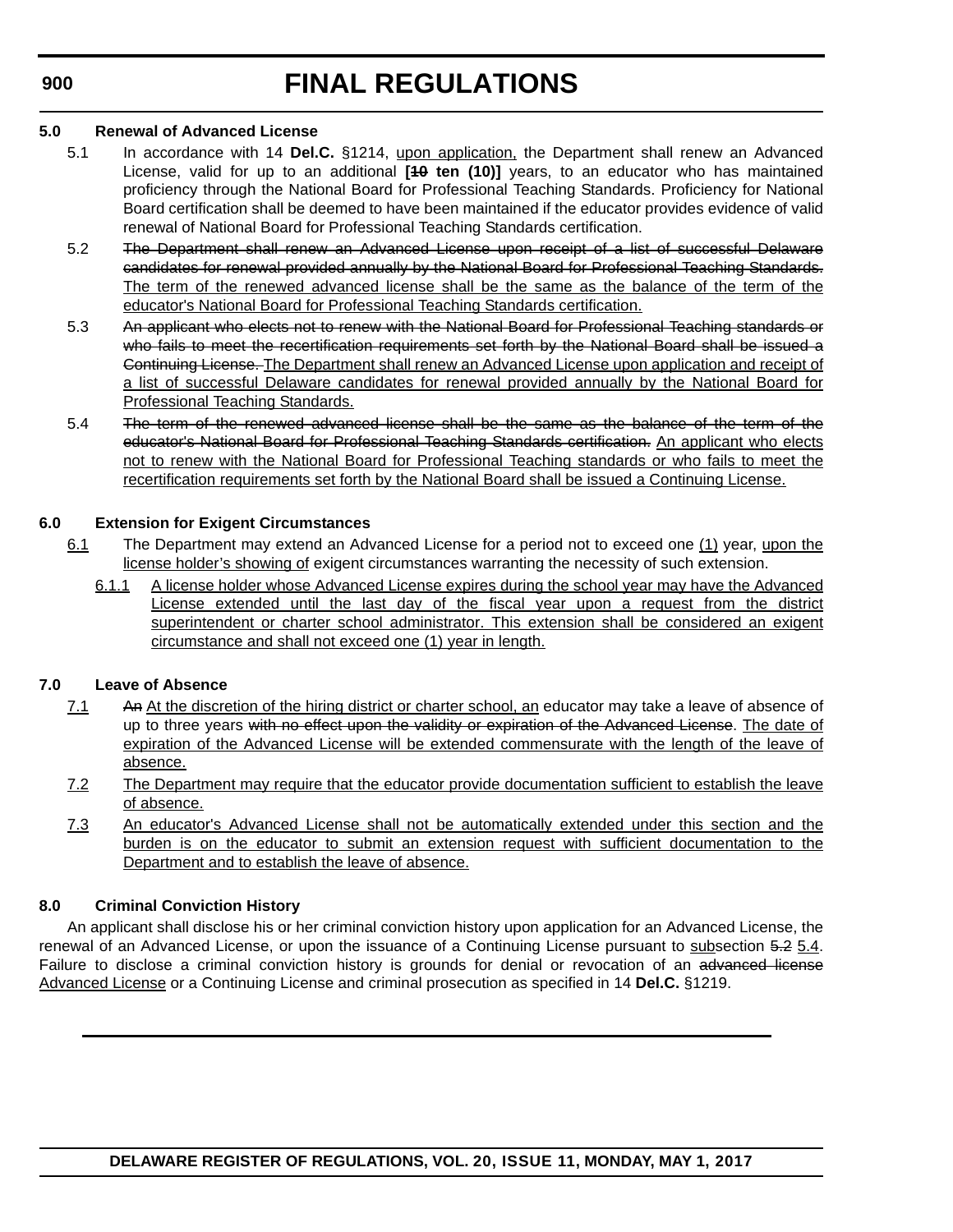# **FINAL REGULATIONS**

### **5.0 Renewal of Advanced License**

- 5.1 In accordance with 14 **Del.C.** §1214, upon application, the Department shall renew an Advanced License, valid for up to an additional **[10 ten (10)]** years, to an educator who has maintained proficiency through the National Board for Professional Teaching Standards. Proficiency for National Board certification shall be deemed to have been maintained if the educator provides evidence of valid renewal of National Board for Professional Teaching Standards certification.
- 5.2 The Department shall renew an Advanced License upon receipt of a list of successful Delaware candidates for renewal provided annually by the National Board for Professional Teaching Standards. The term of the renewed advanced license shall be the same as the balance of the term of the educator's National Board for Professional Teaching Standards certification.
- 5.3 An applicant who elects not to renew with the National Board for Professional Teaching standards or who fails to meet the recertification requirements set forth by the National Board shall be issued a Continuing License. The Department shall renew an Advanced License upon application and receipt of a list of successful Delaware candidates for renewal provided annually by the National Board for Professional Teaching Standards.
- 5.4 The term of the renewed advanced license shall be the same as the balance of the term of the educator's National Board for Professional Teaching Standards certification. An applicant who elects not to renew with the National Board for Professional Teaching standards or who fails to meet the recertification requirements set forth by the National Board shall be issued a Continuing License.

## **6.0 Extension for Exigent Circumstances**

- 6.1 The Department may extend an Advanced License for a period not to exceed one (1) year, upon the license holder's showing of exigent circumstances warranting the necessity of such extension.
	- 6.1.1 A license holder whose Advanced License expires during the school year may have the Advanced License extended until the last day of the fiscal year upon a request from the district superintendent or charter school administrator. This extension shall be considered an exigent circumstance and shall not exceed one (1) year in length.

## **7.0 Leave of Absence**

- 7.1 An At the discretion of the hiring district or charter school, an educator may take a leave of absence of up to three years with no effect upon the validity or expiration of the Advanced License. The date of expiration of the Advanced License will be extended commensurate with the length of the leave of absence.
- 7.2 The Department may require that the educator provide documentation sufficient to establish the leave of absence.
- 7.3 An educator's Advanced License shall not be automatically extended under this section and the burden is on the educator to submit an extension request with sufficient documentation to the Department and to establish the leave of absence.

## **8.0 Criminal Conviction History**

An applicant shall disclose his or her criminal conviction history upon application for an Advanced License, the renewal of an Advanced License, or upon the issuance of a Continuing License pursuant to subsection 5.2 5.4. Failure to disclose a criminal conviction history is grounds for denial or revocation of an advanced license Advanced License or a Continuing License and criminal prosecution as specified in 14 **Del.C.** §1219.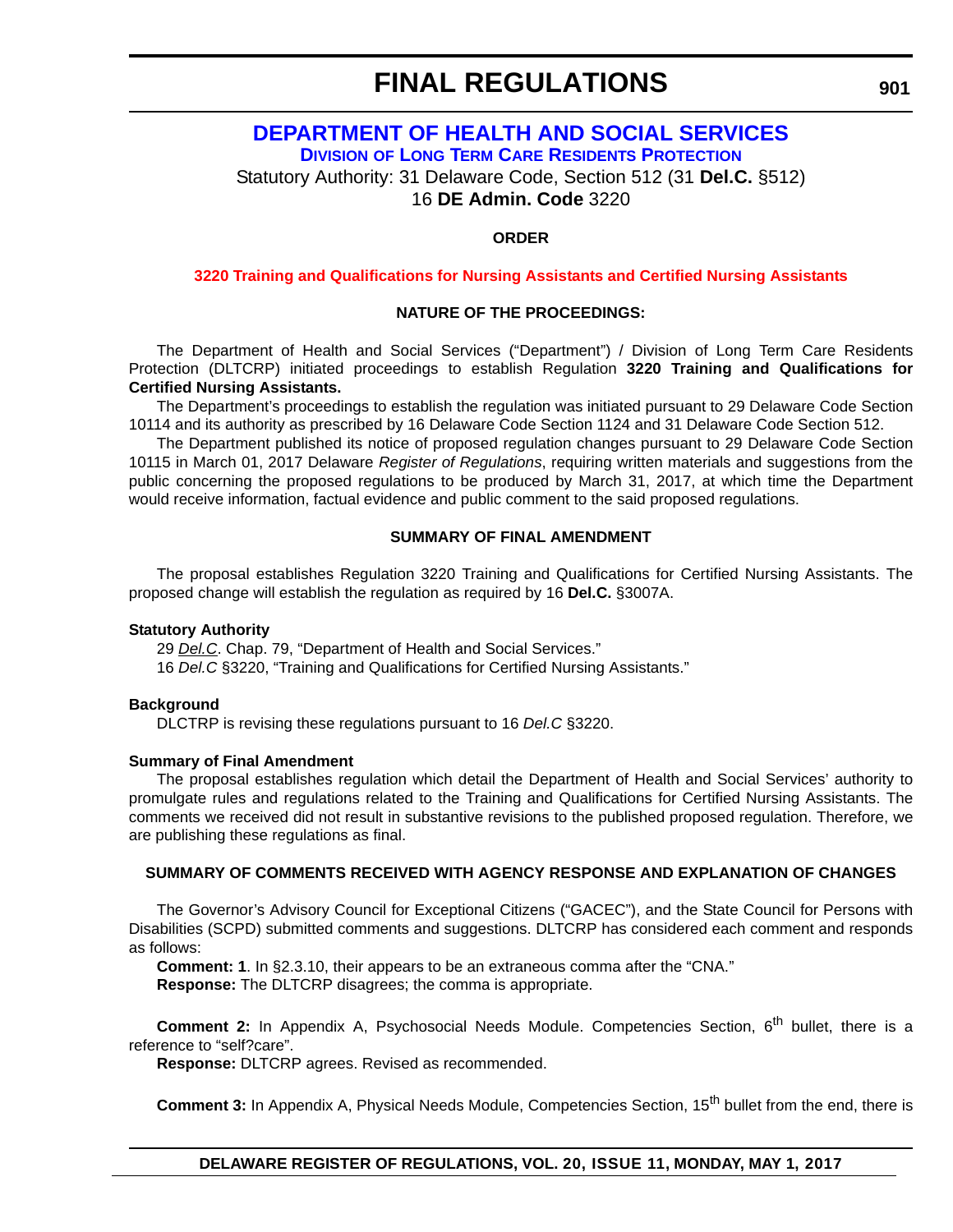## **[DEPARTMENT OF HEALTH AND SOCIAL SERVICES](http://www.dhss.delaware.gov/dhss/index.html) DIVISION [OF LONG TERM CARE RESIDENTS PROTECTION](http://www.dhss.delaware.gov/dhss/dltcrp/)**

Statutory Authority: 31 Delaware Code, Section 512 (31 **Del.C.** §512)

16 **DE Admin. Code** 3220

### **ORDER**

### **[3220 Training and Qualifications for Nursing Assistants and Certified Nursing Assistants](#page-3-0)**

### **NATURE OF THE PROCEEDINGS:**

The Department of Health and Social Services ("Department") / Division of Long Term Care Residents Protection (DLTCRP) initiated proceedings to establish Regulation **3220 Training and Qualifications for Certified Nursing Assistants.**

The Department's proceedings to establish the regulation was initiated pursuant to 29 Delaware Code Section 10114 and its authority as prescribed by 16 Delaware Code Section 1124 and 31 Delaware Code Section 512.

The Department published its notice of proposed regulation changes pursuant to 29 Delaware Code Section 10115 in March 01, 2017 Delaware *Register of Regulations*, requiring written materials and suggestions from the public concerning the proposed regulations to be produced by March 31, 2017, at which time the Department would receive information, factual evidence and public comment to the said proposed regulations.

### **SUMMARY OF FINAL AMENDMENT**

The proposal establishes Regulation 3220 Training and Qualifications for Certified Nursing Assistants. The proposed change will establish the regulation as required by 16 **Del.C.** §3007A.

### **Statutory Authority**

29 *Del.C*. Chap. 79, "Department of Health and Social Services."

16 *Del.C* §3220, "Training and Qualifications for Certified Nursing Assistants."

### **Background**

DLCTRP is revising these regulations pursuant to 16 *Del.C* §3220.

### **Summary of Final Amendment**

The proposal establishes regulation which detail the Department of Health and Social Services' authority to promulgate rules and regulations related to the Training and Qualifications for Certified Nursing Assistants. The comments we received did not result in substantive revisions to the published proposed regulation. Therefore, we are publishing these regulations as final.

### **SUMMARY OF COMMENTS RECEIVED WITH AGENCY RESPONSE AND EXPLANATION OF CHANGES**

The Governor's Advisory Council for Exceptional Citizens ("GACEC"), and the State Council for Persons with Disabilities (SCPD) submitted comments and suggestions. DLTCRP has considered each comment and responds as follows:

**Comment: 1**. In §2.3.10, their appears to be an extraneous comma after the "CNA."

**Response:** The DLTCRP disagrees; the comma is appropriate.

**Comment 2:** In Appendix A, Psychosocial Needs Module. Competencies Section, 6<sup>th</sup> bullet, there is a reference to "self?care".

**Response:** DLTCRP agrees. Revised as recommended.

**Comment 3:** In Appendix A, Physical Needs Module, Competencies Section, 15<sup>th</sup> bullet from the end, there is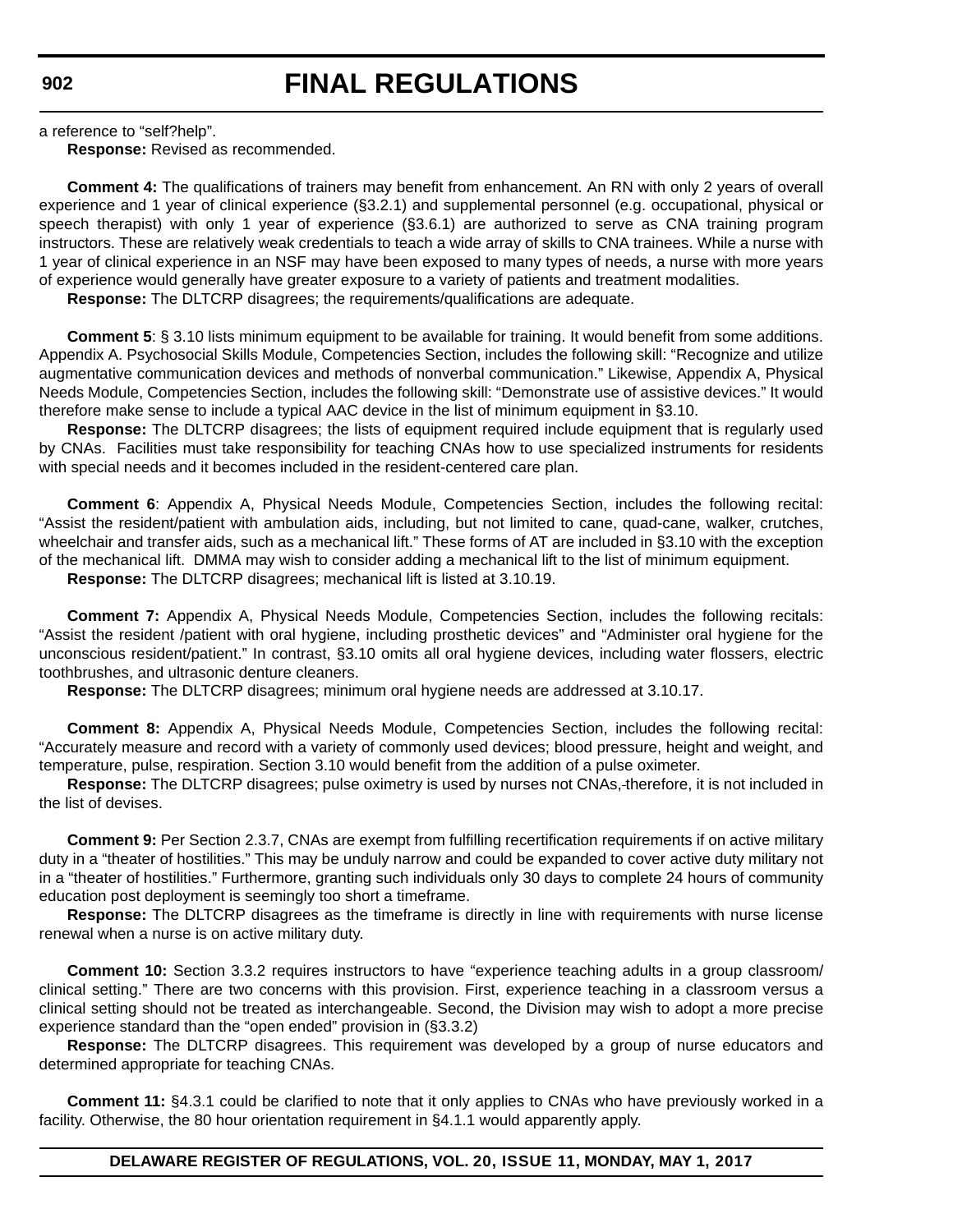a reference to "self?help".

**Response:** Revised as recommended.

**Comment 4:** The qualifications of trainers may benefit from enhancement. An RN with only 2 years of overall experience and 1 year of clinical experience (§3.2.1) and supplemental personnel (e.g. occupational, physical or speech therapist) with only 1 year of experience (§3.6.1) are authorized to serve as CNA training program instructors. These are relatively weak credentials to teach a wide array of skills to CNA trainees. While a nurse with 1 year of clinical experience in an NSF may have been exposed to many types of needs, a nurse with more years of experience would generally have greater exposure to a variety of patients and treatment modalities.

**Response:** The DLTCRP disagrees; the requirements/qualifications are adequate.

**Comment 5**: § 3.10 lists minimum equipment to be available for training. It would benefit from some additions. Appendix A. Psychosocial Skills Module, Competencies Section, includes the following skill: "Recognize and utilize augmentative communication devices and methods of nonverbal communication." Likewise, Appendix A, Physical Needs Module, Competencies Section, includes the following skill: "Demonstrate use of assistive devices." It would therefore make sense to include a typical AAC device in the list of minimum equipment in §3.10.

**Response:** The DLTCRP disagrees; the lists of equipment required include equipment that is regularly used by CNAs. Facilities must take responsibility for teaching CNAs how to use specialized instruments for residents with special needs and it becomes included in the resident-centered care plan.

**Comment 6**: Appendix A, Physical Needs Module, Competencies Section, includes the following recital: "Assist the resident/patient with ambulation aids, including, but not limited to cane, quad-cane, walker, crutches, wheelchair and transfer aids, such as a mechanical lift." These forms of AT are included in §3.10 with the exception of the mechanical lift. DMMA may wish to consider adding a mechanical lift to the list of minimum equipment.

**Response:** The DLTCRP disagrees; mechanical lift is listed at 3.10.19.

**Comment 7:** Appendix A, Physical Needs Module, Competencies Section, includes the following recitals: "Assist the resident /patient with oral hygiene, including prosthetic devices" and "Administer oral hygiene for the unconscious resident/patient." In contrast, §3.10 omits all oral hygiene devices, including water flossers, electric toothbrushes, and ultrasonic denture cleaners.

**Response:** The DLTCRP disagrees; minimum oral hygiene needs are addressed at 3.10.17.

**Comment 8:** Appendix A, Physical Needs Module, Competencies Section, includes the following recital: "Accurately measure and record with a variety of commonly used devices; blood pressure, height and weight, and temperature, pulse, respiration. Section 3.10 would benefit from the addition of a pulse oximeter.

**Response:** The DLTCRP disagrees; pulse oximetry is used by nurses not CNAs, therefore, it is not included in the list of devises.

**Comment 9:** Per Section 2.3.7, CNAs are exempt from fulfilling recertification requirements if on active military duty in a "theater of hostilities." This may be unduly narrow and could be expanded to cover active duty military not in a "theater of hostilities." Furthermore, granting such individuals only 30 days to complete 24 hours of community education post deployment is seemingly too short a timeframe.

**Response:** The DLTCRP disagrees as the timeframe is directly in line with requirements with nurse license renewal when a nurse is on active military duty.

**Comment 10:** Section 3.3.2 requires instructors to have "experience teaching adults in a group classroom/ clinical setting." There are two concerns with this provision. First, experience teaching in a classroom versus a clinical setting should not be treated as interchangeable. Second, the Division may wish to adopt a more precise experience standard than the "open ended" provision in (§3.3.2)

**Response:** The DLTCRP disagrees. This requirement was developed by a group of nurse educators and determined appropriate for teaching CNAs.

**Comment 11:** §4.3.1 could be clarified to note that it only applies to CNAs who have previously worked in a facility. Otherwise, the 80 hour orientation requirement in §4.1.1 would apparently apply.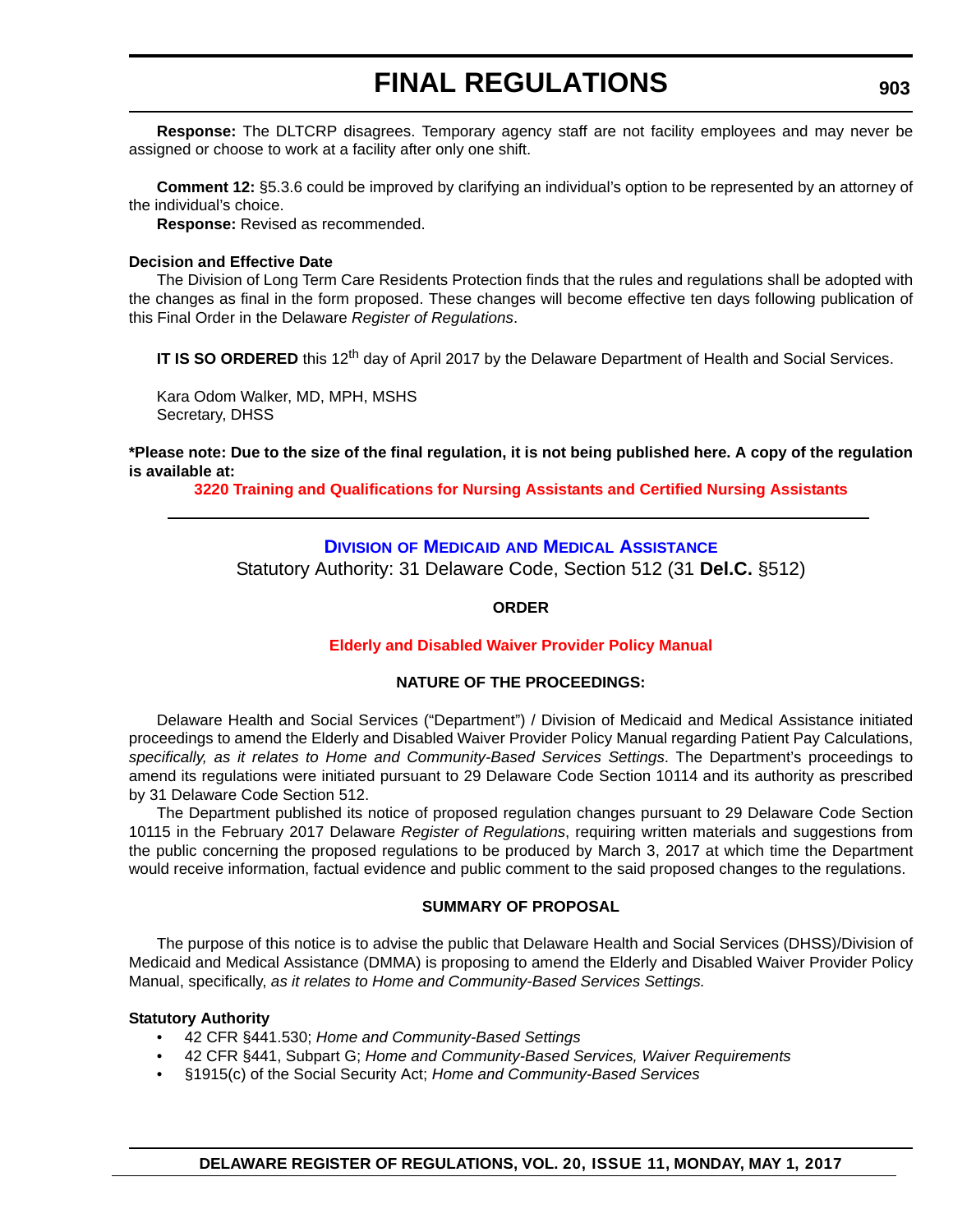**Response:** The DLTCRP disagrees. Temporary agency staff are not facility employees and may never be assigned or choose to work at a facility after only one shift.

**Comment 12:** §5.3.6 could be improved by clarifying an individual's option to be represented by an attorney of the individual's choice.

**Response:** Revised as recommended.

### **Decision and Effective Date**

The Division of Long Term Care Residents Protection finds that the rules and regulations shall be adopted with the changes as final in the form proposed. These changes will become effective ten days following publication of this Final Order in the Delaware *Register of Regulations*.

**IT IS SO ORDERED** this 12<sup>th</sup> day of April 2017 by the Delaware Department of Health and Social Services.

Kara Odom Walker, MD, MPH, MSHS Secretary, DHSS

### **\*Please note: Due to the size of the final regulation, it is not being published here. A copy of the regulation is available at:**

**[3220 Training and Qualifications for Nursing Assistants and Certified Nursing Assistants](http://regulations.delaware.gov/register/may2017/final/20 DE Reg 901 05-01-17.htm)** 

## **DIVISION OF MEDICAID [AND MEDICAL ASSISTANCE](http://www.dhss.delaware.gov/dhss/dmma/)**

Statutory Authority: 31 Delaware Code, Section 512 (31 **Del.C.** §512)

### **ORDER**

### **[Elderly and Disabled Waiver Provider Policy Manual](#page-3-0)**

### **NATURE OF THE PROCEEDINGS:**

Delaware Health and Social Services ("Department") / Division of Medicaid and Medical Assistance initiated proceedings to amend the Elderly and Disabled Waiver Provider Policy Manual regarding Patient Pay Calculations, *specifically, as it relates to Home and Community-Based Services Settings*. The Department's proceedings to amend its regulations were initiated pursuant to 29 Delaware Code Section 10114 and its authority as prescribed by 31 Delaware Code Section 512.

The Department published its notice of proposed regulation changes pursuant to 29 Delaware Code Section 10115 in the February 2017 Delaware *Register of Regulations*, requiring written materials and suggestions from the public concerning the proposed regulations to be produced by March 3, 2017 at which time the Department would receive information, factual evidence and public comment to the said proposed changes to the regulations.

### **SUMMARY OF PROPOSAL**

The purpose of this notice is to advise the public that Delaware Health and Social Services (DHSS)/Division of Medicaid and Medical Assistance (DMMA) is proposing to amend the Elderly and Disabled Waiver Provider Policy Manual, specifically, *as it relates to Home and Community-Based Services Settings.*

### **Statutory Authority**

- 42 CFR §441.530; *Home and Community-Based Settings*
- 42 CFR §441, Subpart G; *Home and Community-Based Services, Waiver Requirements*
- §1915(c) of the Social Security Act; *Home and Community-Based Services*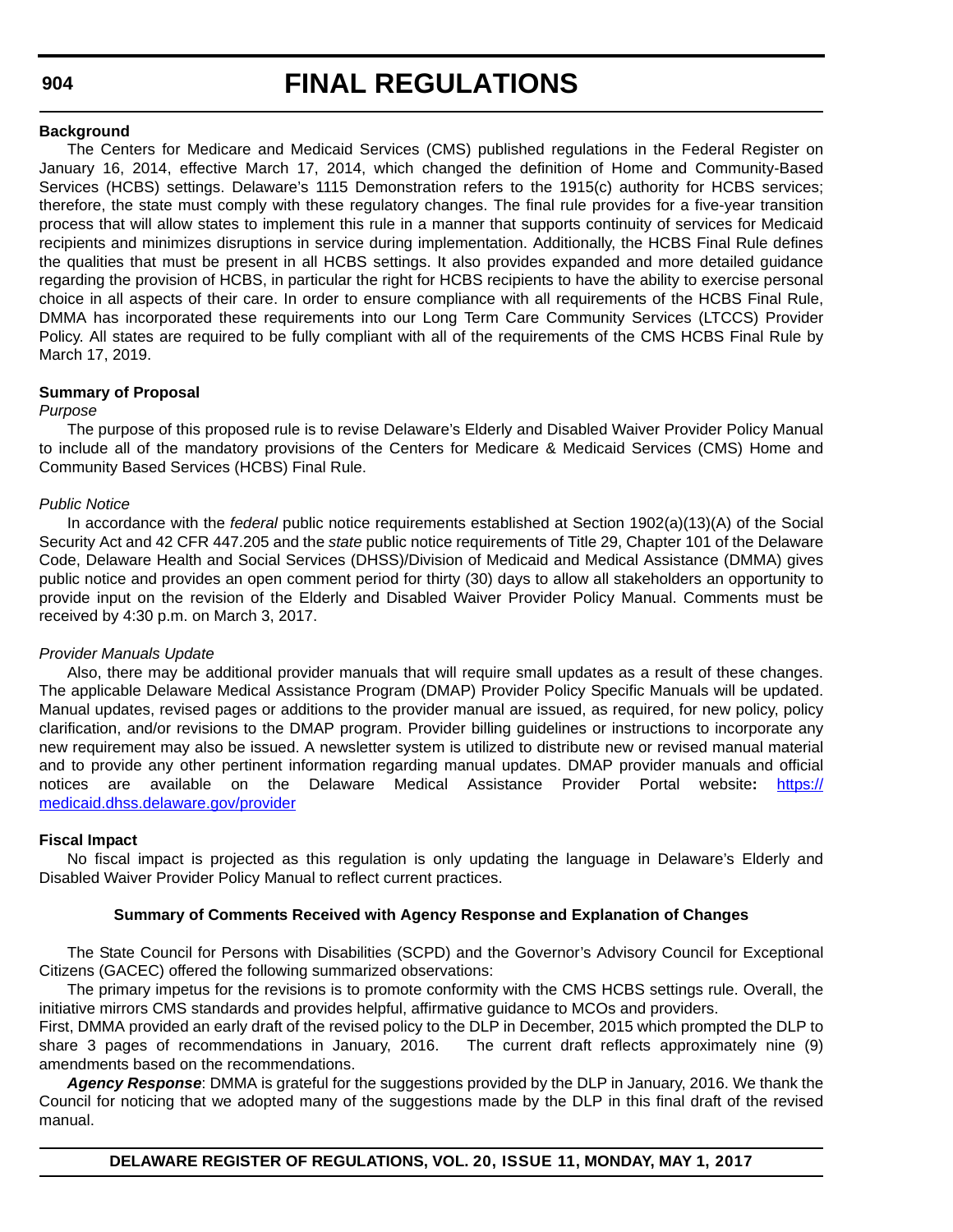## **FINAL REGULATIONS**

#### **Background**

The Centers for Medicare and Medicaid Services (CMS) published regulations in the Federal Register on January 16, 2014, effective March 17, 2014, which changed the definition of Home and Community-Based Services (HCBS) settings. Delaware's 1115 Demonstration refers to the 1915(c) authority for HCBS services; therefore, the state must comply with these regulatory changes. The final rule provides for a five-year transition process that will allow states to implement this rule in a manner that supports continuity of services for Medicaid recipients and minimizes disruptions in service during implementation. Additionally, the HCBS Final Rule defines the qualities that must be present in all HCBS settings. It also provides expanded and more detailed guidance regarding the provision of HCBS, in particular the right for HCBS recipients to have the ability to exercise personal choice in all aspects of their care. In order to ensure compliance with all requirements of the HCBS Final Rule, DMMA has incorporated these requirements into our Long Term Care Community Services (LTCCS) Provider Policy. All states are required to be fully compliant with all of the requirements of the CMS HCBS Final Rule by March 17, 2019.

### **Summary of Proposal**

### *Purpose*

The purpose of this proposed rule is to revise Delaware's Elderly and Disabled Waiver Provider Policy Manual to include all of the mandatory provisions of the Centers for Medicare & Medicaid Services (CMS) Home and Community Based Services (HCBS) Final Rule.

### *Public Notice*

In accordance with the *federal* public notice requirements established at Section 1902(a)(13)(A) of the Social Security Act and 42 CFR 447.205 and the *state* public notice requirements of Title 29, Chapter 101 of the Delaware Code, Delaware Health and Social Services (DHSS)/Division of Medicaid and Medical Assistance (DMMA) gives public notice and provides an open comment period for thirty (30) days to allow all stakeholders an opportunity to provide input on the revision of the Elderly and Disabled Waiver Provider Policy Manual. Comments must be received by 4:30 p.m. on March 3, 2017.

### *Provider Manuals Update*

Also, there may be additional provider manuals that will require small updates as a result of these changes. The applicable Delaware Medical Assistance Program (DMAP) Provider Policy Specific Manuals will be updated. Manual updates, revised pages or additions to the provider manual are issued, as required, for new policy, policy clarification, and/or revisions to the DMAP program. Provider billing guidelines or instructions to incorporate any new requirement may also be issued. A newsletter system is utilized to distribute new or revised manual material and to provide any other pertinent information regarding manual updates. DMAP provider manuals and official notices are available on the Delaware Medical Assistance Provider Portal website**:** [https://](https://medicaid.dhss.delaware.gov/provider) [medicaid.dhss.delaware.gov/provider](https://medicaid.dhss.delaware.gov/provider)

### **Fiscal Impact**

No fiscal impact is projected as this regulation is only updating the language in Delaware's Elderly and Disabled Waiver Provider Policy Manual to reflect current practices.

### **Summary of Comments Received with Agency Response and Explanation of Changes**

The State Council for Persons with Disabilities (SCPD) and the Governor's Advisory Council for Exceptional Citizens (GACEC) offered the following summarized observations:

The primary impetus for the revisions is to promote conformity with the CMS HCBS settings rule. Overall, the initiative mirrors CMS standards and provides helpful, affirmative guidance to MCOs and providers.

First, DMMA provided an early draft of the revised policy to the DLP in December, 2015 which prompted the DLP to share 3 pages of recommendations in January, 2016. The current draft reflects approximately nine (9) amendments based on the recommendations.

*Agency Response*: DMMA is grateful for the suggestions provided by the DLP in January, 2016. We thank the Council for noticing that we adopted many of the suggestions made by the DLP in this final draft of the revised manual.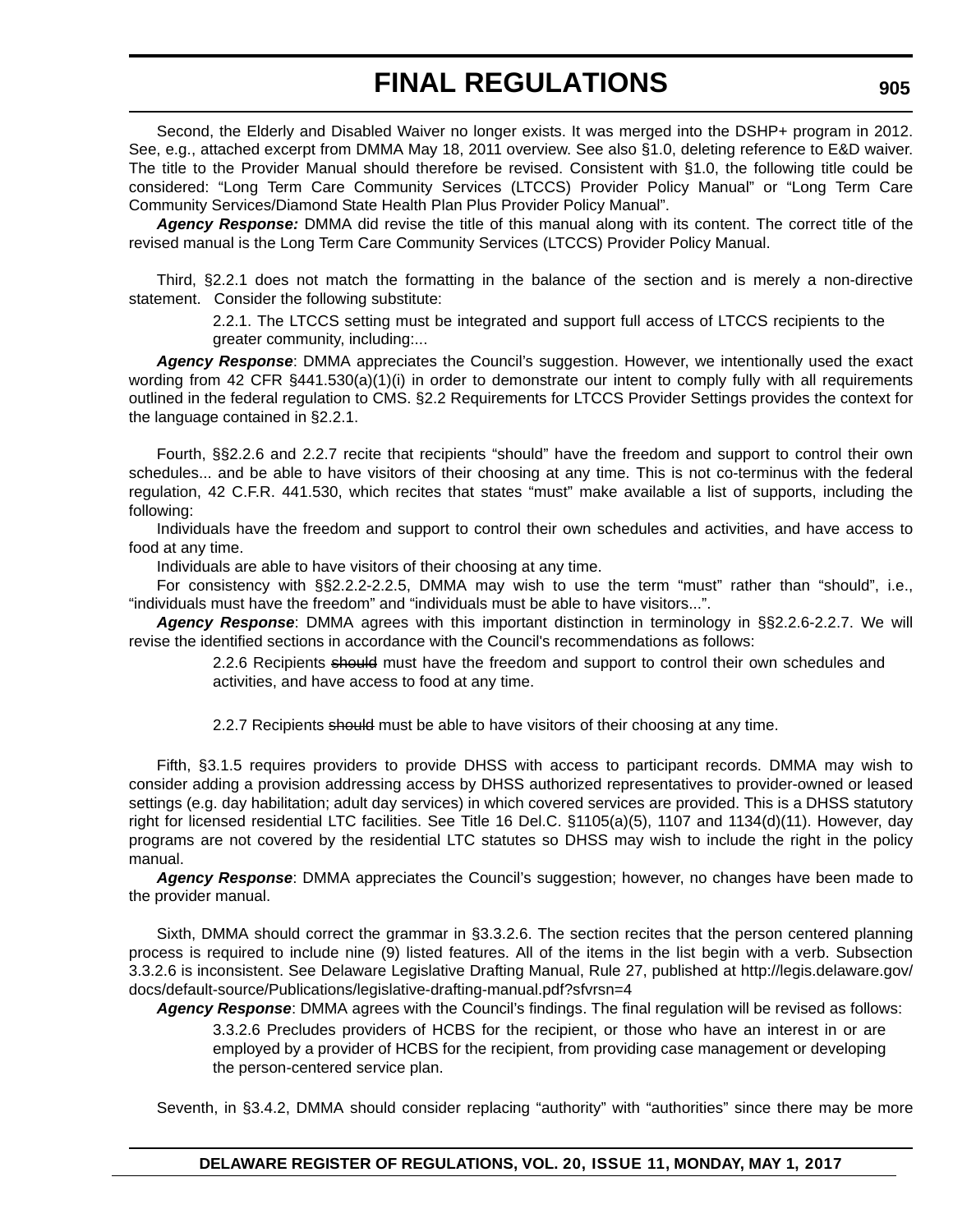Second, the Elderly and Disabled Waiver no longer exists. It was merged into the DSHP+ program in 2012. See, e.g., attached excerpt from DMMA May 18, 2011 overview. See also §1.0, deleting reference to E&D waiver. The title to the Provider Manual should therefore be revised. Consistent with §1.0, the following title could be considered: "Long Term Care Community Services (LTCCS) Provider Policy Manual" or "Long Term Care Community Services/Diamond State Health Plan Plus Provider Policy Manual".

*Agency Response:* DMMA did revise the title of this manual along with its content. The correct title of the revised manual is the Long Term Care Community Services (LTCCS) Provider Policy Manual.

Third, §2.2.1 does not match the formatting in the balance of the section and is merely a non-directive statement. Consider the following substitute:

> 2.2.1. The LTCCS setting must be integrated and support full access of LTCCS recipients to the greater community, including:...

*Agency Response*: DMMA appreciates the Council's suggestion. However, we intentionally used the exact wording from 42 CFR §441.530(a)(1)(i) in order to demonstrate our intent to comply fully with all requirements outlined in the federal regulation to CMS. §2.2 Requirements for LTCCS Provider Settings provides the context for the language contained in §2.2.1.

Fourth, §§2.2.6 and 2.2.7 recite that recipients "should" have the freedom and support to control their own schedules... and be able to have visitors of their choosing at any time. This is not co-terminus with the federal regulation, 42 C.F.R. 441.530, which recites that states "must" make available a list of supports, including the following:

Individuals have the freedom and support to control their own schedules and activities, and have access to food at any time.

Individuals are able to have visitors of their choosing at any time.

For consistency with §§2.2.2-2.2.5, DMMA may wish to use the term "must" rather than "should", i.e., "individuals must have the freedom" and "individuals must be able to have visitors...".

*Agency Response*: DMMA agrees with this important distinction in terminology in §§2.2.6-2.2.7. We will revise the identified sections in accordance with the Council's recommendations as follows:

> 2.2.6 Recipients should must have the freedom and support to control their own schedules and activities, and have access to food at any time.

2.2.7 Recipients should must be able to have visitors of their choosing at any time.

Fifth, §3.1.5 requires providers to provide DHSS with access to participant records. DMMA may wish to consider adding a provision addressing access by DHSS authorized representatives to provider-owned or leased settings (e.g. day habilitation; adult day services) in which covered services are provided. This is a DHSS statutory right for licensed residential LTC facilities. See Title 16 Del.C. §1105(a)(5), 1107 and 1134(d)(11). However, day programs are not covered by the residential LTC statutes so DHSS may wish to include the right in the policy manual.

*Agency Response*: DMMA appreciates the Council's suggestion; however, no changes have been made to the provider manual.

Sixth, DMMA should correct the grammar in §3.3.2.6. The section recites that the person centered planning process is required to include nine (9) listed features. All of the items in the list begin with a verb. Subsection [3.3.2.6 is inconsistent. See Delaware Legislative Drafting Manual, Rule 27, published at http://legis.delaware.gov/](http://legis.delaware.gov/docs/default-source/Publications/legislative-drafting-manual.pdf?sfvrsn=4) docs/default-source/Publications/legislative-drafting-manual.pdf?sfvrsn=4

*Agency Response*: DMMA agrees with the Council's findings. The final regulation will be revised as follows:

3.3.2.6 Precludes providers of HCBS for the recipient, or those who have an interest in or are employed by a provider of HCBS for the recipient, from providing case management or developing the person-centered service plan.

Seventh, in §3.4.2, DMMA should consider replacing "authority" with "authorities" since there may be more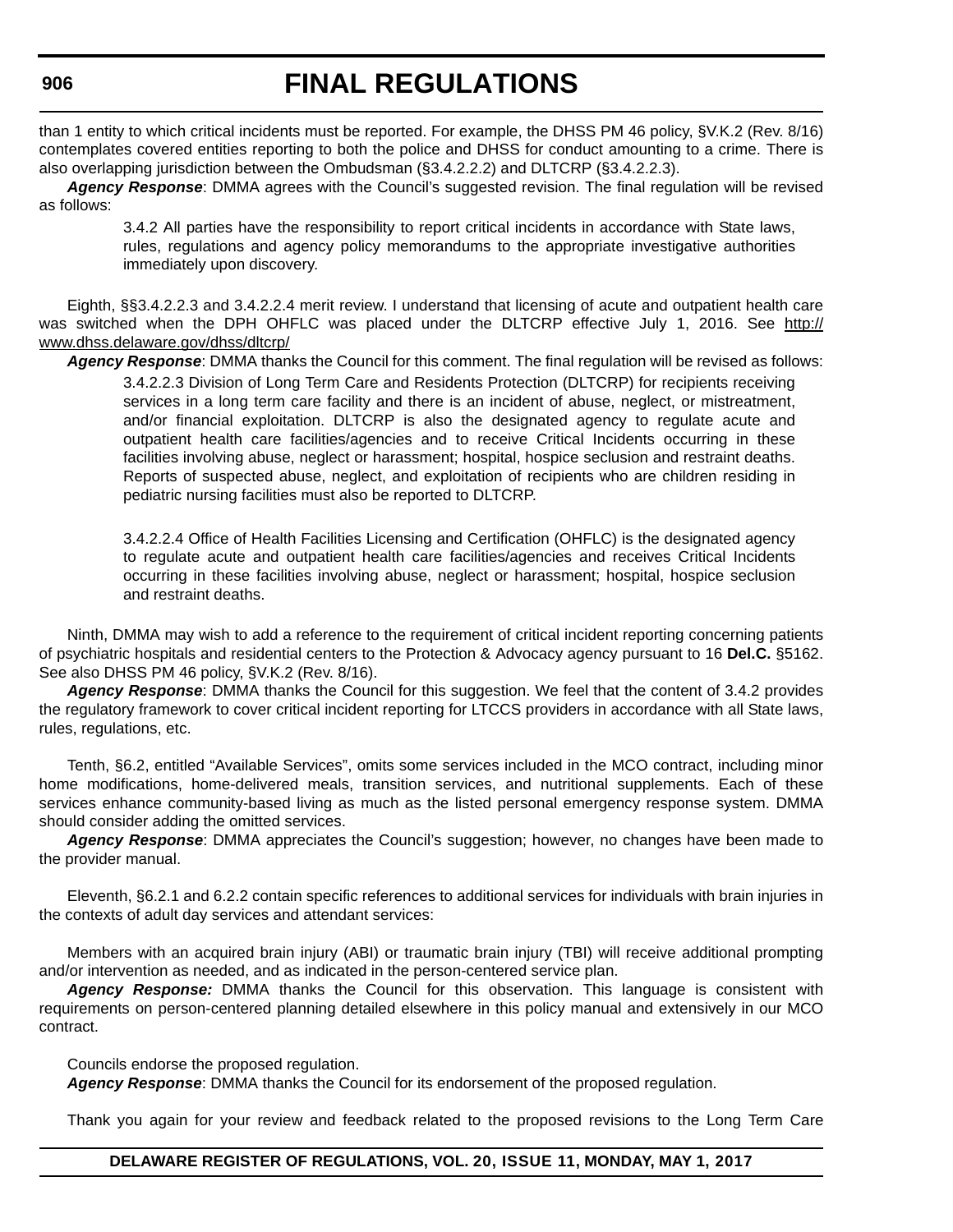than 1 entity to which critical incidents must be reported. For example, the DHSS PM 46 policy, §V.K.2 (Rev. 8/16) contemplates covered entities reporting to both the police and DHSS for conduct amounting to a crime. There is also overlapping jurisdiction between the Ombudsman (§3.4.2.2.2) and DLTCRP (§3.4.2.2.3).

*Agency Response*: DMMA agrees with the Council's suggested revision. The final regulation will be revised as follows:

> 3.4.2 All parties have the responsibility to report critical incidents in accordance with State laws, rules, regulations and agency policy memorandums to the appropriate investigative authorities immediately upon discovery.

Eighth, §§3.4.2.2.3 and 3.4.2.2.4 merit review. I understand that licensing of acute and outpatient health care was switched when the DPH OHFLC was placed under the DLTCRP effective July 1, 2016. See [http://](http://www.dhss.delaware.gov/dhss/dltcrp/) [www.dhss.delaware.gov/dhss/dltcrp/](http://www.dhss.delaware.gov/dhss/dltcrp/)

*Agency Response*: DMMA thanks the Council for this comment. The final regulation will be revised as follows:

3.4.2.2.3 Division of Long Term Care and Residents Protection (DLTCRP) for recipients receiving services in a long term care facility and there is an incident of abuse, neglect, or mistreatment, and/or financial exploitation. DLTCRP is also the designated agency to regulate acute and outpatient health care facilities/agencies and to receive Critical Incidents occurring in these facilities involving abuse, neglect or harassment; hospital, hospice seclusion and restraint deaths. Reports of suspected abuse, neglect, and exploitation of recipients who are children residing in pediatric nursing facilities must also be reported to DLTCRP.

3.4.2.2.4 Office of Health Facilities Licensing and Certification (OHFLC) is the designated agency to regulate acute and outpatient health care facilities/agencies and receives Critical Incidents occurring in these facilities involving abuse, neglect or harassment; hospital, hospice seclusion and restraint deaths.

Ninth, DMMA may wish to add a reference to the requirement of critical incident reporting concerning patients of psychiatric hospitals and residential centers to the Protection & Advocacy agency pursuant to 16 **Del.C.** §5162. See also DHSS PM 46 policy, §V.K.2 (Rev. 8/16).

*Agency Response*: DMMA thanks the Council for this suggestion. We feel that the content of 3.4.2 provides the regulatory framework to cover critical incident reporting for LTCCS providers in accordance with all State laws, rules, regulations, etc.

Tenth, §6.2, entitled "Available Services", omits some services included in the MCO contract, including minor home modifications, home-delivered meals, transition services, and nutritional supplements. Each of these services enhance community-based living as much as the listed personal emergency response system. DMMA should consider adding the omitted services.

*Agency Response*: DMMA appreciates the Council's suggestion; however, no changes have been made to the provider manual.

Eleventh, §6.2.1 and 6.2.2 contain specific references to additional services for individuals with brain injuries in the contexts of adult day services and attendant services:

Members with an acquired brain injury (ABI) or traumatic brain injury (TBI) will receive additional prompting and/or intervention as needed, and as indicated in the person-centered service plan.

*Agency Response:* DMMA thanks the Council for this observation. This language is consistent with requirements on person-centered planning detailed elsewhere in this policy manual and extensively in our MCO contract.

Councils endorse the proposed regulation.

*Agency Response*: DMMA thanks the Council for its endorsement of the proposed regulation.

Thank you again for your review and feedback related to the proposed revisions to the Long Term Care

### **DELAWARE REGISTER OF REGULATIONS, VOL. 20, ISSUE 11, MONDAY, MAY 1, 2017**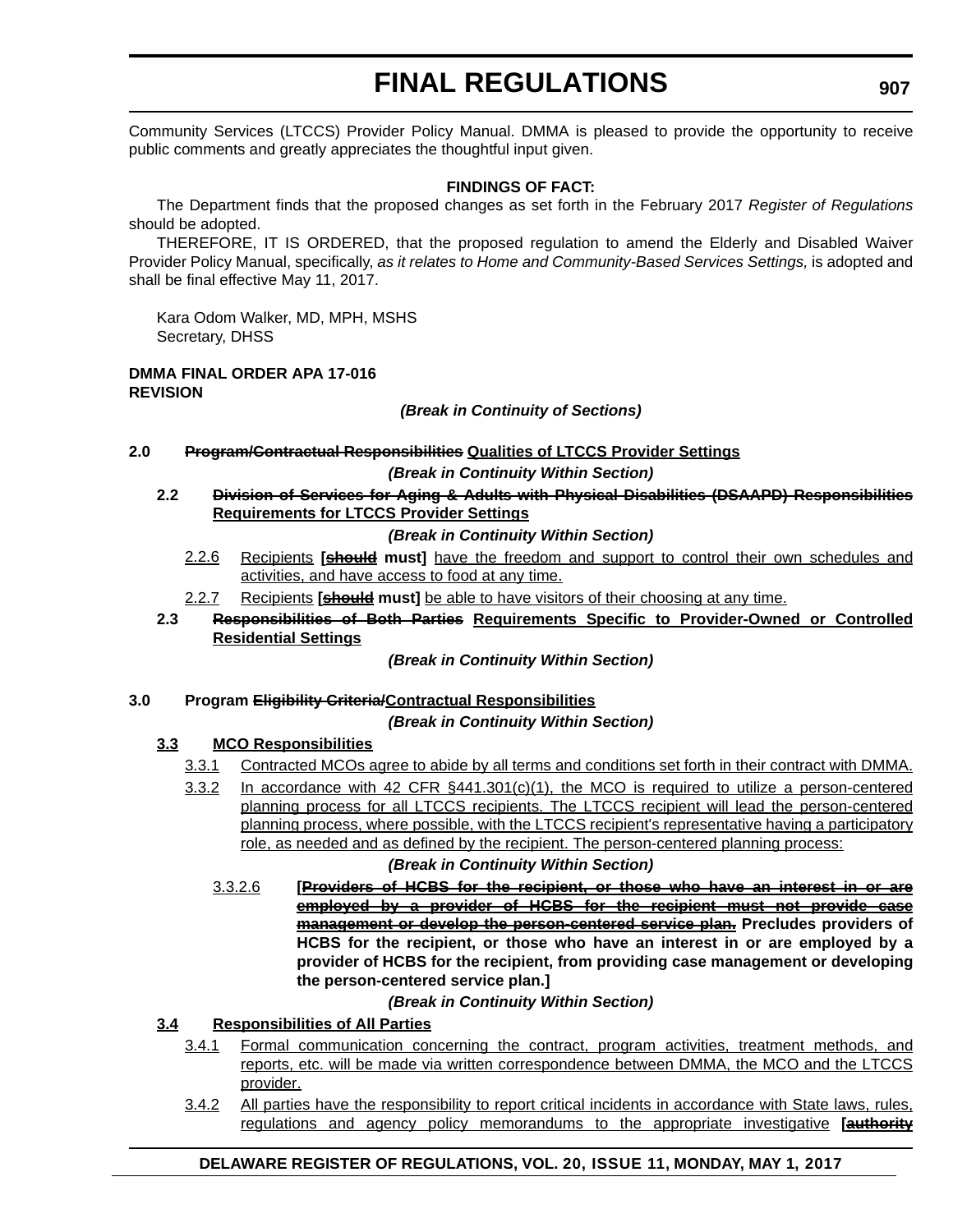Community Services (LTCCS) Provider Policy Manual. DMMA is pleased to provide the opportunity to receive public comments and greatly appreciates the thoughtful input given.

### **FINDINGS OF FACT:**

The Department finds that the proposed changes as set forth in the February 2017 *Register of Regulations* should be adopted.

THEREFORE, IT IS ORDERED, that the proposed regulation to amend the Elderly and Disabled Waiver Provider Policy Manual, specifically, *as it relates to Home and Community-Based Services Settings*, is adopted and shall be final effective May 11, 2017.

Kara Odom Walker, MD, MPH, MSHS Secretary, DHSS

### **DMMA FINAL ORDER APA 17-016 REVISION**

*(Break in Continuity of Sections)*

**2.0 Program/Contractual Responsibilities Qualities of LTCCS Provider Settings**

### *(Break in Continuity Within Section)*

**2.2 Division of Services for Aging & Adults with Physical Disabilities (DSAAPD) Responsibilities Requirements for LTCCS Provider Settings**

### *(Break in Continuity Within Section)*

- 2.2.6 Recipients **[should must]** have the freedom and support to control their own schedules and activities, and have access to food at any time.
- 2.2.7 Recipients **[should must]** be able to have visitors of their choosing at any time.
- **2.3 Responsibilities of Both Parties Requirements Specific to Provider-Owned or Controlled Residential Settings**

### *(Break in Continuity Within Section)*

### **3.0 Program Eligibility Criteria/Contractual Responsibilities**

### *(Break in Continuity Within Section)*

### **3.3 MCO Responsibilities**

- 3.3.1 Contracted MCOs agree to abide by all terms and conditions set forth in their contract with DMMA.
- 3.3.2 In accordance with 42 CFR  $\S$ 441.301(c)(1), the MCO is required to utilize a person-centered planning process for all LTCCS recipients. The LTCCS recipient will lead the person-centered planning process, where possible, with the LTCCS recipient's representative having a participatory role, as needed and as defined by the recipient. The person-centered planning process:

### *(Break in Continuity Within Section)*

3.3.2.6 **[Providers of HCBS for the recipient, or those who have an interest in or are employed by a provider of HCBS for the recipient must not provide case management or develop the person-centered service plan. Precludes providers of HCBS for the recipient, or those who have an interest in or are employed by a provider of HCBS for the recipient, from providing case management or developing the person-centered service plan.]**

### *(Break in Continuity Within Section)*

## **3.4 Responsibilities of All Parties**

- 3.4.1 Formal communication concerning the contract, program activities, treatment methods, and reports, etc. will be made via written correspondence between DMMA, the MCO and the LTCCS provider.
- 3.4.2 All parties have the responsibility to report critical incidents in accordance with State laws, rules, regulations and agency policy memorandums to the appropriate investigative **[authority**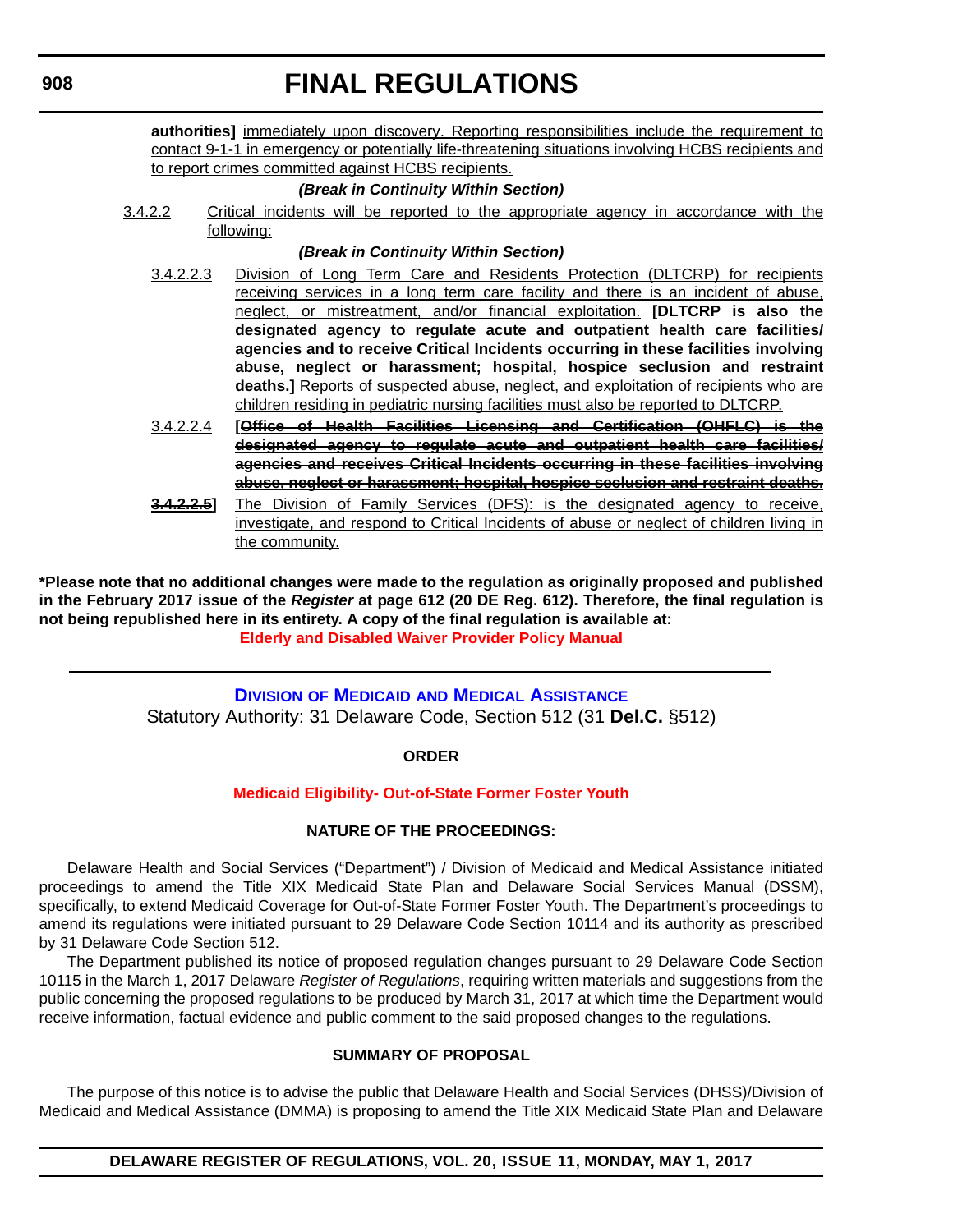authorities] immediately upon discovery. Reporting responsibilities include the requirement to contact 9-1-1 in emergency or potentially life-threatening situations involving HCBS recipients and to report crimes committed against HCBS recipients.

### *(Break in Continuity Within Section)*

3.4.2.2 Critical incidents will be reported to the appropriate agency in accordance with the following:

### *(Break in Continuity Within Section)*

- 3.4.2.2.3 Division of Long Term Care and Residents Protection (DLTCRP) for recipients receiving services in a long term care facility and there is an incident of abuse, neglect, or mistreatment, and/or financial exploitation. **[DLTCRP is also the designated agency to regulate acute and outpatient health care facilities/ agencies and to receive Critical Incidents occurring in these facilities involving abuse, neglect or harassment; hospital, hospice seclusion and restraint deaths.]** Reports of suspected abuse, neglect, and exploitation of recipients who are children residing in pediatric nursing facilities must also be reported to DLTCRP.
- 3.4.2.2.4 **[Office of Health Facilities Licensing and Certification (OHFLC) is the designated agency to regulate acute and outpatient health care facilities/ agencies and receives Critical Incidents occurring in these facilities involving abuse, neglect or harassment; hospital, hospice seclusion and restraint deaths.**
- **3.4.2.2.5]** The Division of Family Services (DFS): is the designated agency to receive, investigate, and respond to Critical Incidents of abuse or neglect of children living in the community.

**\*Please note that no additional changes were made to the regulation as originally proposed and published in the February 2017 issue of the** *Register* **at page 612 (20 DE Reg. 612). Therefore, the final regulation is not being republished here in its entirety. A copy of the final regulation is available at: [Elderly and Disabled Waiver Provider Policy Manual](http://regulations.delaware.gov/register/may2017/final/20 DE Reg 903 05-01-17.htm)** 

## **DIVISION OF MEDICAID [AND MEDICAL ASSISTANCE](http://www.dhss.delaware.gov/dhss/dmma/)**

Statutory Authority: 31 Delaware Code, Section 512 (31 **Del.C.** §512)

### **ORDER**

### **[Medicaid Eligibility- Out-of-State Former Foster Youth](#page-3-0)**

### **NATURE OF THE PROCEEDINGS:**

Delaware Health and Social Services ("Department") / Division of Medicaid and Medical Assistance initiated proceedings to amend the Title XIX Medicaid State Plan and Delaware Social Services Manual (DSSM), specifically, to extend Medicaid Coverage for Out-of-State Former Foster Youth. The Department's proceedings to amend its regulations were initiated pursuant to 29 Delaware Code Section 10114 and its authority as prescribed by 31 Delaware Code Section 512.

The Department published its notice of proposed regulation changes pursuant to 29 Delaware Code Section 10115 in the March 1, 2017 Delaware *Register of Regulations*, requiring written materials and suggestions from the public concerning the proposed regulations to be produced by March 31, 2017 at which time the Department would receive information, factual evidence and public comment to the said proposed changes to the regulations.

### **SUMMARY OF PROPOSAL**

The purpose of this notice is to advise the public that Delaware Health and Social Services (DHSS)/Division of Medicaid and Medical Assistance (DMMA) is proposing to amend the Title XIX Medicaid State Plan and Delaware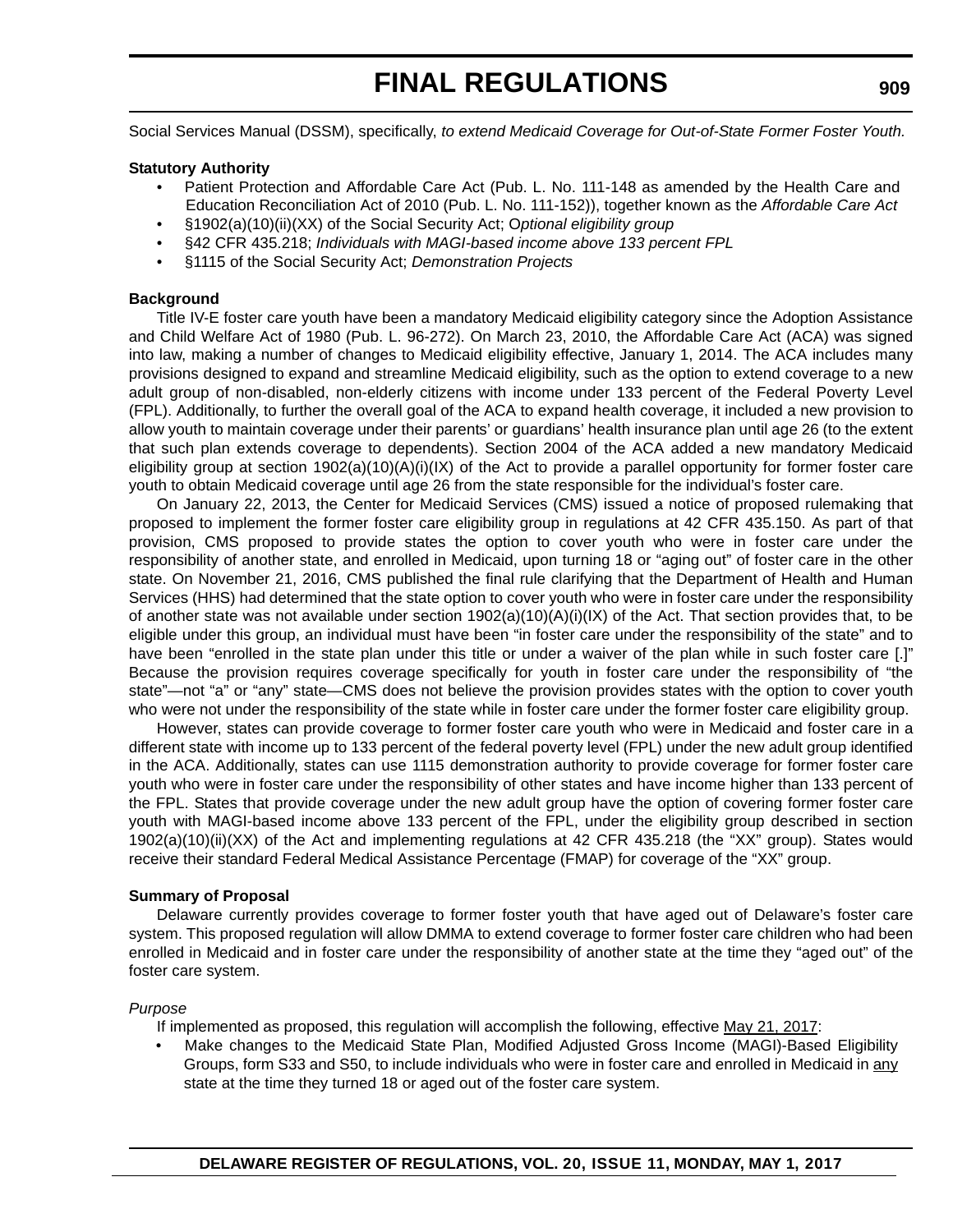Social Services Manual (DSSM), specifically, *to extend Medicaid Coverage for Out-of-State Former Foster Youth.*

### **Statutory Authority**

- Patient Protection and Affordable Care Act (Pub. L. No. 111-148 as amended by the Health Care and Education Reconciliation Act of 2010 (Pub. L. No. 111-152)), together known as the *Affordable Care Act*
- §1902(a)(10)(ii)(XX) of the Social Security Act; O*ptional eligibility group*
- §42 CFR 435.218; *Individuals with MAGI-based income above 133 percent FPL*
- §1115 of the Social Security Act; *Demonstration Projects*

### **Background**

Title IV-E foster care youth have been a mandatory Medicaid eligibility category since the Adoption Assistance and Child Welfare Act of 1980 (Pub. L. 96-272). On March 23, 2010, the Affordable Care Act (ACA) was signed into law, making a number of changes to Medicaid eligibility effective, January 1, 2014. The ACA includes many provisions designed to expand and streamline Medicaid eligibility, such as the option to extend coverage to a new adult group of non-disabled, non-elderly citizens with income under 133 percent of the Federal Poverty Level (FPL). Additionally, to further the overall goal of the ACA to expand health coverage, it included a new provision to allow youth to maintain coverage under their parents' or guardians' health insurance plan until age 26 (to the extent that such plan extends coverage to dependents). Section 2004 of the ACA added a new mandatory Medicaid eligibility group at section 1902(a)(10)(A)(i)(IX) of the Act to provide a parallel opportunity for former foster care youth to obtain Medicaid coverage until age 26 from the state responsible for the individual's foster care.

On January 22, 2013, the Center for Medicaid Services (CMS) issued a notice of proposed rulemaking that proposed to implement the former foster care eligibility group in regulations at 42 CFR 435.150. As part of that provision, CMS proposed to provide states the option to cover youth who were in foster care under the responsibility of another state, and enrolled in Medicaid, upon turning 18 or "aging out" of foster care in the other state. On November 21, 2016, CMS published the final rule clarifying that the Department of Health and Human Services (HHS) had determined that the state option to cover youth who were in foster care under the responsibility of another state was not available under section 1902(a)(10)(A)(i)(IX) of the Act. That section provides that, to be eligible under this group, an individual must have been "in foster care under the responsibility of the state" and to have been "enrolled in the state plan under this title or under a waiver of the plan while in such foster care [.]" Because the provision requires coverage specifically for youth in foster care under the responsibility of "the state"—not "a" or "any" state—CMS does not believe the provision provides states with the option to cover youth who were not under the responsibility of the state while in foster care under the former foster care eligibility group.

However, states can provide coverage to former foster care youth who were in Medicaid and foster care in a different state with income up to 133 percent of the federal poverty level (FPL) under the new adult group identified in the ACA. Additionally, states can use 1115 demonstration authority to provide coverage for former foster care youth who were in foster care under the responsibility of other states and have income higher than 133 percent of the FPL. States that provide coverage under the new adult group have the option of covering former foster care youth with MAGI-based income above 133 percent of the FPL, under the eligibility group described in section 1902(a)(10)(ii)(XX) of the Act and implementing regulations at 42 CFR 435.218 (the "XX" group). States would receive their standard Federal Medical Assistance Percentage (FMAP) for coverage of the "XX" group.

### **Summary of Proposal**

Delaware currently provides coverage to former foster youth that have aged out of Delaware's foster care system. This proposed regulation will allow DMMA to extend coverage to former foster care children who had been enrolled in Medicaid and in foster care under the responsibility of another state at the time they "aged out" of the foster care system.

#### *Purpose*

If implemented as proposed, this regulation will accomplish the following, effective May 21, 2017:

• Make changes to the Medicaid State Plan, Modified Adjusted Gross Income (MAGI)-Based Eligibility Groups, form S33 and S50, to include individuals who were in foster care and enrolled in Medicaid in any state at the time they turned 18 or aged out of the foster care system.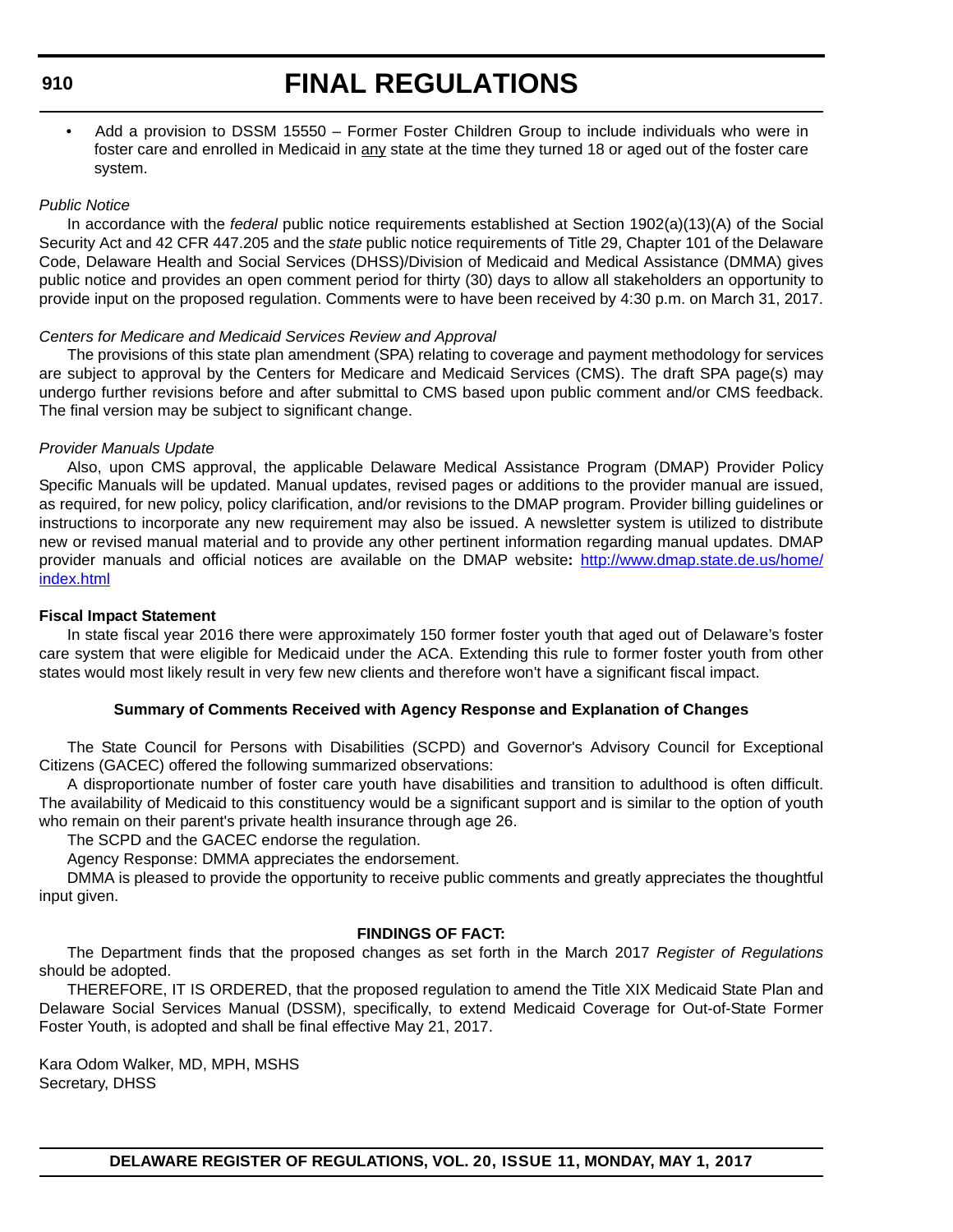## **FINAL REGULATIONS**

• Add a provision to DSSM 15550 – Former Foster Children Group to include individuals who were in foster care and enrolled in Medicaid in any state at the time they turned 18 or aged out of the foster care system.

### *Public Notice*

In accordance with the *federal* public notice requirements established at Section 1902(a)(13)(A) of the Social Security Act and 42 CFR 447.205 and the *state* public notice requirements of Title 29, Chapter 101 of the Delaware Code, Delaware Health and Social Services (DHSS)/Division of Medicaid and Medical Assistance (DMMA) gives public notice and provides an open comment period for thirty (30) days to allow all stakeholders an opportunity to provide input on the proposed regulation. Comments were to have been received by 4:30 p.m. on March 31, 2017.

### *Centers for Medicare and Medicaid Services Review and Approval*

The provisions of this state plan amendment (SPA) relating to coverage and payment methodology for services are subject to approval by the Centers for Medicare and Medicaid Services (CMS). The draft SPA page(s) may undergo further revisions before and after submittal to CMS based upon public comment and/or CMS feedback. The final version may be subject to significant change.

### *Provider Manuals Update*

Also, upon CMS approval, the applicable Delaware Medical Assistance Program (DMAP) Provider Policy Specific Manuals will be updated. Manual updates, revised pages or additions to the provider manual are issued, as required, for new policy, policy clarification, and/or revisions to the DMAP program. Provider billing guidelines or instructions to incorporate any new requirement may also be issued. A newsletter system is utilized to distribute new or revised manual material and to provide any other pertinent information regarding manual updates. DMAP provider manuals and official notices are available on the DMAP website**:** http://www.dmap.state.de.us/home/ index.html

### **Fiscal Impact Statement**

In state fiscal year 2016 there were approximately 150 former foster youth that aged out of Delaware's foster care system that were eligible for Medicaid under the ACA. Extending this rule to former foster youth from other states would most likely result in very few new clients and therefore won't have a significant fiscal impact.

### **Summary of Comments Received with Agency Response and Explanation of Changes**

The State Council for Persons with Disabilities (SCPD) and Governor's Advisory Council for Exceptional Citizens (GACEC) offered the following summarized observations:

A disproportionate number of foster care youth have disabilities and transition to adulthood is often difficult. The availability of Medicaid to this constituency would be a significant support and is similar to the option of youth who remain on their parent's private health insurance through age 26.

The SCPD and the GACEC endorse the regulation.

Agency Response: DMMA appreciates the endorsement.

DMMA is pleased to provide the opportunity to receive public comments and greatly appreciates the thoughtful input given.

### **FINDINGS OF FACT:**

The Department finds that the proposed changes as set forth in the March 2017 *Register of Regulations* should be adopted.

THEREFORE, IT IS ORDERED, that the proposed regulation to amend the Title XIX Medicaid State Plan and Delaware Social Services Manual (DSSM), specifically, to extend Medicaid Coverage for Out-of-State Former Foster Youth, is adopted and shall be final effective May 21, 2017.

Kara Odom Walker, MD, MPH, MSHS Secretary, DHSS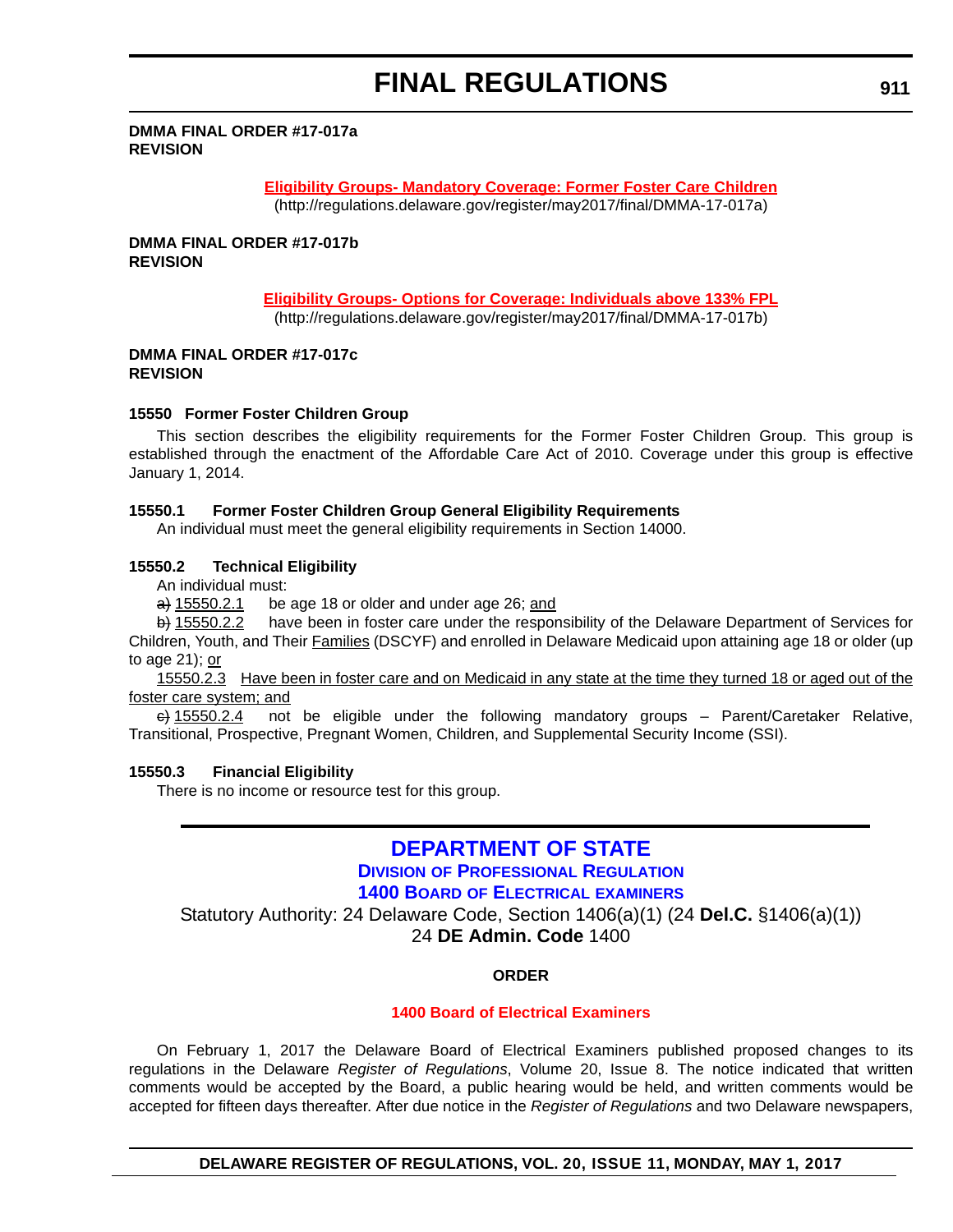#### **DMMA FINAL ORDER #17-017a REVISION**

### **[Eligibility Groups- Mandatory Coverage: Former Foster Care Children](http://regulations.delaware.gov/register/may2017/final/DMMA-17-017a)**

(http://regulations.delaware.gov/register/may2017/final/DMMA-17-017a)

**DMMA FINAL ORDER #17-017b REVISION**

### **[Eligibility Groups- Options for Coverage: Individuals above 133% FPL](http://regulations.delaware.gov/register/may2017/final/DMMA-17-017b)**

(http://regulations.delaware.gov/register/may2017/final/DMMA-17-017b)

### **DMMA FINAL ORDER #17-017c REVISION**

### **15550 Former Foster Children Group**

This section describes the eligibility requirements for the Former Foster Children Group. This group is established through the enactment of the Affordable Care Act of 2010. Coverage under this group is effective January 1, 2014.

### **15550.1 Former Foster Children Group General Eligibility Requirements**

An individual must meet the general eligibility requirements in Section 14000.

### **15550.2 Technical Eligibility**

An individual must:

 $\overrightarrow{a}$  15550.2.1 be age 18 or older and under age 26; and

b) 15550.2.2 have been in foster care under the responsibility of the Delaware Department of Services for Children, Youth, and Their Families (DSCYF) and enrolled in Delaware Medicaid upon attaining age 18 or older (up to age 21); or

15550.2.3 Have been in foster care and on Medicaid in any state at the time they turned 18 or aged out of the foster care system; and

 $\leftrightarrow$  15550.2.4 not be eligible under the following mandatory groups – Parent/Caretaker Relative, Transitional, Prospective, Pregnant Women, Children, and Supplemental Security Income (SSI).

### **15550.3 Financial Eligibility**

There is no income or resource test for this group.

## **[DEPARTMENT OF STATE](http://sos.delaware.gov/) DIVISION [OF PROFESSIONAL REGULATION](http://dpr.delaware.gov/)**

**1400 BOARD [OF ELECTRICAL](http://dpr.delaware.gov/boards/electrician/index.shtml) EXAMINERS**

Statutory Authority: 24 Delaware Code, Section 1406(a)(1) (24 **Del.C.** §1406(a)(1))

24 **DE Admin. Code** 1400

### **ORDER**

### **[1400 Board of Electrical Examiners](#page-4-0)**

On February 1, 2017 the Delaware Board of Electrical Examiners published proposed changes to its regulations in the Delaware *Register of Regulations*, Volume 20, Issue 8. The notice indicated that written comments would be accepted by the Board, a public hearing would be held, and written comments would be accepted for fifteen days thereafter. After due notice in the *Register of Regulations* and two Delaware newspapers,

**DELAWARE REGISTER OF REGULATIONS, VOL. 20, ISSUE 11, MONDAY, MAY 1, 2017**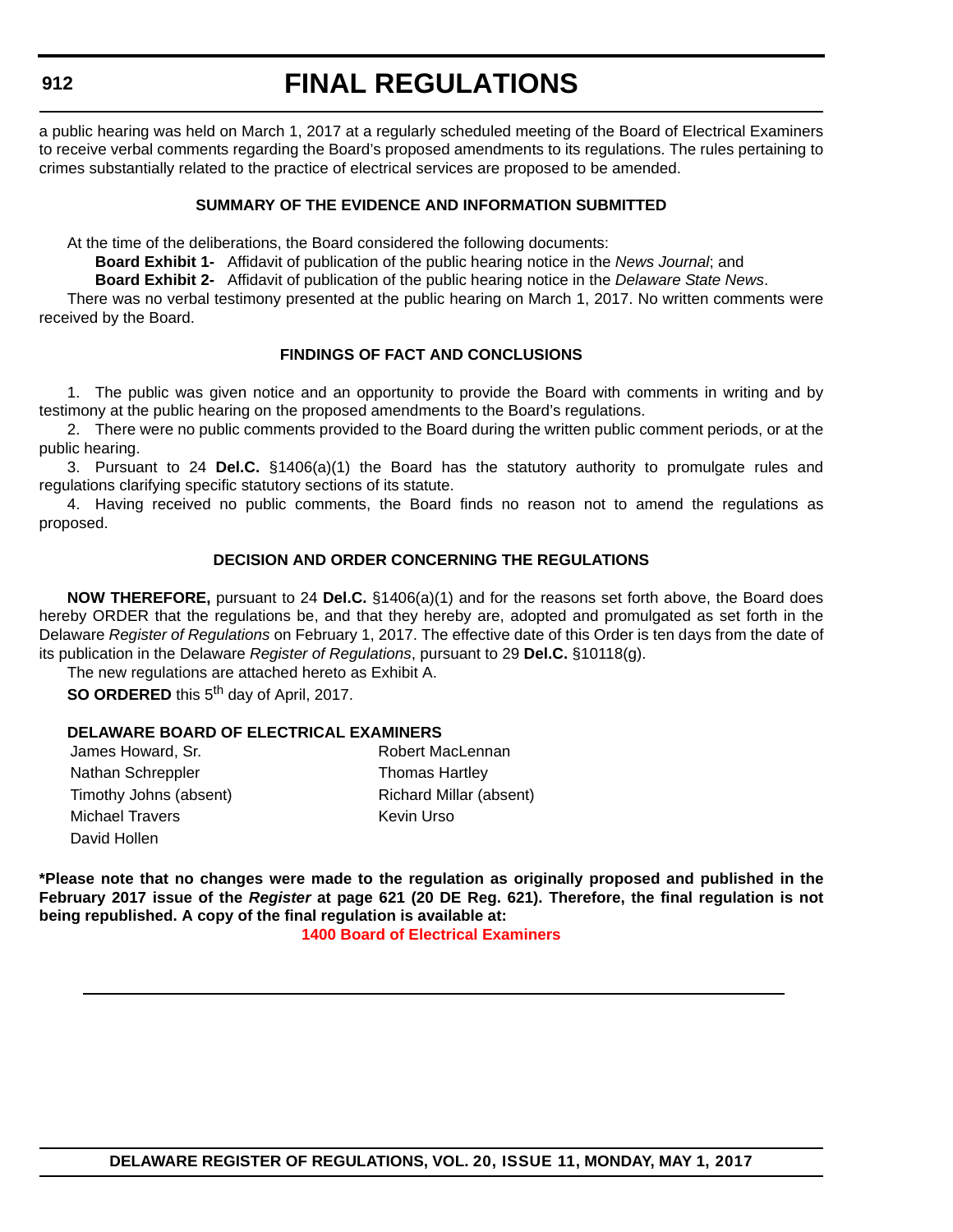#### **912**

## **FINAL REGULATIONS**

a public hearing was held on March 1, 2017 at a regularly scheduled meeting of the Board of Electrical Examiners to receive verbal comments regarding the Board's proposed amendments to its regulations. The rules pertaining to crimes substantially related to the practice of electrical services are proposed to be amended.

### **SUMMARY OF THE EVIDENCE AND INFORMATION SUBMITTED**

At the time of the deliberations, the Board considered the following documents:

**Board Exhibit 1-** Affidavit of publication of the public hearing notice in the *News Journal*; and

**Board Exhibit 2-** Affidavit of publication of the public hearing notice in the *Delaware State News*.

There was no verbal testimony presented at the public hearing on March 1, 2017. No written comments were received by the Board.

## **FINDINGS OF FACT AND CONCLUSIONS**

1. The public was given notice and an opportunity to provide the Board with comments in writing and by testimony at the public hearing on the proposed amendments to the Board's regulations.

2. There were no public comments provided to the Board during the written public comment periods, or at the public hearing.

3. Pursuant to 24 **Del.C.** §1406(a)(1) the Board has the statutory authority to promulgate rules and regulations clarifying specific statutory sections of its statute.

4. Having received no public comments, the Board finds no reason not to amend the regulations as proposed.

### **DECISION AND ORDER CONCERNING THE REGULATIONS**

**NOW THEREFORE,** pursuant to 24 **Del.C.** §1406(a)(1) and for the reasons set forth above, the Board does hereby ORDER that the regulations be, and that they hereby are, adopted and promulgated as set forth in the Delaware *Register of Regulations* on February 1, 2017. The effective date of this Order is ten days from the date of its publication in the Delaware *Register of Regulations*, pursuant to 29 **Del.C.** §10118(g).

The new regulations are attached hereto as Exhibit A.

**SO ORDERED** this 5<sup>th</sup> day of April, 2017.

### **DELAWARE BOARD OF ELECTRICAL EXAMINERS**

| James Howard, Sr.      |
|------------------------|
| Nathan Schreppler      |
| Timothy Johns (absent) |
| <b>Michael Travers</b> |
| David Hollen           |

Robert MacLennan Thomas Hartley Richard Millar (absent) Kevin Urso

**\*Please note that no changes were made to the regulation as originally proposed and published in the February 2017 issue of the** *Register* **at page 621 (20 DE Reg. 621). Therefore, the final regulation is not being republished. A copy of the final regulation is available at:**

**[1400 Board of Electrical Examiners](http://regulations.delaware.gov/register/may2017/final/20 DE Reg 911 05-01-17.htm)**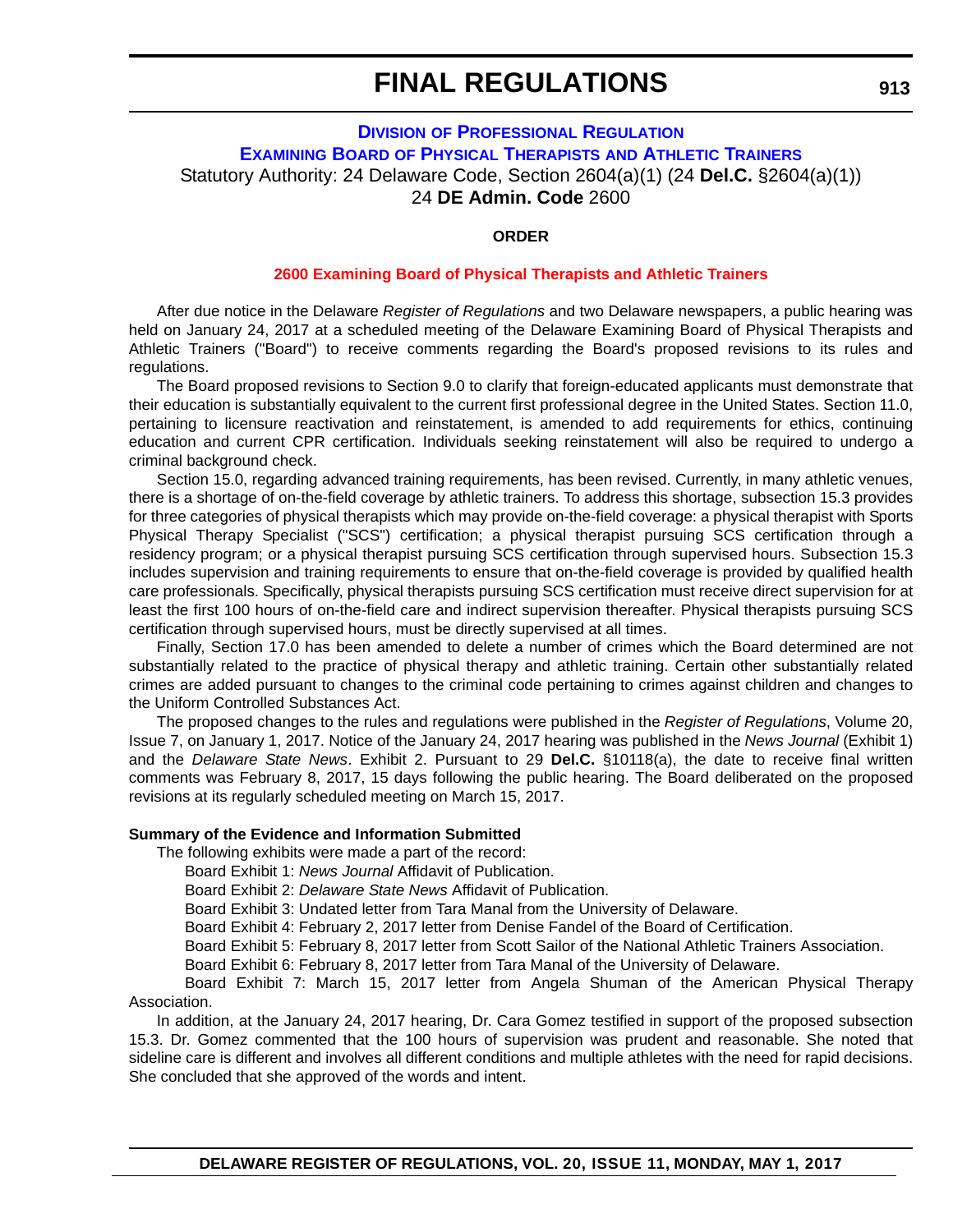## **DIVISION [OF PROFESSIONAL REGULATION](http://dpr.delaware.gov/) EXAMINING BOARD [OF PHYSICAL THERAPISTS](http://dpr.delaware.gov/boards/physicaltherapy/index.shtml) AND ATHLETIC TRAINERS** Statutory Authority: 24 Delaware Code, Section 2604(a)(1) (24 **Del.C.** §2604(a)(1)) 24 **DE Admin. Code** 2600

#### **ORDER**

#### **[2600 Examining Board of Physical Therapists and Athletic Trainers](#page-4-0)**

After due notice in the Delaware *Register of Regulations* and two Delaware newspapers, a public hearing was held on January 24, 2017 at a scheduled meeting of the Delaware Examining Board of Physical Therapists and Athletic Trainers ("Board") to receive comments regarding the Board's proposed revisions to its rules and regulations.

The Board proposed revisions to Section 9.0 to clarify that foreign-educated applicants must demonstrate that their education is substantially equivalent to the current first professional degree in the United States. Section 11.0, pertaining to licensure reactivation and reinstatement, is amended to add requirements for ethics, continuing education and current CPR certification. Individuals seeking reinstatement will also be required to undergo a criminal background check.

Section 15.0, regarding advanced training requirements, has been revised. Currently, in many athletic venues, there is a shortage of on-the-field coverage by athletic trainers. To address this shortage, subsection 15.3 provides for three categories of physical therapists which may provide on-the-field coverage: a physical therapist with Sports Physical Therapy Specialist ("SCS") certification; a physical therapist pursuing SCS certification through a residency program; or a physical therapist pursuing SCS certification through supervised hours. Subsection 15.3 includes supervision and training requirements to ensure that on-the-field coverage is provided by qualified health care professionals. Specifically, physical therapists pursuing SCS certification must receive direct supervision for at least the first 100 hours of on-the-field care and indirect supervision thereafter. Physical therapists pursuing SCS certification through supervised hours, must be directly supervised at all times.

Finally, Section 17.0 has been amended to delete a number of crimes which the Board determined are not substantially related to the practice of physical therapy and athletic training. Certain other substantially related crimes are added pursuant to changes to the criminal code pertaining to crimes against children and changes to the Uniform Controlled Substances Act.

The proposed changes to the rules and regulations were published in the *Register of Regulations*, Volume 20, Issue 7, on January 1, 2017. Notice of the January 24, 2017 hearing was published in the *News Journal* (Exhibit 1) and the *Delaware State News*. Exhibit 2. Pursuant to 29 **Del.C.** §10118(a), the date to receive final written comments was February 8, 2017, 15 days following the public hearing. The Board deliberated on the proposed revisions at its regularly scheduled meeting on March 15, 2017.

#### **Summary of the Evidence and Information Submitted**

The following exhibits were made a part of the record:

Board Exhibit 1: *News Journal* Affidavit of Publication.

Board Exhibit 2: *Delaware State News* Affidavit of Publication.

Board Exhibit 3: Undated letter from Tara Manal from the University of Delaware.

Board Exhibit 4: February 2, 2017 letter from Denise Fandel of the Board of Certification.

Board Exhibit 5: February 8, 2017 letter from Scott Sailor of the National Athletic Trainers Association.

Board Exhibit 6: February 8, 2017 letter from Tara Manal of the University of Delaware.

Board Exhibit 7: March 15, 2017 letter from Angela Shuman of the American Physical Therapy Association.

In addition, at the January 24, 2017 hearing, Dr. Cara Gomez testified in support of the proposed subsection 15.3. Dr. Gomez commented that the 100 hours of supervision was prudent and reasonable. She noted that sideline care is different and involves all different conditions and multiple athletes with the need for rapid decisions. She concluded that she approved of the words and intent.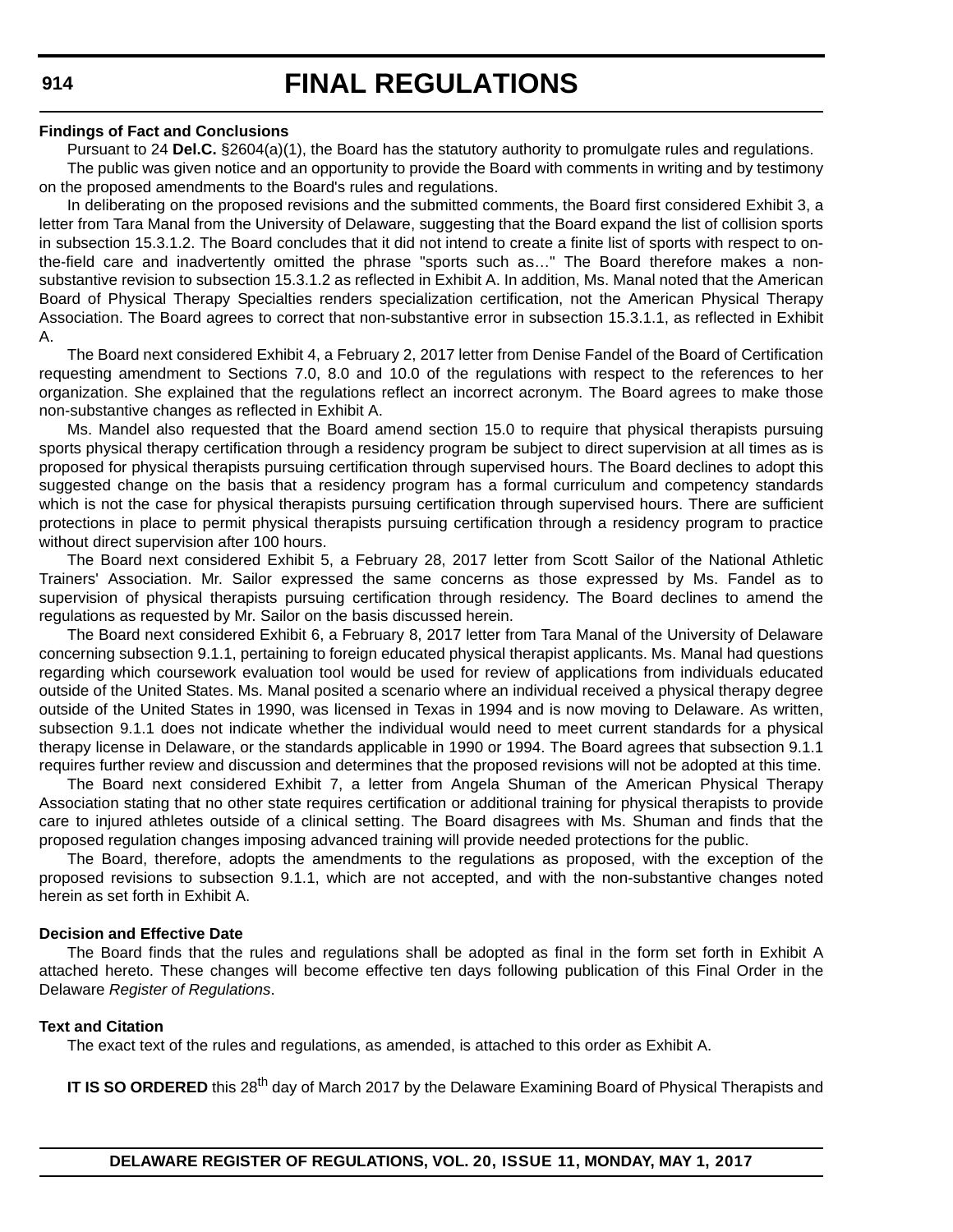#### **Findings of Fact and Conclusions**

Pursuant to 24 **Del.C.** §2604(a)(1), the Board has the statutory authority to promulgate rules and regulations. The public was given notice and an opportunity to provide the Board with comments in writing and by testimony on the proposed amendments to the Board's rules and regulations.

In deliberating on the proposed revisions and the submitted comments, the Board first considered Exhibit 3, a letter from Tara Manal from the University of Delaware, suggesting that the Board expand the list of collision sports in subsection 15.3.1.2. The Board concludes that it did not intend to create a finite list of sports with respect to onthe-field care and inadvertently omitted the phrase "sports such as…" The Board therefore makes a nonsubstantive revision to subsection 15.3.1.2 as reflected in Exhibit A. In addition, Ms. Manal noted that the American Board of Physical Therapy Specialties renders specialization certification, not the American Physical Therapy Association. The Board agrees to correct that non-substantive error in subsection 15.3.1.1, as reflected in Exhibit A.

The Board next considered Exhibit 4, a February 2, 2017 letter from Denise Fandel of the Board of Certification requesting amendment to Sections 7.0, 8.0 and 10.0 of the regulations with respect to the references to her organization. She explained that the regulations reflect an incorrect acronym. The Board agrees to make those non-substantive changes as reflected in Exhibit A.

Ms. Mandel also requested that the Board amend section 15.0 to require that physical therapists pursuing sports physical therapy certification through a residency program be subject to direct supervision at all times as is proposed for physical therapists pursuing certification through supervised hours. The Board declines to adopt this suggested change on the basis that a residency program has a formal curriculum and competency standards which is not the case for physical therapists pursuing certification through supervised hours. There are sufficient protections in place to permit physical therapists pursuing certification through a residency program to practice without direct supervision after 100 hours.

The Board next considered Exhibit 5, a February 28, 2017 letter from Scott Sailor of the National Athletic Trainers' Association. Mr. Sailor expressed the same concerns as those expressed by Ms. Fandel as to supervision of physical therapists pursuing certification through residency. The Board declines to amend the regulations as requested by Mr. Sailor on the basis discussed herein.

The Board next considered Exhibit 6, a February 8, 2017 letter from Tara Manal of the University of Delaware concerning subsection 9.1.1, pertaining to foreign educated physical therapist applicants. Ms. Manal had questions regarding which coursework evaluation tool would be used for review of applications from individuals educated outside of the United States. Ms. Manal posited a scenario where an individual received a physical therapy degree outside of the United States in 1990, was licensed in Texas in 1994 and is now moving to Delaware. As written, subsection 9.1.1 does not indicate whether the individual would need to meet current standards for a physical therapy license in Delaware, or the standards applicable in 1990 or 1994. The Board agrees that subsection 9.1.1 requires further review and discussion and determines that the proposed revisions will not be adopted at this time.

The Board next considered Exhibit 7, a letter from Angela Shuman of the American Physical Therapy Association stating that no other state requires certification or additional training for physical therapists to provide care to injured athletes outside of a clinical setting. The Board disagrees with Ms. Shuman and finds that the proposed regulation changes imposing advanced training will provide needed protections for the public.

The Board, therefore, adopts the amendments to the regulations as proposed, with the exception of the proposed revisions to subsection 9.1.1, which are not accepted, and with the non-substantive changes noted herein as set forth in Exhibit A.

#### **Decision and Effective Date**

The Board finds that the rules and regulations shall be adopted as final in the form set forth in Exhibit A attached hereto. These changes will become effective ten days following publication of this Final Order in the Delaware *Register of Regulations*.

### **Text and Citation**

The exact text of the rules and regulations, as amended, is attached to this order as Exhibit A.

**IT IS SO ORDERED** this 28<sup>th</sup> day of March 2017 by the Delaware Examining Board of Physical Therapists and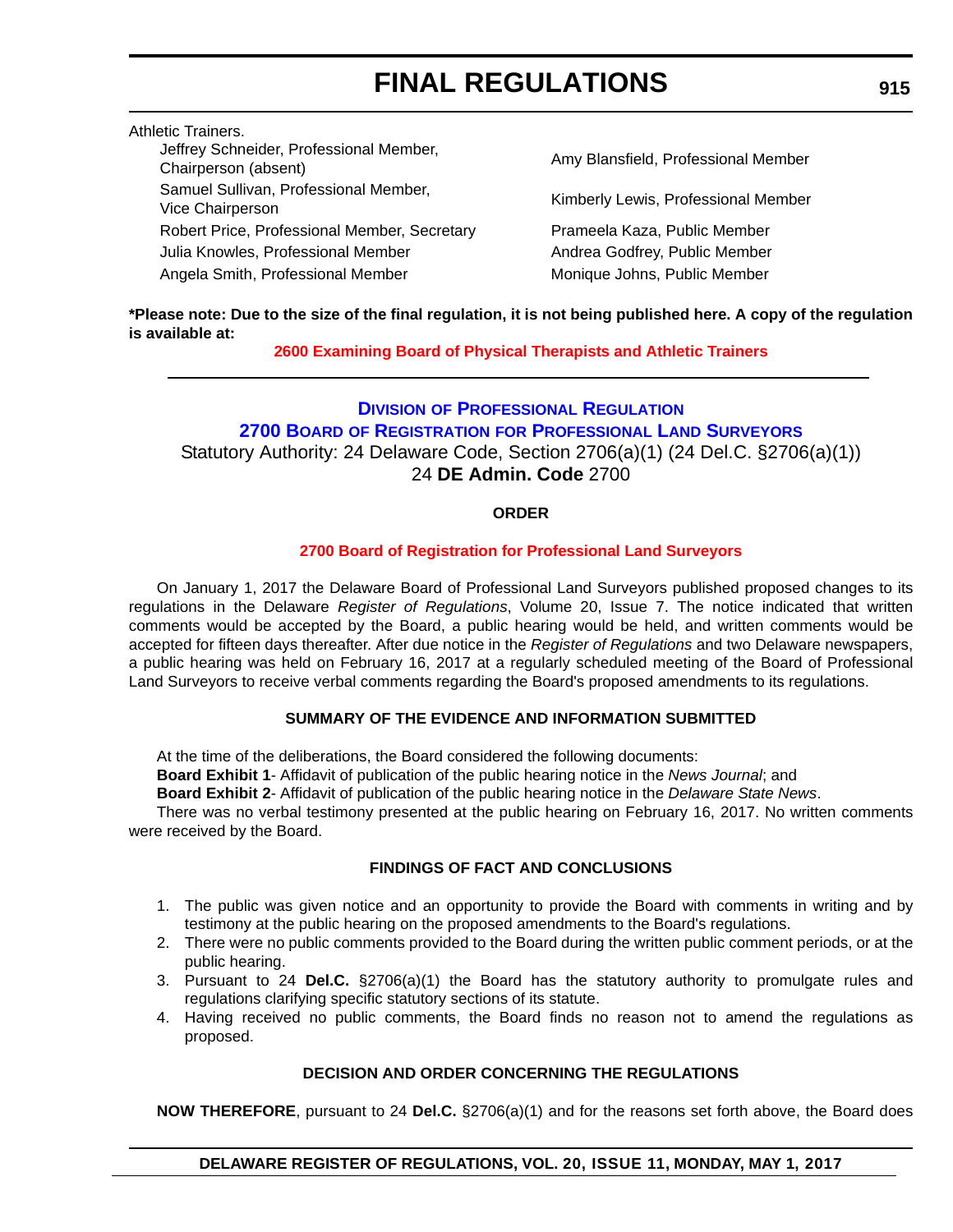Athletic Trainers.

Amy Blansfield, Professional Member

Kimberly Lewis, Professional Member Prameela Kaza, Public Member Andrea Godfrey, Public Member Monique Johns, Public Member

**\*Please note: Due to the size of the final regulation, it is not being published here. A copy of the regulation is available at:**

## **[2600 Examining Board of Physical Therapists and Athletic Trainers](http://regulations.delaware.gov/register/may2017/final/20 DE Reg 913 05-01-17.htm)**

## **DIVISION [OF PROFESSIONAL REGULATION](http://dpr.delaware.gov/) 2700 BOARD OF REGISTRATION [FOR PROFESSIONAL LAND SURVEYORS](http://dpr.delaware.gov/boards/landsurveyors/index.shtml)** Statutory Authority: 24 Delaware Code, Section 2706(a)(1) (24 Del.C. §2706(a)(1)) 24 **DE Admin. Code** 2700

## **ORDER**

## **[2700 Board of Registration for Professional Land Surveyors](#page-4-0)**

On January 1, 2017 the Delaware Board of Professional Land Surveyors published proposed changes to its regulations in the Delaware *Register of Regulations*, Volume 20, Issue 7. The notice indicated that written comments would be accepted by the Board, a public hearing would be held, and written comments would be accepted for fifteen days thereafter. After due notice in the *Register of Regulations* and two Delaware newspapers, a public hearing was held on February 16, 2017 at a regularly scheduled meeting of the Board of Professional Land Surveyors to receive verbal comments regarding the Board's proposed amendments to its regulations.

## **SUMMARY OF THE EVIDENCE AND INFORMATION SUBMITTED**

At the time of the deliberations, the Board considered the following documents:

**Board Exhibit 1**- Affidavit of publication of the public hearing notice in the *News Journal*; and

**Board Exhibit 2**- Affidavit of publication of the public hearing notice in the *Delaware State News*.

There was no verbal testimony presented at the public hearing on February 16, 2017. No written comments were received by the Board.

### **FINDINGS OF FACT AND CONCLUSIONS**

- 1. The public was given notice and an opportunity to provide the Board with comments in writing and by testimony at the public hearing on the proposed amendments to the Board's regulations.
- 2. There were no public comments provided to the Board during the written public comment periods, or at the public hearing.
- 3. Pursuant to 24 **Del.C.** §2706(a)(1) the Board has the statutory authority to promulgate rules and regulations clarifying specific statutory sections of its statute.
- 4. Having received no public comments, the Board finds no reason not to amend the regulations as proposed.

## **DECISION AND ORDER CONCERNING THE REGULATIONS**

**NOW THEREFORE**, pursuant to 24 **Del.C.** §2706(a)(1) and for the reasons set forth above, the Board does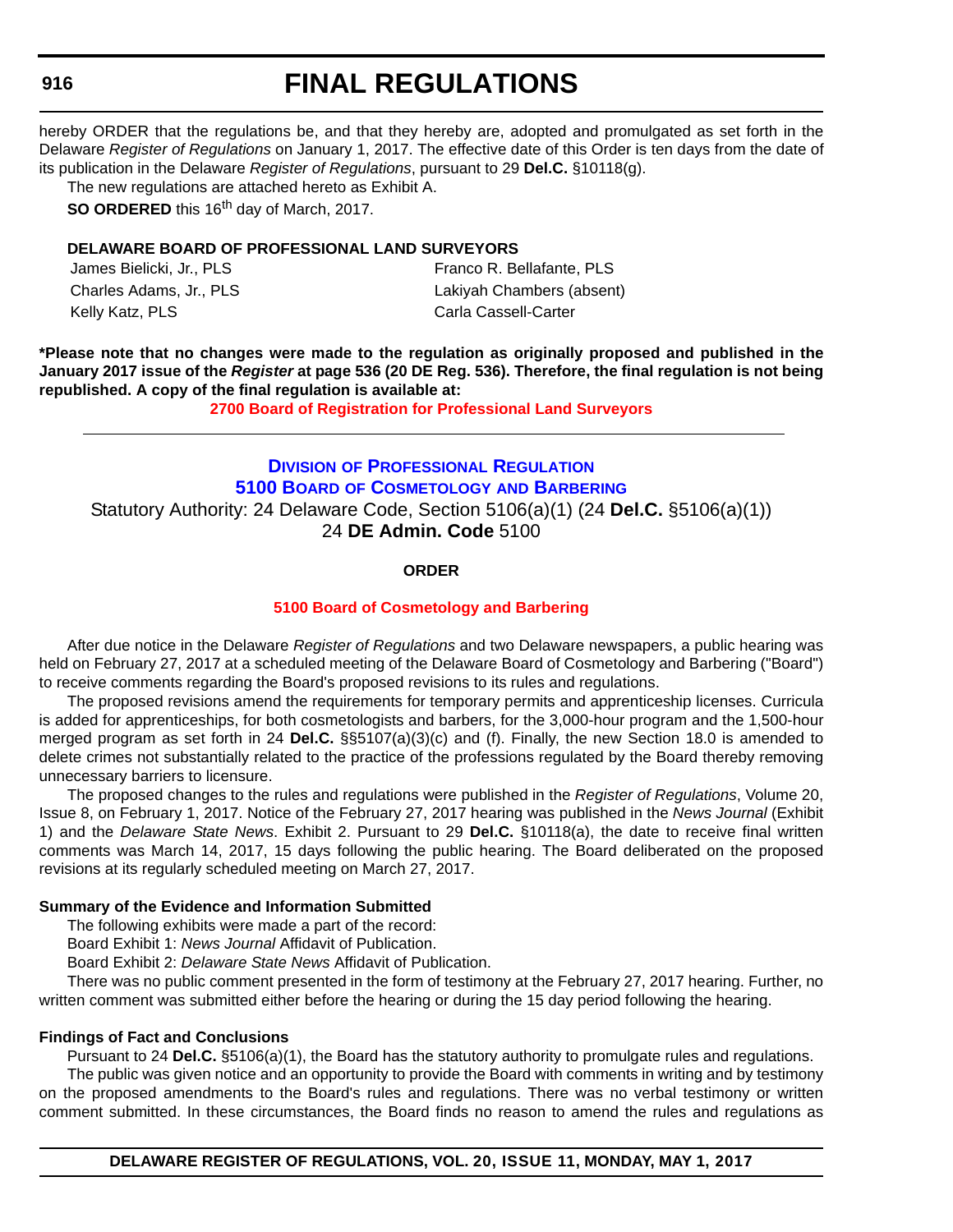#### **916**

## **FINAL REGULATIONS**

hereby ORDER that the regulations be, and that they hereby are, adopted and promulgated as set forth in the Delaware *Register of Regulations* on January 1, 2017. The effective date of this Order is ten days from the date of its publication in the Delaware *Register of Regulations*, pursuant to 29 **Del.C.** §10118(g).

The new regulations are attached hereto as Exhibit A.

**SO ORDERED** this 16<sup>th</sup> day of March, 2017.

## **DELAWARE BOARD OF PROFESSIONAL LAND SURVEYORS**

| James Bielicki, Jr., PLS | Franco R. Bellafante, PLS |
|--------------------------|---------------------------|
| Charles Adams, Jr., PLS  | Lakiyah Chambers (absent) |
| Kelly Katz, PLS          | Carla Cassell-Carter      |

**\*Please note that no changes were made to the regulation as originally proposed and published in the January 2017 issue of the** *Register* **at page 536 (20 DE Reg. 536). Therefore, the final regulation is not being republished. A copy of the final regulation is available at:**

**[2700 Board of Registration for Professional Land Surveyors](http://regulations.delaware.gov/register/may2017/final/20 DE Reg 915 05-01-17.htm)** 

## **DIVISION [OF PROFESSIONAL REGULATION](http://dpr.delaware.gov/) 5100 BOARD [OF COSMETOLOGY](http://dpr.delaware.gov/boards/cosmetology/index.shtml) AND BARBERING** Statutory Authority: 24 Delaware Code, Section 5106(a)(1) (24 **Del.C.** §5106(a)(1)) 24 **DE Admin. Code** 5100

### **ORDER**

## **[5100 Board of Cosmetology and Barbering](#page-4-0)**

After due notice in the Delaware *Register of Regulations* and two Delaware newspapers, a public hearing was held on February 27, 2017 at a scheduled meeting of the Delaware Board of Cosmetology and Barbering ("Board") to receive comments regarding the Board's proposed revisions to its rules and regulations.

The proposed revisions amend the requirements for temporary permits and apprenticeship licenses. Curricula is added for apprenticeships, for both cosmetologists and barbers, for the 3,000-hour program and the 1,500-hour merged program as set forth in 24 **Del.C.** §§5107(a)(3)(c) and (f). Finally, the new Section 18.0 is amended to delete crimes not substantially related to the practice of the professions regulated by the Board thereby removing unnecessary barriers to licensure.

The proposed changes to the rules and regulations were published in the *Register of Regulations*, Volume 20, Issue 8, on February 1, 2017. Notice of the February 27, 2017 hearing was published in the *News Journal* (Exhibit 1) and the *Delaware State News*. Exhibit 2. Pursuant to 29 **Del.C.** §10118(a), the date to receive final written comments was March 14, 2017, 15 days following the public hearing. The Board deliberated on the proposed revisions at its regularly scheduled meeting on March 27, 2017.

### **Summary of the Evidence and Information Submitted**

The following exhibits were made a part of the record:

Board Exhibit 1: *News Journal* Affidavit of Publication.

Board Exhibit 2: *Delaware State News* Affidavit of Publication.

There was no public comment presented in the form of testimony at the February 27, 2017 hearing. Further, no written comment was submitted either before the hearing or during the 15 day period following the hearing.

#### **Findings of Fact and Conclusions**

Pursuant to 24 **Del.C.** §5106(a)(1), the Board has the statutory authority to promulgate rules and regulations.

The public was given notice and an opportunity to provide the Board with comments in writing and by testimony on the proposed amendments to the Board's rules and regulations. There was no verbal testimony or written comment submitted. In these circumstances, the Board finds no reason to amend the rules and regulations as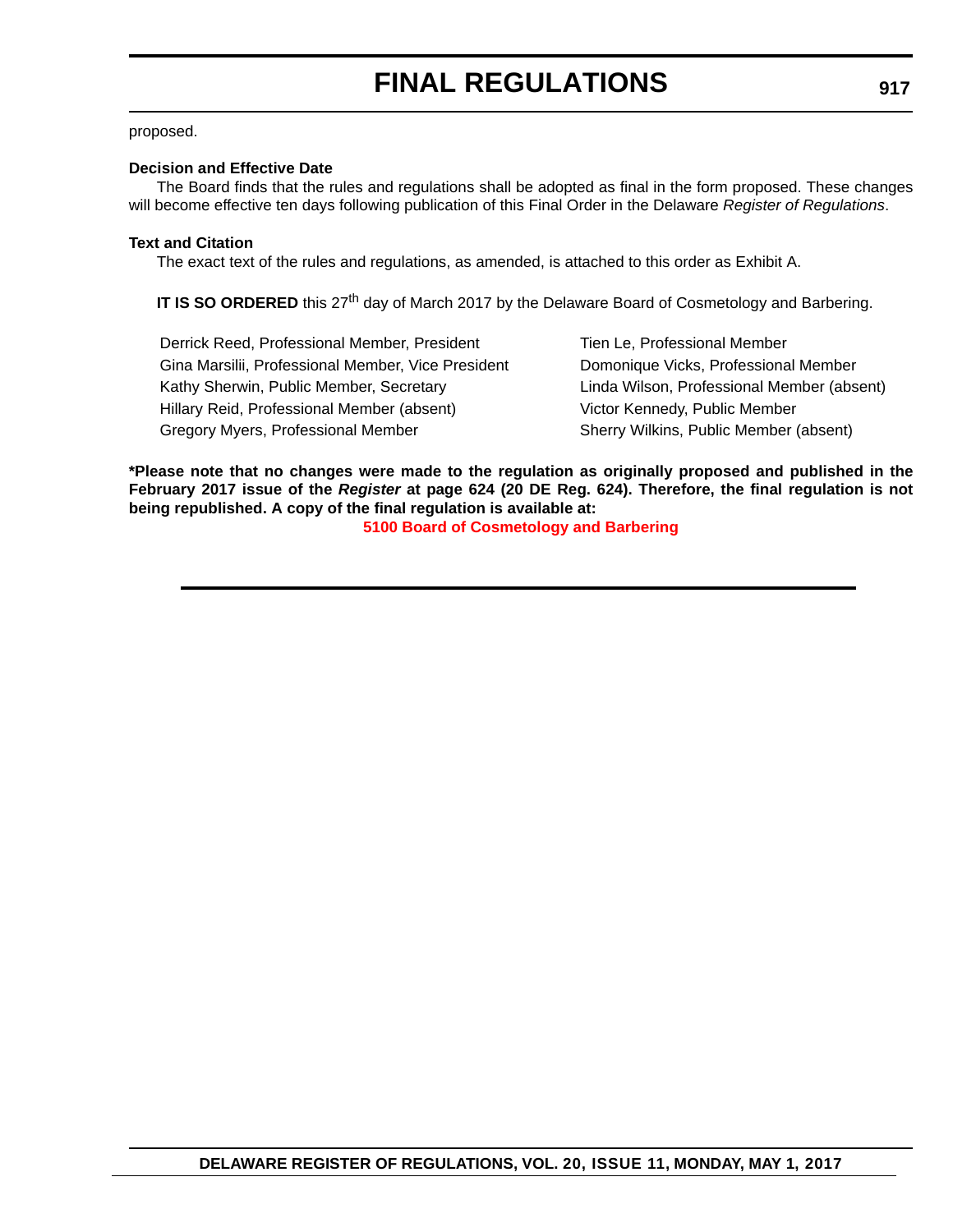#### proposed.

#### **Decision and Effective Date**

The Board finds that the rules and regulations shall be adopted as final in the form proposed. These changes will become effective ten days following publication of this Final Order in the Delaware *Register of Regulations*.

#### **Text and Citation**

The exact text of the rules and regulations, as amended, is attached to this order as Exhibit A.

**IT IS SO ORDERED** this 27<sup>th</sup> day of March 2017 by the Delaware Board of Cosmetology and Barbering.

Derrick Reed, Professional Member, President Tien Le, Professional Member Gina Marsilii, Professional Member, Vice President Domonique Vicks, Professional Member Kathy Sherwin, Public Member, Secretary Linda Wilson, Professional Member (absent) Hillary Reid, Professional Member (absent) Victor Kennedy, Public Member Gregory Myers, Professional Member Sherry Wilkins, Public Member (absent)

**\*Please note that no changes were made to the regulation as originally proposed and published in the February 2017 issue of the** *Register* **at page 624 (20 DE Reg. 624). Therefore, the final regulation is not being republished. A copy of the final regulation is available at:**

**[5100 Board of Cosmetology and Barbering](http://regulations.delaware.gov/register/may2017/final/20 DE Reg 916 05-01-17.htm)**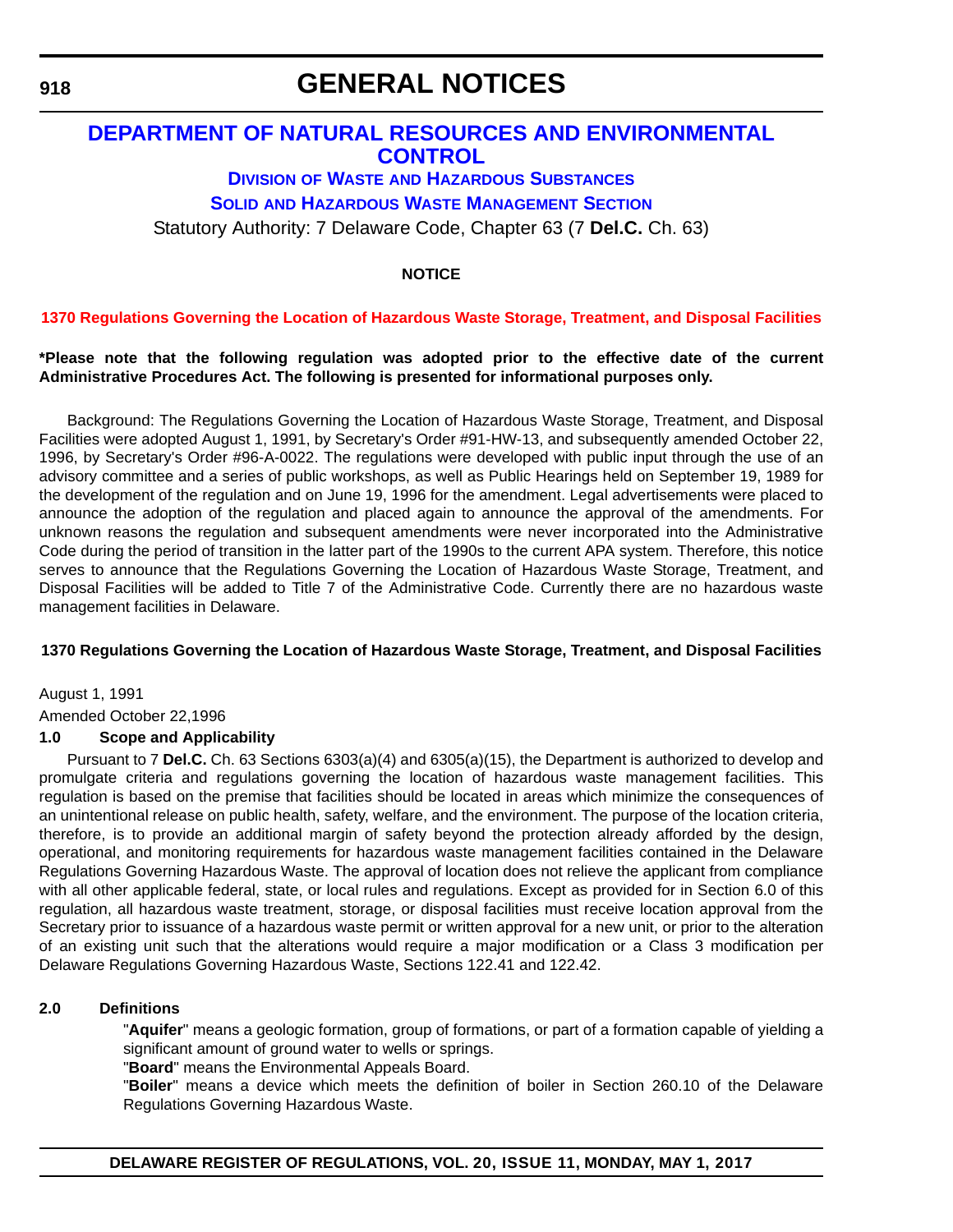**918**

## **GENERAL NOTICES**

## **[DEPARTMENT OF NATURAL RESOURCES AND ENVIRONMENTAL](http://www.dnrec.delaware.gov/Pages/Portal.aspx)  CONTROL**

## **DIVISION OF WASTE [AND HAZARDOUS SUBSTANCES](http://www.dnrec.delaware.gov/dwhs/Pages/default.aspx)**

## **SOLID [AND HAZARDOUS WASTE MANAGEMENT SECTION](http://www.dnrec.delaware.gov/dwhs/SHWMB/Pages/SHWMB.aspx)**

Statutory Authority: 7 Delaware Code, Chapter 63 (7 **Del.C.** Ch. 63)

## **NOTICE**

## **[1370 Regulations Governing the Location of Hazardous Waste Storage, Treatment, and Disposal Facilities](#page-4-0)**

#### **\*Please note that the following regulation was adopted prior to the effective date of the current Administrative Procedures Act. The following is presented for informational purposes only.**

Background: The Regulations Governing the Location of Hazardous Waste Storage, Treatment, and Disposal Facilities were adopted August 1, 1991, by Secretary's Order #91-HW-13, and subsequently amended October 22, 1996, by Secretary's Order #96-A-0022. The regulations were developed with public input through the use of an advisory committee and a series of public workshops, as well as Public Hearings held on September 19, 1989 for the development of the regulation and on June 19, 1996 for the amendment. Legal advertisements were placed to announce the adoption of the regulation and placed again to announce the approval of the amendments. For unknown reasons the regulation and subsequent amendments were never incorporated into the Administrative Code during the period of transition in the latter part of the 1990s to the current APA system. Therefore, this notice serves to announce that the Regulations Governing the Location of Hazardous Waste Storage, Treatment, and Disposal Facilities will be added to Title 7 of the Administrative Code. Currently there are no hazardous waste management facilities in Delaware.

### **1370 Regulations Governing the Location of Hazardous Waste Storage, Treatment, and Disposal Facilities**

August 1, 1991

Amended October 22,1996

## **1.0 Scope and Applicability**

Pursuant to 7 **Del.C.** Ch. 63 Sections 6303(a)(4) and 6305(a)(15), the Department is authorized to develop and promulgate criteria and regulations governing the location of hazardous waste management facilities. This regulation is based on the premise that facilities should be located in areas which minimize the consequences of an unintentional release on public health, safety, welfare, and the environment. The purpose of the location criteria, therefore, is to provide an additional margin of safety beyond the protection already afforded by the design, operational, and monitoring requirements for hazardous waste management facilities contained in the Delaware Regulations Governing Hazardous Waste. The approval of location does not relieve the applicant from compliance with all other applicable federal, state, or local rules and regulations. Except as provided for in Section 6.0 of this regulation, all hazardous waste treatment, storage, or disposal facilities must receive location approval from the Secretary prior to issuance of a hazardous waste permit or written approval for a new unit, or prior to the alteration of an existing unit such that the alterations would require a major modification or a Class 3 modification per Delaware Regulations Governing Hazardous Waste, Sections 122.41 and 122.42.

### **2.0 Definitions**

"**Aquifer**" means a geologic formation, group of formations, or part of a formation capable of yielding a significant amount of ground water to wells or springs.

"**Board**" means the Environmental Appeals Board.

"**Boiler**" means a device which meets the definition of boiler in Section 260.10 of the Delaware Regulations Governing Hazardous Waste.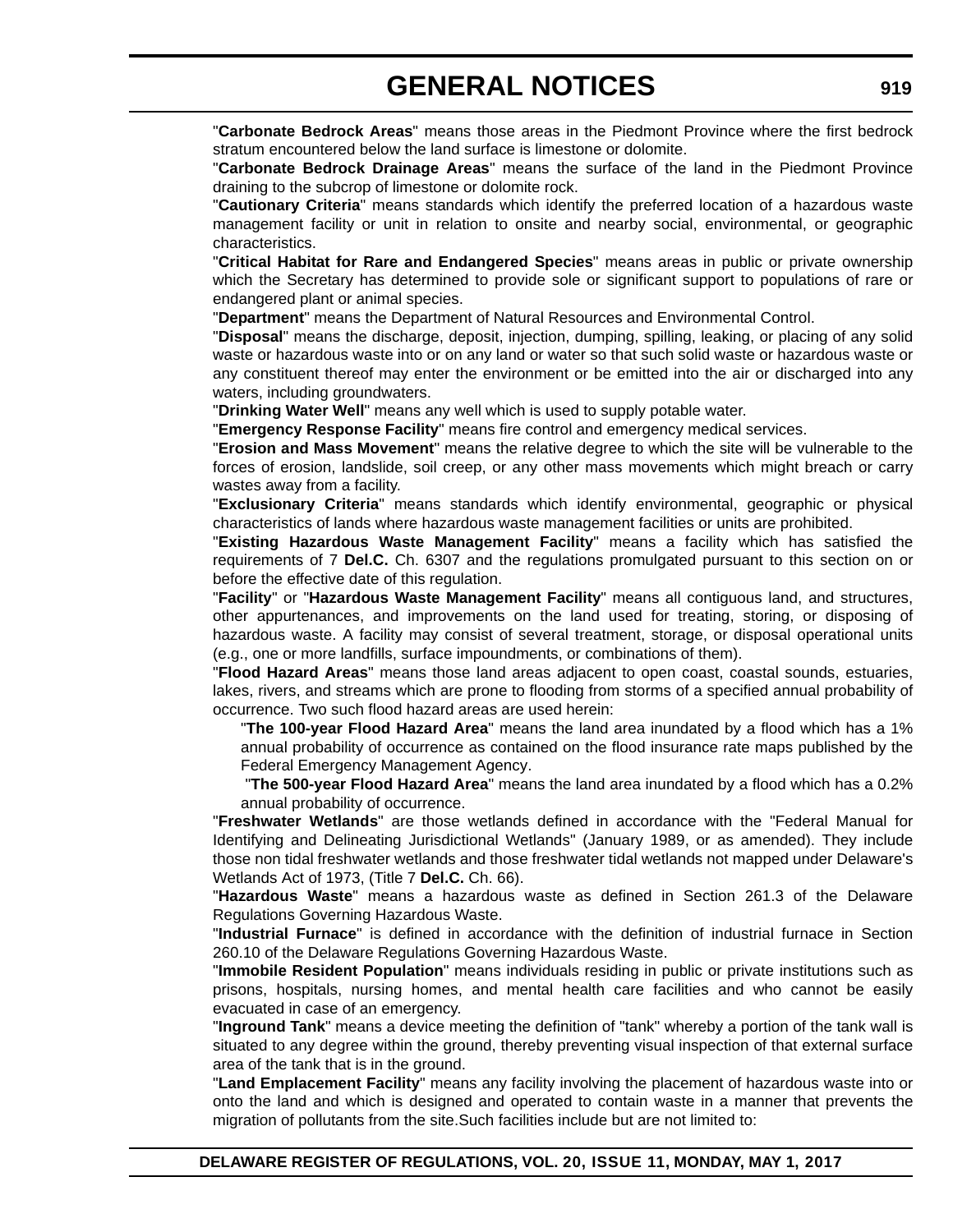"**Carbonate Bedrock Areas**" means those areas in the Piedmont Province where the first bedrock stratum encountered below the land surface is limestone or dolomite.

"**Carbonate Bedrock Drainage Areas**" means the surface of the land in the Piedmont Province draining to the subcrop of limestone or dolomite rock.

"**Cautionary Criteria**" means standards which identify the preferred location of a hazardous waste management facility or unit in relation to onsite and nearby social, environmental, or geographic characteristics.

"**Critical Habitat for Rare and Endangered Species**" means areas in public or private ownership which the Secretary has determined to provide sole or significant support to populations of rare or endangered plant or animal species.

"**Department**" means the Department of Natural Resources and Environmental Control.

"**Disposal**" means the discharge, deposit, injection, dumping, spilling, leaking, or placing of any solid waste or hazardous waste into or on any land or water so that such solid waste or hazardous waste or any constituent thereof may enter the environment or be emitted into the air or discharged into any waters, including groundwaters.

"**Drinking Water Well**" means any well which is used to supply potable water.

"**Emergency Response Facility**" means fire control and emergency medical services.

"**Erosion and Mass Movement**" means the relative degree to which the site will be vulnerable to the forces of erosion, landslide, soil creep, or any other mass movements which might breach or carry wastes away from a facility.

"**Exclusionary Criteria**" means standards which identify environmental, geographic or physical characteristics of lands where hazardous waste management facilities or units are prohibited.

"**Existing Hazardous Waste Management Facility**" means a facility which has satisfied the requirements of 7 **Del.C.** Ch. 6307 and the regulations promulgated pursuant to this section on or before the effective date of this regulation.

"**Facility**" or "**Hazardous Waste Management Facility**" means all contiguous land, and structures, other appurtenances, and improvements on the land used for treating, storing, or disposing of hazardous waste. A facility may consist of several treatment, storage, or disposal operational units (e.g., one or more landfills, surface impoundments, or combinations of them).

"**Flood Hazard Areas**" means those land areas adjacent to open coast, coastal sounds, estuaries, lakes, rivers, and streams which are prone to flooding from storms of a specified annual probability of occurrence. Two such flood hazard areas are used herein:

"**The 100-year Flood Hazard Area**" means the land area inundated by a flood which has a 1% annual probability of occurrence as contained on the flood insurance rate maps published by the Federal Emergency Management Agency.

 "**The 500-year Flood Hazard Area**" means the land area inundated by a flood which has a 0.2% annual probability of occurrence.

"**Freshwater Wetlands**" are those wetlands defined in accordance with the "Federal Manual for Identifying and Delineating Jurisdictional Wetlands" (January 1989, or as amended). They include those non tidal freshwater wetlands and those freshwater tidal wetlands not mapped under Delaware's Wetlands Act of 1973, (Title 7 **Del.C.** Ch. 66).

"**Hazardous Waste**" means a hazardous waste as defined in Section 261.3 of the Delaware Regulations Governing Hazardous Waste.

"**Industrial Furnace**" is defined in accordance with the definition of industrial furnace in Section 260.10 of the Delaware Regulations Governing Hazardous Waste.

"**Immobile Resident Population**" means individuals residing in public or private institutions such as prisons, hospitals, nursing homes, and mental health care facilities and who cannot be easily evacuated in case of an emergency.

"**Inground Tank**" means a device meeting the definition of "tank" whereby a portion of the tank wall is situated to any degree within the ground, thereby preventing visual inspection of that external surface area of the tank that is in the ground.

"**Land Emplacement Facility**" means any facility involving the placement of hazardous waste into or onto the land and which is designed and operated to contain waste in a manner that prevents the migration of pollutants from the site.Such facilities include but are not limited to: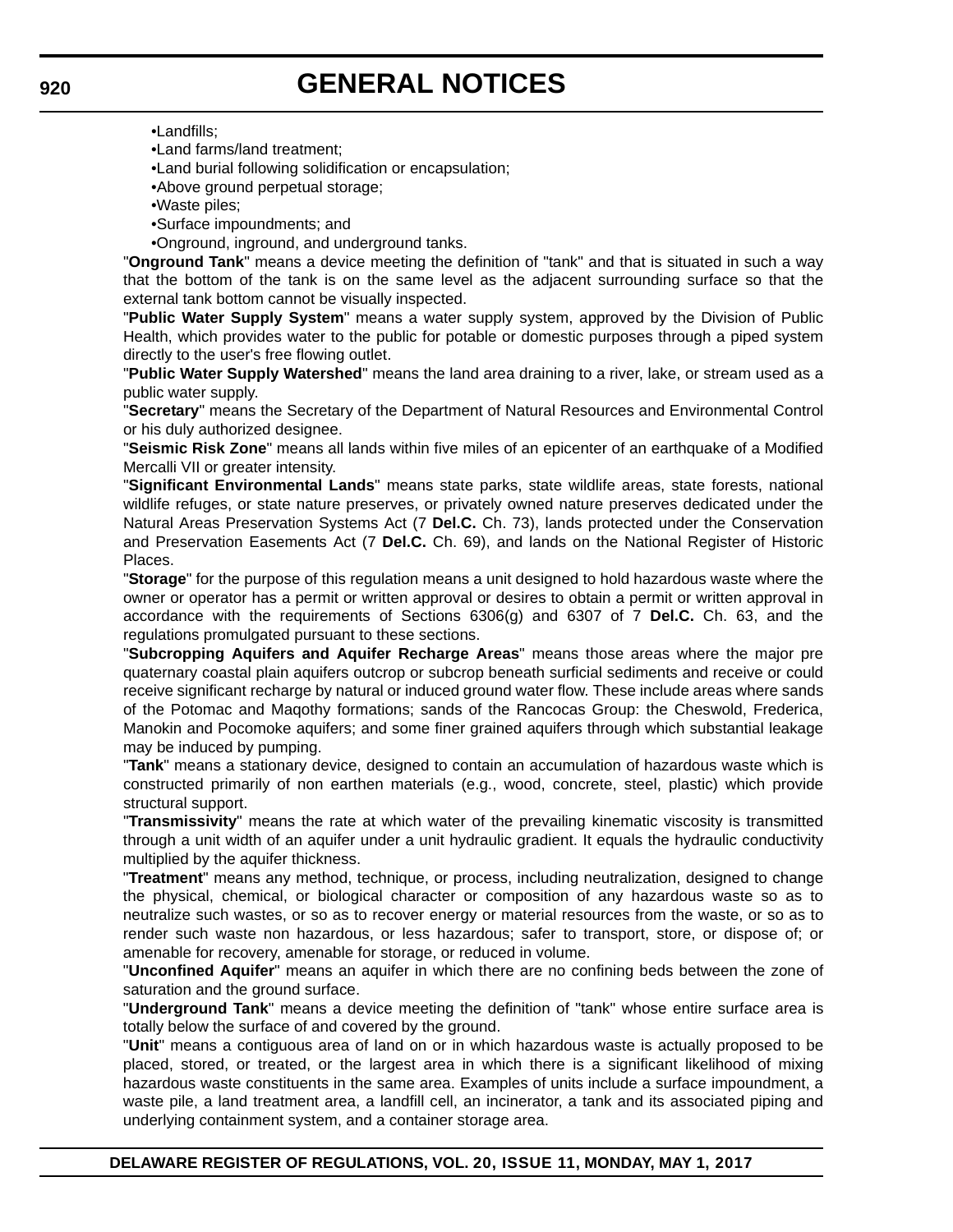•Landfills;

•Land farms/land treatment;

•Land burial following solidification or encapsulation;

•Above ground perpetual storage;

•Waste piles;

•Surface impoundments; and

•Onground, inground, and underground tanks.

"**Onground Tank**" means a device meeting the definition of "tank" and that is situated in such a way that the bottom of the tank is on the same level as the adjacent surrounding surface so that the external tank bottom cannot be visually inspected.

"**Public Water Supply System**" means a water supply system, approved by the Division of Public Health, which provides water to the public for potable or domestic purposes through a piped system directly to the user's free flowing outlet.

"**Public Water Supply Watershed**" means the land area draining to a river, lake, or stream used as a public water supply.

"**Secretary**" means the Secretary of the Department of Natural Resources and Environmental Control or his duly authorized designee.

"**Seismic Risk Zone**" means all lands within five miles of an epicenter of an earthquake of a Modified Mercalli VII or greater intensity.

"**Significant Environmental Lands**" means state parks, state wildlife areas, state forests, national wildlife refuges, or state nature preserves, or privately owned nature preserves dedicated under the Natural Areas Preservation Systems Act (7 **Del.C.** Ch. 73), lands protected under the Conservation and Preservation Easements Act (7 **Del.C.** Ch. 69), and lands on the National Register of Historic Places.

"**Storage**" for the purpose of this regulation means a unit designed to hold hazardous waste where the owner or operator has a permit or written approval or desires to obtain a permit or written approval in accordance with the requirements of Sections 6306(g) and 6307 of 7 **Del.C.** Ch. 63, and the regulations promulgated pursuant to these sections.

"**Subcropping Aquifers and Aquifer Recharge Areas**" means those areas where the major pre quaternary coastal plain aquifers outcrop or subcrop beneath surficial sediments and receive or could receive significant recharge by natural or induced ground water flow. These include areas where sands of the Potomac and Maqothy formations; sands of the Rancocas Group: the Cheswold, Frederica, Manokin and Pocomoke aquifers; and some finer grained aquifers through which substantial leakage may be induced by pumping.

"**Tank**" means a stationary device, designed to contain an accumulation of hazardous waste which is constructed primarily of non earthen materials (e.g., wood, concrete, steel, plastic) which provide structural support.

"**Transmissivity**" means the rate at which water of the prevailing kinematic viscosity is transmitted through a unit width of an aquifer under a unit hydraulic gradient. It equals the hydraulic conductivity multiplied by the aquifer thickness.

"**Treatment**" means any method, technique, or process, including neutralization, designed to change the physical, chemical, or biological character or composition of any hazardous waste so as to neutralize such wastes, or so as to recover energy or material resources from the waste, or so as to render such waste non hazardous, or less hazardous; safer to transport, store, or dispose of; or amenable for recovery, amenable for storage, or reduced in volume.

"**Unconfined Aquifer**" means an aquifer in which there are no confining beds between the zone of saturation and the ground surface.

"**Underground Tank**" means a device meeting the definition of "tank" whose entire surface area is totally below the surface of and covered by the ground.

"**Unit**" means a contiguous area of land on or in which hazardous waste is actually proposed to be placed, stored, or treated, or the largest area in which there is a significant likelihood of mixing hazardous waste constituents in the same area. Examples of units include a surface impoundment, a waste pile, a land treatment area, a landfill cell, an incinerator, a tank and its associated piping and underlying containment system, and a container storage area.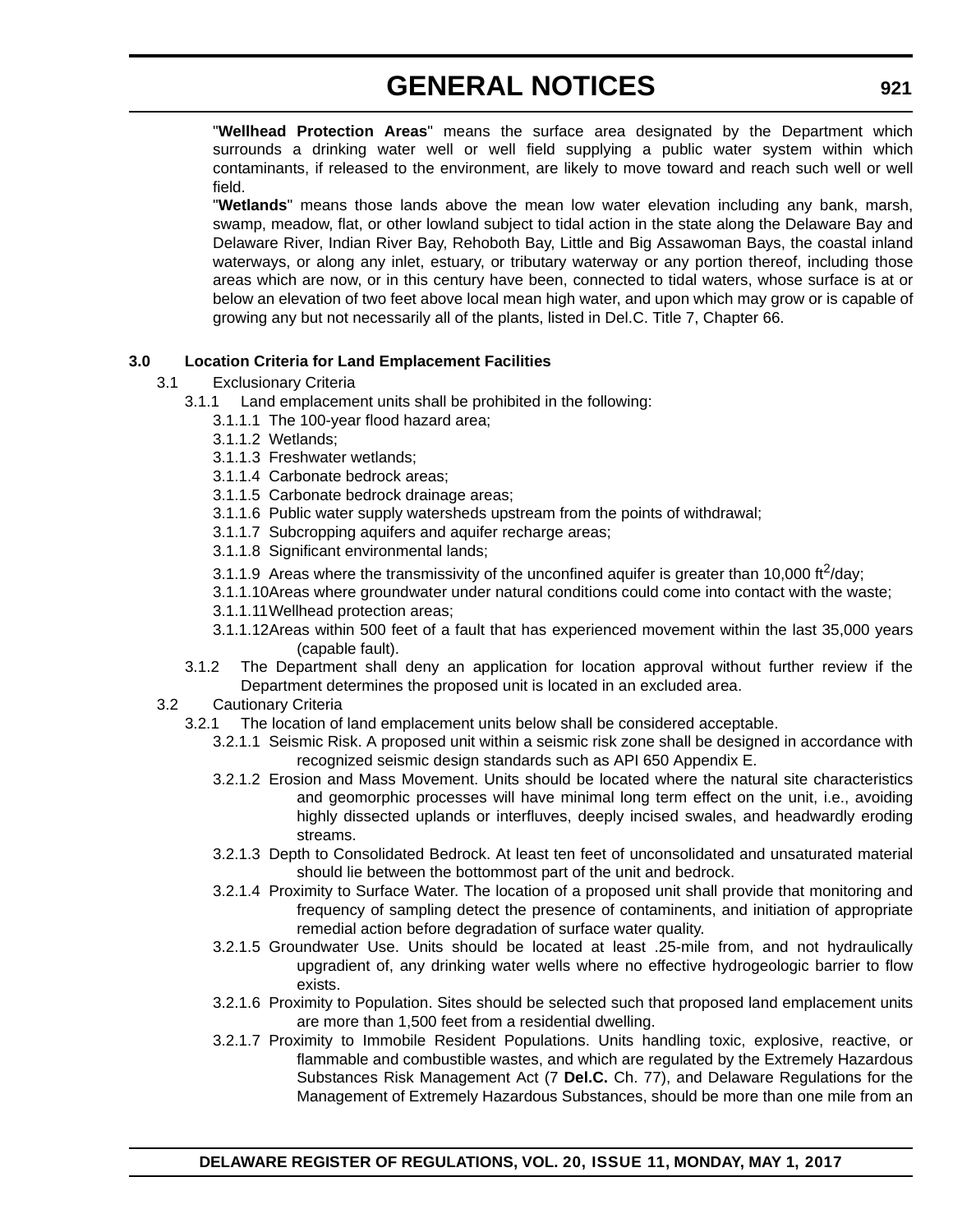"**Wellhead Protection Areas**" means the surface area designated by the Department which surrounds a drinking water well or well field supplying a public water system within which contaminants, if released to the environment, are likely to move toward and reach such well or well field.

"**Wetlands**" means those lands above the mean low water elevation including any bank, marsh, swamp, meadow, flat, or other lowland subject to tidal action in the state along the Delaware Bay and Delaware River, Indian River Bay, Rehoboth Bay, Little and Big Assawoman Bays, the coastal inland waterways, or along any inlet, estuary, or tributary waterway or any portion thereof, including those areas which are now, or in this century have been, connected to tidal waters, whose surface is at or below an elevation of two feet above local mean high water, and upon which may grow or is capable of growing any but not necessarily all of the plants, listed in Del.C. Title 7, Chapter 66.

### **3.0 Location Criteria for Land Emplacement Facilities**

- 3.1 Exclusionary Criteria
	- 3.1.1 Land emplacement units shall be prohibited in the following:
		- 3.1.1.1 The 100-year flood hazard area;
		- 3.1.1.2 Wetlands;
		- 3.1.1.3 Freshwater wetlands;
		- 3.1.1.4 Carbonate bedrock areas;
		- 3.1.1.5 Carbonate bedrock drainage areas;
		- 3.1.1.6 Public water supply watersheds upstream from the points of withdrawal;
		- 3.1.1.7 Subcropping aquifers and aquifer recharge areas;
		- 3.1.1.8 Significant environmental lands;
		- 3.1.1.9 Areas where the transmissivity of the unconfined aquifer is greater than 10,000 ft<sup>2</sup>/day;
		- 3.1.1.10Areas where groundwater under natural conditions could come into contact with the waste;
		- 3.1.1.11Wellhead protection areas;
		- 3.1.1.12Areas within 500 feet of a fault that has experienced movement within the last 35,000 years (capable fault).
	- 3.1.2 The Department shall deny an application for location approval without further review if the Department determines the proposed unit is located in an excluded area.

#### 3.2 Cautionary Criteria

- 3.2.1 The location of land emplacement units below shall be considered acceptable.
	- 3.2.1.1 Seismic Risk. A proposed unit within a seismic risk zone shall be designed in accordance with recognized seismic design standards such as API 650 Appendix E.
	- 3.2.1.2 Erosion and Mass Movement. Units should be located where the natural site characteristics and geomorphic processes will have minimal long term effect on the unit, i.e., avoiding highly dissected uplands or interfluves, deeply incised swales, and headwardly eroding streams.
	- 3.2.1.3 Depth to Consolidated Bedrock. At least ten feet of unconsolidated and unsaturated material should lie between the bottommost part of the unit and bedrock.
	- 3.2.1.4 Proximity to Surface Water. The location of a proposed unit shall provide that monitoring and frequency of sampling detect the presence of contaminents, and initiation of appropriate remedial action before degradation of surface water quality.
	- 3.2.1.5 Groundwater Use. Units should be located at least .25-mile from, and not hydraulically upgradient of, any drinking water wells where no effective hydrogeologic barrier to flow exists.
	- 3.2.1.6 Proximity to Population. Sites should be selected such that proposed land emplacement units are more than 1,500 feet from a residential dwelling.
	- 3.2.1.7 Proximity to Immobile Resident Populations. Units handling toxic, explosive, reactive, or flammable and combustible wastes, and which are regulated by the Extremely Hazardous Substances Risk Management Act (7 **Del.C.** Ch. 77), and Delaware Regulations for the Management of Extremely Hazardous Substances, should be more than one mile from an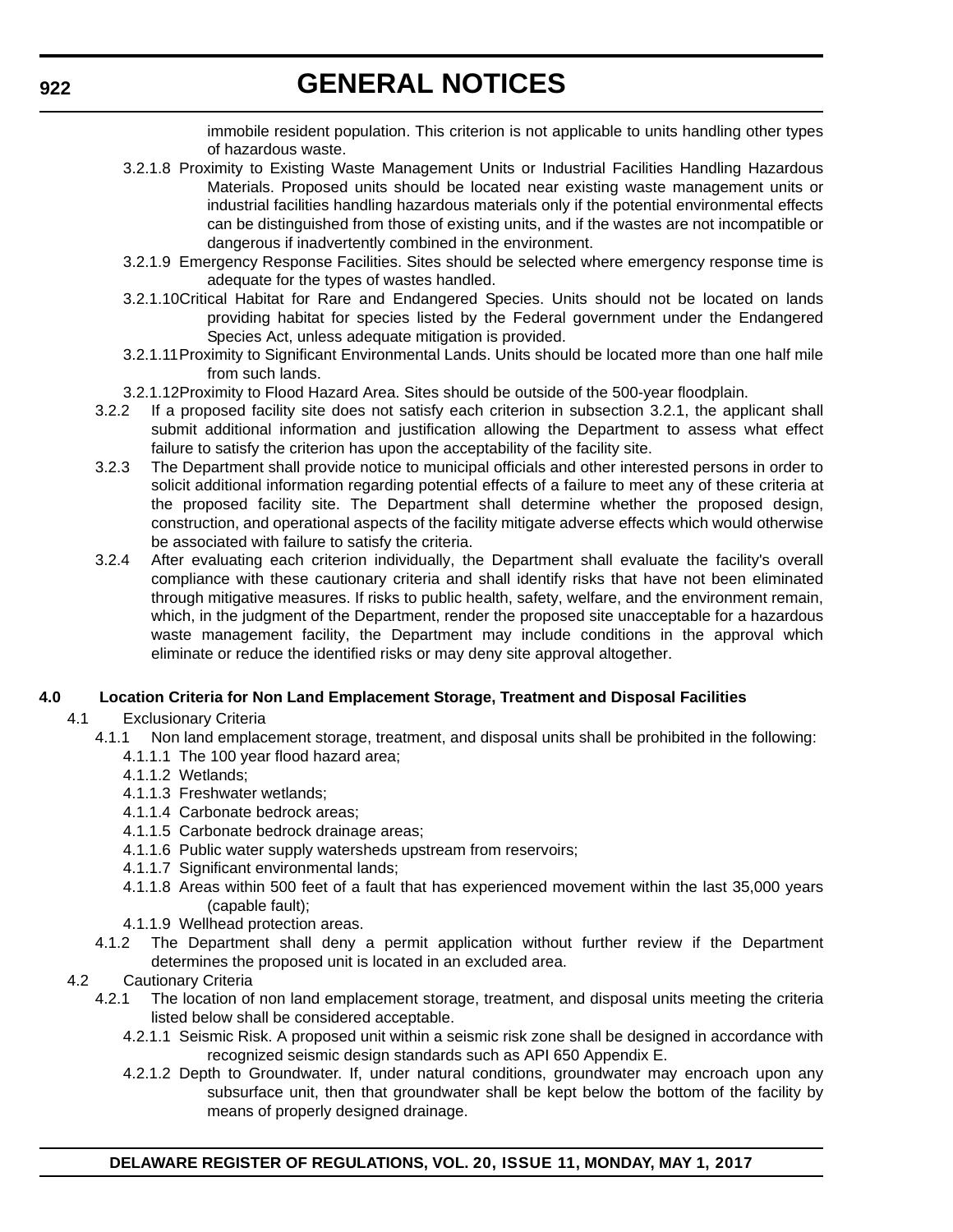immobile resident population. This criterion is not applicable to units handling other types of hazardous waste.

- 3.2.1.8 Proximity to Existing Waste Management Units or Industrial Facilities Handling Hazardous Materials. Proposed units should be located near existing waste management units or industrial facilities handling hazardous materials only if the potential environmental effects can be distinguished from those of existing units, and if the wastes are not incompatible or dangerous if inadvertently combined in the environment.
- 3.2.1.9 Emergency Response Facilities. Sites should be selected where emergency response time is adequate for the types of wastes handled.
- 3.2.1.10Critical Habitat for Rare and Endangered Species. Units should not be located on lands providing habitat for species listed by the Federal government under the Endangered Species Act, unless adequate mitigation is provided.
- 3.2.1.11Proximity to Significant Environmental Lands. Units should be located more than one half mile from such lands.
- 3.2.1.12Proximity to Flood Hazard Area. Sites should be outside of the 500-year floodplain.
- 3.2.2 If a proposed facility site does not satisfy each criterion in subsection 3.2.1, the applicant shall submit additional information and justification allowing the Department to assess what effect failure to satisfy the criterion has upon the acceptability of the facility site.
- 3.2.3 The Department shall provide notice to municipal officials and other interested persons in order to solicit additional information regarding potential effects of a failure to meet any of these criteria at the proposed facility site. The Department shall determine whether the proposed design, construction, and operational aspects of the facility mitigate adverse effects which would otherwise be associated with failure to satisfy the criteria.
- 3.2.4 After evaluating each criterion individually, the Department shall evaluate the facility's overall compliance with these cautionary criteria and shall identify risks that have not been eliminated through mitigative measures. If risks to public health, safety, welfare, and the environment remain, which, in the judgment of the Department, render the proposed site unacceptable for a hazardous waste management facility, the Department may include conditions in the approval which eliminate or reduce the identified risks or may deny site approval altogether.

### **4.0 Location Criteria for Non Land Emplacement Storage, Treatment and Disposal Facilities**

- 4.1 Exclusionary Criteria
	- 4.1.1 Non land emplacement storage, treatment, and disposal units shall be prohibited in the following:
		- 4.1.1.1 The 100 year flood hazard area;
		- 4.1.1.2 Wetlands;
		- 4.1.1.3 Freshwater wetlands;
		- 4.1.1.4 Carbonate bedrock areas;
		- 4.1.1.5 Carbonate bedrock drainage areas;
		- 4.1.1.6 Public water supply watersheds upstream from reservoirs;
		- 4.1.1.7 Significant environmental lands;
		- 4.1.1.8 Areas within 500 feet of a fault that has experienced movement within the last 35,000 years (capable fault);
		- 4.1.1.9 Wellhead protection areas.
	- 4.1.2 The Department shall deny a permit application without further review if the Department determines the proposed unit is located in an excluded area.
- 4.2 Cautionary Criteria
	- 4.2.1 The location of non land emplacement storage, treatment, and disposal units meeting the criteria listed below shall be considered acceptable.
		- 4.2.1.1 Seismic Risk. A proposed unit within a seismic risk zone shall be designed in accordance with recognized seismic design standards such as API 650 Appendix E.
		- 4.2.1.2 Depth to Groundwater. If, under natural conditions, groundwater may encroach upon any subsurface unit, then that groundwater shall be kept below the bottom of the facility by means of properly designed drainage.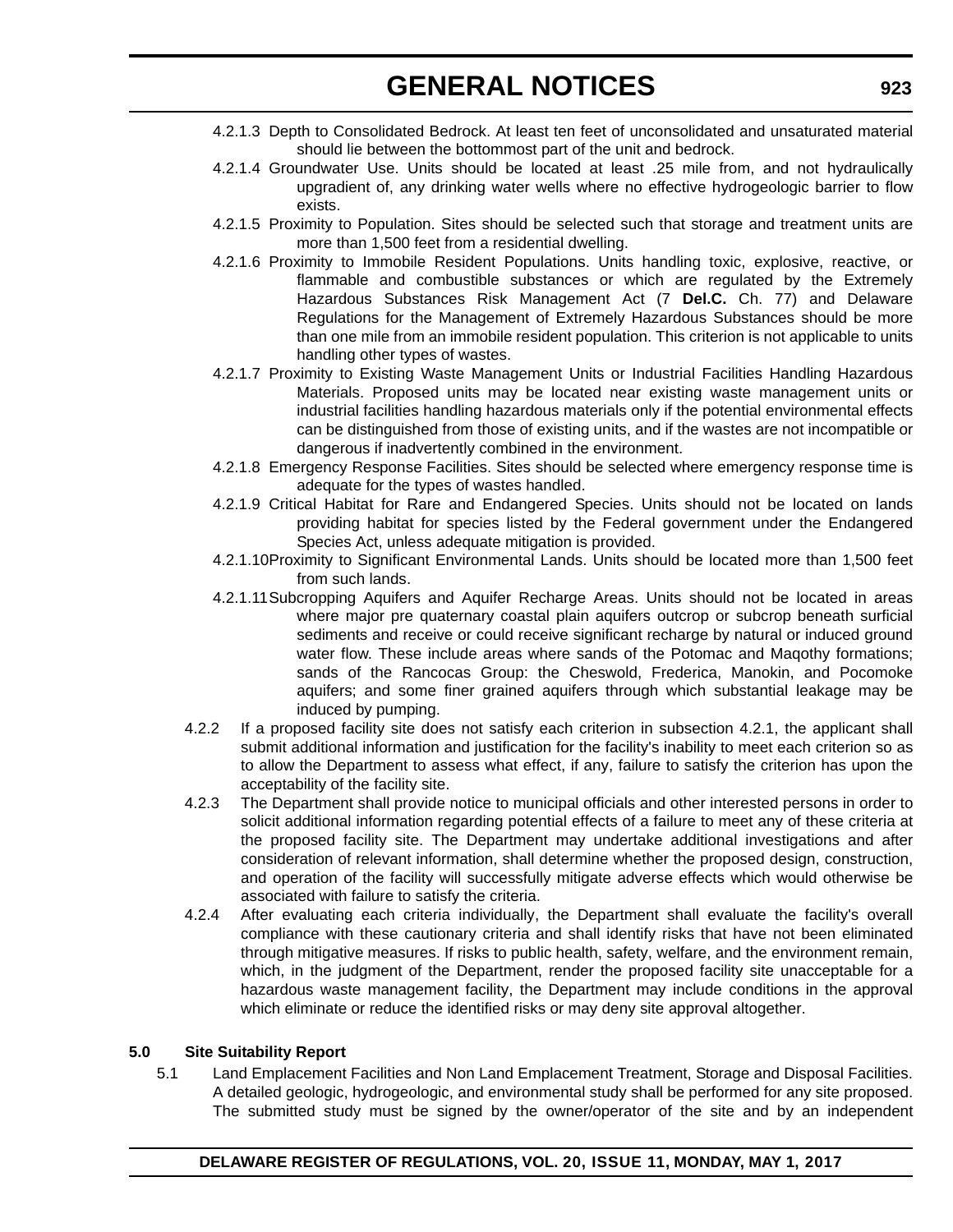- 4.2.1.3 Depth to Consolidated Bedrock. At least ten feet of unconsolidated and unsaturated material should lie between the bottommost part of the unit and bedrock.
- 4.2.1.4 Groundwater Use. Units should be located at least .25 mile from, and not hydraulically upgradient of, any drinking water wells where no effective hydrogeologic barrier to flow exists.
- 4.2.1.5 Proximity to Population. Sites should be selected such that storage and treatment units are more than 1,500 feet from a residential dwelling.
- 4.2.1.6 Proximity to Immobile Resident Populations. Units handling toxic, explosive, reactive, or flammable and combustible substances or which are regulated by the Extremely Hazardous Substances Risk Management Act (7 **Del.C.** Ch. 77) and Delaware Regulations for the Management of Extremely Hazardous Substances should be more than one mile from an immobile resident population. This criterion is not applicable to units handling other types of wastes.
- 4.2.1.7 Proximity to Existing Waste Management Units or Industrial Facilities Handling Hazardous Materials. Proposed units may be located near existing waste management units or industrial facilities handling hazardous materials only if the potential environmental effects can be distinguished from those of existing units, and if the wastes are not incompatible or dangerous if inadvertently combined in the environment.
- 4.2.1.8 Emergency Response Facilities. Sites should be selected where emergency response time is adequate for the types of wastes handled.
- 4.2.1.9 Critical Habitat for Rare and Endangered Species. Units should not be located on lands providing habitat for species listed by the Federal government under the Endangered Species Act, unless adequate mitigation is provided.
- 4.2.1.10Proximity to Significant Environmental Lands. Units should be located more than 1,500 feet from such lands.
- 4.2.1.11Subcropping Aquifers and Aquifer Recharge Areas. Units should not be located in areas where major pre quaternary coastal plain aquifers outcrop or subcrop beneath surficial sediments and receive or could receive significant recharge by natural or induced ground water flow. These include areas where sands of the Potomac and Maqothy formations; sands of the Rancocas Group: the Cheswold, Frederica, Manokin, and Pocomoke aquifers; and some finer grained aquifers through which substantial leakage may be induced by pumping.
- 4.2.2 If a proposed facility site does not satisfy each criterion in subsection 4.2.1, the applicant shall submit additional information and justification for the facility's inability to meet each criterion so as to allow the Department to assess what effect, if any, failure to satisfy the criterion has upon the acceptability of the facility site.
- 4.2.3 The Department shall provide notice to municipal officials and other interested persons in order to solicit additional information regarding potential effects of a failure to meet any of these criteria at the proposed facility site. The Department may undertake additional investigations and after consideration of relevant information, shall determine whether the proposed design, construction, and operation of the facility will successfully mitigate adverse effects which would otherwise be associated with failure to satisfy the criteria.
- 4.2.4 After evaluating each criteria individually, the Department shall evaluate the facility's overall compliance with these cautionary criteria and shall identify risks that have not been eliminated through mitigative measures. If risks to public health, safety, welfare, and the environment remain, which, in the judgment of the Department, render the proposed facility site unacceptable for a hazardous waste management facility, the Department may include conditions in the approval which eliminate or reduce the identified risks or may deny site approval altogether.

## **5.0 Site Suitability Report**

5.1 Land Emplacement Facilities and Non Land Emplacement Treatment, Storage and Disposal Facilities. A detailed geologic, hydrogeologic, and environmental study shall be performed for any site proposed. The submitted study must be signed by the owner/operator of the site and by an independent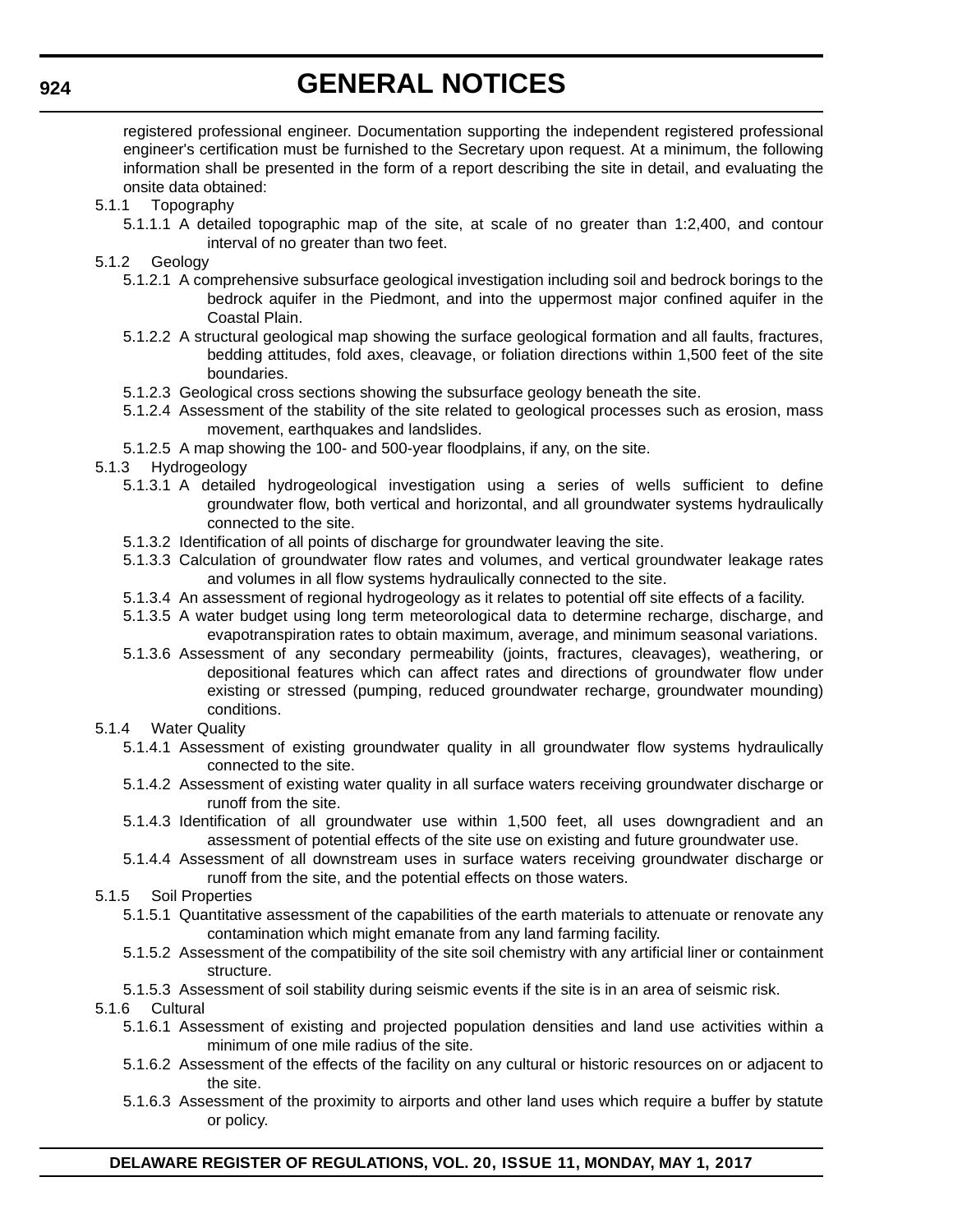registered professional engineer. Documentation supporting the independent registered professional engineer's certification must be furnished to the Secretary upon request. At a minimum, the following information shall be presented in the form of a report describing the site in detail, and evaluating the onsite data obtained:

- 5.1.1 Topography
	- 5.1.1.1 A detailed topographic map of the site, at scale of no greater than 1:2,400, and contour interval of no greater than two feet.
- 5.1.2 Geology
	- 5.1.2.1 A comprehensive subsurface geological investigation including soil and bedrock borings to the bedrock aquifer in the Piedmont, and into the uppermost major confined aquifer in the Coastal Plain.
	- 5.1.2.2 A structural geological map showing the surface geological formation and all faults, fractures, bedding attitudes, fold axes, cleavage, or foliation directions within 1,500 feet of the site boundaries.
	- 5.1.2.3 Geological cross sections showing the subsurface geology beneath the site.
	- 5.1.2.4 Assessment of the stability of the site related to geological processes such as erosion, mass movement, earthquakes and landslides.
	- 5.1.2.5 A map showing the 100- and 500-year floodplains, if any, on the site.
- 5.1.3 Hydrogeology
	- 5.1.3.1 A detailed hydrogeological investigation using a series of wells sufficient to define groundwater flow, both vertical and horizontal, and all groundwater systems hydraulically connected to the site.
	- 5.1.3.2 Identification of all points of discharge for groundwater leaving the site.
	- 5.1.3.3 Calculation of groundwater flow rates and volumes, and vertical groundwater leakage rates and volumes in all flow systems hydraulically connected to the site.
	- 5.1.3.4 An assessment of regional hydrogeology as it relates to potential off site effects of a facility.
	- 5.1.3.5 A water budget using long term meteorological data to determine recharge, discharge, and evapotranspiration rates to obtain maximum, average, and minimum seasonal variations.
	- 5.1.3.6 Assessment of any secondary permeability (joints, fractures, cleavages), weathering, or depositional features which can affect rates and directions of groundwater flow under existing or stressed (pumping, reduced groundwater recharge, groundwater mounding) conditions.
- 5.1.4 Water Quality
	- 5.1.4.1 Assessment of existing groundwater quality in all groundwater flow systems hydraulically connected to the site.
	- 5.1.4.2 Assessment of existing water quality in all surface waters receiving groundwater discharge or runoff from the site.
	- 5.1.4.3 Identification of all groundwater use within 1,500 feet, all uses downgradient and an assessment of potential effects of the site use on existing and future groundwater use.
	- 5.1.4.4 Assessment of all downstream uses in surface waters receiving groundwater discharge or runoff from the site, and the potential effects on those waters.
- 5.1.5 Soil Properties
	- 5.1.5.1 Quantitative assessment of the capabilities of the earth materials to attenuate or renovate any contamination which might emanate from any land farming facility.
	- 5.1.5.2 Assessment of the compatibility of the site soil chemistry with any artificial liner or containment structure.
	- 5.1.5.3 Assessment of soil stability during seismic events if the site is in an area of seismic risk.

### 5.1.6 Cultural

- 5.1.6.1 Assessment of existing and projected population densities and land use activities within a minimum of one mile radius of the site.
- 5.1.6.2 Assessment of the effects of the facility on any cultural or historic resources on or adjacent to the site.
- 5.1.6.3 Assessment of the proximity to airports and other land uses which require a buffer by statute or policy.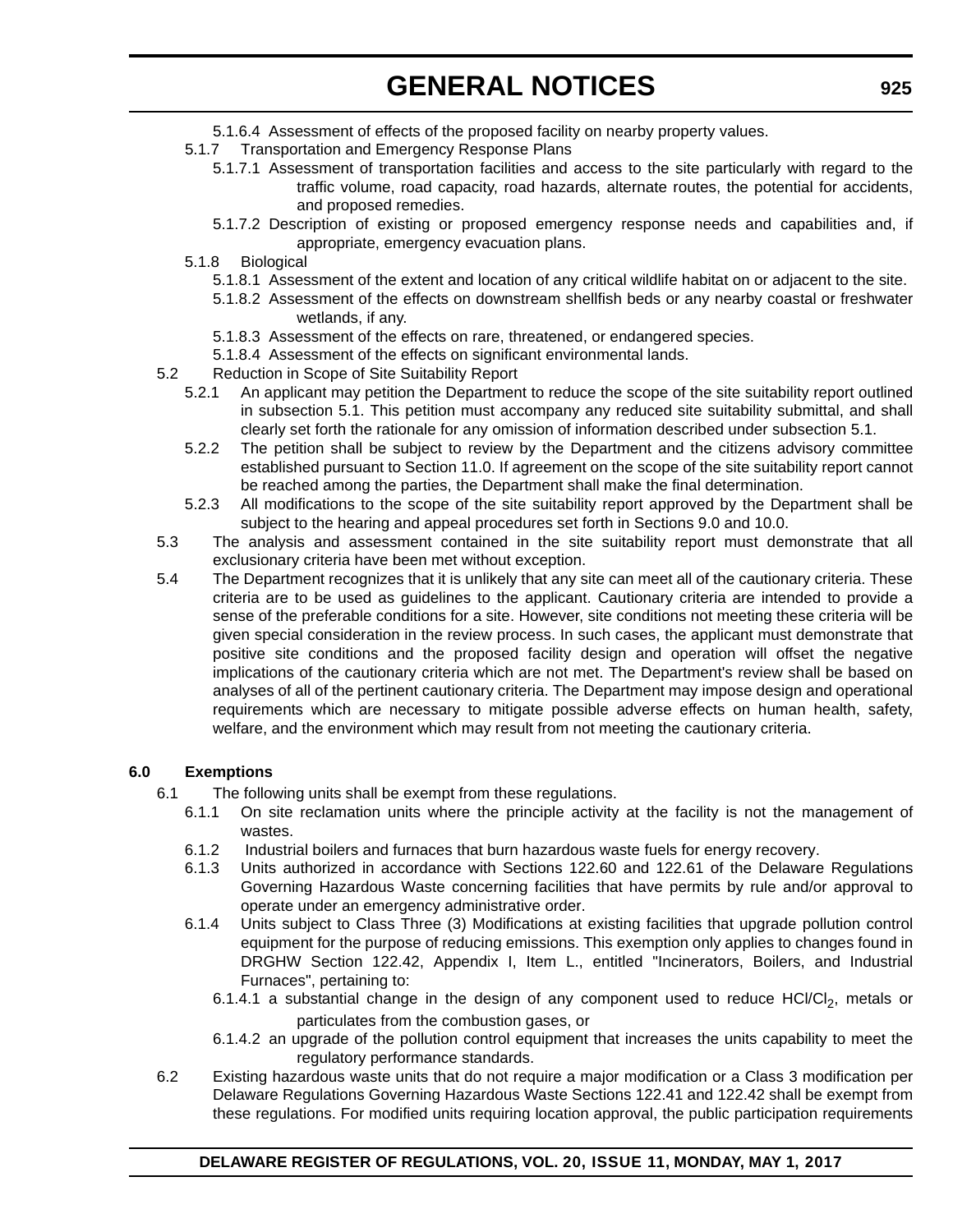- 5.1.6.4 Assessment of effects of the proposed facility on nearby property values.
- 5.1.7 Transportation and Emergency Response Plans
	- 5.1.7.1 Assessment of transportation facilities and access to the site particularly with regard to the traffic volume, road capacity, road hazards, alternate routes, the potential for accidents, and proposed remedies.
	- 5.1.7.2 Description of existing or proposed emergency response needs and capabilities and, if appropriate, emergency evacuation plans.
- 5.1.8 Biological
	- 5.1.8.1 Assessment of the extent and location of any critical wildlife habitat on or adjacent to the site.
	- 5.1.8.2 Assessment of the effects on downstream shellfish beds or any nearby coastal or freshwater wetlands, if any.
	- 5.1.8.3 Assessment of the effects on rare, threatened, or endangered species.
	- 5.1.8.4 Assessment of the effects on significant environmental lands.
- 5.2 Reduction in Scope of Site Suitability Report
	- 5.2.1 An applicant may petition the Department to reduce the scope of the site suitability report outlined in subsection 5.1. This petition must accompany any reduced site suitability submittal, and shall clearly set forth the rationale for any omission of information described under subsection 5.1.
		- 5.2.2 The petition shall be subject to review by the Department and the citizens advisory committee established pursuant to Section 11.0. If agreement on the scope of the site suitability report cannot be reached among the parties, the Department shall make the final determination.
		- 5.2.3 All modifications to the scope of the site suitability report approved by the Department shall be subject to the hearing and appeal procedures set forth in Sections 9.0 and 10.0.
- 5.3 The analysis and assessment contained in the site suitability report must demonstrate that all exclusionary criteria have been met without exception.
- 5.4 The Department recognizes that it is unlikely that any site can meet all of the cautionary criteria. These criteria are to be used as guidelines to the applicant. Cautionary criteria are intended to provide a sense of the preferable conditions for a site. However, site conditions not meeting these criteria will be given special consideration in the review process. In such cases, the applicant must demonstrate that positive site conditions and the proposed facility design and operation will offset the negative implications of the cautionary criteria which are not met. The Department's review shall be based on analyses of all of the pertinent cautionary criteria. The Department may impose design and operational requirements which are necessary to mitigate possible adverse effects on human health, safety, welfare, and the environment which may result from not meeting the cautionary criteria.

### **6.0 Exemptions**

- 6.1 The following units shall be exempt from these regulations.
	- 6.1.1 On site reclamation units where the principle activity at the facility is not the management of wastes.
	- 6.1.2 Industrial boilers and furnaces that burn hazardous waste fuels for energy recovery.
	- 6.1.3 Units authorized in accordance with Sections 122.60 and 122.61 of the Delaware Regulations Governing Hazardous Waste concerning facilities that have permits by rule and/or approval to operate under an emergency administrative order.
	- 6.1.4 Units subject to Class Three (3) Modifications at existing facilities that upgrade pollution control equipment for the purpose of reducing emissions. This exemption only applies to changes found in DRGHW Section 122.42, Appendix I, Item L., entitled "Incinerators, Boilers, and Industrial Furnaces", pertaining to:
		- 6.1.4.1 a substantial change in the design of any component used to reduce  $HCI/CI<sub>2</sub>$ , metals or particulates from the combustion gases, or
		- 6.1.4.2 an upgrade of the pollution control equipment that increases the units capability to meet the regulatory performance standards.
- 6.2 Existing hazardous waste units that do not require a major modification or a Class 3 modification per Delaware Regulations Governing Hazardous Waste Sections 122.41 and 122.42 shall be exempt from these regulations. For modified units requiring location approval, the public participation requirements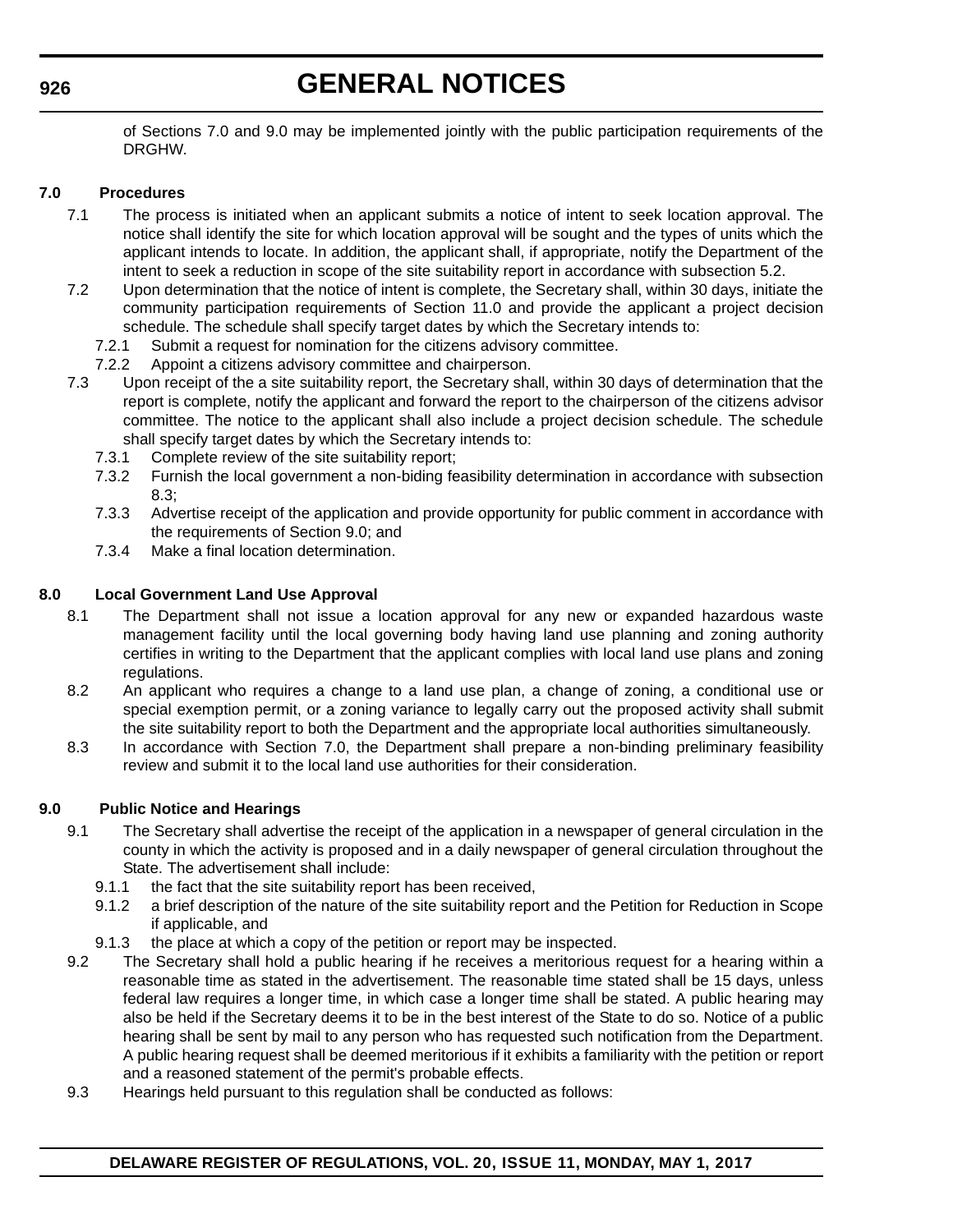of Sections 7.0 and 9.0 may be implemented jointly with the public participation requirements of the DRGHW.

## **7.0 Procedures**

- 7.1 The process is initiated when an applicant submits a notice of intent to seek location approval. The notice shall identify the site for which location approval will be sought and the types of units which the applicant intends to locate. In addition, the applicant shall, if appropriate, notify the Department of the intent to seek a reduction in scope of the site suitability report in accordance with subsection 5.2.
- 7.2 Upon determination that the notice of intent is complete, the Secretary shall, within 30 days, initiate the community participation requirements of Section 11.0 and provide the applicant a project decision schedule. The schedule shall specify target dates by which the Secretary intends to:
	- 7.2.1 Submit a request for nomination for the citizens advisory committee.
	- 7.2.2 Appoint a citizens advisory committee and chairperson.
- 7.3 Upon receipt of the a site suitability report, the Secretary shall, within 30 days of determination that the report is complete, notify the applicant and forward the report to the chairperson of the citizens advisor committee. The notice to the applicant shall also include a project decision schedule. The schedule shall specify target dates by which the Secretary intends to:
	- 7.3.1 Complete review of the site suitability report;
	- 7.3.2 Furnish the local government a non-biding feasibility determination in accordance with subsection 8.3;
	- 7.3.3 Advertise receipt of the application and provide opportunity for public comment in accordance with the requirements of Section 9.0; and
	- 7.3.4 Make a final location determination.

### **8.0 Local Government Land Use Approval**

- 8.1 The Department shall not issue a location approval for any new or expanded hazardous waste management facility until the local governing body having land use planning and zoning authority certifies in writing to the Department that the applicant complies with local land use plans and zoning regulations.
- 8.2 An applicant who requires a change to a land use plan, a change of zoning, a conditional use or special exemption permit, or a zoning variance to legally carry out the proposed activity shall submit the site suitability report to both the Department and the appropriate local authorities simultaneously.
- 8.3 In accordance with Section 7.0, the Department shall prepare a non-binding preliminary feasibility review and submit it to the local land use authorities for their consideration.

### **9.0 Public Notice and Hearings**

- 9.1 The Secretary shall advertise the receipt of the application in a newspaper of general circulation in the county in which the activity is proposed and in a daily newspaper of general circulation throughout the State. The advertisement shall include:
	- 9.1.1 the fact that the site suitability report has been received,
	- 9.1.2 a brief description of the nature of the site suitability report and the Petition for Reduction in Scope if applicable, and
	- 9.1.3 the place at which a copy of the petition or report may be inspected.
- 9.2 The Secretary shall hold a public hearing if he receives a meritorious request for a hearing within a reasonable time as stated in the advertisement. The reasonable time stated shall be 15 days, unless federal law requires a longer time, in which case a longer time shall be stated. A public hearing may also be held if the Secretary deems it to be in the best interest of the State to do so. Notice of a public hearing shall be sent by mail to any person who has requested such notification from the Department. A public hearing request shall be deemed meritorious if it exhibits a familiarity with the petition or report and a reasoned statement of the permit's probable effects.
- 9.3 Hearings held pursuant to this regulation shall be conducted as follows:

## **DELAWARE REGISTER OF REGULATIONS, VOL. 20, ISSUE 11, MONDAY, MAY 1, 2017**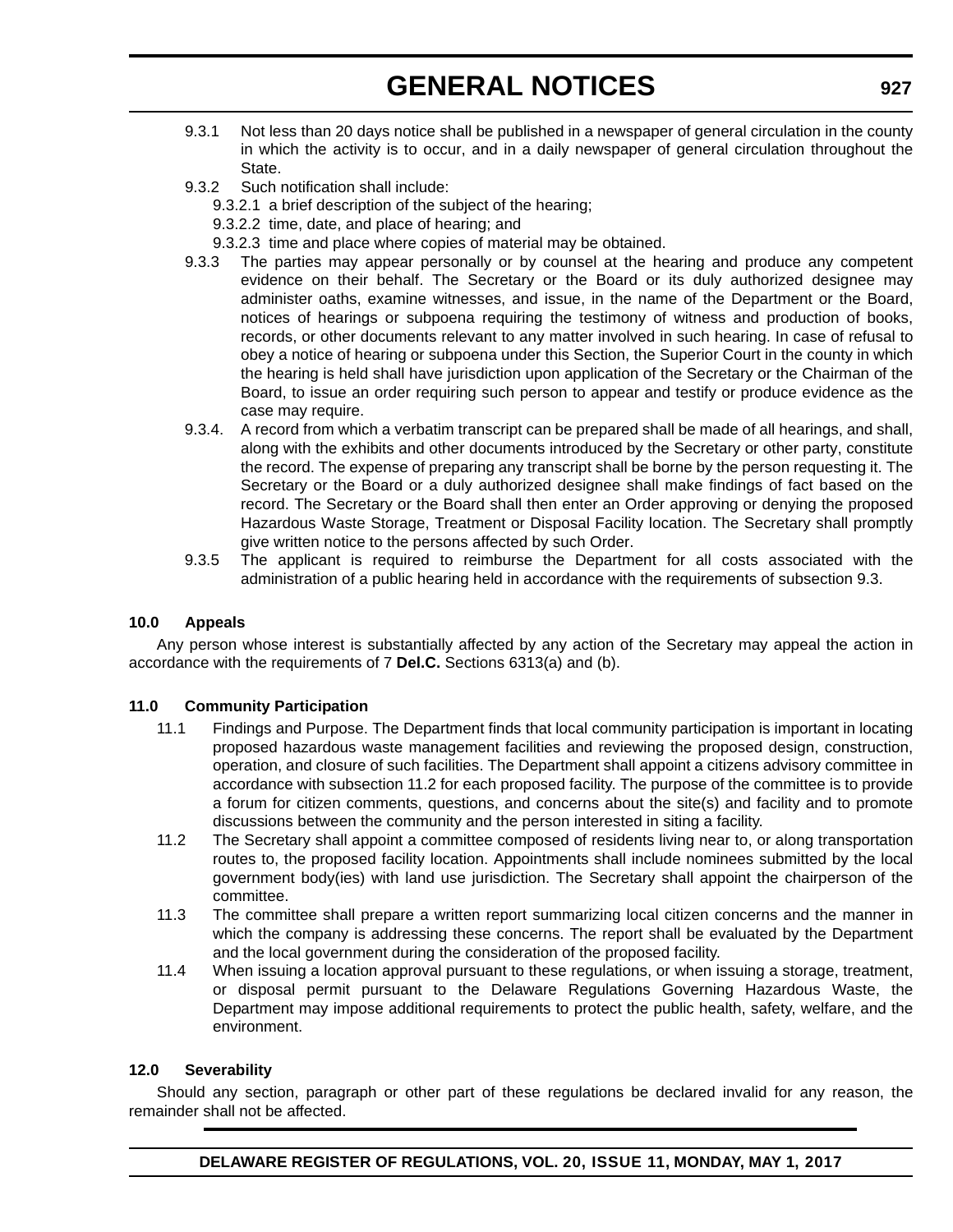- 9.3.1 Not less than 20 days notice shall be published in a newspaper of general circulation in the county in which the activity is to occur, and in a daily newspaper of general circulation throughout the State.
- 9.3.2 Such notification shall include:
	- 9.3.2.1 a brief description of the subject of the hearing;
	- 9.3.2.2 time, date, and place of hearing; and
	- 9.3.2.3 time and place where copies of material may be obtained.
- 9.3.3 The parties may appear personally or by counsel at the hearing and produce any competent evidence on their behalf. The Secretary or the Board or its duly authorized designee may administer oaths, examine witnesses, and issue, in the name of the Department or the Board, notices of hearings or subpoena requiring the testimony of witness and production of books, records, or other documents relevant to any matter involved in such hearing. In case of refusal to obey a notice of hearing or subpoena under this Section, the Superior Court in the county in which the hearing is held shall have jurisdiction upon application of the Secretary or the Chairman of the Board, to issue an order requiring such person to appear and testify or produce evidence as the case may require.
- 9.3.4. A record from which a verbatim transcript can be prepared shall be made of all hearings, and shall, along with the exhibits and other documents introduced by the Secretary or other party, constitute the record. The expense of preparing any transcript shall be borne by the person requesting it. The Secretary or the Board or a duly authorized designee shall make findings of fact based on the record. The Secretary or the Board shall then enter an Order approving or denying the proposed Hazardous Waste Storage, Treatment or Disposal Facility location. The Secretary shall promptly give written notice to the persons affected by such Order.
- 9.3.5 The applicant is required to reimburse the Department for all costs associated with the administration of a public hearing held in accordance with the requirements of subsection 9.3.

### **10.0 Appeals**

Any person whose interest is substantially affected by any action of the Secretary may appeal the action in accordance with the requirements of 7 **Del.C.** Sections 6313(a) and (b).

### **11.0 Community Participation**

- 11.1 Findings and Purpose. The Department finds that local community participation is important in locating proposed hazardous waste management facilities and reviewing the proposed design, construction, operation, and closure of such facilities. The Department shall appoint a citizens advisory committee in accordance with subsection 11.2 for each proposed facility. The purpose of the committee is to provide a forum for citizen comments, questions, and concerns about the site(s) and facility and to promote discussions between the community and the person interested in siting a facility.
- 11.2 The Secretary shall appoint a committee composed of residents living near to, or along transportation routes to, the proposed facility location. Appointments shall include nominees submitted by the local government body(ies) with land use jurisdiction. The Secretary shall appoint the chairperson of the committee.
- 11.3 The committee shall prepare a written report summarizing local citizen concerns and the manner in which the company is addressing these concerns. The report shall be evaluated by the Department and the local government during the consideration of the proposed facility.
- 11.4 When issuing a location approval pursuant to these regulations, or when issuing a storage, treatment, or disposal permit pursuant to the Delaware Regulations Governing Hazardous Waste, the Department may impose additional requirements to protect the public health, safety, welfare, and the environment.

### **12.0 Severability**

Should any section, paragraph or other part of these regulations be declared invalid for any reason, the remainder shall not be affected.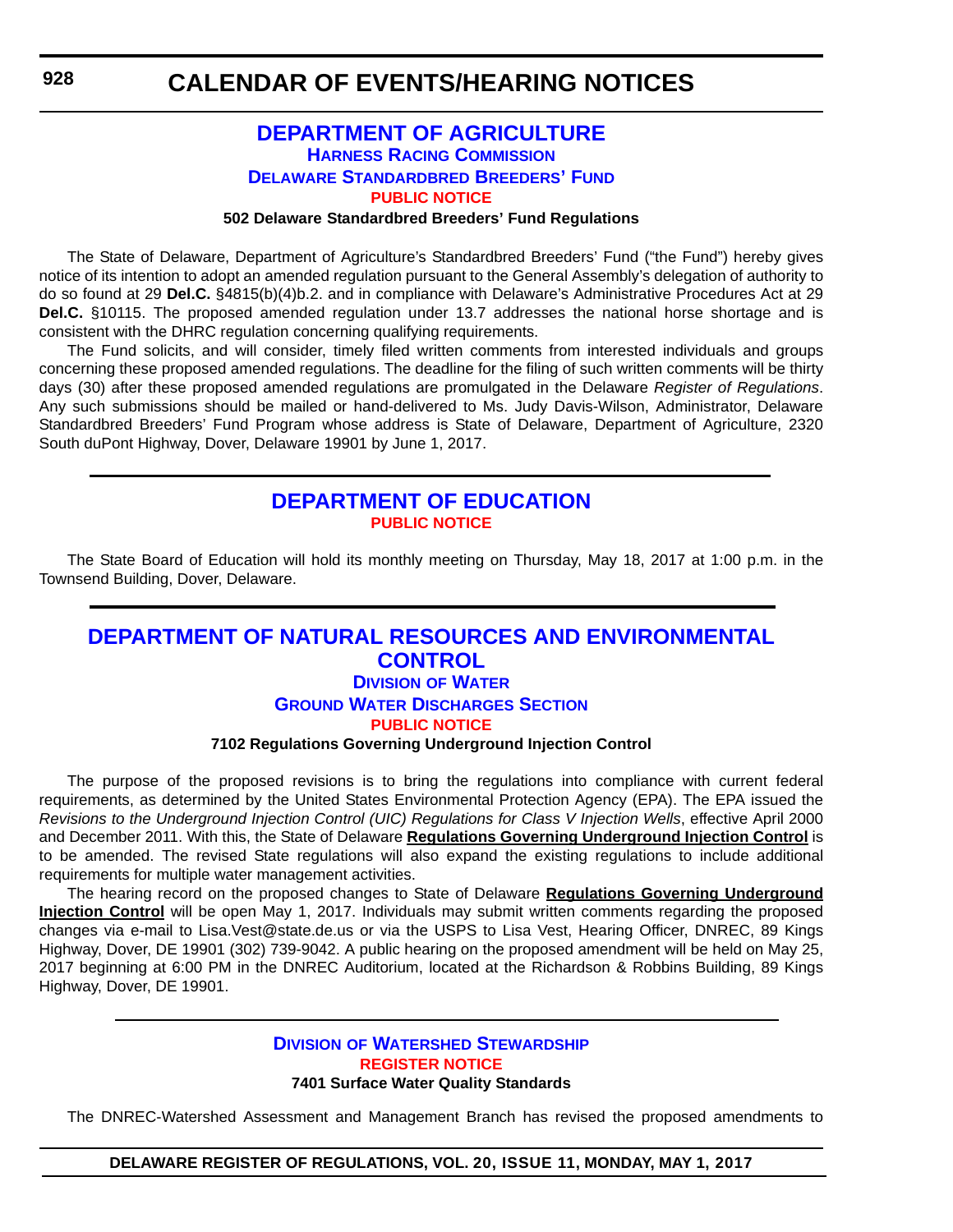## **[DEPARTMENT OF AGRICULTURE](http://dda.delaware.gov/harness/index.shtml) HARNESS RACING COMMISSION DELAWARE STANDARDBRED BREEDERS' FUND [PUBLIC NOTICE](#page-4-0)**

#### **502 Delaware Standardbred Breeders' Fund Regulations**

The State of Delaware, Department of Agriculture's Standardbred Breeders' Fund ("the Fund") hereby gives notice of its intention to adopt an amended regulation pursuant to the General Assembly's delegation of authority to do so found at 29 **Del.C.** §4815(b)(4)b.2. and in compliance with Delaware's Administrative Procedures Act at 29 **Del.C.** §10115. The proposed amended regulation under 13.7 addresses the national horse shortage and is consistent with the DHRC regulation concerning qualifying requirements.

The Fund solicits, and will consider, timely filed written comments from interested individuals and groups concerning these proposed amended regulations. The deadline for the filing of such written comments will be thirty days (30) after these proposed amended regulations are promulgated in the Delaware *Register of Regulations*. Any such submissions should be mailed or hand-delivered to Ms. Judy Davis-Wilson, Administrator, Delaware Standardbred Breeders' Fund Program whose address is State of Delaware, Department of Agriculture, 2320 South duPont Highway, Dover, Delaware 19901 by June 1, 2017.

## **[DEPARTMENT OF EDUCATION](http://www.doe.k12.de.us/) [PUBLIC NOTICE](#page-4-0)**

The State Board of Education will hold its monthly meeting on Thursday, May 18, 2017 at 1:00 p.m. in the Townsend Building, Dover, Delaware.

## **[DEPARTMENT OF NATURAL RESOURCES AND ENVIRONMENTAL](http://www.dnrec.delaware.gov/wr/Pages/Default.aspx)  CONTROL DIVISION OF WATER**

## **GROUND WATER DISCHARGES SECTION [PUBLIC NOTICE](#page-4-0)**

## **7102 Regulations Governing Underground Injection Control**

The purpose of the proposed revisions is to bring the regulations into compliance with current federal requirements, as determined by the United States Environmental Protection Agency (EPA). The EPA issued the *Revisions to the Underground Injection Control (UIC) Regulations for Class V Injection Wells*, effective April 2000 and December 2011. With this, the State of Delaware **Regulations Governing Underground Injection Control** is to be amended. The revised State regulations will also expand the existing regulations to include additional requirements for multiple water management activities.

The hearing record on the proposed changes to State of Delaware **Regulations Governing Underground Injection Control** will be open May 1, 2017. Individuals may submit written comments regarding the proposed changes via e-mail to Lisa.Vest@state.de.us or via the USPS to Lisa Vest, Hearing Officer, DNREC, 89 Kings Highway, Dover, DE 19901 (302) 739-9042. A public hearing on the proposed amendment will be held on May 25, 2017 beginning at 6:00 PM in the DNREC Auditorium, located at the Richardson & Robbins Building, 89 Kings Highway, Dover, DE 19901.

## **DIVISION [OF WATERSHED STEWARDSHIP](http://www.dnrec.delaware.gov/swc/Pages/portal.aspx) [REGISTER NOTICE](#page-4-0) 7401 Surface Water Quality Standards**

The DNREC-Watershed Assessment and Management Branch has revised the proposed amendments to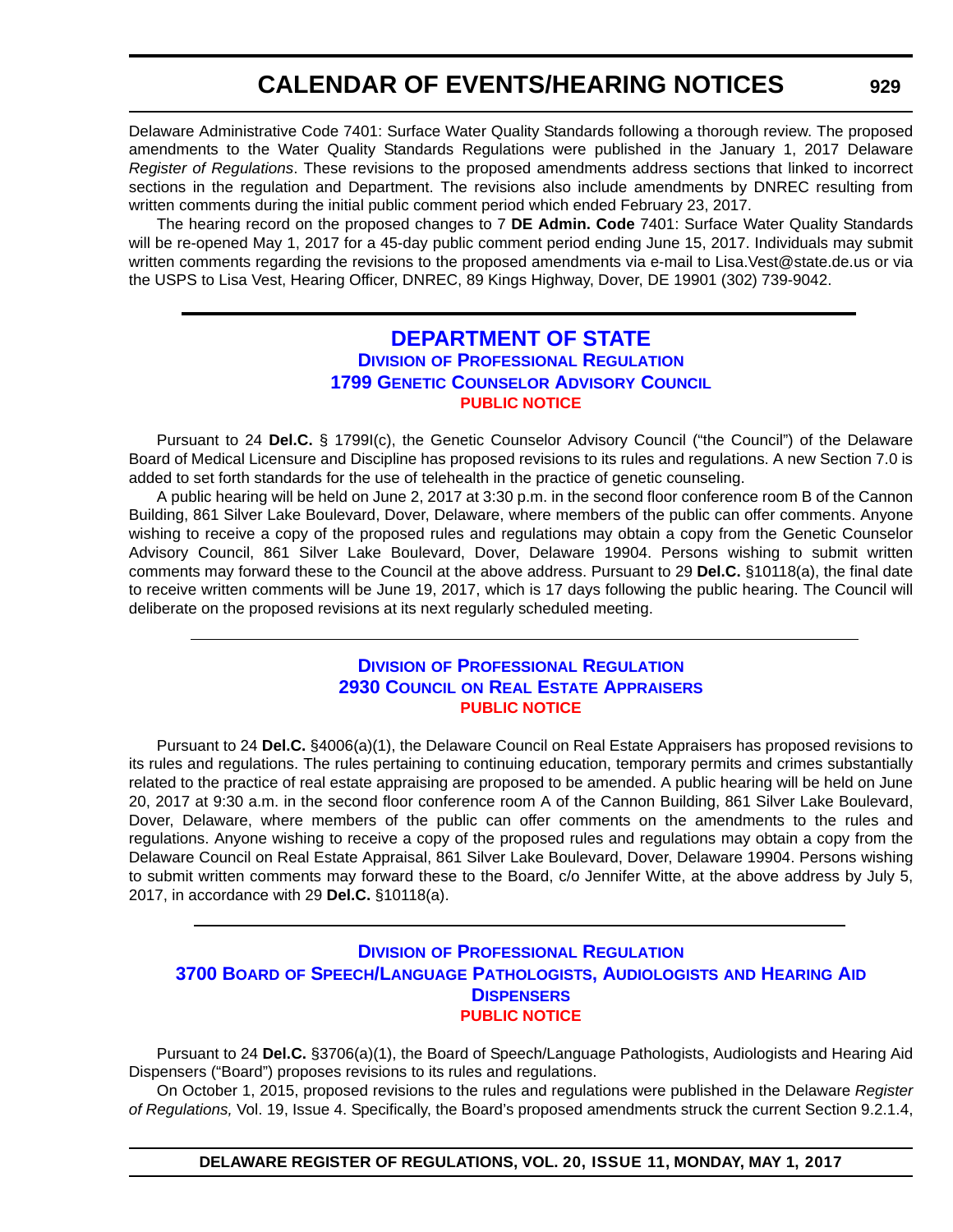## **CALENDAR OF EVENTS/HEARING NOTICES**

Delaware Administrative Code 7401: Surface Water Quality Standards following a thorough review. The proposed amendments to the Water Quality Standards Regulations were published in the January 1, 2017 Delaware *Register of Regulations*. These revisions to the proposed amendments address sections that linked to incorrect sections in the regulation and Department. The revisions also include amendments by DNREC resulting from written comments during the initial public comment period which ended February 23, 2017.

The hearing record on the proposed changes to 7 **DE Admin. Code** 7401: Surface Water Quality Standards will be re-opened May 1, 2017 for a 45-day public comment period ending June 15, 2017. Individuals may submit written comments regarding the revisions to the proposed amendments via e-mail to Lisa.Vest@state.de.us or via the USPS to Lisa Vest, Hearing Officer, DNREC, 89 Kings Highway, Dover, DE 19901 (302) 739-9042.

## **[DEPARTMENT OF STATE](http://dpr.delaware.gov/) DIVISION OF PROFESSIONAL REGULATION 1799 GENETIC COUNSELOR ADVISORY COUNCIL [PUBLIC NOTICE](#page-4-0)**

Pursuant to 24 **Del.C.** § 1799I(c), the Genetic Counselor Advisory Council ("the Council") of the Delaware Board of Medical Licensure and Discipline has proposed revisions to its rules and regulations. A new Section 7.0 is added to set forth standards for the use of telehealth in the practice of genetic counseling.

A public hearing will be held on June 2, 2017 at 3:30 p.m. in the second floor conference room B of the Cannon Building, 861 Silver Lake Boulevard, Dover, Delaware, where members of the public can offer comments. Anyone wishing to receive a copy of the proposed rules and regulations may obtain a copy from the Genetic Counselor Advisory Council, 861 Silver Lake Boulevard, Dover, Delaware 19904. Persons wishing to submit written comments may forward these to the Council at the above address. Pursuant to 29 **Del.C.** §10118(a), the final date to receive written comments will be June 19, 2017, which is 17 days following the public hearing. The Council will deliberate on the proposed revisions at its next regularly scheduled meeting.

## **DIVISION [OF PROFESSIONAL REGULATION](http://dpr.delaware.gov/) 2930 COUNCIL ON REAL ESTATE APPRAISERS [PUBLIC NOTICE](#page-4-0)**

Pursuant to 24 **Del.C.** §4006(a)(1), the Delaware Council on Real Estate Appraisers has proposed revisions to its rules and regulations. The rules pertaining to continuing education, temporary permits and crimes substantially related to the practice of real estate appraising are proposed to be amended. A public hearing will be held on June 20, 2017 at 9:30 a.m. in the second floor conference room A of the Cannon Building, 861 Silver Lake Boulevard, Dover, Delaware, where members of the public can offer comments on the amendments to the rules and regulations. Anyone wishing to receive a copy of the proposed rules and regulations may obtain a copy from the Delaware Council on Real Estate Appraisal, 861 Silver Lake Boulevard, Dover, Delaware 19904. Persons wishing to submit written comments may forward these to the Board, c/o Jennifer Witte, at the above address by July 5, 2017, in accordance with 29 **Del.C.** §10118(a).

## **DIVISION [OF PROFESSIONAL REGULATION](http://dpr.delaware.gov/) 3700 BOARD OF SPEECH/LANGUAGE PATHOLOGISTS, AUDIOLOGISTS AND HEARING AID DISPENSERS [PUBLIC NOTICE](#page-4-0)**

Pursuant to 24 **Del.C.** §3706(a)(1), the Board of Speech/Language Pathologists, Audiologists and Hearing Aid Dispensers ("Board") proposes revisions to its rules and regulations.

On October 1, 2015, proposed revisions to the rules and regulations were published in the Delaware *Register of Regulations,* Vol. 19, Issue 4. Specifically, the Board's proposed amendments struck the current Section 9.2.1.4,